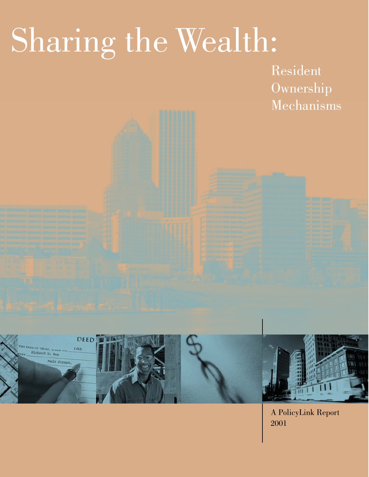# Sharing the Wealth:

Resident Ownership Mechanisms



A PolicyLink Report 2001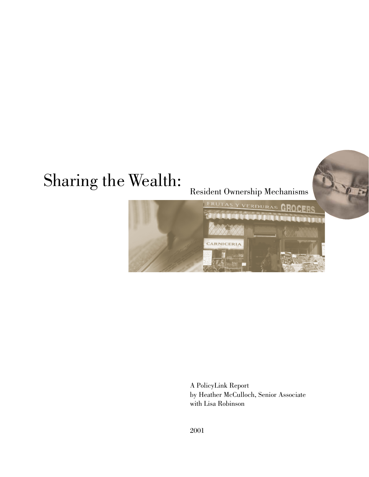## Sharing the Wealth:

Resident Ownership Mechanisms

 $\sqrt{2}$ 



A PolicyLink Report by Heather McCulloch, Senior Associate with Lisa Robinson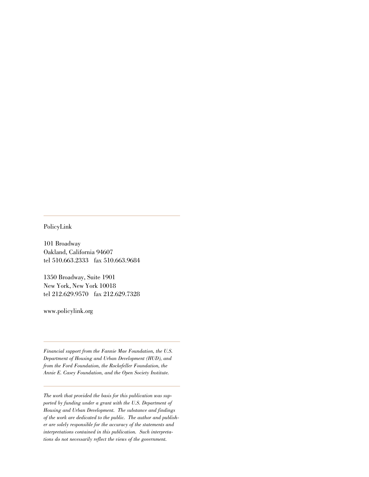PolicyLink

101 Broadway Oakland, California 94607 tel 510.663.2333 fax 510.663.9684

1350 Broadway, Suite 1901 New York, New York 10018 tel 212.629.9570 fax 212.629.7328

www.policylink.org

*Financial support from the Fannie Mae Foundation, the U.S. Department of Housing and Urban Development (HUD), and from the Ford Foundation, the Rockefeller Foundation, the Annie E. Casey Foundation, and the Open Society Institute.*

*The work that provided the basis for this publication was supported by funding under a grant with the U.S. Department of Housing and Urban Development. The substance and findings of the work are dedicated to the public. The author and publisher are solely responsible for the accuracy of the statements and interpretations contained in this publication. Such interpretations do not necessarily reflect the views of the government.*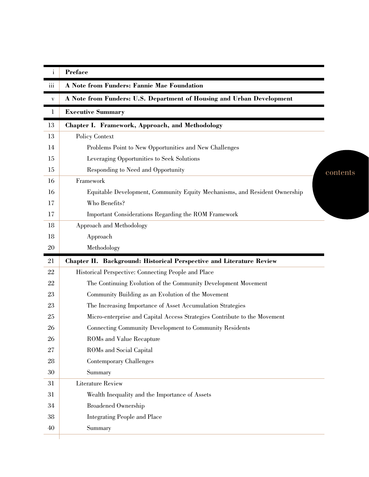| $\rm i$      | <b>Preface</b>                                                             |
|--------------|----------------------------------------------------------------------------|
| iii          | A Note from Funders: Fannie Mae Foundation                                 |
| $\mathbf{V}$ | A Note from Funders: U.S. Department of Housing and Urban Development      |
| $\mathbf 1$  | <b>Executive Summary</b>                                                   |
| 13           | <b>Chapter I. Framework, Approach, and Methodology</b>                     |
| 13           | Policy Context                                                             |
| 14           | Problems Point to New Opportunities and New Challenges                     |
| 15           | Leveraging Opportunities to Seek Solutions                                 |
| 15           | Responding to Need and Opportunity<br>contents                             |
| 16           | Framework                                                                  |
| 16           | Equitable Development, Community Equity Mechanisms, and Resident Ownership |
| 17           | Who Benefits?                                                              |
| 17           | Important Considerations Regarding the ROM Framework                       |
| 18           | Approach and Methodology                                                   |
| 18           | Approach                                                                   |
| 20           | Methodology                                                                |
|              | Chapter II. Background: Historical Perspective and Literature Review       |
| 21           |                                                                            |
| 22           | Historical Perspective: Connecting People and Place                        |
| 22           | The Continuing Evolution of the Community Development Movement             |
| 23           | Community Building as an Evolution of the Movement                         |
| 23           | The Increasing Importance of Asset Accumulation Strategies                 |
| 25           | Micro-enterprise and Capital Access Strategies Contribute to the Movement  |
| 26           | Connecting Community Development to Community Residents                    |
| 26           | ROMs and Value Recapture                                                   |
| 27           | ROMs and Social Capital                                                    |
| 28           | <b>Contemporary Challenges</b>                                             |
| 30           | Summary                                                                    |
| 31           | <b>Literature Review</b>                                                   |
| 31           | Wealth Inequality and the Importance of Assets                             |
| 34           | <b>Broadened Ownership</b>                                                 |
| 38           | <b>Integrating People and Place</b>                                        |
| 40           | Summary                                                                    |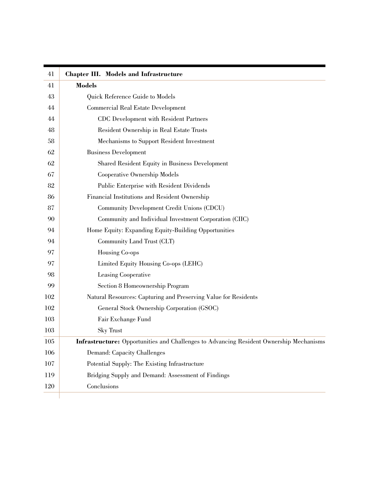| 41  | <b>Chapter III. Models and Infrastructure</b>                                           |
|-----|-----------------------------------------------------------------------------------------|
| 41  | <b>Models</b>                                                                           |
| 43  | Quick Reference Guide to Models                                                         |
| 44  | <b>Commercial Real Estate Development</b>                                               |
| 44  | <b>CDC</b> Development with Resident Partners                                           |
| 48  | Resident Ownership in Real Estate Trusts                                                |
| 58  | Mechanisms to Support Resident Investment                                               |
| 62  | <b>Business Development</b>                                                             |
| 62  | Shared Resident Equity in Business Development                                          |
| 67  | Cooperative Ownership Models                                                            |
| 82  | Public Enterprise with Resident Dividends                                               |
| 86  | Financial Institutions and Resident Ownership                                           |
| 87  | Community Development Credit Unions (CDCU)                                              |
| 90  | Community and Individual Investment Corporation (CIIC)                                  |
| 94  | Home Equity: Expanding Equity-Building Opportunities                                    |
| 94  | Community Land Trust (CLT)                                                              |
| 97  | Housing Co-ops                                                                          |
| 97  | Limited Equity Housing Co-ops (LEHC)                                                    |
| 98  | Leasing Cooperative                                                                     |
| 99  | Section 8 Homeownership Program                                                         |
| 102 | Natural Resources: Capturing and Preserving Value for Residents                         |
| 102 | General Stock Ownership Corporation (GSOC)                                              |
| 103 | Fair Exchange Fund                                                                      |
| 103 | <b>Sky Trust</b>                                                                        |
| 105 | Infrastructure: Opportunities and Challenges to Advancing Resident Ownership Mechanisms |
| 106 | Demand: Capacity Challenges                                                             |
| 107 | Potential Supply: The Existing Infrastructure                                           |
| 119 | Bridging Supply and Demand: Assessment of Findings                                      |
| 120 | Conclusions                                                                             |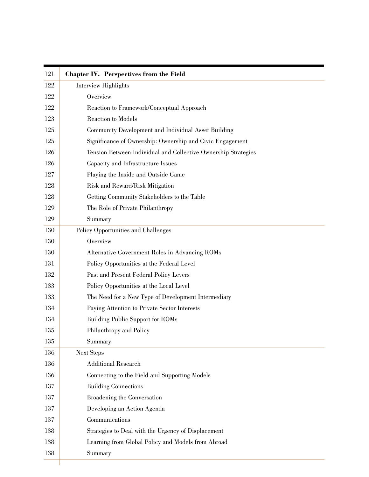| 121 | <b>Chapter IV.</b> Perspectives from the Field                 |  |  |  |
|-----|----------------------------------------------------------------|--|--|--|
| 122 | <b>Interview Highlights</b>                                    |  |  |  |
| 122 | Overview                                                       |  |  |  |
| 122 | Reaction to Framework/Conceptual Approach                      |  |  |  |
| 123 | Reaction to Models                                             |  |  |  |
| 125 | Community Development and Individual Asset Building            |  |  |  |
| 125 | Significance of Ownership: Ownership and Civic Engagement      |  |  |  |
| 126 | Tension Between Individual and Collective Ownership Strategies |  |  |  |
| 126 | Capacity and Infrastructure Issues                             |  |  |  |
| 127 | Playing the Inside and Outside Game                            |  |  |  |
| 128 | Risk and Reward/Risk Mitigation                                |  |  |  |
| 128 | Getting Community Stakeholders to the Table                    |  |  |  |
| 129 | The Role of Private Philanthropy                               |  |  |  |
| 129 | Summary                                                        |  |  |  |
| 130 | Policy Opportunities and Challenges                            |  |  |  |
| 130 | Overview                                                       |  |  |  |
| 130 | Alternative Government Roles in Advancing ROMs                 |  |  |  |
| 131 | Policy Opportunities at the Federal Level                      |  |  |  |
| 132 | Past and Present Federal Policy Levers                         |  |  |  |
| 133 | Policy Opportunities at the Local Level                        |  |  |  |
| 133 | The Need for a New Type of Development Intermediary            |  |  |  |
| 134 | Paying Attention to Private Sector Interests                   |  |  |  |
| 134 | <b>Building Public Support for ROMs</b>                        |  |  |  |
| 135 | Philanthropy and Policy                                        |  |  |  |
| 135 | Summary                                                        |  |  |  |
| 136 | <b>Next Steps</b>                                              |  |  |  |
| 136 | <b>Additional Research</b>                                     |  |  |  |
| 136 | Connecting to the Field and Supporting Models                  |  |  |  |
| 137 | <b>Building Connections</b>                                    |  |  |  |
| 137 | Broadening the Conversation                                    |  |  |  |
| 137 | Developing an Action Agenda                                    |  |  |  |
| 137 | Communications                                                 |  |  |  |
| 138 | Strategies to Deal with the Urgency of Displacement            |  |  |  |
| 138 | Learning from Global Policy and Models from Abroad             |  |  |  |
| 138 | Summary                                                        |  |  |  |

and the state of the state of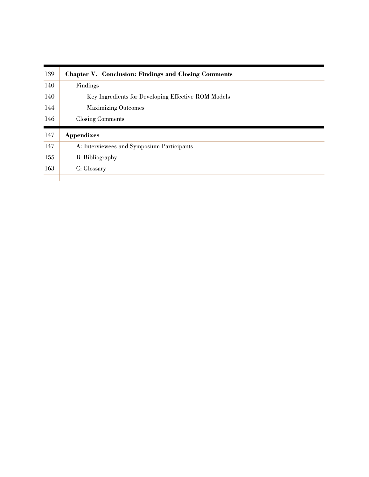| 139 | <b>Chapter V. Conclusion: Findings and Closing Comments</b> |  |
|-----|-------------------------------------------------------------|--|
| 140 | Findings                                                    |  |
| 140 | Key Ingredients for Developing Effective ROM Models         |  |
| 144 | <b>Maximizing Outcomes</b>                                  |  |
| 146 | Closing Comments                                            |  |
| 147 | <b>Appendixes</b>                                           |  |
| 147 | A: Interviewees and Symposium Participants                  |  |
| 155 | B: Bibliography                                             |  |
| 163 | C: Glossary                                                 |  |
|     |                                                             |  |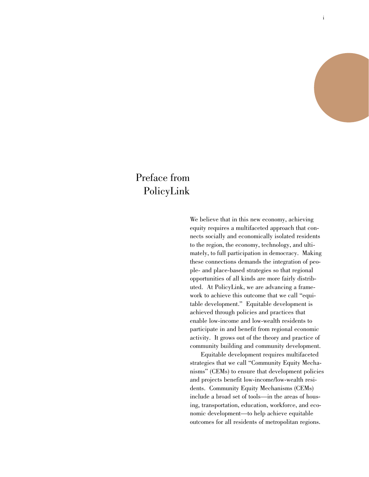## Preface from PolicyLink

We believe that in this new economy, achieving equity requires a multifaceted approach that connects socially and economically isolated residents to the region, the economy, technology, and ultimately, to full participation in democracy. Making these connections demands the integration of people- and place-based strategies so that regional opportunities of all kinds are more fairly distributed. At PolicyLink, we are advancing a framework to achieve this outcome that we call "equitable development." Equitable development is achieved through policies and practices that enable low-income and low-wealth residents to participate in and benefit from regional economic activity. It grows out of the theory and practice of community building and community development.

Equitable development requires multifaceted strategies that we call "Community Equity Mechanisms" (CEMs) to ensure that development policies and projects benefit low-income/low-wealth residents. Community Equity Mechanisms (CEMs) include a broad set of tools—in the areas of housing, transportation, education, workforce, and economic development—to help achieve equitable outcomes for all residents of metropolitan regions.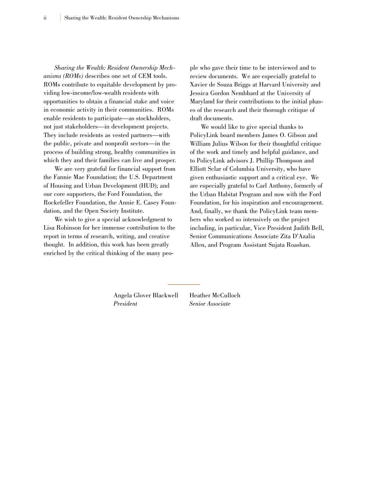*Sharing the Wealth: Resident Ownership Mechanisms (ROMs)* describes one set of CEM tools. ROMs contribute to equitable development by providing low-income/low-wealth residents with opportunities to obtain a financial stake and voice in economic activity in their communities. ROMs enable residents to participate—as stockholders, not just stakeholders—in development projects. They include residents as vested partners—with the public, private and nonprofit sectors—in the process of building strong, healthy communities in which they and their families can live and prosper.

We are very grateful for financial support from the Fannie Mae Foundation; the U.S. Department of Housing and Urban Development (HUD); and our core supporters, the Ford Foundation, the Rockefeller Foundation, the Annie E. Casey Foundation, and the Open Society Institute.

We wish to give a special acknowledgment to Lisa Robinson for her immense contribution to the report in terms of research, writing, and creative thought. In addition, this work has been greatly enriched by the critical thinking of the many people who gave their time to be interviewed and to review documents. We are especially grateful to Xavier de Souza Briggs at Harvard University and Jessica Gordon Nembhard at the University of Maryland for their contributions to the initial phases of the research and their thorough critique of draft documents.

We would like to give special thanks to PolicyLink board members James O. Gibson and William Julius Wilson for their thoughtful critique of the work and timely and helpful guidance, and to PolicyLink advisors J. Phillip Thompson and Elliott Sclar of Columbia University, who have given enthusiastic support and a critical eye. We are especially grateful to Carl Anthony, formerly of the Urban Habitat Program and now with the Ford Foundation, for his inspiration and encouragement. And, finally, we thank the PolicyLink team members who worked so intensively on the project including, in particular, Vice President Judith Bell, Senior Communications Associate Zita D'Azalia Allen, and Program Assistant Sujata Roashan.

Angela Glover Blackwell Heather McCulloch *President Senior Associate*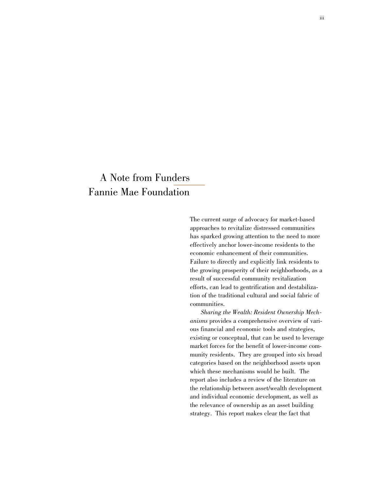## A Note from Funders Fannie Mae Foundation

The current surge of advocacy for market-based approaches to revitalize distressed communities has sparked growing attention to the need to more effectively anchor lower-income residents to the economic enhancement of their communities. Failure to directly and explicitly link residents to the growing prosperity of their neighborhoods, as a result of successful community revitalization efforts, can lead to gentrification and destabilization of the traditional cultural and social fabric of communities.

*Sharing the Wealth: Resident Ownership Mechanisms* provides a comprehensive overview of various financial and economic tools and strategies, existing or conceptual, that can be used to leverage market forces for the benefit of lower-income community residents. They are grouped into six broad categories based on the neighborhood assets upon which these mechanisms would be built. The report also includes a review of the literature on the relationship between asset/wealth development and individual economic development, as well as the relevance of ownership as an asset building strategy. This report makes clear the fact that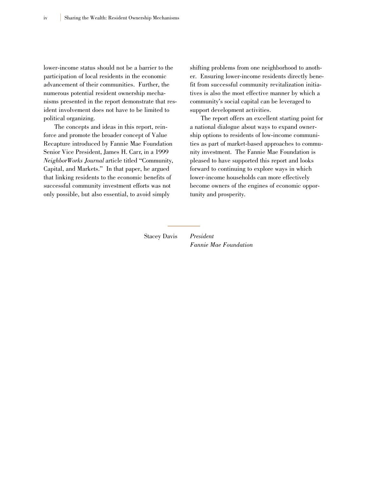lower-income status should not be a barrier to the participation of local residents in the economic advancement of their communities. Further, the numerous potential resident ownership mechanisms presented in the report demonstrate that resident involvement does not have to be limited to political organizing.

The concepts and ideas in this report, reinforce and promote the broader concept of Value Recapture introduced by Fannie Mae Foundation Senior Vice President, James H. Carr, in a 1999 *NeighborWorks Journal* article titled "Community, Capital, and Markets." In that paper, he argued that linking residents to the economic benefits of successful community investment efforts was not only possible, but also essential, to avoid simply

shifting problems from one neighborhood to another. Ensuring lower-income residents directly benefit from successful community revitalization initiatives is also the most effective manner by which a community's social capital can be leveraged to support development activities.

The report offers an excellent starting point for a national dialogue about ways to expand ownership options to residents of low-income communities as part of market-based approaches to community investment. The Fannie Mae Foundation is pleased to have supported this report and looks forward to continuing to explore ways in which lower-income households can more effectively become owners of the engines of economic opportunity and prosperity.

Stacey Davis *President*

*Fannie Mae Foundation*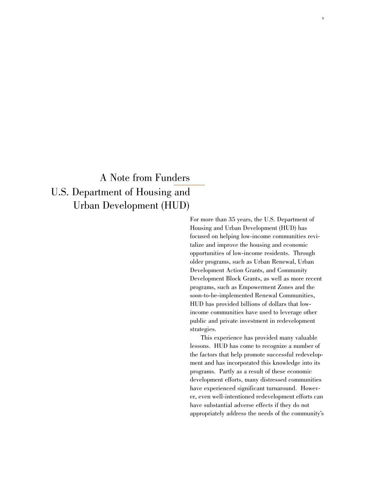## A Note from Funders U.S. Department of Housing and Urban Development (HUD)

For more than 35 years, the U.S. Department of Housing and Urban Development (HUD) has focused on helping low-income communities revitalize and improve the housing and economic opportunities of low-income residents. Through older programs, such as Urban Renewal, Urban Development Action Grants, and Community Development Block Grants, as well as more recent programs, such as Empowerment Zones and the soon-to-be-implemented Renewal Communities, HUD has provided billions of dollars that lowincome communities have used to leverage other public and private investment in redevelopment strategies.

v

This experience has provided many valuable lessons. HUD has come to recognize a number of the factors that help promote successful redevelopment and has incorporated this knowledge into its programs. Partly as a result of these economic development efforts, many distressed communities have experienced significant turnaround. However, even well-intentioned redevelopment efforts can have substantial adverse effects if they do not appropriately address the needs of the community's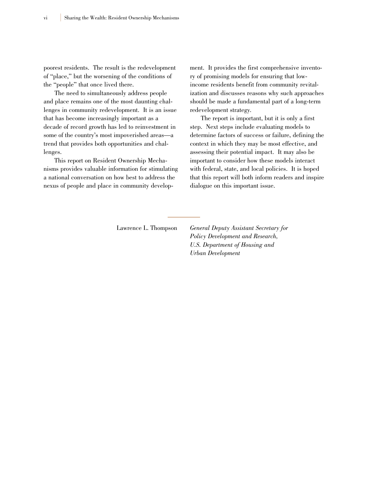poorest residents. The result is the redevelopment of "place," but the worsening of the conditions of the "people" that once lived there.

The need to simultaneously address people and place remains one of the most daunting challenges in community redevelopment. It is an issue that has become increasingly important as a decade of record growth has led to reinvestment in some of the country's most impoverished areas—a trend that provides both opportunities and challenges.

This report on Resident Ownership Mechanisms provides valuable information for stimulating a national conversation on how best to address the nexus of people and place in community development. It provides the first comprehensive inventory of promising models for ensuring that lowincome residents benefit from community revitalization and discusses reasons why such approaches should be made a fundamental part of a long-term redevelopment strategy.

The report is important, but it is only a first step. Next steps include evaluating models to determine factors of success or failure, defining the context in which they may be most effective, and assessing their potential impact. It may also be important to consider how these models interact with federal, state, and local policies. It is hoped that this report will both inform readers and inspire dialogue on this important issue.

Lawrence L. Thompson *General Deputy Assistant Secretary for Policy Development and Research, U.S. Department of Housing and Urban Development*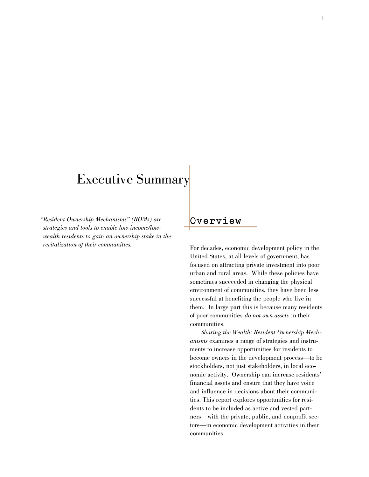## Executive Summary

*"Resident Ownership Mechanisms" (ROMs) are strategies and tools to enable low-income/lowwealth residents to gain an ownership stake in the revitalization of their communities.*

## **O v e r v i e w**

For decades, economic development policy in the United States, at all levels of government, has focused on attracting private investment into poor urban and rural areas. While these policies have sometimes succeeded in changing the physical environment of communities, they have been less successful at benefiting the people who live in them. In large part this is because many residents of poor communities *do not own assets* in their communities.

*Sharing the Wealth: Resident Ownership Mechanisms* examines a range of strategies and instruments to increase opportunities for residents to become owners in the development process—to be stockholders, not just stakeholders, in local economic activity. Ownership can increase residents' financial assets and ensure that they have voice and influence in decisions about their communities. This report explores opportunities for residents to be included as active and vested partners—with the private, public, and nonprofit sectors—in economic development activities in their communities.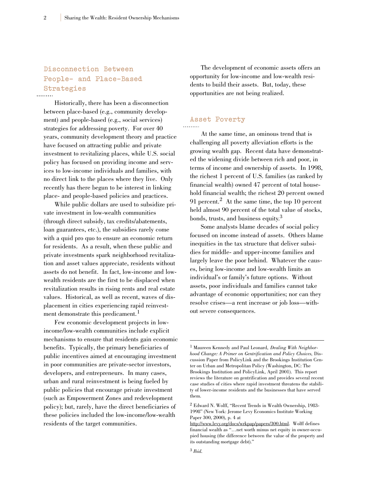## **Disconnection Between People- and Place-Based Strategies**

Historically, there has been a disconnection between place-based (e.g., community development) and people-based (e.g., social services) strategies for addressing poverty. For over 40 years, community development theory and practice have focused on attracting public and private investment to revitalizing places, while U.S. social policy has focused on providing income and services to low-income individuals and families, with no direct link to the places where they live. Only recently has there begun to be interest in linking place- and people-based policies and practices.

While public dollars are used to subsidize private investment in low-wealth communities (through direct subsidy, tax credits/abatements, loan guarantees, etc.), the subsidies rarely come with a quid pro quo to ensure an economic return for residents. As a result, when these public and private investments spark neighborhood revitalization and asset values appreciate, residents without assets do not benefit. In fact, low-income and lowwealth residents are the first to be displaced when revitalization results in rising rents and real estate values. Historical, as well as recent, waves of displacement in cities experiencing rapid reinvestment demonstrate this predicament.<sup>1</sup>

Few economic development projects in lowincome/low-wealth communities include explicit mechanisms to ensure that residents gain economic benefits. Typically, the primary beneficiaries of public incentives aimed at encouraging investment in poor communities are private-sector investors, developers, and entrepreneurs. In many cases, urban and rural reinvestment is being fueled by public policies that encourage private investment (such as Empowerment Zones and redevelopment policy); but, rarely, have the direct beneficiaries of these policies included the low-income/low-wealth residents of the target communities.

The development of economic assets offers an opportunity for low-income and low-wealth residents to build their assets. But, today, these opportunities are not being realized.

#### **Asset Poverty**

At the same time, an ominous trend that is challenging all poverty alleviation efforts is the growing wealth gap. Recent data have demonstrated the widening divide between rich and poor, in terms of income and ownership of assets. In 1998, the richest 1 percent of U.S. families (as ranked by financial wealth) owned 47 percent of total household financial wealth; the richest 20 percent owned 91 percent.<sup>2</sup> At the same time, the top 10 percent held almost 90 percent of the total value of stocks, bonds, trusts, and business equity.3

Some analysts blame decades of social policy focused on income instead of assets. Others blame inequities in the tax structure that deliver subsidies for middle- and upper-income families and largely leave the poor behind. Whatever the causes, being low-income and low-wealth limits an individual's or family's future options. Without assets, poor individuals and families cannot take advantage of economic opportunities; nor can they resolve crises—a rent increase or job loss—without severe consequences.

<sup>1</sup> Maureen Kennedy and Paul Leonard, *Dealing With Neighborhood Change: A Primer on Gentrification and Policy Choices,* Discussion Paper from PolicyLink and the Brookings Institution Center on Urban and Metropolitan Policy (Washington, DC: The Brookings Institution and PolicyLink, April 2001). This report reviews the literature on gentrification and provides several recent case studies of cities where rapid investment threatens the stability of lower-income residents and the businesses that have served them.

<sup>2</sup> Edward N. Wolff, "Recent Trends in Wealth Ownership, 1983- 1998" (New York: Jerome Levy Economics Institute Working Paper 300, 2000), p. 4 at

http://www.levy.org/docs/wrkpap/papers/300.html. Wolff defines financial wealth as "…net worth minus net equity in owner-occupied housing (the difference between the value of the property and its outstanding mortgage debt)."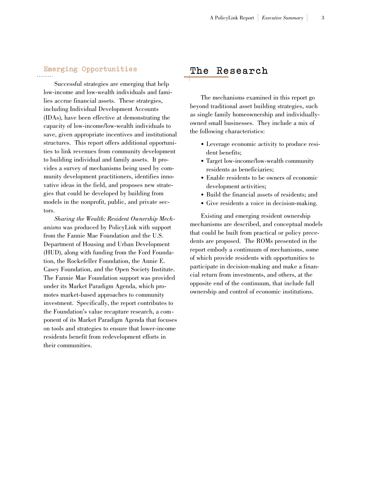## **Emerging Opportunities**

Successful strategies are emerging that help low-income and low-wealth individuals and families accrue financial assets. These strategies, including Individual Development Accounts (IDAs), have been effective at demonstrating the capacity of low-income/low-wealth individuals to save, given appropriate incentives and institutional structures. This report offers additional opportunities to link revenues from community development to building individual and family assets. It provides a survey of mechanisms being used by community development practitioners, identifies innovative ideas in the field, and proposes new strategies that could be developed by building from models in the nonprofit, public, and private sectors.

*Sharing the Wealth: Resident Ownership Mechanisms* was produced by PolicyLink with support from the Fannie Mae Foundation and the U.S. Department of Housing and Urban Development (HUD), along with funding from the Ford Foundation, the Rockefeller Foundation, the Annie E. Casey Foundation, and the Open Society Institute. The Fannie Mae Foundation support was provided under its Market Paradigm Agenda, which promotes market-based approaches to community investment. Specifically, the report contributes to the Foundation's value recapture research, a component of its Market Paradigm Agenda that focuses on tools and strategies to ensure that lower-income residents benefit from redevelopment efforts in their communities.

### **The Research**

The mechanisms examined in this report go beyond traditional asset building strategies, such as single family homeownership and individuallyowned small businesses. They include a mix of the following characteristics:

- Leverage economic activity to produce resident benefits;
- Target low-income/low-wealth community residents as beneficiaries;
- Enable residents to be owners of economic development activities;
- Build the financial assets of residents; and
- Give residents a voice in decision-making.

Existing and emerging resident ownership mechanisms are described, and conceptual models that could be built from practical or policy precedents are proposed. The ROMs presented in the report embody a continuum of mechanisms, some of which provide residents with opportunities to participate in decision-making and make a financial return from investments, and others, at the opposite end of the continuum, that include full ownership and control of economic institutions.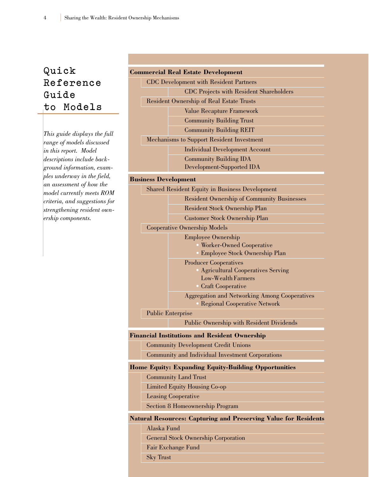## **Quick R e f e r e n c e Guide to Models**

*This guide displays the full range of models discussed in this report. Model descriptions include background information, examples underway in the field, an assessment of how the model currently meets ROM criteria, and suggestions for strengthening resident ownership components.*

#### **Commercial Real Estate Development**

CDC Development with Resident Partners CDC Projects with Resident Shareholders Resident Ownership of Real Estate Trusts Value Recapture Framework Community Building Trust Community Building REIT Mechanisms to Support Resident Investment Individual Development Account Community Building IDA

Development-Supported IDA

#### **Business Development**

|  | <b>Shared Resident Equity in Business Development</b> |
|--|-------------------------------------------------------|
|  | <b>Resident Ownership of Community Businesses</b>     |
|  | Resident Stock Ownership Plan                         |
|  | Customer Stock Ownership Plan                         |
|  | <b>Cooperative Ownership Models</b>                   |
|  | <b>Employee Ownership</b>                             |
|  | • Worker-Owned Cooperative                            |
|  | Employee Stock Ownership Plan                         |
|  | <b>Producer Cooperatives</b>                          |
|  | • Agricultural Cooperatives Serving                   |
|  | Low-Wealth Farmers                                    |
|  | • Craft Cooperative                                   |
|  | <b>Aggregation and Networking Among Cooperatives</b>  |
|  | • Regional Cooperative Network                        |
|  | <b>Public Enterprise</b>                              |

Public Ownership with Resident Dividends

#### **Financial Institutions and Resident Ownership**

Community Development Credit Unions

Community and Individual Investment Corporations

#### **Home Equity: Expanding Equity-Building Opportunities**

Community Land Trust

Limited Equity Housing Co-op

Leasing Cooperative

Section 8 Homeownership Program

#### **Natural Resources: Capturing and Preserving Value for Residents**

Alaska Fund

General Stock Ownership Corporation

Fair Exchange Fund

Sky Trust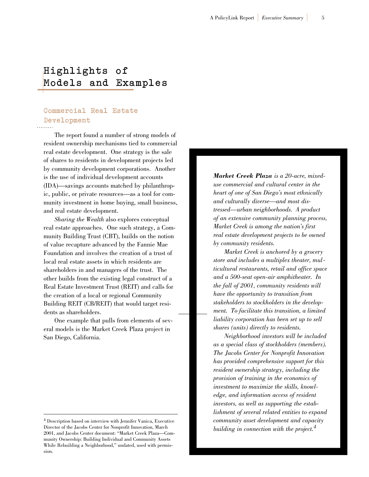## **Highlights of Models and Examples**

## **Commercial Real Estate Development**

The report found a number of strong models of resident ownership mechanisms tied to commercial real estate development. One strategy is the sale of shares to residents in development projects led by community development corporations. Another is the use of individual development accounts (IDA)—savings accounts matched by philanthropic, public, or private resources—as a tool for community investment in home buying, small business, and real estate development.

*Sharing the Wealth* also explores conceptual real estate approaches. One such strategy, a Community Building Trust (CBT), builds on the notion of value recapture advanced by the Fannie Mae Foundation and involves the creation of a trust of local real estate assets in which residents are shareholders in and managers of the trust. The other builds from the existing legal construct of a Real Estate Investment Trust (REIT) and calls for the creation of a local or regional Community Building REIT (CB/REIT) that would target residents as shareholders.

One example that pulls from elements of several models is the Market Creek Plaza project in San Diego, California.

*Market Creek Plaza is a 20-acre, mixeduse commercial and cultural center in the heart of one of San Diego's most ethnically and culturally diverse—and most distressed—urban neighborhoods. A product of an extensive community planning process, Market Creek is among the nation's first real estate development projects to be owned by community residents.*

*Market Creek is anchored by a grocery store and includes a multiplex theater, multicultural restaurants, retail and office space and a 500-seat open-air amphitheater. In the fall of 2001, community residents will have the opportunity to transition from stakeholders to stockholders in the development. To facilitate this transition, a limited liability corporation has been set up to sell shares (units) directly to residents.*

*Neighborhood investors will be included as a special class of stockholders (members). The Jacobs Center for Nonprofit Innovation has provided comprehensive support for this resident ownership strategy, including the provision of training in the economics of investment to maximize the skills, knowledge, and information access of resident investors, as well as supporting the establishment of several related entities to expand community asset development and capacity building in connection with the project.4*

<sup>4</sup> Description based on interview with Jennifer Vanica, Executive Director of the Jacobs Center for Nonprofit Innovation, March 2001, and Jacobs Center document: "Market Creek Plaza—Community Ownership: Building Individual and Community Assets While Rebuilding a Neighborhood," undated, used with permission.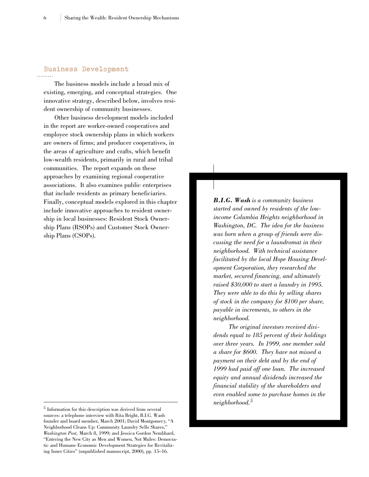## **Business Development**

The business models include a broad mix of existing, emerging, and conceptual strategies. One innovative strategy, described below, involves resident ownership of community businesses.

Other business development models included in the report are worker-owned cooperatives and employee stock ownership plans in which workers are owners of firms; and producer cooperatives, in the areas of agriculture and crafts, which benefit low-wealth residents, primarily in rural and tribal communities. The report expands on these approaches by examining regional cooperative associations. It also examines public enterprises that include residents as primary beneficiaries. Finally, conceptual models explored in this chapter include innovative approaches to resident ownership in local businesses: Resident Stock Ownership Plans (RSOPs) and Customer Stock Ownership Plans (CSOPs).

*B.I.G. Wash is a community business started and owned by residents of the lowincome Columbia Heights neighborhood in Washington, DC. The idea for the business was born when a group of friends were discussing the need for a laundromat in their neighborhood. With technical assistance facilitated by the local Hope Housing Development Corporation, they researched the market, secured financing, and ultimately raised \$30,000 to start a laundry in 1995. They were able to do this by selling shares of stock in the company for \$100 per share, payable in increments, to others in the neighborhood.*

*The original investors received dividends equal to 185 percent of their holdings over three years. In 1999, one member sold a share for \$600. They have not missed a payment on their debt and by the end of 1999 had paid off one loan. The increased equity and annual dividends increased the financial stability of the shareholders and even enabled some to purchase homes in the neighborhood.5*

<sup>5</sup> Information for this description was derived from several sources: a telephone interview with Rita Bright, B.I.G. Wash founder and board member, March 2001; David Montgomery, "A Neighborhood Cleans Up: Community Laundry Sells Shares," *Washington Post,* March 8, 1999; and Jessica Gordon Nembhard, "Entering the New City as Men and Women, Not Mules: Democratic and Humane Economic Development Strategies for Revitalizing Inner Cities" (unpublished manuscript, 2000), pp. 15–16.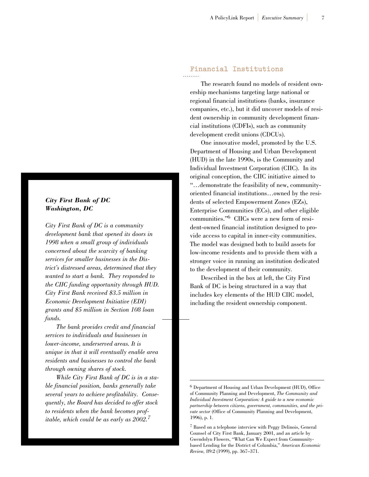#### *City First Bank of DC Washington, DC*

*City First Bank of DC is a community development bank that opened its doors in 1998 when a small group of individuals concerned about the scarcity of banking services for smaller businesses in the District's distressed areas, determined that they wanted to start a bank. They responded to the CIIC funding opportunity through HUD. City First Bank received \$3.5 million in Economic Development Initiative (EDI) grants and \$5 million in Section 108 loan funds.*

*The bank provides credit and financial services to individuals and businesses in lower-income, underserved areas. It is unique in that it will eventually enable area residents and businesses to control the bank through owning shares of stock.*

*While City First Bank of DC is in a stable financial position, banks generally take several years to achieve profitability. Consequently, the Board has decided to offer stock to residents when the bank becomes profitable, which could be as early as 2002.<sup>7</sup>*

#### **Financial Institutions**

The research found no models of resident ownership mechanisms targeting large national or regional financial institutions (banks, insurance companies, etc.), but it did uncover models of resident ownership in community development financial institutions (CDFIs), such as community development credit unions (CDCUs).

One innovative model, promoted by the U.S. Department of Housing and Urban Development (HUD) in the late 1990s, is the Community and Individual Investment Corporation (CIIC). In its original conception, the CIIC initiative aimed to "…demonstrate the feasibility of new, communityoriented financial institutions…owned by the residents of selected Empowerment Zones (EZs), Enterprise Communities (ECs), and other eligible communities."6 CIICs were a new form of resident-owned financial institution designed to provide access to capital in inner-city communities. The model was designed both to build assets for low-income residents and to provide them with a stronger voice in running an institution dedicated to the development of their community.

Described in the box at left, the City First Bank of DC is being structured in a way that includes key elements of the HUD CIIC model, including the resident ownership component.

<sup>6</sup> Department of Housing and Urban Development (HUD), Office of Community Planning and Development, *The Community and Individual Investment Corporation: A guide to a new economic partnership between citizens, government, communities, and the private sector* (Office of Community Planning and Development, 1996), p. 1.

<sup>7</sup> Based on a telephone interview with Peggy Delinois, General Counsel of City First Bank, January 2001, and an article by Gwendolyn Flowers, "What Can We Expect from Communitybased Lending for the District of Columbia," *American Economic Review,* 89:2 (1999), pp. 367–371.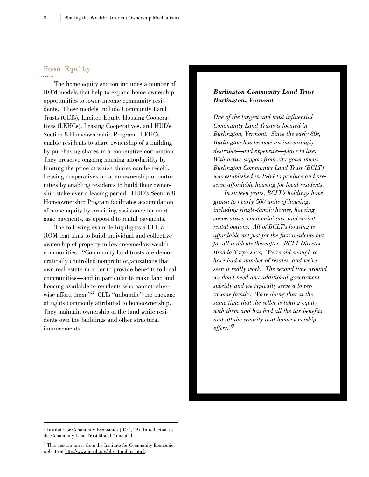## **Home Equity**

The home equity section includes a number of ROM models that help to expand home ownership opportunities to lower-income community residents. These models include Community Land Trusts (CLTs), Limited Equity Housing Cooperatives (LEHCs), Leasing Cooperatives, and HUD's Section 8 Homeownership Program. LEHCs enable residents to share ownership of a building by purchasing shares in a cooperative corporation. They preserve ongoing housing affordability by limiting the price at which shares can be resold. Leasing cooperatives broaden ownership opportunities by enabling residents to build their ownership stake over a leasing period. HUD's Section 8 Homeownership Program facilitates accumulation of home equity by providing assistance for mortgage payments, as opposed to rental payments.

The following example highlights a CLT, a ROM that aims to build individual and collective ownership of property in low-income/low-wealth communities. "Community land trusts are democratically controlled nonprofit organizations that own real estate in order to provide benefits to local communities—and in particular to make land and housing available to residents who cannot otherwise afford them."<sup>8</sup> CLTs "unbundle" the package of rights commonly attributed to homeownership. They maintain ownership of the land while residents own the buildings and other structural improvements.

#### *Burlington Community Land Trust Burlington, Vermont*

*One of the largest and most influential Community Land Trusts is located in Burlington, Vermont. Since the early 80s, Burlington has become an increasingly desirable—and expensive—place to live. With active support from city government, Burlington Community Land Trust (BCLT) was established in 1984 to produce and preserve affordable housing for local residents.*

*In sixteen years, BCLT's holdings have grown to nearly 500 units of housing, including single-family homes, housing cooperatives, condominiums, and varied rental options. All of BCLT's housing is affordable not just for the first residents but for all residents thereafter. BCLT Director Brenda Torpy says, "We're old enough to have had a number of resales, and we've seen it really work. The second time around we don't need any additional government subsidy and we typically serve a lowerincome family. We're doing that at the same time that the seller is taking equity with them and has had all the tax benefits and all the security that homeownership offers."9*

<sup>8</sup> Institute for Community Economics (ICE), "An Introduction to the Community Land Trust Model," undated.

<sup>9</sup> This description is from the Institute for Community Economics website at http://www.iceclt.org/clt/cltprofiles.html.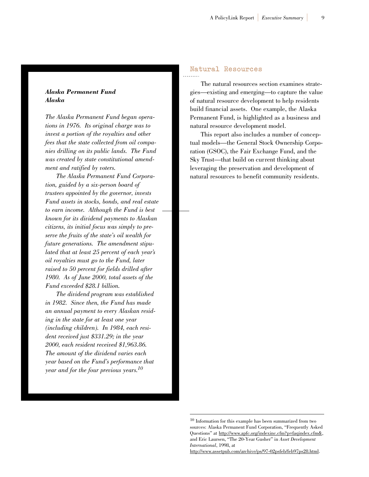#### *Alaska Permanent Fund Alaska*

*The Alaska Permanent Fund began operations in 1976. Its original charge was to invest a portion of the royalties and other fees that the state collected from oil companies drilling on its public lands. The Fund was created by state constitutional amendment and ratified by voters.*

*The Alaska Permanent Fund Corporation, guided by a six-person board of trustees appointed by the governor, invests Fund assets in stocks, bonds, and real estate to earn income. Although the Fund is best known for its dividend payments to Alaskan citizens, its initial focus was simply to preserve the fruits of the state's oil wealth for future generations. The amendment stipulated that at least 25 percent of each year's oil royalties must go to the Fund, later raised to 50 percent for fields drilled after 1980. As of June 2000, total assets of the Fund exceeded \$28.1 billion.*

*The dividend program was established in 1982. Since then, the Fund has made an annual payment to every Alaskan residing in the state for at least one year (including children). In 1984, each resident received just \$331.29; in the year 2000, each resident received \$1,963.86. The amount of the dividend varies each year based on the Fund's performance that year and for the four previous years.10*

## **Natural Resources**

The natural resources section examines strategies—existing and emerging—to capture the value of natural resource development to help residents build financial assets. One example, the Alaska Permanent Fund, is highlighted as a business and natural resource development model.

This report also includes a number of conceptual models—the General Stock Ownership Corporation (GSOC), the Fair Exchange Fund, and the Sky Trust—that build on current thinking about leveraging the preservation and development of natural resources to benefit community residents.

http://www.assetpub.com/archive/ps/97-02psfeb/feb97ps28.html.

<sup>10</sup> Information for this example has been summarized from two sources: Alaska Permanent Fund Corporation, "Frequently Asked Questions" at http://www.apfc.org/indexinc.cfm?p=faqindex.cfm&, and Eric Laursen, "The 20-Year Gusher" in *Asset Development International*, 1998, at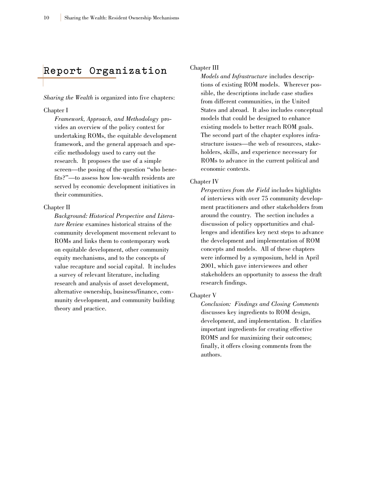## **Report Organization**

*Sharing the Wealth* is organized into five chapters:

#### Chapter I

*Framework, Approach, and Methodology* provides an overview of the policy context for undertaking ROMs, the equitable development framework, and the general approach and specific methodology used to carry out the research. It proposes the use of a simple screen—the posing of the question "who benefits?"—to assess how low-wealth residents are served by economic development initiatives in their communities.

#### Chapter II

*Background: Historical Perspective and Literature Review* examines historical strains of the community development movement relevant to ROMs and links them to contemporary work on equitable development, other community equity mechanisms, and to the concepts of value recapture and social capital. It includes a survey of relevant literature, including research and analysis of asset development, alternative ownership, business/finance, community development, and community building theory and practice.

#### Chapter III

*Models and Infrastructure* includes descriptions of existing ROM models. Wherever possible, the descriptions include case studies from different communities, in the United States and abroad. It also includes conceptual models that could be designed to enhance existing models to better reach ROM goals. The second part of the chapter explores infrastructure issues—the web of resources, stakeholders, skills, and experience necessary for ROMs to advance in the current political and economic contexts.

#### Chapter IV

*Perspectives from the Field* includes highlights of interviews with over 75 community development practitioners and other stakeholders from around the country. The section includes a discussion of policy opportunities and challenges and identifies key next steps to advance the development and implementation of ROM concepts and models. All of these chapters were informed by a symposium, held in April 2001, which gave interviewees and other stakeholders an opportunity to assess the draft research findings.

#### Chapter V

*Conclusion: Findings and Closing Comments* discusses key ingredients to ROM design, development, and implementation. It clarifies important ingredients for creating effective ROMS and for maximizing their outcomes; finally, it offers closing comments from the authors.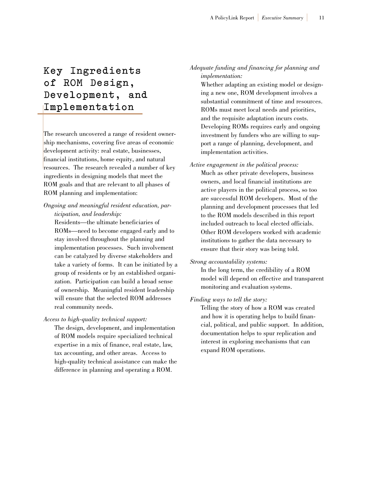## **Key Ingredients of ROM Design, Development, and I m p l e m e n t a t i o n**

The research uncovered a range of resident ownership mechanisms, covering five areas of economic development activity: real estate, businesses, financial institutions, home equity, and natural resources. The research revealed a number of key ingredients in designing models that meet the ROM goals and that are relevant to all phases of ROM planning and implementation:

#### *Ongoing and meaningful resident education, participation, and leadership:*

Residents—the ultimate beneficiaries of ROMs—need to become engaged early and to stay involved throughout the planning and implementation processes. Such involvement can be catalyzed by diverse stakeholders and take a variety of forms. It can be initiated by a group of residents or by an established organization. Participation can build a broad sense of ownership. Meaningful resident leadership will ensure that the selected ROM addresses real community needs.

#### *Access to high-quality technical support:*

The design, development, and implementation of ROM models require specialized technical expertise in a mix of finance, real estate, law, tax accounting, and other areas. Access to high-quality technical assistance can make the difference in planning and operating a ROM.

#### *Adequate funding and financing for planning and implementation:*

Whether adapting an existing model or designing a new one, ROM development involves a substantial commitment of time and resources. ROMs must meet local needs and priorities, and the requisite adaptation incurs costs. Developing ROMs requires early and ongoing investment by funders who are willing to support a range of planning, development, and implementation activities.

#### *Active engagement in the political process:*

Much as other private developers, business owners, and local financial institutions are active players in the political process, so too are successful ROM developers. Most of the planning and development processes that led to the ROM models described in this report included outreach to local elected officials. Other ROM developers worked with academic institutions to gather the data necessary to ensure that their story was being told.

#### *Strong accountability systems:*

In the long term, the credibility of a ROM model will depend on effective and transparent monitoring and evaluation systems.

#### *Finding ways to tell the story:*

Telling the story of how a ROM was created and how it is operating helps to build financial, political, and public support. In addition, documentation helps to spur replication and interest in exploring mechanisms that can expand ROM operations.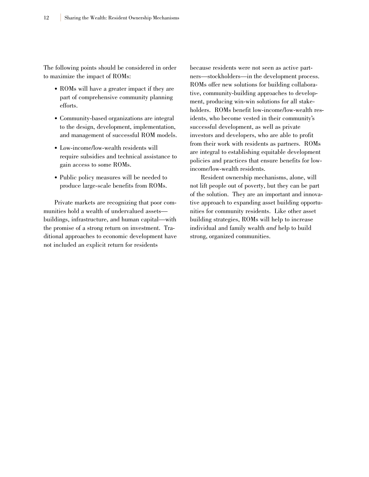The following points should be considered in order to maximize the impact of ROMs:

- ROMs will have a greater impact if they are part of comprehensive community planning efforts.
- Community-based organizations are integral to the design, development, implementation, and management of successful ROM models.
- Low-income/low-wealth residents will require subsidies and technical assistance to gain access to some ROMs.
- Public policy measures will be needed to produce large-scale benefits from ROMs.

Private markets are recognizing that poor communities hold a wealth of undervalued assets buildings, infrastructure, and human capital—with the promise of a strong return on investment. Traditional approaches to economic development have not included an explicit return for residents

because residents were not seen as active partners—stockholders—in the development process. ROMs offer new solutions for building collaborative, community-building approaches to development, producing win-win solutions for all stakeholders. ROMs benefit low-income/low-wealth residents, who become vested in their community's successful development, as well as private investors and developers, who are able to profit from their work with residents as partners. ROMs are integral to establishing equitable development policies and practices that ensure benefits for lowincome/low-wealth residents.

Resident ownership mechanisms, alone, will not lift people out of poverty, but they can be part of the solution. They are an important and innovative approach to expanding asset building opportunities for community residents. Like other asset building strategies, ROMs will help to increase individual and family wealth *and* help to build strong, organized communities.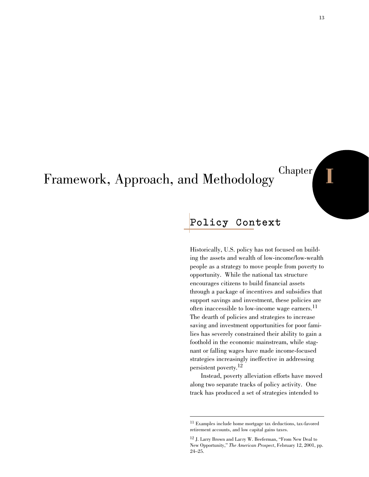## Framework, Approach, and Methodology Chapter

## **Policy Context**

Historically, U.S. policy has not focused on building the assets and wealth of low-income/low-wealth people as a strategy to move people from poverty to opportunity. While the national tax structure encourages citizens to build financial assets through a package of incentives and subsidies that support savings and investment, these policies are often inaccessible to low-income wage earners.<sup>11</sup> The dearth of policies and strategies to increase saving and investment opportunities for poor families has severely constrained their ability to gain a foothold in the economic mainstream, while stagnant or falling wages have made income-focused strategies increasingly ineffective in addressing persistent poverty.12

Instead, poverty alleviation efforts have moved along two separate tracks of policy activity. One track has produced a set of strategies intended to

<sup>11</sup> Examples include home mortgage tax deductions, tax-favored retirement accounts, and low capital gains taxes.

<sup>12</sup> J. Larry Brown and Larry W. Beeferman, "From New Deal to New Opportunity," *The American Prospect*, February 12, 2001, pp. 24–25.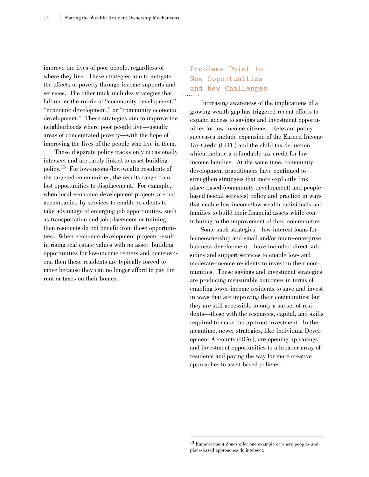improve the lives of poor people, regardless of where they live. These strategies aim to mitigate the effects of poverty through income supports and services. The other track includes strategies that fall under the rubric of "community development," "economic development," or "community economic development." These strategies aim to improve the neighborhoods where poor people live—usually areas of concentrated poverty—with the hope of improving the lives of the people who live in them.

These disparate policy tracks only occasionally intersect and are rarely linked to asset building policy.13 For low-income/low-wealth residents of the targeted communities, the results range from lost opportunities to displacement. For example, when local economic development projects are not accompanied by services to enable residents to take advantage of emerging job opportunities, such as transportation and job placement or training, then residents do not benefit from those opportunities. When economic development projects result in rising real estate values with no asset building opportunities for low-income renters and homeowners, then these residents are typically forced to move because they can no longer afford to pay the rent or taxes on their homes.

## **Problems Point to New Opportunities and New Challenges**

Increasing awareness of the implications of a growing wealth gap has triggered recent efforts to expand access to savings and investment opportunities for low-income citizens. Relevant policy successes include expansion of the Earned Income Tax Credit (EITC) and the child tax deduction, which include a refundable tax credit for lowincome families. At the same time, community development practitioners have continued to strengthen strategies that more explicitly link place-based (community development) and peoplebased (social services) policy and practice in ways that enable low-income/low-wealth individuals and families to build their financial assets while contributing to the improvement of their communities.

Some such strategies—low-interest loans for homeownership and small and/or micro-enterprise business development—have included direct subsidies and support services to enable low- and moderate-income residents to invest in their communities. These savings and investment strategies are producing measurable outcomes in terms of enabling lower-income residents to save and invest in ways that are improving their communities; but they are still accessible to only a subset of residents—those with the resources, capital, and skills required to make the up-front investment. In the meantime, newer strategies, like Individual Development Accounts (IDAs), are opening up savings and investment opportunities to a broader array of residents and paving the way for more creative approaches to asset-based policies.

<sup>13</sup> Empowerment Zones offer one example of where people- and place-based approaches do intersect.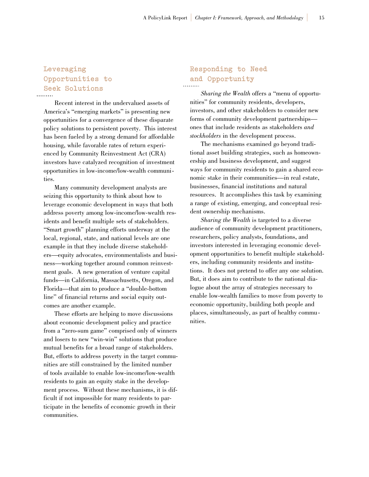## **Leveraging Opportunities to Seek Solutions**

Recent interest in the undervalued assets of America's "emerging markets" is presenting new opportunities for a convergence of these disparate policy solutions to persistent poverty. This interest has been fueled by a strong demand for affordable housing, while favorable rates of return experienced by Community Reinvestment Act (CRA) investors have catalyzed recognition of investment opportunities in low-income/low-wealth communities.

Many community development analysts are seizing this opportunity to think about how to leverage economic development in ways that both address poverty among low-income/low-wealth residents and benefit multiple sets of stakeholders. "Smart growth" planning efforts underway at the local, regional, state, and national levels are one example in that they include diverse stakeholders—equity advocates, environmentalists and business—working together around common reinvestment goals. A new generation of venture capital funds—in California, Massachusetts, Oregon, and Florida—that aim to produce a "double-bottom line" of financial returns and social equity outcomes are another example.

These efforts are helping to move discussions about economic development policy and practice from a "zero-sum game" comprised only of winners and losers to new "win-win" solutions that produce mutual benefits for a broad range of stakeholders. But, efforts to address poverty in the target communities are still constrained by the limited number of tools available to enable low-income/low-wealth residents to gain an equity stake in the development process. Without these mechanisms, it is difficult if not impossible for many residents to participate in the benefits of economic growth in their communities.

## **Responding to Need and Opportunity**

*Sharing the Wealth* offers a "menu of opportunities" for community residents, developers, investors, and other stakeholders to consider new forms of community development partnerships ones that include residents as stakeholders *and stockholders* in the development process.

The mechanisms examined go beyond traditional asset building strategies, such as homeownership and business development, and suggest ways for community residents to gain a shared economic stake in their communities—in real estate, businesses, financial institutions and natural resources. It accomplishes this task by examining a range of existing, emerging, and conceptual resident ownership mechanisms.

*Sharing the Wealth* is targeted to a diverse audience of community development practitioners, researchers, policy analysts, foundations, and investors interested in leveraging economic development opportunities to benefit multiple stakeholders, including community residents and institutions. It does not pretend to offer any one solution. But, it does aim to contribute to the national dialogue about the array of strategies necessary to enable low-wealth families to move from poverty to economic opportunity, building both people and places, simultaneously, as part of healthy communities.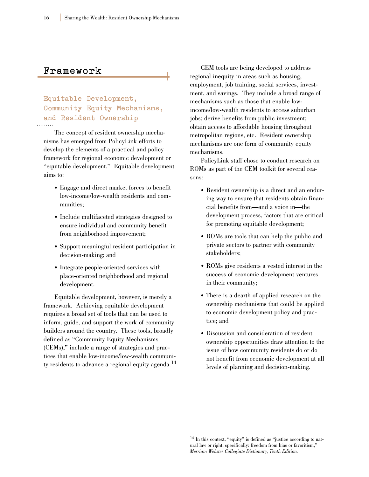### **F r a m e w o r k**

**Equitable Development, Community Equity Mechanisms, and Resident Ownership**

The concept of resident ownership mechanisms has emerged from PolicyLink efforts to develop the elements of a practical and policy framework for regional economic development or "equitable development." Equitable development aims to:

- Engage and direct market forces to benefit low-income/low-wealth residents and communities;
- Include multifaceted strategies designed to ensure individual and community benefit from neighborhood improvement;
- Support meaningful resident participation in decision-making; and
- Integrate people-oriented services with place-oriented neighborhood and regional development.

Equitable development, however, is merely a framework. Achieving equitable development requires a broad set of tools that can be used to inform, guide, and support the work of community builders around the country. These tools, broadly defined as "Community Equity Mechanisms (CEMs)," include a range of strategies and practices that enable low-income/low-wealth community residents to advance a regional equity agenda.<sup>14</sup>

CEM tools are being developed to address regional inequity in areas such as housing, employment, job training, social services, investment, and savings. They include a broad range of mechanisms such as those that enable lowincome/low-wealth residents to access suburban jobs; derive benefits from public investment; obtain access to affordable housing throughout metropolitan regions, etc. Resident ownership mechanisms are one form of community equity mechanisms.

PolicyLink staff chose to conduct research on ROMs as part of the CEM toolkit for several reasons:

- Resident ownership is a direct and an enduring way to ensure that residents obtain financial benefits from—and a voice in—the development process, factors that are critical for promoting equitable development;
- ROMs are tools that can help the public and private sectors to partner with community stakeholders;
- ROMs give residents a vested interest in the success of economic development ventures in their community;
- There is a dearth of applied research on the ownership mechanisms that could be applied to economic development policy and practice; and
- Discussion and consideration of resident ownership opportunities draw attention to the issue of how community residents do or do not benefit from economic development at all levels of planning and decision-making.

<sup>14</sup> In this context, "equity" is defined as "justice according to natural law or right; specifically: freedom from bias or favoritism," *Merriam Webster Collegiate Dictionary, Tenth Edition.*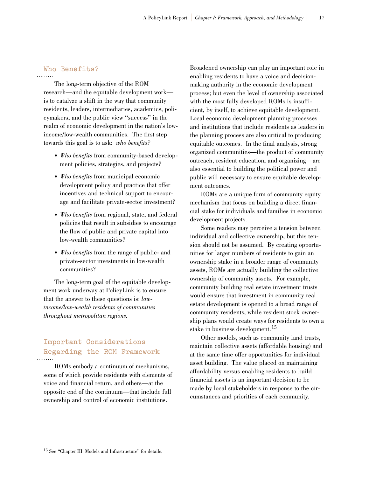## **Who Benefits?**

The long-term objective of the ROM research—and the equitable development work is to catalyze a shift in the way that community residents, leaders, intermediaries, academics, policymakers, and the public view "success" in the realm of economic development in the nation's lowincome/low-wealth communities. The first step towards this goal is to ask: *who benefits?*

- *Who benefits* from community-based development policies, strategies, and projects?
- *Who benefits* from municipal economic development policy and practice that offer incentives and technical support to encourage and facilitate private-sector investment?
- *Who benefits* from regional, state, and federal policies that result in subsidies to encourage the flow of public and private capital into low-wealth communities?
- *Who benefits* from the range of public- and private-sector investments in low-wealth communities?

The long-term goal of the equitable development work underway at PolicyLink is to ensure that the answer to these questions is: *lowincome/low-wealth residents of communities throughout metropolitan regions.*

#### **Important Considerations Regarding the ROM Framework** . . . . . . . . .

ROMs embody a continuum of mechanisms, some of which provide residents with elements of voice and financial return, and others—at the opposite end of the continuum—that include full ownership and control of economic institutions.

Broadened ownership can play an important role in enabling residents to have a voice and decisionmaking authority in the economic development process; but even the level of ownership associated with the most fully developed ROMs is insufficient, by itself, to achieve equitable development. Local economic development planning processes and institutions that include residents as leaders in the planning process are also critical to producing equitable outcomes. In the final analysis, strong organized communities—the product of community outreach, resident education, and organizing—are also essential to building the political power and public will necessary to ensure equitable development outcomes.

ROMs are a unique form of community equity mechanism that focus on building a direct financial stake for individuals and families in economic development projects.

Some readers may perceive a tension between individual and collective ownership, but this tension should not be assumed. By creating opportunities for larger numbers of residents to gain an ownership stake in a broader range of community assets, ROMs are actually building the collective ownership of community assets. For example, community building real estate investment trusts would ensure that investment in community real estate development is opened to a broad range of community residents, while resident stock ownership plans would create ways for residents to own a stake in business development.<sup>15</sup>

Other models, such as community land trusts, maintain collective assets (affordable housing) and at the same time offer opportunities for individual asset building. The value placed on maintaining affordability versus enabling residents to build financial assets is an important decision to be made by local stakeholders in response to the circumstances and priorities of each community.

<sup>15</sup> See "Chapter III. Models and Infrastructure" for details.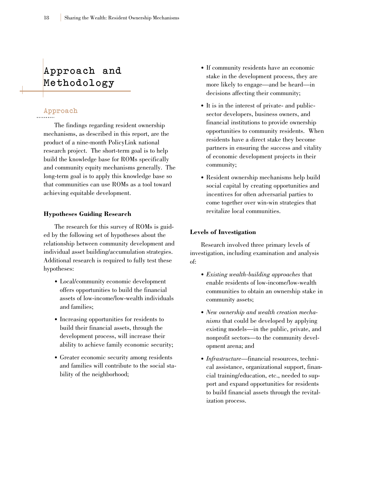## **Approach and M e t h o d o l o g y**

#### **Approach**

The findings regarding resident ownership mechanisms, as described in this report, are the product of a nine-month PolicyLink national research project. The short-term goal is to help build the knowledge base for ROMs specifically and community equity mechanisms generally. The long-term goal is to apply this knowledge base so that communities can use ROMs as a tool toward achieving equitable development.

#### **Hypotheses Guiding Research**

The research for this survey of ROMs is guided by the following set of hypotheses about the relationship between community development and individual asset building/accumulation strategies. Additional research is required to fully test these hypotheses:

- Local/community economic development offers opportunities to build the financial assets of low-income/low-wealth individuals and families;
- Increasing opportunities for residents to build their financial assets, through the development process, will increase their ability to achieve family economic security;
- Greater economic security among residents and families will contribute to the social stability of the neighborhood;
- If community residents have an economic stake in the development process, they are more likely to engage—and be heard—in decisions affecting their community;
- It is in the interest of private- and publicsector developers, business owners, and financial institutions to provide ownership opportunities to community residents. When residents have a direct stake they become partners in ensuring the success and vitality of economic development projects in their community;
- Resident ownership mechanisms help build social capital by creating opportunities and incentives for often adversarial parties to come together over win-win strategies that revitalize local communities.

#### **Levels of Investigation**

Research involved three primary levels of investigation, including examination and analysis of:

- *Existing wealth-building approaches* that enable residents of low-income/low-wealth communities to obtain an ownership stake in community assets;
- *New ownership and wealth creation mechanisms* that could be developed by applying existing models—in the public, private, and nonprofit sectors—to the community development arena; and
- *Infrastructure*—financial resources, technical assistance, organizational support, financial training/education, etc., needed to support and expand opportunities for residents to build financial assets through the revitalization process.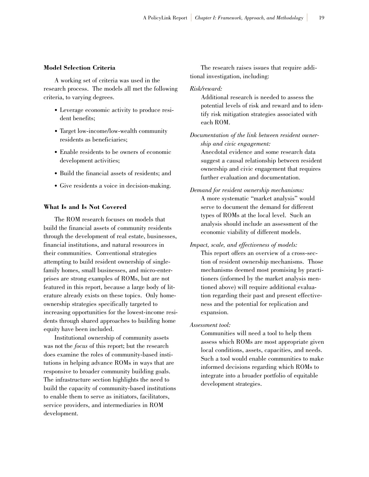#### **Model Selection Criteria**

A working set of criteria was used in the research process. The models all met the following criteria, to varying degrees.

- Leverage economic activity to produce resident benefits;
- Target low-income/low-wealth community residents as beneficiaries;
- Enable residents to be owners of economic development activities;
- Build the financial assets of residents; and
- Give residents a voice in decision-making.

#### **What Is and Is Not Covered**

The ROM research focuses on models that build the financial assets of community residents through the development of real estate, businesses, financial institutions, and natural resources in their communities. Conventional strategies attempting to build resident ownership of singlefamily homes, small businesses, and micro-enterprises are strong examples of ROMs, but are not featured in this report, because a large body of literature already exists on these topics. Only homeownership strategies specifically targeted to increasing opportunities for the lowest-income residents through shared approaches to building home equity have been included.

Institutional ownership of community assets was not the *focus* of this report; but the research does examine the roles of community-based institutions in helping advance ROMs in ways that are responsive to broader community building goals. The infrastructure section highlights the need to build the capacity of community-based institutions to enable them to serve as initiators, facilitators, service providers, and intermediaries in ROM development.

The research raises issues that require additional investigation, including:

#### *Risk/reward:*

Additional research is needed to assess the potential levels of risk and reward and to identify risk mitigation strategies associated with each ROM.

*Documentation of the link between resident ownership and civic engagement:* Anecdotal evidence and some research data suggest a causal relationship between resident ownership and civic engagement that requires further evaluation and documentation.

*Demand for resident ownership mechanisms:*  A more systematic "market analysis" would serve to document the demand for different types of ROMs at the local level. Such an analysis should include an assessment of the economic viability of different models.

*Impact, scale, and effectiveness of models:*

This report offers an overview of a cross-section of resident ownership mechanisms. Those mechanisms deemed most promising by practitioners (informed by the market analysis mentioned above) will require additional evaluation regarding their past and present effectiveness and the potential for replication and expansion.

*Assessment tool:*

Communities will need a tool to help them assess which ROMs are most appropriate given local conditions, assets, capacities, and needs. Such a tool would enable communities to make informed decisions regarding which ROMs to integrate into a broader portfolio of equitable development strategies.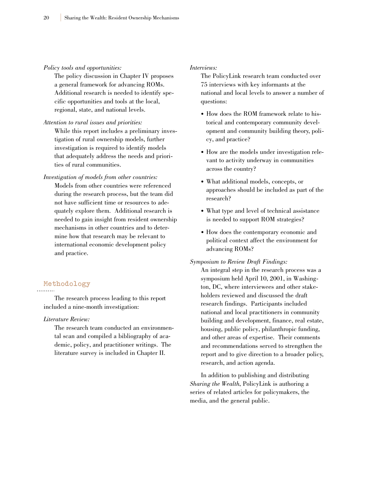#### *Policy tools and opportunities:*

The policy discussion in Chapter IV proposes a general framework for advancing ROMs. Additional research is needed to identify specific opportunities and tools at the local, regional, state, and national levels.

*Attention to rural issues and priorities:*

While this report includes a preliminary investigation of rural ownership models, further investigation is required to identify models that adequately address the needs and priorities of rural communities.

*Investigation of models from other countries:*

Models from other countries were referenced during the research process, but the team did not have sufficient time or resources to adequately explore them. Additional research is needed to gain insight from resident ownership mechanisms in other countries and to determine how that research may be relevant to international economic development policy and practice.

## **Methodology**

The research process leading to this report included a nine-month investigation:

*Literature Review:*

The research team conducted an environmental scan and compiled a bibliography of academic, policy, and practitioner writings. The literature survey is included in Chapter II.

#### *Interviews:*

The PolicyLink research team conducted over 75 interviews with key informants at the national and local levels to answer a number of questions:

- How does the ROM framework relate to historical and contemporary community development and community building theory, policy, and practice?
- How are the models under investigation relevant to activity underway in communities across the country?
- What additional models, concepts, or approaches should be included as part of the research?
- What type and level of technical assistance is needed to support ROM strategies?
- How does the contemporary economic and political context affect the environment for advancing ROMs?

#### *Symposium to Review Draft Findings:*

An integral step in the research process was a symposium held April 10, 2001, in Washington, DC, where interviewees and other stakeholders reviewed and discussed the draft research findings. Participants included national and local practitioners in community building and development, finance, real estate, housing, public policy, philanthropic funding, and other areas of expertise. Their comments and recommendations served to strengthen the report and to give direction to a broader policy, research, and action agenda.

In addition to publishing and distributing *Sharing the Wealth*, PolicyLink is authoring a series of related articles for policymakers, the media, and the general public.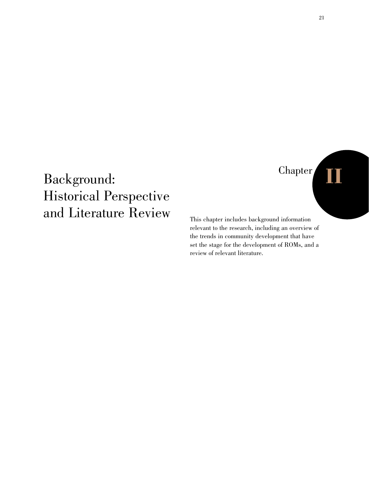## Chapter **II**

## Background: Historical Perspective and Literature Review

This chapter includes background information relevant to the research, including an overview of the trends in community development that have set the stage for the development of ROMs, and a review of relevant literature.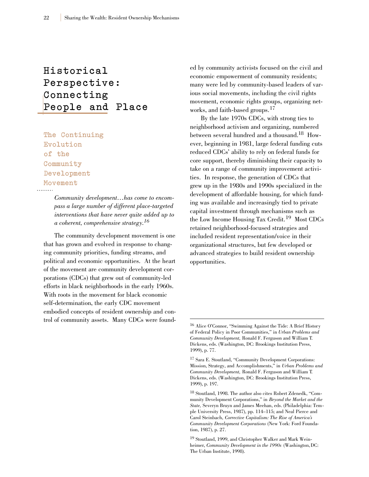## **Historical**  Perspective: **Connecting People and Place**

**The Continuing Evolution of the Community Development Movement**

> *Community development…has come to encompass a large number of different place-targeted interventions that have never quite added up to a coherent, comprehensive strategy.16*

The community development movement is one that has grown and evolved in response to changing community priorities, funding streams, and political and economic opportunities. At the heart of the movement are community development corporations (CDCs) that grew out of community-led efforts in black neighborhoods in the early 1960s. With roots in the movement for black economic self-determination, the early CDC movement embodied concepts of resident ownership and control of community assets. Many CDCs were founded by community activists focused on the civil and economic empowerment of community residents; many were led by community-based leaders of various social movements, including the civil rights movement, economic rights groups, organizing networks, and faith-based groups.<sup>17</sup>

By the late 1970s CDCs, with strong ties to neighborhood activism and organizing, numbered between several hundred and a thousand.18 However, beginning in 1981, large federal funding cuts reduced CDCs' ability to rely on federal funds for core support, thereby diminishing their capacity to take on a range of community improvement activities. In response, the generation of CDCs that grew up in the 1980s and 1990s specialized in the development of affordable housing, for which funding was available and increasingly tied to private capital investment through mechanisms such as the Low Income Housing Tax Credit.<sup>19</sup> Most CDCs retained neighborhood-focused strategies and included resident representation/voice in their organizational structures, but few developed or advanced strategies to build resident ownership opportunities.

<sup>16</sup> Alice O'Connor, "Swimming Against the Tide: A Brief History of Federal Policy in Poor Communities," in *Urban Problems and Community Development,* Ronald F. Ferguson and William T. Dickens, eds. (Washington, DC: Brookings Institution Press, 1999), p. 77.

<sup>17</sup> Sara E. Stoutland, "Community Development Corporations: Mission, Strategy, and Accomplishments," in *Urban Problems and Community Development,* Ronald F. Ferguson and William T. Dickens, eds. (Washington, DC: Brookings Institution Press, 1999), p. 197.

<sup>18</sup> Stoutland, 1998. The author also cites Robert Zdenedk, "Community Development Corporations," in *Beyond the Market and the State,* Severyn Bruyn and James Meehan, eds. (Philadelphia: Temple University Press, 1987), pp. 114–115; and Neal Pierce and Carol Steinbach, *Corrective Capitalism: The Rise of America's Community Development Corporations* (New York: Ford Foundation, 1987), p. 27.

<sup>&</sup>lt;sup>19</sup> Stoutland, 1999, and Christopher Walker and Mark Weinheimer, *Community Development in the 1990s* (Washington, DC: The Urban Institute, 1998).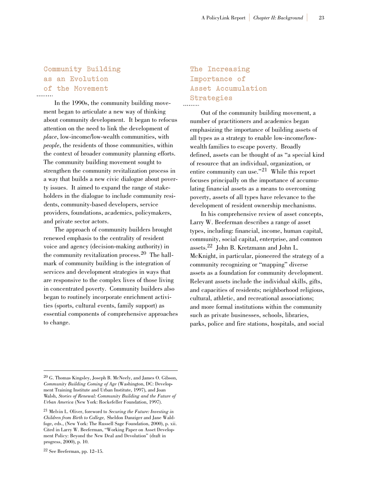## **Community Building as an Evolution of the Movement**

In the 1990s, the community building movement began to articulate a new way of thinking about community development. It began to refocus attention on the need to link the development of *place*, low-income/low-wealth communities, with *people*, the residents of those communities, within the context of broader community planning efforts. The community building movement sought to strengthen the community revitalization process in a way that builds a new civic dialogue about poverty issues. It aimed to expand the range of stakeholders in the dialogue to include community residents, community-based developers, service providers, foundations, academics, policymakers, and private sector actors.

The approach of community builders brought renewed emphasis to the centrality of resident voice and agency (decision-making authority) in the community revitalization process.<sup>20</sup> The hallmark of community building is the integration of services and development strategies in ways that are responsive to the complex lives of those living in concentrated poverty. Community builders also began to routinely incorporate enrichment activities (sports, cultural events, family support) as essential components of comprehensive approaches to change.

## **The Increasing Importance of Asset Accumulation Strategies**

Out of the community building movement, a number of practitioners and academics began emphasizing the importance of building assets of all types as a strategy to enable low-income/lowwealth families to escape poverty. Broadly defined, assets can be thought of as "a special kind of resource that an individual, organization, or entire community can use."<sup>21</sup> While this report focuses principally on the importance of accumulating financial assets as a means to overcoming poverty, assets of all types have relevance to the development of resident ownership mechanisms.

In his comprehensive review of asset concepts, Larry W. Beeferman describes a range of asset types, including: financial, income, human capital, community, social capital, enterprise, and common assets.22 John B. Kretzmann and John L. McKnight, in particular, pioneered the strategy of a community recognizing or "mapping" diverse assets as a foundation for community development. Relevant assets include the individual skills, gifts, and capacities of residents; neighborhood religious, cultural, athletic, and recreational associations; and more formal institutions within the community such as private businesses, schools, libraries, parks, police and fire stations, hospitals, and social

<sup>20</sup> G. Thomas Kingsley, Joseph B. McNeely, and James O. Gibson, *Community Building Coming of Age* (Washington, DC: Development Training Institute and Urban Institute, 1997), and Joan Walsh, *Stories of Renewal: Community Building and the Future of Urban America* (New York: Rockefeller Foundation, 1997).

<sup>21</sup> Melvin L. Oliver, foreword to *Securing the Future: Investing in Children from Birth to College,* Sheldon Danziger and Jane Waldfoge, eds., (New York: The Russell Sage Foundation, 2000), p. xii. Cited in Larry W. Beeferman, "Working Paper on Asset Development Policy: Beyond the New Deal and Devolution" (draft in progress, 2000), p. 10.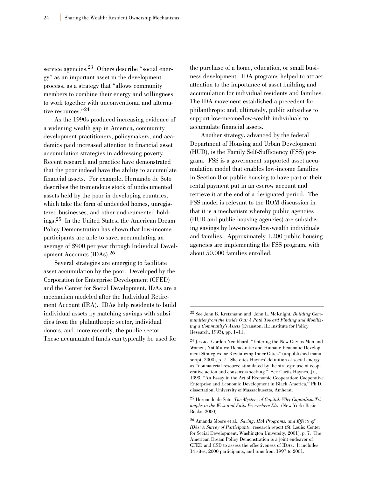service agencies.<sup>23</sup> Others describe "social energy" as an important asset in the development process, as a strategy that "allows community members to combine their energy and willingness to work together with unconventional and alternative resources."24

As the 1990s produced increasing evidence of a widening wealth gap in America, community development practitioners, policymakers, and academics paid increased attention to financial asset accumulation strategies in addressing poverty. Recent research and practice have demonstrated that the poor indeed have the ability to accumulate financial assets. For example, Hernando de Soto describes the tremendous stock of undocumented assets held by the poor in developing countries, which take the form of undeeded homes, unregistered businesses, and other undocumented holdings.25 In the United States, the American Dream Policy Demonstration has shown that low-income participants are able to save, accumulating an average of \$900 per year through Individual Development Accounts (IDAs).<sup>26</sup>

Several strategies are emerging to facilitate asset accumulation by the poor. Developed by the Corporation for Enterprise Development (CFED) and the Center for Social Development, IDAs are a mechanism modeled after the Individual Retirement Account (IRA). IDAs help residents to build individual assets by matching savings with subsidies from the philanthropic sector, individual donors, and, more recently, the public sector. These accumulated funds can typically be used for

the purchase of a home, education, or small business development. IDA programs helped to attract attention to the importance of asset building and accumulation for individual residents and families. The IDA movement established a precedent for philanthropic and, ultimately, public subsidies to support low-income/low-wealth individuals to accumulate financial assets.

Another strategy, advanced by the federal Department of Housing and Urban Development (HUD), is the Family Self-Sufficiency (FSS) program. FSS is a government-supported asset accumulation model that enables low-income families in Section 8 or public housing to have part of their rental payment put in an escrow account and retrieve it at the end of a designated period. The FSS model is relevant to the ROM discussion in that it is a mechanism whereby public agencies (HUD and public housing agencies) are subsidizing savings by low-income/low-wealth individuals and families. Approximately 1,200 public housing agencies are implementing the FSS program, with about 50,000 families enrolled.

<sup>25</sup> Hernando de Soto, *The Mystery of Capital: Why Capitalism Triumphs in the West and Fails Everywhere Else* (New York: Basic Books, 2000).

<sup>23</sup> See John B. Kretzmann and John L. McKnight, *Building Communities from the Inside Out: A Path Toward Finding and Mobilizing a Community's Assets* (Evanston, IL: Institute for Policy Research, 1993), pp. 1–11.

<sup>24</sup> Jessica Gordon Nembhard, "Entering the New City as Men and Women, Not Mules: Democratic and Humane Economic Development Strategies for Revitalizing Inner Cities" (unpublished manuscript, 2000), p. 7. She cites Haynes' definition of social energy as "nonmaterial resource stimulated by the strategic use of cooperative action and consensus seeking." See Curtis Haynes, Jr., 1993, "An Essay in the Art of Economic Cooperation: Cooperative Enterprise and Economic Development in Black America," Ph.D. dissertation, University of Massachusetts, Amherst.

<sup>26</sup> Amanda Moore et al., *Saving, IDA Programs, and Effects of IDAs: A Survey of Participants*, research report (St. Louis: Center for Social Development, Washington University, 2001), p. 7. The American Dream Policy Demonstration is a joint endeavor of CFED and CSD to assess the effectiveness of IDAs. It includes 14 sites, 2000 participants, and runs from 1997 to 2001.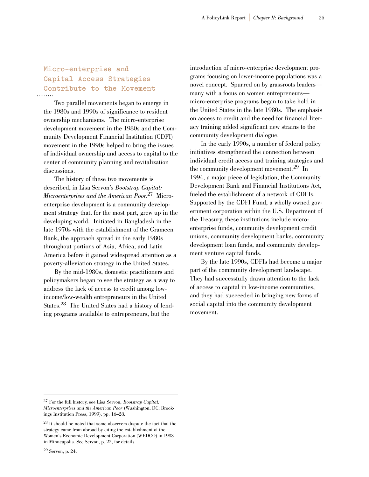## **Micro-enterprise and Capital Access Strategies Contribute to the Movement**

Two parallel movements began to emerge in the 1980s and 1990s of significance to resident ownership mechanisms. The micro-enterprise development movement in the 1980s and the Community Development Financial Institution (CDFI) movement in the 1990s helped to bring the issues of individual ownership and access to capital to the center of community planning and revitalization discussions.

The history of these two movements is described, in Lisa Servon's *Bootstrap Capital: Microenterprises and the American Poor.*<sup>27</sup> Microenterprise development is a community development strategy that, for the most part, grew up in the developing world. Initiated in Bangladesh in the late 1970s with the establishment of the Grameen Bank, the approach spread in the early 1980s throughout portions of Asia, Africa, and Latin America before it gained widespread attention as a poverty-alleviation strategy in the United States.

By the mid-1980s, domestic practitioners and policymakers began to see the strategy as a way to address the lack of access to credit among lowincome/low-wealth entrepreneurs in the United States.28 The United States had a history of lending programs available to entrepreneurs, but the

introduction of micro-enterprise development programs focusing on lower-income populations was a novel concept. Spurred on by grassroots leaders many with a focus on women entrepreneurs micro-enterprise programs began to take hold in the United States in the late 1980s. The emphasis on access to credit and the need for financial literacy training added significant new strains to the community development dialogue.

In the early 1990s, a number of federal policy initiatives strengthened the connection between individual credit access and training strategies and the community development movement.<sup>29</sup> In 1994, a major piece of legislation, the Community Development Bank and Financial Institutions Act, fueled the establishment of a network of CDFIs. Supported by the CDFI Fund, a wholly owned government corporation within the U.S. Department of the Treasury, these institutions include microenterprise funds, community development credit unions, community development banks, community development loan funds, and community development venture capital funds.

By the late 1990s, CDFIs had become a major part of the community development landscape. They had successfully drawn attention to the lack of access to capital in low-income communities, and they had succeeded in bringing new forms of social capital into the community development movement.

<sup>27</sup> For the full history, see Lisa Servon, *Bootstrap Capital: Microenterprises and the American Poor* (Washington, DC: Brookings Institution Press, 1999), pp. 16–28.

<sup>28</sup> It should be noted that some observers dispute the fact that the strategy came from abroad by citing the establishment of the Women's Economic Development Corporation (WEDCO) in 1983 in Minneapolis. See Servon, p. 22, for details.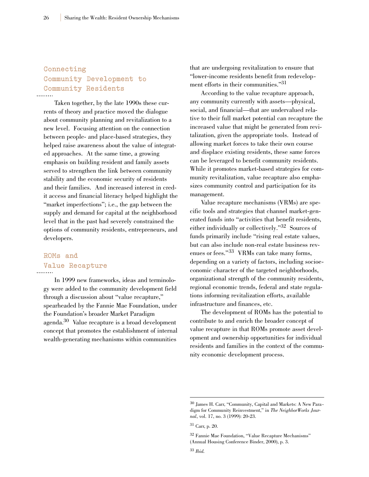## **Connecting Community Development to Community Residents**

Taken together, by the late 1990s these currents of theory and practice moved the dialogue about community planning and revitalization to a new level. Focusing attention on the connection between people- and place-based strategies, they helped raise awareness about the value of integrated approaches. At the same time, a growing emphasis on building resident and family assets served to strengthen the link between community stability and the economic security of residents and their families. And increased interest in credit access and financial literacy helped highlight the "market imperfections"; i.e., the gap between the supply and demand for capital at the neighborhood level that in the past had severely constrained the options of community residents, entrepreneurs, and developers.

### **ROMs and Value Recapture**

In 1999 new frameworks, ideas and terminology were added to the community development field through a discussion about "value recapture," spearheaded by the Fannie Mae Foundation, under the Foundation's broader Market Paradigm agenda.30 Value recapture is a broad development concept that promotes the establishment of internal wealth-generating mechanisms within communities

that are undergoing revitalization to ensure that "lower-income residents benefit from redevelopment efforts in their communities."<sup>31</sup>

According to the value recapture approach, any community currently with assets—physical, social, and financial—that are undervalued relative to their full market potential can recapture the increased value that might be generated from revitalization, given the appropriate tools. Instead of allowing market forces to take their own course and displace existing residents, these same forces can be leveraged to benefit community residents. While it promotes market-based strategies for community revitalization, value recapture also emphasizes community control and participation for its management.

Value recapture mechanisms (VRMs) are specific tools and strategies that channel market-generated funds into "activities that benefit residents, either individually or collectively."32 Sources of funds primarily include "rising real estate values, but can also include non-real estate business revenues or fees."<sup>33</sup> VRMs can take many forms, depending on a variety of factors, including socioeconomic character of the targeted neighborhoods, organizational strength of the community residents, regional economic trends, federal and state regulations informing revitalization efforts, available infrastructure and finances, etc.

The development of ROMs has the potential to contribute to and enrich the broader concept of value recapture in that ROMs promote asset development and ownership opportunities for individual residents and families in the context of the community economic development process.

<sup>30</sup> James H. Carr, "Community, Capital and Markets: A New Paradigm for Community Reinvestment," in *The NeighborWorks Journal*, vol. 17, no. 3 (1999): 20-23.

<sup>31</sup> Carr, p. 20.

<sup>32</sup> Fannie Mae Foundation, "Value Recapture Mechanisms" (Annual Housing Conference Binder, 2000), p. 3.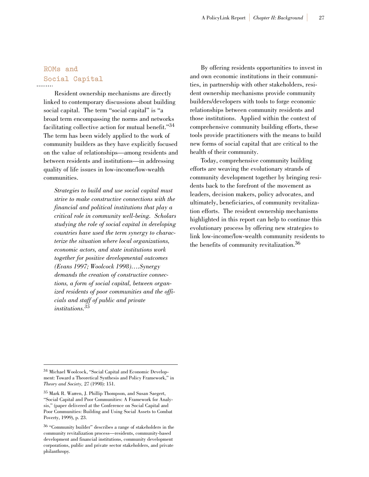# **ROMs and Social Capital**

Resident ownership mechanisms are directly linked to contemporary discussions about building social capital. The term "social capital" is "a broad term encompassing the norms and networks facilitating collective action for mutual benefit."<sup>34</sup> The term has been widely applied to the work of community builders as they have explicitly focused on the value of relationships—among residents and between residents and institutions—in addressing quality of life issues in low-income/low-wealth communities.

*Strategies to build and use social capital must strive to make constructive connections with the financial and political institutions that play a critical role in community well-being. Scholars studying the role of social capital in developing countries have used the term synergy to characterize the situation where local organizations, economic actors, and state institutions work together for positive developmental outcomes (Evans 1997; Woolcock 1998)….Synergy demands the creation of constructive connections, a form of social capital, between organized residents of poor communities and the officials and staff of public and private institutions.35*

By offering residents opportunities to invest in and own economic institutions in their communities, in partnership with other stakeholders, resident ownership mechanisms provide community builders/developers with tools to forge economic relationships between community residents and those institutions. Applied within the context of comprehensive community building efforts, these tools provide practitioners with the means to build new forms of social capital that are critical to the health of their community.

Today, comprehensive community building efforts are weaving the evolutionary strands of community development together by bringing residents back to the forefront of the movement as leaders, decision makers, policy advocates, and ultimately, beneficiaries, of community revitalization efforts. The resident ownership mechanisms highlighted in this report can help to continue this evolutionary process by offering new strategies to link low-income/low-wealth community residents to the benefits of community revitalization.<sup>36</sup>

<sup>34</sup> Michael Woolcock, "Social Capital and Economic Development: Toward a Theoretical Synthesis and Policy Framework," in *Theory and Society,* 27 (1998): 151.

<sup>35</sup> Mark R. Warren, J. Phillip Thompson, and Susan Saegert, "Social Capital and Poor Communities: A Framework for Analysis," (paper delivered at the Conference on Social Capital and Poor Communities: Building and Using Social Assets to Combat Poverty, 1999), p. 23.

<sup>36</sup> "Community builder" describes a range of stakeholders in the community revitalization process—residents, community-based development and financial institutions, community development corporations, public and private sector stakeholders, and private philanthropy.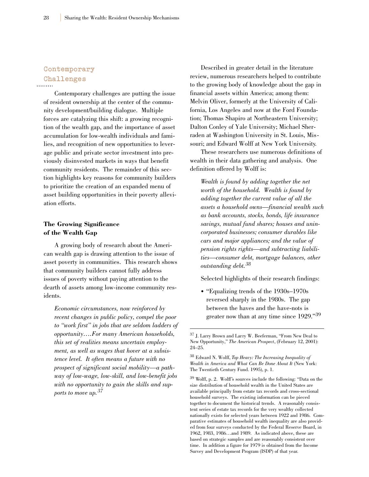## **Contemporary Challenges**

Contemporary challenges are putting the issue of resident ownership at the center of the community development/building dialogue. Multiple forces are catalyzing this shift: a growing recognition of the wealth gap, and the importance of asset accumulation for low-wealth individuals and families, and recognition of new opportunities to leverage public and private sector investment into previously disinvested markets in ways that benefit community residents. The remainder of this section highlights key reasons for community builders to prioritize the creation of an expanded menu of asset building opportunities in their poverty alleviation efforts.

#### **The Growing Significance of the Wealth Gap**

A growing body of research about the American wealth gap is drawing attention to the issue of asset poverty in communities. This research shows that community builders cannot fully address issues of poverty without paying attention to the dearth of assets among low-income community residents.

*Economic circumstances, now reinforced by recent changes in public policy, compel the poor to "work first" in jobs that are seldom ladders of opportunity….For many American households, this set of realities means uncertain employment, as well as wages that hover at a subsistence level. It often means a future with no prospect of significant social mobility—a pathway of low-wage, low-skill, and low-benefit jobs with no opportunity to gain the skills and supports to move up.<sup>37</sup>*

Described in greater detail in the literature review, numerous researchers helped to contribute to the growing body of knowledge about the gap in financial assets within America; among them: Melvin Oliver, formerly at the University of California, Los Angeles and now at the Ford Foundation; Thomas Shapiro at Northeastern University; Dalton Conley of Yale University; Michael Sherraden at Washington University in St. Louis, Missouri; and Edward Wolff at New York University.

These researchers use numerous definitions of wealth in their data gathering and analysis. One definition offered by Wolff is:

*Wealth is found by adding together the net worth of the household. Wealth is found by adding together the current value of all the assets a household owns—financial wealth such as bank accounts, stocks, bonds, life insurance savings, mutual fund shares; houses and unincorporated businesses; consumer durables like cars and major appliances; and the value of pension rights rights—and subtracting liabilities—consumer debt, mortgage balances, other outstanding debt.<sup>38</sup>*

Selected highlights of their research findings:

• "Equalizing trends of the 1930s–1970s reversed sharply in the 1980s. The gap between the haves and the have-nots is greater now than at any time since 1929."39

<sup>37</sup> J. Larry Brown and Larry W. Beeferman, "From New Deal to New Opportunity," *The American Prospect*, (February 12, 2001): 24–25.

<sup>38</sup> Edward N. Wolff, *Top Heavy: The Increasing Inequality of Wealth in America and What Can Be Done About It* (New York: The Twentieth Century Fund. 1995), p. 1.

<sup>39</sup> Wolff, p. 2. Wolff's sources include the following: "Data on the size distribution of household wealth in the United States are available principally from estate tax records and cross-sectional household surveys. The existing information can be pieced together to document the historical trends. A reasonably consistent series of estate tax records for the very wealthy collected nationally exists for selected years between 1922 and 1986. Comparative estimates of household wealth inequality are also provided from four surveys conducted by the Federal Reserve Board, in 1962, 1983, 1986…and 1989. As indicated above, these are based on strategic samples and are reasonably consistent over time. In addition a figure for 1979 is obtained from the Income Survey and Development Program (ISDP) of that year.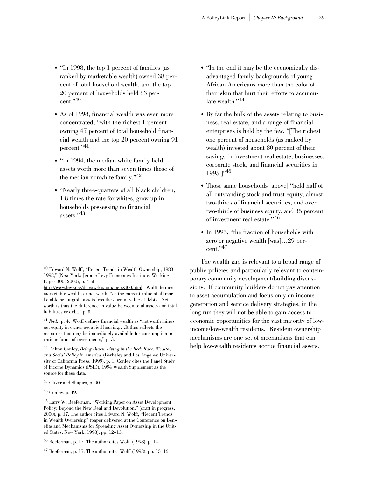- "In 1998, the top 1 percent of families (as ranked by marketable wealth) owned 38 percent of total household wealth, and the top 20 percent of households held 83 percent."40
- As of 1998, financial wealth was even more concentrated, "with the richest 1 percent owning 47 percent of total household financial wealth and the top 20 percent owning 91 percent."41
- "In 1994, the median white family held assets worth more than seven times those of the median nonwhite family."42
- "Nearly three-quarters of all black children, 1.8 times the rate for whites, grow up in households possessing no financial assets."43
- "In the end it may be the economically disadvantaged family backgrounds of young African Americans more than the color of their skin that hurt their efforts to accumulate wealth."44
- By far the bulk of the assets relating to business, real estate, and a range of financial enterprises is held by the few. "[The richest one percent of households (as ranked by wealth) invested about 80 percent of their savings in investment real estate, businesses, corporate stock, and financial securities in 1995.]"<sup>45</sup>
- Those same households [above] "held half of all outstanding stock and trust equity, almost two-thirds of financial securities, and over two-thirds of business equity, and 35 percent of investment real estate."<sup>46</sup>
- In 1995, "the fraction of households with zero or negative wealth [was]…29 percent."47

The wealth gap is relevant to a broad range of public policies and particularly relevant to contemporary community development/building discussions. If community builders do not pay attention to asset accumulation and focus only on income generation and service delivery strategies, in the long run they will not be able to gain access to economic opportunities for the vast majority of lowincome/low-wealth residents. Resident ownership mechanisms are one set of mechanisms that can help low-wealth residents accrue financial assets.

<sup>40</sup> Edward N. Wolff, "Recent Trends in Wealth Ownership, 1983- 1998," (New York: Jerome Levy Economics Institute, Working Paper 300, 2000), p. 4 at

http://www.levy.org/docs/wrkpap/papers/300.html. Wolff defines marketable wealth, or net worth, "as the current value of all marketable or fungible assets less the current value of debts. Net worth is thus the difference in value between total assets and total liabilities or debt," p. 3.

<sup>41</sup> *Ibid.*, p. 4. Wolff defines financial wealth as "net worth minus net equity in owner-occupied housing….It thus reflects the resources that may be immediately available for consumption or various forms of investments," p. 3.

<sup>42</sup> Dalton Conley, *Being Black, Living in the Red: Race, Wealth, and Social Policy in America* (Berkeley and Los Angeles: University of California Press, 1999), p. 1. Conley cites the Panel Study of Income Dynamics (PSID), 1994 Wealth Supplement as the source for these data.

<sup>43</sup> Oliver and Shapiro, p. 90.

<sup>44</sup> Conley, p. 49.

<sup>45</sup> Larry W. Beeferman, "Working Paper on Asset Development Policy: Beyond the New Deal and Devolution," (draft in progress, 2000), p. 17. The author cites Edward N. Wolff, "Recent Trends in Wealth Ownership" (paper delivered at the Conference on Benefits and Mechanisms for Spreading Asset Ownership in the United States, New York, 1998), pp. 12–13.

<sup>46</sup> Beeferman, p. 17. The author cites Wolff (1998), p. 14.

<sup>47</sup> Beeferman, p. 17. The author cites Wolff (1998), pp. 15–16.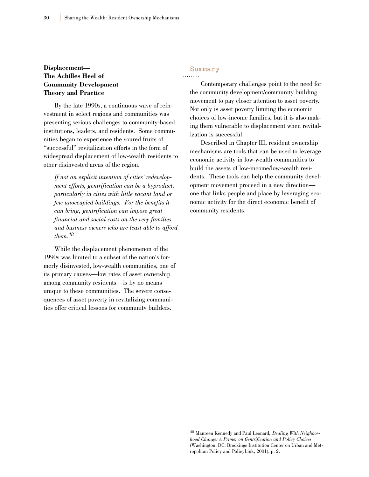#### **Displacement— The Achilles Heel of Community Development Theory and Practice**

By the late 1990s, a continuous wave of reinvestment in select regions and communities was presenting serious challenges to community-based institutions, leaders, and residents. Some communities began to experience the soured fruits of "successful" revitalization efforts in the form of widespread displacement of low-wealth residents to other disinvested areas of the region.

*If not an explicit intention of cities' redevelopment efforts, gentrification can be a byproduct, particularly in cities with little vacant land or few unoccupied buildings. For the benefits it can bring, gentrification can impose great financial and social costs on the very families and business owners who are least able to afford them.48*

While the displacement phenomenon of the 1990s was limited to a subset of the nation's formerly disinvested, low-wealth communities, one of its primary causes—low rates of asset ownership among community residents—is by no means unique to these communities. The severe consequences of asset poverty in revitalizing communities offer critical lessons for community builders.

## **Summary**

Contemporary challenges point to the need for the community development/community building movement to pay closer attention to asset poverty. Not only is asset poverty limiting the economic choices of low-income families, but it is also making them vulnerable to displacement when revitalization is successful.

Described in Chapter III, resident ownership mechanisms are tools that can be used to leverage economic activity in low-wealth communities to build the assets of low-income/low-wealth residents. These tools can help the community development movement proceed in a new direction one that links people and place by leveraging economic activity for the direct economic benefit of community residents.

<sup>48</sup> Maureen Kennedy and Paul Leonard, *Dealing With Neighborhood Change: A Primer on Gentrification and Policy Choices* (Washington, DC: Brookings Institution Center on Urban and Metropolitan Policy and PolicyLink, 2001), p. 2.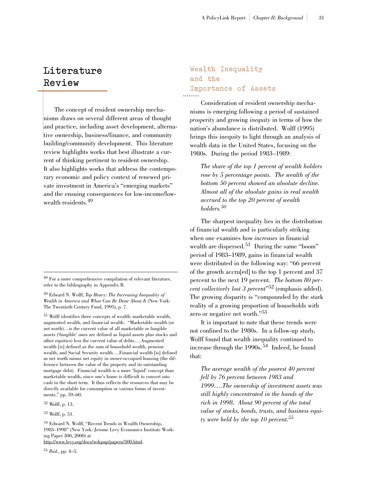## **Literature Review**

The concept of resident ownership mechanisms draws on several different areas of thought and practice, including asset development, alternative ownership, business/finance, and community building/community development. This literature review highlights works that best illustrate a current of thinking pertinent to resident ownership. It also highlights works that address the contemporary economic and policy context of renewed private investment in America's "emerging markets" and the ensuing consequences for low-income/lowwealth residents.<sup>49</sup>

<sup>51</sup> Wolff identifies three concepts of wealth: marketable wealth, augmented wealth, and financial wealth. "Marketable wealth (or net worth)…is the current value of all marketable or fungible assets ('fungible' ones are defined as liquid assets plus stocks and other equities) less the current value of debts….Augmented wealth [is] defined as the sum of household wealth, pension wealth, and Social Security wealth….Financial wealth [is] defined as net worth minus net equity in owner-occupied housing (the difference between the value of the property and its outstanding mortgage debt). Financial wealth is a more 'liquid' concept than marketable wealth, since one's home is difficult to convert into cash in the short term. It thus reflects the resources that may be directly available for consumption or various forms of investments," pp. 59–60.

<sup>52</sup> Wolff, p. 13.

### **Wealth Inequality and the Importance of Assets**

Consideration of resident ownership mechanisms is emerging following a period of sustained *prosperity* and growing *inequity* in terms of how the nation's abundance is distributed. Wolff (1995) brings this inequity to light through an analysis of wealth data in the United States, focusing on the 1980s. During the period 1983–1989:

*The share of the top 1 percent of wealth holders rose by 5 percentage points. The wealth of the bottom 50 percent showed an absolute decline. Almost all of the absolute gains in real wealth accrued to the top 20 percent of wealth holders.50*

The sharpest inequality lies in the distribution of financial wealth and is particularly striking when one examines how *increases* in financial wealth are dispersed.<sup>51</sup> During the same "boom" period of 1983–1989, gains in financial wealth were distributed in the following way: "66 percent of the growth accru[ed] to the top 1 percent and 37 percent to the next 19 percent. *The bottom 80 percent collectively lost 3 percent*"52 (emphasis added). The growing disparity is "compounded by the stark reality of a growing proportion of households with zero or negative net worth."53

It is important to note that these trends were not confined to the 1980s. In a follow-up study, Wolff found that wealth inequality continued to increase through the  $1990s$ .<sup>54</sup> Indeed, he found that:

*The average wealth of the poorest 40 percent fell by 76 percent between 1983 and 1999….The ownership of investment assets was still highly concentrated in the hands of the rich in 1998. About 90 percent of the total value of stocks, bonds, trusts, and business equity were held by the top 10 percent.55*

<sup>49</sup> For a more comprehensive compilation of relevant literature, refer to the bibliography in Appendix B.

<sup>50</sup> Edward N. Wolff, *Top Heavy: The Increasing Inequality of Wealth in America and What Can Be Done About It* (New York: The Twentieth Century Fund, 1995), p. 7.

<sup>53</sup> Wolff, p. 51.

<sup>54</sup> Edward N. Wolff, "Recent Trends in Wealth Ownership, 1983–1998" (New York: Jerome Levy Economics Institute Working Paper 300, 2000) at http://www.levy.org/docs/wrkpap/papers/300.html.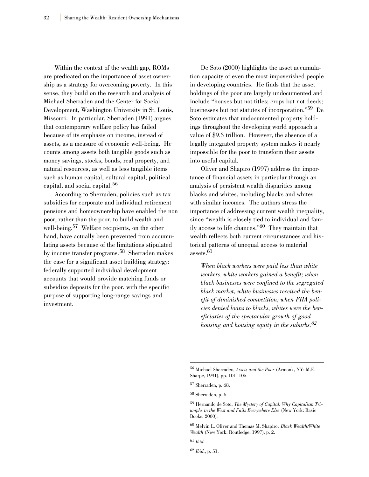Within the context of the wealth gap, ROMs are predicated on the importance of asset ownership as a strategy for overcoming poverty. In this sense, they build on the research and analysis of Michael Sherraden and the Center for Social Development, Washington University in St. Louis, Missouri. In particular, Sherraden (1991) argues that contemporary welfare policy has failed because of its emphasis on income, instead of assets, as a measure of economic well-being. He counts among assets both tangible goods such as money savings, stocks, bonds, real property, and natural resources, as well as less tangible items such as human capital, cultural capital, political capital, and social capital.<sup>56</sup>

According to Sherraden, policies such as tax subsidies for corporate and individual retirement pensions and homeownership have enabled the non poor, rather than the poor, to build wealth and well-being.<sup>57</sup> Welfare recipients, on the other hand, have actually been prevented from accumulating assets because of the limitations stipulated by income transfer programs.<sup>58</sup> Sherraden makes the case for a significant asset building strategy: federally supported individual development accounts that would provide matching funds or subsidize deposits for the poor, with the specific purpose of supporting long-range savings and investment.

De Soto (2000) highlights the asset accumulation capacity of even the most impoverished people in developing countries. He finds that the asset holdings of the poor are largely undocumented and include "houses but not titles; crops but not deeds; businesses but not statutes of incorporation."59 De Soto estimates that undocumented property holdings throughout the developing world approach a value of \$9.3 trillion. However, the absence of a legally integrated property system makes it nearly impossible for the poor to transform their assets into useful capital.

Oliver and Shapiro (1997) address the importance of financial assets in particular through an analysis of persistent wealth disparities among blacks and whites, including blacks and whites with similar incomes. The authors stress the importance of addressing current wealth inequality, since "wealth is closely tied to individual and family access to life chances."60 They maintain that wealth reflects both current circumstances and historical patterns of unequal access to material assets  $61$ 

*When black workers were paid less than white workers, white workers gained a benefit; when black businesses were confined to the segregated black market, white businesses received the benefit of diminished competition; when FHA policies denied loans to blacks, whites were the beneficiaries of the spectacular growth of good housing and housing equity in the suburbs.<sup>62</sup>*

<sup>56</sup> Michael Sherraden*, Assets and the Poor* (Armonk, NY: M.E. Sharpe, 1991), pp. 101–105.

<sup>57</sup> Sherraden, p. 68.

<sup>58</sup> Sherraden, p. 6.

<sup>59</sup> Hernando de Soto, *The Mystery of Capital: Why Capitalism Triumphs in the West and Fails Everywhere Else* (New York: Basic Books, 2000).

<sup>60</sup> Melvin L. Oliver and Thomas M. Shapiro, *Black Wealth/White Wealth* (New York: Routledge, 1997), p. 2.

<sup>61</sup> *Ibid*.

<sup>62</sup> *Ibid*., p. 51.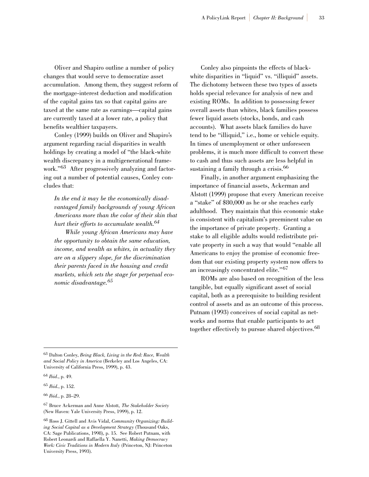Oliver and Shapiro outline a number of policy changes that would serve to democratize asset accumulation. Among them, they suggest reform of the mortgage-interest deduction and modification of the capital gains tax so that capital gains are taxed at the same rate as earnings—capital gains are currently taxed at a lower rate, a policy that benefits wealthier taxpayers.

Conley (1999) builds on Oliver and Shapiro's argument regarding racial disparities in wealth holdings by creating a model of "the black-white wealth discrepancy in a multigenerational framework."<sup>63</sup> After progressively analyzing and factoring out a number of potential causes, Conley concludes that:

*In the end it may be the economically disadvantaged family backgrounds of young African Americans more than the color of their skin that hurt their efforts to accumulate wealth.64*

*While young African Americans may have the opportunity to obtain the same education, income, and wealth as whites, in actuality they are on a slippery slope, for the discrimination their parents faced in the housing and credit markets, which sets the stage for perpetual economic disadvantage.<sup>65</sup>*

Conley also pinpoints the effects of blackwhite disparities in "liquid" vs. "illiquid" assets. The dichotomy between these two types of assets holds special relevance for analysis of new and existing ROMs. In addition to possessing fewer overall assets than whites, black families possess fewer liquid assets (stocks, bonds, and cash accounts). What assets black families do have tend to be "illiquid," i.e., home or vehicle equity. In times of unemployment or other unforeseen problems, it is much more difficult to convert these to cash and thus such assets are less helpful in sustaining a family through a crisis.<sup>66</sup>

Finally, in another argument emphasizing the importance of financial assets, Ackerman and Alstott (1999) propose that every American receive a "stake" of \$80,000 as he or she reaches early adulthood. They maintain that this economic stake is consistent with capitalism's preeminent value on the importance of private property. Granting a stake to all eligible adults would redistribute private property in such a way that would "enable all Americans to enjoy the promise of economic freedom that our existing property system now offers to an increasingly concentrated elite."<sup>67</sup>

ROMs are also based on recognition of the less tangible, but equally significant asset of social capital, both as a prerequisite to building resident control of assets and as an outcome of this process. Putnam (1993) conceives of social capital as networks and norms that enable participants to act together effectively to pursue shared objectives.<sup>68</sup>

<sup>63</sup> Dalton Conley, *Being Black, Living in the Red: Race, Wealth and Social Policy in America* (Berkeley and Los Angeles, CA: University of California Press, 1999), p. 43.

<sup>64</sup> *Ibid*., p. 49.

<sup>65</sup> *Ibid.*, p. 152.

<sup>66</sup> *Ibid.*, p. 28–29.

<sup>67</sup> Bruce Ackerman and Anne Alstott, *The Stakeholder Society* (New Haven: Yale University Press, 1999), p. 12.

<sup>68</sup> Ross J. Gittell and Avis Vidal, *Community Organizing: Building Social Capital as a Development Strategy* (Thousand Oaks, CA: Sage Publications, 1998), p. 15. See Robert Putnam, with Robert Leonardi and Raffaella Y. Nanetti, *Making Democracy Work: Civic Traditions in Modern Italy* (Princeton, NJ: Princeton University Press, 1993).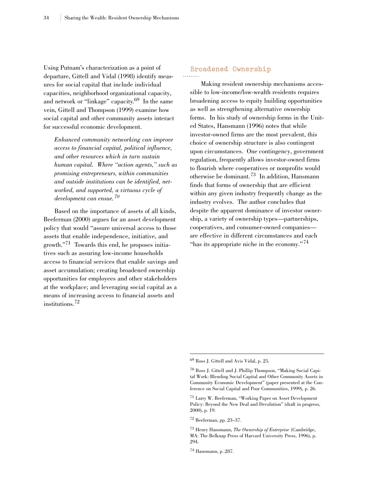Using Putnam's characterization as a point of departure, Gittell and Vidal (1998) identify measures for social capital that include individual capacities, neighborhood organizational capacity, and network or "linkage" capacity.<sup>69</sup> In the same vein, Gittell and Thompson (1999) examine how social capital and other community assets interact for successful economic development.

*Enhanced community networking can improve access to financial capital, political influence, and other resources which in turn sustain human capital. Where "action agents," such as promising entrepreneurs, within communities and outside institutions can be identified, networked, and supported, a virtuous cycle of development can ensue.<sup>70</sup>*

Based on the importance of assets of all kinds, Beeferman (2000) argues for an asset development policy that would "assure universal access to those assets that enable independence, initiative, and growth."71 Towards this end, he proposes initiatives such as assuring low-income households access to financial services that enable savings and asset accumulation; creating broadened ownership opportunities for employees and other stakeholders at the workplace; and leveraging social capital as a means of increasing access to financial assets and institutions.72

#### **Broadened Ownership**

Making resident ownership mechanisms accessible to low-income/low-wealth residents requires broadening access to equity building opportunities as well as strengthening alternative ownership forms. In his study of ownership forms in the United States, Hansmann (1996) notes that while investor-owned firms are the most prevalent, this choice of ownership structure is also contingent upon circumstances. One contingency, government regulation, frequently allows investor-owned firms to flourish where cooperatives or nonprofits would otherwise be dominant.<sup>73</sup> In addition, Hansmann finds that forms of ownership that are efficient within any given industry frequently change as the industry evolves. The author concludes that despite the apparent dominance of investor ownership, a variety of ownership types—partnerships, cooperatives, and consumer-owned companies are effective in different circumstances and each "has its appropriate niche in the economy."<sup>74</sup>

<sup>69</sup> Ross J. Gittell and Avis Vidal, p. 25.

<sup>70</sup> Ross J. Gittell and J. Phillip Thompson, "Making Social Capital Work: Blending Social Capital and Other Community Assets in Community Economic Development" (paper presented at the Conference on Social Capital and Poor Communities, 1999), p. 26.

<sup>71</sup> Larry W. Beeferman, "Working Paper on Asset Development Policy: Beyond the New Deal and Devolution" (draft in progress, 2000), p. 19.

<sup>72</sup> Beeferman, pp. 23–37.

<sup>73</sup> Henry Hansmann, *The Ownership of Enterprise* (Cambridge, MA: The Belknap Press of Harvard University Press, 1996), p. 294.

<sup>74</sup> Hansmann, p. 287.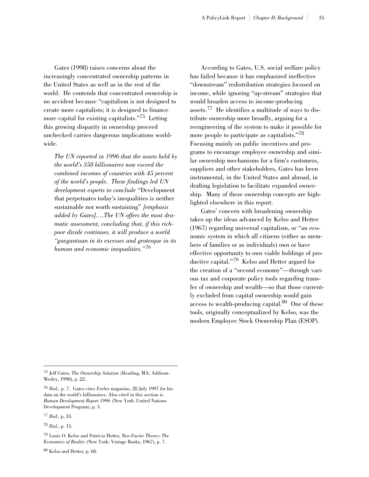Gates (1998) raises concerns about the increasingly concentrated ownership patterns in the United States as well as in the rest of the world. He contends that concentrated ownership is no accident because "capitalism is not designed to create more capitalists; it is designed to finance more capital for existing capitalists."<sup>75</sup> Letting this growing disparity in ownership proceed unchecked carries dangerous implications worldwide.

*The UN reported in 1996 that the assets held by the world's 358 billionaires now exceed the combined incomes of countries with 45 percent of the world's people. These findings led UN development experts to conclude* "Development that perpetuates today's inequalities is neither sustainable nor worth sustaining" *[emphasis added by Gates]….The UN offers the most dramatic assessment, concluding that, if this richpoor divide continues, it will produce a world "gargantuan in its excesses and grotesque in its human and economic inequalities."<sup>76</sup>*

According to Gates, U.S. social welfare policy has failed because it has emphasized ineffective "downstream" redistribution strategies focused on income, while ignoring "up-stream" strategies that would broaden access to income-producing assets.<sup>77</sup> He identifies a multitude of ways to distribute ownership more broadly, arguing for a reengineering of the system to make it possible for more people to participate as capitalists."<sup>78</sup> Focusing mainly on public incentives and programs to encourage employee ownership and similar ownership mechanisms for a firm's customers, suppliers and other stakeholders, Gates has been instrumental, in the United States and abroad, in drafting legislation to facilitate expanded ownership. Many of these ownership concepts are highlighted elsewhere in this report.

Gates' concern with broadening ownership takes up the ideas advanced by Kelso and Hetter (1967) regarding universal capitalism, or "an economic system in which all citizens (either as members of families or as individuals) own or have effective opportunity to own viable holdings of productive capital."<sup>79</sup> Kelso and Hetter argued for the creation of a "second economy"—through various tax and corporate policy tools regarding transfer of ownership and wealth—so that those currently excluded from capital ownership would gain access to wealth-producing capital.80 One of these tools, originally conceptualized by Kelso, was the modern Employee Stock Ownership Plan (ESOP).

<sup>77</sup> *Ibid*., p. 33.

<sup>75</sup> Jeff Gates*, The Ownership Solution* (Reading, MA: Addison-Wesley, 1998), p. 22.

<sup>76</sup> *Ibid.*, p. 7. Gates cites *Forbes* magazine, 28 July 1997 for his data on the world's billionaires. Also cited in this section is *Human Development Report 1996* (New York: United Nations Development Program), p. 3.

<sup>78</sup> *Ibid.*, p. 15.

<sup>79</sup> Louis O. Kelso and Patricia Hetter, *Two-Factor Theory: The Economics of Reality* (New York: Vintage Books, 1967), p. 7.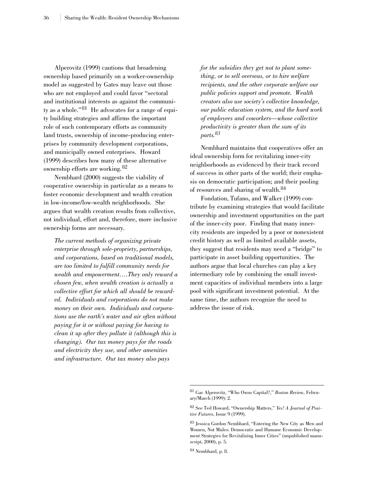Alperovitz (1999) cautions that broadening ownership based primarily on a worker-ownership model as suggested by Gates may leave out those who are not employed and could favor "sectoral and institutional interests as against the community as a whole."<sup>81</sup> He advocates for a range of equity building strategies and affirms the important role of such contemporary efforts as community land trusts, ownership of income-producing enterprises by community development corporations, and municipally owned enterprises. Howard (1999) describes how many of these alternative ownership efforts are working.<sup>82</sup>

Nembhard (2000) suggests the viability of cooperative ownership in particular as a means to foster economic development and wealth creation in low-income/low-wealth neighborhoods. She argues that wealth creation results from collective, not individual, effort and, therefore, more inclusive ownership forms are necessary.

*The current methods of organizing private enterprise through sole-propriety, partnerships, and corporations, based on traditional models, are too limited to fulfill community needs for wealth and empowerment….They only reward a chosen few, when wealth creation is actually a collective effort for which all should be rewarded. Individuals and corporations do not make money on their own. Individuals and corporations use the earth's water and air often without paying for it or without paying for having to clean it up after they pollute it (although this is changing). Our tax money pays for the roads and electricity they use, and other amenities and infrastructure. Our tax money also pays*

*for the subsidies they get not to plant something, or to sell overseas, or to hire welfare recipients, and the other corporate welfare our public policies support and promote. Wealth creators also use society's collective knowledge, our public education system, and the hard work of employees and coworkers—whose collective productivity is greater than the sum of its parts.83*

Nembhard maintains that cooperatives offer an ideal ownership form for revitalizing inner-city neighborhoods as evidenced by their track record of success in other parts of the world; their emphasis on democratic participation; and their pooling of resources and sharing of wealth.<sup>84</sup>

Fondation, Tufano, and Walker (1999) contribute by examining strategies that would facilitate ownership and investment opportunities on the part of the inner-city poor. Finding that many innercity residents are impeded by a poor or nonexistent credit history as well as limited available assets, they suggest that residents may need a "bridge" to participate in asset building opportunities. The authors argue that local churches can play a key intermediary role by combining the small investment capacities of individual members into a large pool with significant investment potential. At the same time, the authors recognize the need to address the issue of risk.

<sup>81</sup> Gar Alperovitz, "Who Owns Capital?," *Boston Review*, February/March (1999): 2.

<sup>82</sup> See Ted Howard, "Ownership Matters," *Yes! A Journal of Positive Futures*, Issue 9 (1999).

<sup>83</sup> Jessica Gordon Nembhard, "Entering the New City as Men and Women, Not Mules: Democratic and Humane Economic Development Strategies for Revitalizing Inner Cities" (unpublished manuscript, 2000), p. 5.

<sup>84</sup> Nembhard, p. 8.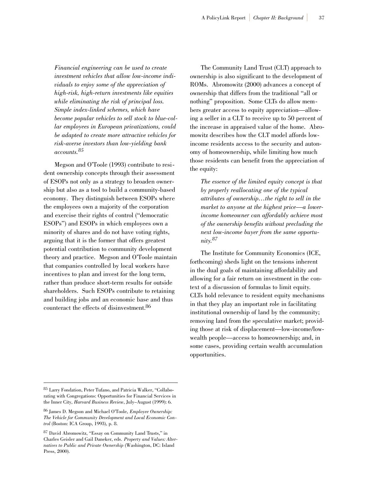*Financial engineering can be used to create investment vehicles that allow low-income individuals to enjoy some of the appreciation of high-risk, high-return investments like equities while eliminating the risk of principal loss. Simple index-linked schemes, which have become popular vehicles to sell stock to blue-collar employees in European privatizations, could be adapted to create more attractive vehicles for risk-averse investors than low-yielding bank accounts.<sup>85</sup>*

Megson and O'Toole (1993) contribute to resident ownership concepts through their assessment of ESOPs not only as a strategy to broaden ownership but also as a tool to build a community-based economy. They distinguish between ESOPs where the employees own a majority of the corporation and exercise their rights of control ("democratic ESOPs") and ESOPs in which employees own a minority of shares and do not have voting rights, arguing that it is the former that offers greatest potential contribution to community development theory and practice. Megson and O'Toole maintain that companies controlled by local workers have incentives to plan and invest for the long term, rather than produce short-term results for outside shareholders. Such ESOPs contribute to retaining and building jobs and an economic base and thus counteract the effects of disinvestment.86

The Community Land Trust (CLT) approach to ownership is also significant to the development of ROMs. Abromowitz (2000) advances a concept of ownership that differs from the traditional "all or nothing" proposition. Some CLTs do allow members greater access to equity appreciation—allowing a seller in a CLT to receive up to 50 percent of the increase in appraised value of the home. Abromowitz describes how the CLT model affords lowincome residents access to the security and autonomy of homeownership, while limiting how much those residents can benefit from the appreciation of the equity:

*The essence of the limited equity concept is that by properly reallocating one of the typical attributes of ownership…the right to sell in the market to anyone at the highest price—a lowerincome homeowner can affordably achieve most of the ownership benefits without precluding the next low-income buyer from the same opportunity.87*

The Institute for Community Economics (ICE, forthcoming) sheds light on the tensions inherent in the dual goals of maintaining affordability and allowing for a fair return on investment in the context of a discussion of formulas to limit equity. CLTs hold relevance to resident equity mechanisms in that they play an important role in facilitating institutional ownership of land by the community; removing land from the speculative market; providing those at risk of displacement—low-income/lowwealth people—access to homeownership; and, in some cases, providing certain wealth accumulation opportunities.

<sup>85</sup> Larry Fondation, Peter Tufano, and Patricia Walker, "Collaborating with Congregations: Opportunities for Financial Services in the Inner City, *Harvard Business Review*, July–August (1999): 6.

<sup>86</sup> James D. Megson and Michael O'Toole, *Employee Ownership: The Vehicle for Community Development and Local Economic Control* (Boston: ICA Group, 1993), p. 8.

<sup>87</sup> David Abromowitz, "Essay on Community Land Trusts," in Charles Geisler and Gail Daneker, eds. *Property and Values: Alternatives to Public and Private Ownership* (Washington, DC: Island Press, 2000).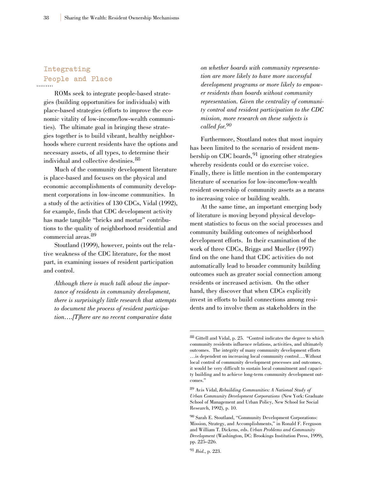# **Integrating People and Place**

ROMs seek to integrate people-based strategies (building opportunities for individuals) with place-based strategies (efforts to improve the economic vitality of low-income/low-wealth communities). The ultimate goal in bringing these strategies together is to build vibrant, healthy neighborhoods where current residents have the options and necessary assets, of all types, to determine their individual and collective destinies.<sup>88</sup>

Much of the community development literature is place-based and focuses on the physical and economic accomplishments of community development corporations in low-income communities. In a study of the activities of 130 CDCs, Vidal (1992), for example, finds that CDC development activity has made tangible "bricks and mortar" contributions to the quality of neighborhood residential and commercial areas.<sup>89</sup>

Stoutland (1999), however, points out the relative weakness of the CDC literature, for the most part, in examining issues of resident participation and control.

*Although there is much talk about the importance of residents in community development, there is surprisingly little research that attempts to document the process of resident participation….[T]here are no recent comparative data*

*on whether boards with community representation are more likely to have more successful development programs or more likely to empower residents than boards without community representation. Given the centrality of community control and resident participation to the CDC mission, more research on these subjects is called for.90*

Furthermore, Stoutland notes that most inquiry has been limited to the scenario of resident membership on CDC boards,  $91$  ignoring other strategies whereby residents could or do exercise voice. Finally, there is little mention in the contemporary literature of scenarios for low-income/low-wealth resident ownership of community assets as a means to increasing voice or building wealth.

At the same time, an important emerging body of literature is moving beyond physical development statistics to focus on the social processes and community building outcomes of neighborhood development efforts. In their examination of the work of three CDCs, Briggs and Mueller (1997) find on the one hand that CDC activities do not automatically lead to broader community building outcomes such as greater social connection among residents or increased activism. On the other hand, they discover that when CDCs explicitly invest in efforts to build connections among residents and to involve them as stakeholders in the

<sup>91</sup> *Ibid*., p. 223.

<sup>88</sup> Gittell and Vidal, p. 25. "Control indicates the degree to which community residents influence relations, activities, and ultimately outcomes. The integrity of many community development efforts …is dependent on increasing local community control….Without local control of community development processes and outcomes, it would be very difficult to sustain local commitment and capacity building and to achieve long-term community development outcomes."

<sup>89</sup> Avis Vidal, *Rebuilding Communities: A National Study of Urban Community Development Corporations* (New York: Graduate School of Management and Urban Policy, New School for Social Research, 1992), p. 10.

<sup>90</sup> Sarah E. Stoutland, "Community Development Corporations: Mission, Strategy, and Accomplishments," in Ronald F. Ferguson and William T. Dickens, eds. *Urban Problems and Community Development* (Washington, DC: Brookings Institution Press, 1999), pp. 225–226.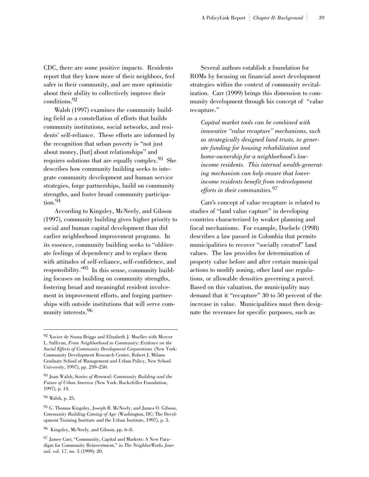CDC, there are some positive impacts. Residents report that they know more of their neighbors, feel safer in their community, and are more optimistic about their ability to collectively improve their conditions.92

Walsh (1997) examines the community building field as a constellation of efforts that builds community institutions, social networks, and residents' self-reliance. These efforts are informed by the recognition that urban poverty is "not just about money, [but] about relationships" and requires solutions that are equally complex.<sup>93</sup> She describes how community building seeks to integrate community development and human service strategies, forge partnerships, build on community strengths, and foster broad community participation.94

According to Kingsley, McNeely, and Gibson (1997), community building gives higher priority to social and human capital development than did earlier neighborhood improvement programs. In its essence, community building seeks to "obliterate feelings of dependency and to replace them with attitudes of self-reliance, self-confidence, and responsibility."95 In this sense, community building focuses on building on community strengths, fostering broad and meaningful resident involvement in improvement efforts, and forging partnerships with outside institutions that will serve community interests.<sup>96</sup>

Several authors establish a foundation for ROMs by focusing on financial asset development strategies within the context of community revitalization. Carr (1999) brings this dimension to community development through his concept of "value recapture."

*Capital market tools can be combined with innovative "value recapture" mechanisms, such as strategically designed land trusts, to generate funding for housing rehabilitation and home-ownership for a neighborhood's lowincome residents. This internal wealth-generating mechanism can help ensure that lowerincome residents benefit from redevelopment efforts in their communities.<sup>97</sup>*

Carr's concept of value recapture is related to studies of "land value capture" in developing countries characterized by weaker planning and fiscal mechanisms. For example, Doebele (1998) describes a law passed in Colombia that permits municipalities to recover "socially created" land values. The law provides for determination of property value before and after certain municipal actions to modify zoning, other land use regulations, or allowable densities governing a parcel. Based on this valuation, the municipality may demand that it "recapture" 30 to 50 percent of the increase in value. Municipalities must then designate the revenues for specific purposes, such as

<sup>92</sup> Xavier de Souza Briggs and Elizabeth J. Mueller with Mercer L. Sullivan, *From Neighborhood to Community: Evidence on the Social Effects of Community Development Corporations* (New York: Community Development Research Center, Robert J. Milano Graduate School of Management and Urban Policy, New School University, 1997), pp. 239–250.

<sup>93</sup> Joan Walsh, *Stories of Renewal: Community Building and the Future of Urban America* (New York: Rockefeller Foundation, 1997), p. 14.

<sup>94</sup> Walsh, p. 25.

<sup>95</sup> G. Thomas Kingsley, Joseph B. McNeely, and James O. Gibson, *Community Building Coming of Age* (Washington, DC: The Development Training Institute and the Urban Institute, 1997), p. 3.

<sup>96</sup> Kingsley, McNeely, and Gibson, pp. 6–8.

<sup>97</sup> James Carr, "Community, Capital and Markets: A New Paradigm for Community Reinvestment," in *The NeighborWorks Journal,* vol. 17, no. 3 (1999): 20.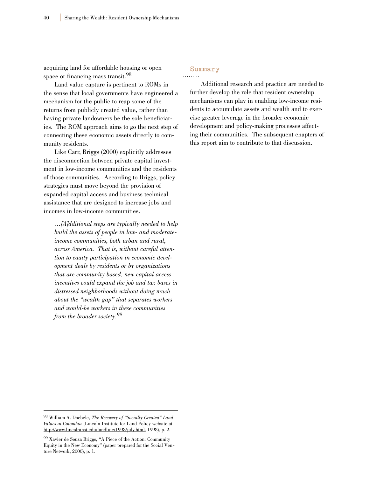acquiring land for affordable housing or open space or financing mass transit.<sup>98</sup>

Land value capture is pertinent to ROMs in the sense that local governments have engineered a mechanism for the public to reap some of the returns from publicly created value, rather than having private landowners be the sole beneficiaries. The ROM approach aims to go the next step of connecting these economic assets directly to community residents.

Like Carr, Briggs (2000) explicitly addresses the disconnection between private capital investment in low-income communities and the residents of those communities. According to Briggs, policy strategies must move beyond the provision of expanded capital access and business technical assistance that are designed to increase jobs and incomes in low-income communities.

*…[A]dditional steps are typically needed to help build the assets of people in low- and moderateincome communities, both urban and rural, across America. That is, without careful attention to equity participation in economic development deals by residents or by organizations that are community based, new capital access incentives could expand the job and tax bases in distressed neighborhoods without doing much about the "wealth gap" that separates workers and would-be workers in these communities from the broader society.99*

## **Summary**

Additional research and practice are needed to further develop the role that resident ownership mechanisms can play in enabling low-income residents to accumulate assets and wealth and to exercise greater leverage in the broader economic development and policy-making processes affecting their communities. The subsequent chapters of this report aim to contribute to that discussion.

<sup>98</sup> William A. Doebele, *The Recovery of "Socially Created" Land Values in Colombia* (Lincoln Institute for Land Policy website at http://www.lincolninst.edu/landline/1998/july.html, 1998), p. 2.

<sup>99</sup> Xavier de Souza Briggs, "A Piece of the Action: Community Equity in the New Economy" (paper prepared for the Social Venture Network, 2000), p. 1.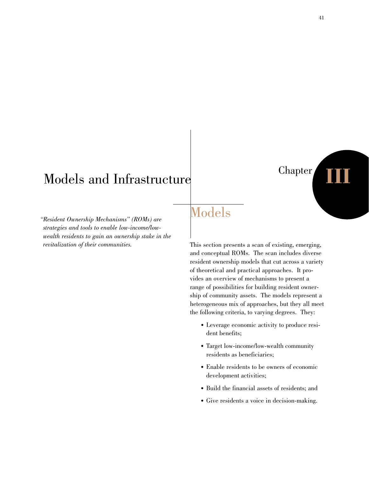# Models and Infrastructure

*"Resident Ownership Mechanisms" (ROMs) are strategies and tools to enable low-income/lowwealth residents to gain an ownership stake in the revitalization of their communities.*

# Models

This section presents a scan of existing, emerging, and conceptual ROMs. The scan includes diverse resident ownership models that cut across a variety of theoretical and practical approaches. It provides an overview of mechanisms to present a range of possibilities for building resident ownership of community assets. The models represent a heterogeneous mix of approaches, but they all meet the following criteria, to varying degrees. They:

- Leverage economic activity to produce resident benefits;
- Target low-income/low-wealth community residents as beneficiaries;
- Enable residents to be owners of economic development activities;
- Build the financial assets of residents; and
- Give residents a voice in decision-making.

Chapter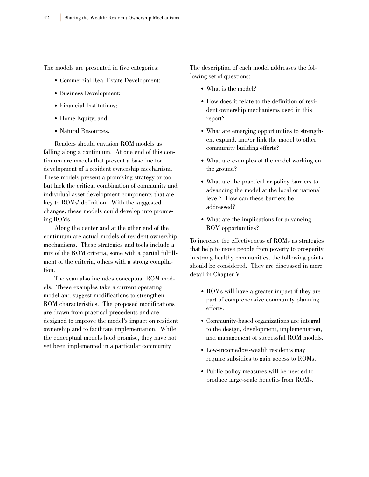The models are presented in five categories:

- Commercial Real Estate Development;
- Business Development;
- Financial Institutions;
- Home Equity; and
- Natural Resources.

Readers should envision ROM models as falling along a continuum. At one end of this continuum are models that present a baseline for development of a resident ownership mechanism. These models present a promising strategy or tool but lack the critical combination of community and individual asset development components that are key to ROMs' definition. With the suggested changes, these models could develop into promising ROMs.

Along the center and at the other end of the continuum are actual models of resident ownership mechanisms. These strategies and tools include a mix of the ROM criteria, some with a partial fulfillment of the criteria, others with a strong compilation.

The scan also includes conceptual ROM models. These examples take a current operating model and suggest modifications to strengthen ROM characteristics. The proposed modifications are drawn from practical precedents and are designed to improve the model's impact on resident ownership and to facilitate implementation. While the conceptual models hold promise, they have not yet been implemented in a particular community.

The description of each model addresses the following set of questions:

- What is the model?
- How does it relate to the definition of resident ownership mechanisms used in this report?
- What are emerging opportunities to strengthen, expand, and/or link the model to other community building efforts?
- What are examples of the model working on the ground?
- What are the practical or policy barriers to advancing the model at the local or national level? How can these barriers be addressed?
- What are the implications for advancing ROM opportunities?

To increase the effectiveness of ROMs as strategies that help to move people from poverty to prosperity in strong healthy communities, the following points should be considered. They are discussed in more detail in Chapter V.

- ROMs will have a greater impact if they are part of comprehensive community planning efforts.
- Community-based organizations are integral to the design, development, implementation, and management of successful ROM models.
- Low-income/low-wealth residents may require subsidies to gain access to ROMs.
- Public policy measures will be needed to produce large-scale benefits from ROMs.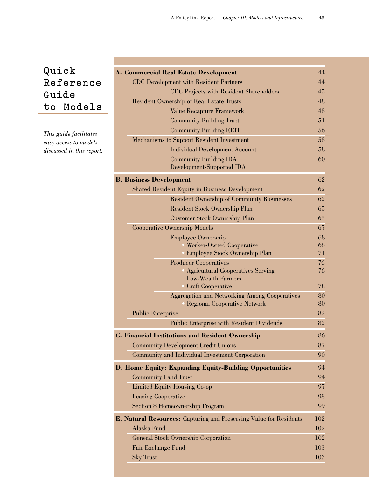# **Quick R e f e r e n c e Guide to Models**

*This guide facilitates easy access to models discussed in this report.*

|                                                                    | <b>A. Commercial Real Estate Development</b>                   | 44         |
|--------------------------------------------------------------------|----------------------------------------------------------------|------------|
| <b>CDC</b> Development with Resident Partners                      |                                                                | 44         |
|                                                                    | <b>CDC</b> Projects with Resident Shareholders                 | 45         |
|                                                                    | <b>Resident Ownership of Real Estate Trusts</b>                | 48         |
|                                                                    | Value Recapture Framework                                      | 48         |
|                                                                    | <b>Community Building Trust</b>                                | 51         |
|                                                                    | <b>Community Building REIT</b>                                 | 56         |
| Mechanisms to Support Resident Investment                          |                                                                | 58         |
|                                                                    | <b>Individual Development Account</b>                          | 58         |
|                                                                    | <b>Community Building IDA</b>                                  | 60         |
|                                                                    | Development-Supported IDA                                      |            |
|                                                                    | <b>B. Business Development</b>                                 | 62         |
|                                                                    | <b>Shared Resident Equity in Business Development</b>          | 62         |
|                                                                    | <b>Resident Ownership of Community Businesses</b>              | 62         |
|                                                                    | Resident Stock Ownership Plan                                  | 65         |
|                                                                    | <b>Customer Stock Ownership Plan</b>                           | 65         |
|                                                                    | <b>Cooperative Ownership Models</b>                            | 67         |
|                                                                    | <b>Employee Ownership</b>                                      | 68         |
|                                                                    | <b>Worker-Owned Cooperative</b>                                | 68         |
|                                                                    | <b>Employee Stock Ownership Plan</b>                           | 71         |
|                                                                    | <b>Producer Cooperatives</b>                                   | 76         |
|                                                                    | <b>Agricultural Cooperatives Serving</b><br>Low-Wealth Farmers | 76         |
|                                                                    | • Craft Cooperative                                            | 78         |
|                                                                    | <b>Aggregation and Networking Among Cooperatives</b>           | 80         |
|                                                                    | • Regional Cooperative Network                                 | 80         |
|                                                                    | <b>Public Enterprise</b>                                       | 82         |
|                                                                    | <b>Public Enterprise with Resident Dividends</b>               | 82         |
|                                                                    | <b>C. Financial Institutions and Resident Ownership</b>        | 86         |
|                                                                    | <b>Community Development Credit Unions</b>                     | 87         |
|                                                                    | Community and Individual Investment Corporation                | 90         |
|                                                                    | D. Home Equity: Expanding Equity-Building Opportunities        | 94         |
| <b>Community Land Trust</b>                                        |                                                                | 94         |
| <b>Limited Equity Housing Co-op</b>                                |                                                                | 97         |
| <b>Leasing Cooperative</b>                                         |                                                                | 98         |
|                                                                    | <b>Section 8 Homeownership Program</b>                         | 99         |
|                                                                    |                                                                |            |
| E. Natural Resources: Capturing and Preserving Value for Residents |                                                                | 102        |
| Alaska Fund                                                        |                                                                | 102        |
| <b>General Stock Ownership Corporation</b><br>Fair Exchange Fund   |                                                                | 102        |
|                                                                    |                                                                | 103        |
| <b>Sky Trust</b>                                                   |                                                                | <b>103</b> |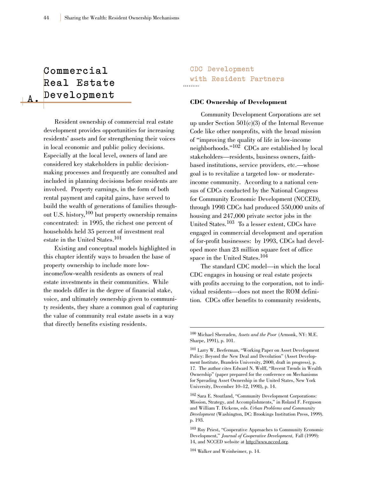# **Commercial Real Estate D e v e l o p m e n t**

**A .**

Resident ownership of commercial real estate development provides opportunities for increasing residents' assets and for strengthening their voices in local economic and public policy decisions. Especially at the local level, owners of land are considered key stakeholders in public decisionmaking processes and frequently are consulted and included in planning decisions before residents are involved. Property earnings, in the form of both rental payment and capital gains, have served to build the wealth of generations of families throughout U.S. history,  $100$  but property ownership remains concentrated: in 1995, the richest one percent of households held 35 percent of investment real estate in the United States.<sup>101</sup>

Existing and conceptual models highlighted in this chapter identify ways to broaden the base of property ownership to include more lowincome/low-wealth residents as owners of real estate investments in their communities. While the models differ in the degree of financial stake, voice, and ultimately ownership given to community residents, they share a common goal of capturing the value of community real estate assets in a way that directly benefits existing residents.

**CDC Development with Resident Partners**

#### **CDC Ownership of Development**

Community Development Corporations are set up under Section 501(c)(3) of the Internal Revenue Code like other nonprofits, with the broad mission of "improving the quality of life in low-income neighborhoods."102 CDCs are established by local stakeholders—residents, business owners, faithbased institutions, service providers, etc.—whose goal is to revitalize a targeted low- or moderateincome community. According to a national census of CDCs conducted by the National Congress for Community Economic Development (NCCED), through 1998 CDCs had produced 550,000 units of housing and 247,000 private sector jobs in the United States.<sup>103</sup> To a lesser extent, CDCs have engaged in commercial development and operation of for-profit businesses: by 1993, CDCs had developed more than 23 million square feet of office space in the United States.104

The standard CDC model—in which the local CDC engages in housing or real estate projects with profits accruing to the corporation, not to individual residents—does not meet the ROM definition. CDCs offer benefits to community residents,

<sup>104</sup> Walker and Weinheimer, p. 14.

<sup>100</sup> Michael Sherraden, *Assets and the Poor* (Armonk, NY: M.E. Sharpe, 1991), p. 101.

<sup>101</sup> Larry W. Beeferman, "Working Paper on Asset Development Policy: Beyond the New Deal and Devolution" (Asset Development Institute, Brandeis University, 2000, draft in progress), p. 17. The author cites Edward N. Wolff, "Recent Trends in Wealth Ownership" (paper prepared for the conference on Mechanisms for Spreading Asset Ownership in the United States, New York University, December 10–12, 1998), p. 14.

<sup>102</sup> Sara E. Stoutland, "Community Development Corporations: Mission, Strategy, and Accomplishments," in Roland F. Ferguson and William T. Dickens, eds. *Urban Problems and Community Development* (Washington, DC: Brookings Institution Press, 1999). p. 193.

<sup>103</sup> Roy Priest, "Cooperative Approaches to Community Economic Development," *Journal of Cooperative Development,* Fall (1999): 14, and NCCED website at http://www.ncced.org.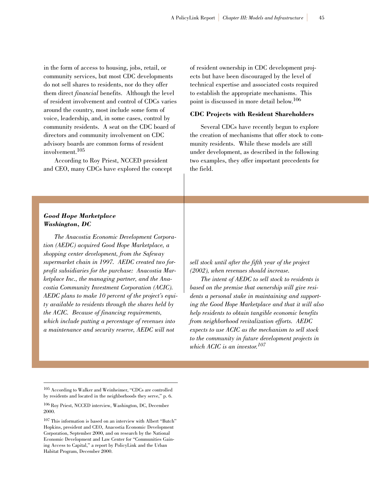in the form of access to housing, jobs, retail, or community services, but most CDC developments do not sell shares to residents, nor do they offer them direct *financial* benefits. Although the level of resident involvement and control of CDCs varies around the country, most include some form of voice, leadership, and, in some cases, control by community residents. A seat on the CDC board of directors and community involvement on CDC advisory boards are common forms of resident involvement.105

According to Roy Priest, NCCED president and CEO, many CDCs have explored the concept of resident ownership in CDC development projects but have been discouraged by the level of technical expertise and associated costs required to establish the appropriate mechanisms. This point is discussed in more detail below.106

#### **CDC Projects with Resident Shareholders**

Several CDCs have recently begun to explore the creation of mechanisms that offer stock to community residents. While these models are still under development, as described in the following two examples, they offer important precedents for the field.

#### *Good Hope Marketplace Washington, DC*

*The Anacostia Economic Development Corporation (AEDC) acquired Good Hope Marketplace, a shopping center development, from the Safeway supermarket chain in 1997. AEDC created two forprofit subsidiaries for the purchase: Anacostia Marketplace Inc., the managing partner, and the Anacostia Community Investment Corporation (ACIC). AEDC plans to make 10 percent of the project's equity available to residents through the shares held by the ACIC. Because of financing requirements, which include putting a percentage of revenues into a maintenance and security reserve, AEDC will not*

*sell stock until after the fifth year of the project (2002), when revenues should increase.*

*The intent of AEDC to sell stock to residents is based on the premise that ownership will give residents a personal stake in maintaining and supporting the Good Hope Marketplace and that it will also help residents to obtain tangible economic benefits from neighborhood revitalization efforts. AEDC expects to use ACIC as the mechanism to sell stock to the community in future development projects in which ACIC is an investor.107*

<sup>105</sup> According to Walker and Weinheimer, "CDCs are controlled by residents and located in the neighborhoods they serve," p. 6.

<sup>106</sup> Roy Priest, NCCED interview, Washington, DC, December 2000.

<sup>107</sup> This information is based on an interview with Albert "Butch" Hopkins, president and CEO, Anacostia Economic Development Corporation, September 2000, and on research by the National Economic Development and Law Center for "Communities Gaining Access to Capital," a report by PolicyLink and the Urban Habitat Program, December 2000.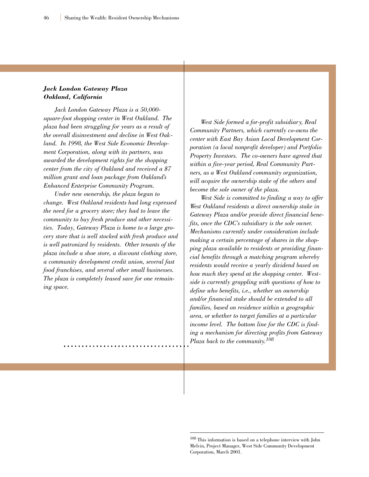#### *Jack London Gateway Plaza Oakland, California*

*Jack London Gateway Plaza is a 50,000 square-foot shopping center in West Oakland. The plaza had been struggling for years as a result of the overall disinvestment and decline in West Oakland. In 1998, the West Side Economic Development Corporation, along with its partners, was awarded the development rights for the shopping center from the city of Oakland and received a \$7 million grant and loan package from Oakland's Enhanced Enterprise Community Program.*

*Under new ownership, the plaza began to change. West Oakland residents had long expressed the need for a grocery store; they had to leave the community to buy fresh produce and other necessities. Today, Gateway Plaza is home to a large grocery store that is well stocked with fresh produce and is well patronized by residents. Other tenants of the plaza include a shoe store, a discount clothing store, a community development credit union, several fast food franchises, and several other small businesses. The plaza is completely leased save for one remaining space.*

*West Side formed a for-profit subsidiary, Real Community Partners, which currently co-owns the center with East Bay Asian Local Development Corporation (a local nonprofit developer) and Portfolio Property Investors. The co-owners have agreed that within a five-year period, Real Community Partners, as a West Oakland community organization, will acquire the ownership stake of the others and become the sole owner of the plaza.*

*West Side is committed to finding a way to offer West Oakland residents a direct ownership stake in Gateway Plaza and/or provide direct financial benefits, once the CDC's subsidiary is the sole owner. Mechanisms currently under consideration include making a certain percentage of shares in the shopping plaza available to residents or providing financial benefits through a matching program whereby residents would receive a yearly dividend based on how much they spend at the shopping center. Westside is currently grappling with questions of how to define who benefits, i.e., whether an ownership and/or financial stake should be extended to all families, based on residence within a geographic area, or whether to target families at a particular income level. The bottom line for the CDC is finding a mechanism for directing profits from Gateway Plaza back to the community.108*

<sup>108</sup> This information is based on a telephone interview with John Melvin, Project Manager, West Side Community Development Corporation, March 2001.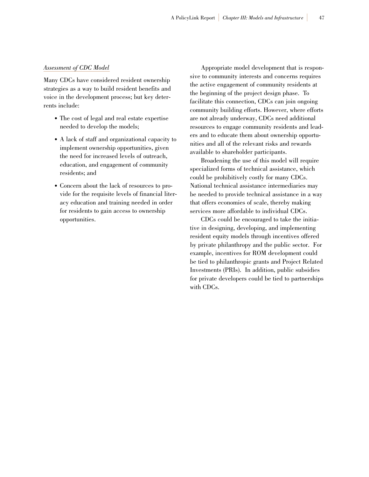#### *Assessment of CDC Model*

Many CDCs have considered resident ownership strategies as a way to build resident benefits and voice in the development process; but key deterrents include:

- The cost of legal and real estate expertise needed to develop the models;
- A lack of staff and organizational capacity to implement ownership opportunities, given the need for increased levels of outreach, education, and engagement of community residents; and
- Concern about the lack of resources to provide for the requisite levels of financial literacy education and training needed in order for residents to gain access to ownership opportunities.

Appropriate model development that is responsive to community interests and concerns requires the active engagement of community residents at the beginning of the project design phase. To facilitate this connection, CDCs can join ongoing community building efforts. However, where efforts are not already underway, CDCs need additional resources to engage community residents and leaders and to educate them about ownership opportunities and all of the relevant risks and rewards available to shareholder participants.

Broadening the use of this model will require specialized forms of technical assistance, which could be prohibitively costly for many CDCs. National technical assistance intermediaries may be needed to provide technical assistance in a way that offers economies of scale, thereby making services more affordable to individual CDCs.

CDCs could be encouraged to take the initiative in designing, developing, and implementing resident equity models through incentives offered by private philanthropy and the public sector. For example, incentives for ROM development could be tied to philanthropic grants and Project Related Investments (PRIs). In addition, public subsidies for private developers could be tied to partnerships with CDCs.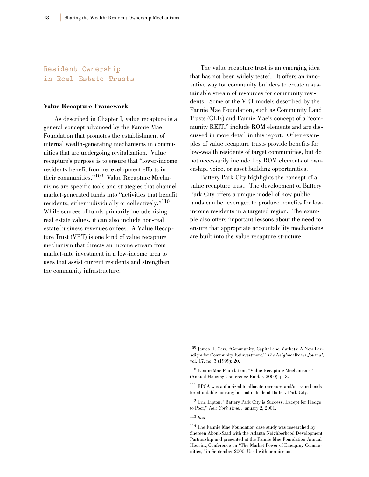**Resident Ownership in Real Estate Trusts**

#### **Value Recapture Framework**

As described in Chapter I, value recapture is a general concept advanced by the Fannie Mae Foundation that promotes the establishment of internal wealth-generating mechanisms in communities that are undergoing revitalization. Value recapture's purpose is to ensure that "lower-income residents benefit from redevelopment efforts in their communities."<sup>109</sup> Value Recapture Mechanisms are specific tools and strategies that channel market-generated funds into "activities that benefit residents, either individually or collectively."<sup>110</sup> While sources of funds primarily include rising real estate values, it can also include non-real estate business revenues or fees. A Value Recapture Trust (VRT) is one kind of value recapture mechanism that directs an income stream from market-rate investment in a low-income area to uses that assist current residents and strengthen the community infrastructure.

The value recapture trust is an emerging idea that has not been widely tested. It offers an innovative way for community builders to create a sustainable stream of resources for community residents. Some of the VRT models described by the Fannie Mae Foundation, such as Community Land Trusts (CLTs) and Fannie Mae's concept of a "community REIT," include ROM elements and are discussed in more detail in this report. Other examples of value recapture trusts provide benefits for low-wealth residents of target communities, but do not necessarily include key ROM elements of ownership, voice, or asset building opportunities.

Battery Park City highlights the concept of a value recapture trust. The development of Battery Park City offers a unique model of how public lands can be leveraged to produce benefits for lowincome residents in a targeted region. The example also offers important lessons about the need to ensure that appropriate accountability mechanisms are built into the value recapture structure.

<sup>113</sup> *Ibid*.

<sup>109</sup> James H. Carr, "Community, Capital and Markets: A New Paradigm for Community Reinvestment," *The NeighborWorks Journal,* vol. 17, no. 3 (1999): 20.

<sup>110</sup> Fannie Mae Foundation, "Value Recapture Mechanisms" (Annual Housing Conference Binder, 2000), p. 3.

<sup>111</sup> BPCA was authorized to allocate revenues and/or issue bonds for affordable housing but not outside of Battery Park City.

<sup>112</sup> Eric Lipton, "Battery Park City is Success, Except for Pledge to Poor," *New York Times,* January 2, 2001.

<sup>114</sup> The Fannie Mae Foundation case study was researched by Shereen Aboul-Saad with the Atlanta Neighborhood Development Partnership and presented at the Fannie Mae Foundation Annual Housing Conference on "The Market Power of Emerging Communities," in September 2000. Used with permission.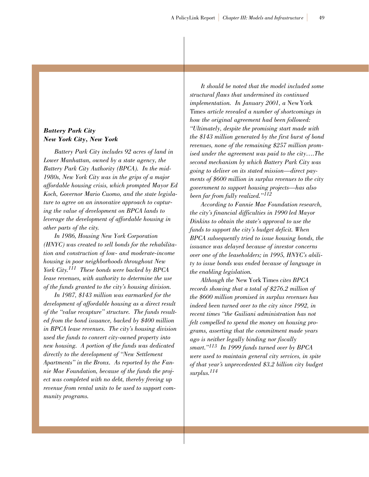#### *Battery Park City New York City, New York*

*Battery Park City includes 92 acres of land in Lower Manhattan, owned by a state agency, the Battery Park City Authority (BPCA). In the mid-1980s, New York City was in the grips of a major affordable housing crisis, which prompted Mayor Ed Koch, Governor Mario Cuomo, and the state legislature to agree on an innovative approach to capturing the value of development on BPCA lands to leverage the development of affordable housing in other parts of the city.*

*In 1986, Housing New York Corporation (HNYC) was created to sell bonds for the rehabilitation and construction of low- and moderate-income housing in poor neighborhoods throughout New York City.111 These bonds were backed by BPCA lease revenues, with authority to determine the use of the funds granted to the city's housing division.*

*In 1987, \$143 million was earmarked for the development of affordable housing as a direct result of the "value recapture" structure. The funds resulted from the bond issuance, backed by \$400 million in BPCA lease revenues. The city's housing division used the funds to convert city-owned property into new housing. A portion of the funds was dedicated directly to the development of "New Settlement Apartments" in the Bronx. As reported by the Fannie Mae Foundation, because of the funds the project was completed with no debt, thereby freeing up revenue from rental units to be used to support community programs.*

*It should be noted that the model included some structural flaws that undermined its continued implementation. In January 2001, a* New York Times *article revealed a number of shortcomings in how the original agreement had been followed: "Ultimately, despite the promising start made with the \$143 million generated by the first burst of bond revenues, none of the remaining \$257 million promised under the agreement was paid to the city….The second mechanism by which Battery Park City was going to deliver on its stated mission—direct payments of \$600 million in surplus revenues to the city government to support housing projects—has also been far from fully realized."<sup>112</sup>*

*According to Fannie Mae Foundation research, the city's financial difficulties in 1990 led Mayor Dinkins to obtain the state's approval to use the funds to support the city's budget deficit. When BPCA subsequently tried to issue housing bonds, the issuance was delayed because of investor concerns over one of the leaseholders; in 1995, HNYC's ability to issue bonds was ended because of language in the enabling legislation.*

*Although the* New York Times *cites BPCA records showing that a total of \$276.2 million of the \$600 million promised in surplus revenues has indeed been turned over to the city since 1992, in recent times "the Guiliani administration has not felt compelled to spend the money on housing programs, asserting that the commitment made years ago is neither legally binding nor fiscally smart."<sup>113</sup> In 1999 funds turned over by BPCA were used to maintain general city services, in spite of that year's unprecedented \$3.2 billion city budget surplus.114*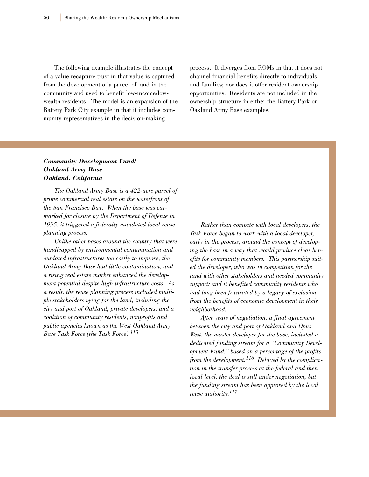The following example illustrates the concept of a value recapture trust in that value is captured from the development of a parcel of land in the community and used to benefit low-income/lowwealth residents. The model is an expansion of the Battery Park City example in that it includes community representatives in the decision-making

process. It diverges from ROMs in that it does not channel financial benefits directly to individuals and families; nor does it offer resident ownership opportunities. Residents are not included in the ownership structure in either the Battery Park or Oakland Army Base examples.

#### *Community Development Fund/ Oakland Army Base Oakland, California*

*The Oakland Army Base is a 422-acre parcel of prime commercial real estate on the waterfront of the San Francisco Bay. When the base was earmarked for closure by the Department of Defense in 1995, it triggered a federally mandated local reuse planning process.*

*Unlike other bases around the country that were handicapped by environmental contamination and outdated infrastructures too costly to improve, the Oakland Army Base had little contamination, and a rising real estate market enhanced the development potential despite high infrastructure costs. As a result, the reuse planning process included multiple stakeholders vying for the land, including the city and port of Oakland, private developers, and a coalition of community residents, nonprofits and public agencies known as the West Oakland Army Base Task Force (the Task Force).<sup>115</sup>*

*Rather than compete with local developers, the Task Force began to work with a local developer, early in the process, around the concept of developing the base in a way that would produce clear benefits for community members. This partnership suited the developer, who was in competition for the land with other stakeholders and needed community support; and it benefited community residents who had long been frustrated by a legacy of exclusion from the benefits of economic development in their neighborhood.*

*After years of negotiation, a final agreement between the city and port of Oakland and Opus West, the master developer for the base, included a dedicated funding stream for a "Community Development Fund," based on a percentage of the profits from the development.<sup>116</sup> Delayed by the complication in the transfer process at the federal and then local level, the deal is still under negotiation, but the funding stream has been approved by the local reuse authority.117*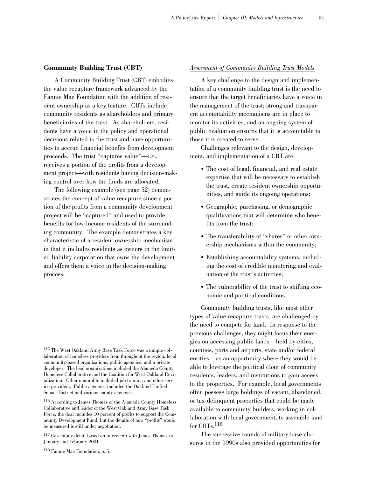#### **Community Building Trust (CBT)**

A Community Building Trust (CBT) embodies the value recapture framework advanced by the Fannie Mae Foundation with the addition of resident ownership as a key feature. CBTs include community residents as shareholders and primary beneficiaries of the trust. As shareholders, residents have a voice in the policy and operational decisions related to the trust and have opportunities to accrue financial benefits from development proceeds. The trust "captures value"—i.e., receives a portion of the profits from a development project—with residents having decision-making control over how the funds are allocated.

The following example (see page 52) demonstrates the concept of value recapture since a portion of the profits from a community development project will be "captured" and used to provide benefits for low-income residents of the surrounding community. The example demonstrates a key characteristic of a resident ownership mechanism in that it includes residents as owners in the limited liability corporation that owns the development and offers them a voice in the decision-making process.

#### *Assessment of Community Building Trust Models*

A key challenge to the design and implementation of a community building trust is the need to ensure that the target beneficiaries have a voice in the management of the trust; strong and transparent accountability mechanisms are in place to monitor its activities; and an ongoing system of public evaluation ensures that it is accountable to those it is created to serve.

Challenges relevant to the design, development, and implementation of a CBT are:

- The cost of legal, financial, and real estate expertise that will be necessary to establish the trust, create resident ownership opportunities, and guide its ongoing operations;
- Geographic, purchasing, or demographic qualifications that will determine who benefits from the trust;
- The transferability of "shares" or other ownership mechanisms within the community;
- Establishing accountability systems, including the cost of credible monitoring and evaluation of the trust's activities;
- The vulnerability of the trust to shifting economic and political conditions.

Community building trusts, like most other types of value recapture trusts, are challenged by the need to compete for land. In response to the previous challenges, they might focus their energies on accessing public lands—held by cities, counties, ports and airports, state and/or federal entities—as an opportunity where they would be able to leverage the political clout of community residents, leaders, and institutions to gain access to the properties. For example, local governments often possess large holdings of vacant, abandoned, or tax-delinquent properties that could be made available to community builders, working in collaboration with local government, to assemble land for CBTs.118

The successive rounds of military base closures in the 1990s also provided opportunities for

<sup>115</sup> The West Oakland Army Base Task Force was a unique collaboration of homeless providers from throughout the region, local community-based organizations, public agencies, and a private developer. The lead organizations included the Alameda County Homeless Collaborative and the Coalition for West Oakland Revitalization. Other nonprofits included job training and other service providers. Public agencies included the Oakland Unified School District and various county agencies.

<sup>116</sup> According to James Thomas of the Alameda County Homeless Collaborative and leader of the West Oakland Army Base Task Force, the deal includes 10 percent of profits to support the Community Development Fund, but the details of how "profits" would be measured is still under negotiation.

<sup>117</sup> Case study detail based on interviews with James Thomas in January and February 2001.

<sup>118</sup> Fannie Mae Foundation, p. 5.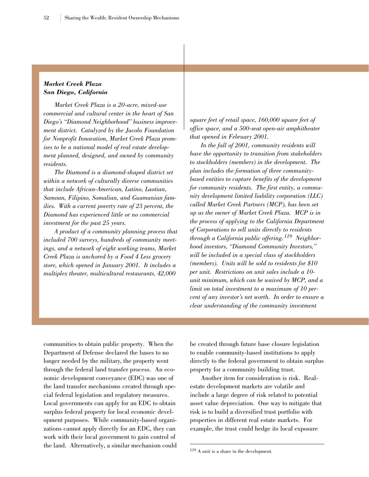#### *Market Creek Plaza San Diego, California*

*Market Creek Plaza is a 20-acre, mixed-use commercial and cultural center in the heart of San Diego's "Diamond Neighborhood" business improvement district. Catalyzed by the Jacobs Foundation for Nonprofit Innovation, Market Creek Plaza promises to be a national model of real estate development planned, designed, and owned by community residents.*

*The Diamond is a diamond-shaped district set within a network of culturally diverse communities that include African-American, Latino, Laotian, Samoan, Filipino, Somalian, and Guamanian families. With a current poverty rate of 23 percent, the Diamond has experienced little or no commercial investment for the past 25 years.*

*A product of a community planning process that included 700 surveys, hundreds of community meetings, and a network of eight working teams, Market Creek Plaza is anchored by a Food 4 Less grocery store, which opened in January 2001. It includes a multiplex theater, multicultural restaurants, 42,000*

*square feet of retail space, 160,000 square feet of office space, and a 500-seat open-air amphitheater that opened in February 2001.*

*In the fall of 2001, community residents will have the opportunity to transition from stakeholders to stockholders (members) in the development. The plan includes the formation of three communitybased entities to capture benefits of the development for community residents. The first entity, a community development limited liability corporation (LLC) called Market Creek Partners (MCP), has been set up as the owner of Market Creek Plaza. MCP is in the process of applying to the California Department of Corporations to sell units directly to residents through a California public offering.<sup>119</sup> Neighborhood investors, "Diamond Community Investors," will be included in a special class of stockholders (members). Units will be sold to residents for \$10 per unit. Restrictions on unit sales include a 10 unit minimum, which can be waived by MCP, and a limit on total investment to a maximum of 10 percent of any investor's net worth. In order to ensure a clear understanding of the community investment*

communities to obtain public property. When the Department of Defense declared the bases to no longer needed by the military, the property went through the federal land transfer process. An economic development conveyance (EDC) was one of the land transfer mechanisms created through special federal legislation and regulatory measures. Local governments can apply for an EDC to obtain surplus federal property for local economic development purposes. While community-based organizations cannot apply directly for an EDC, they can work with their local government to gain control of the land. Alternatively, a similar mechanism could be created through future base closure legislation to enable community-based institutions to apply directly to the federal government to obtain surplus property for a community building trust.

Another item for consideration is risk. Realestate development markets are volatile and include a large degree of risk related to potential asset value depreciation. One way to mitigate that risk is to build a diversified trust portfolio with properties in different real estate markets. For example, the trust could hedge its local exposure

<sup>119</sup> A unit is a share in the development.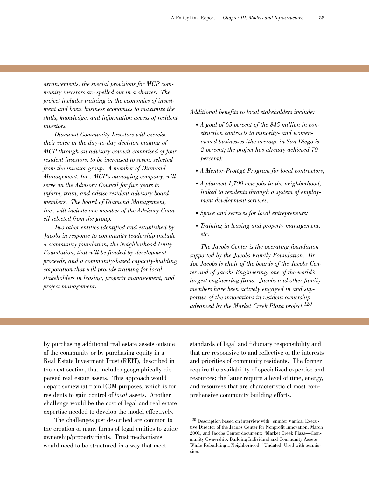*arrangements, the special provisions for MCP community investors are spelled out in a charter. The project includes training in the economics of investment and basic business economics to maximize the skills, knowledge, and information access of resident investors.*

*Diamond Community Investors will exercise their voice in the day-to-day decision making of MCP through an advisory council comprised of four resident investors, to be increased to seven, selected from the investor group. A member of Diamond Management, Inc., MCP's managing company, will serve on the Advisory Council for five years to inform, train, and advise resident advisory board members. The board of Diamond Management, Inc., will include one member of the Advisory Council selected from the group.*

*Two other entities identified and established by Jacobs in response to community leadership include a community foundation, the Neighborhood Unity Foundation, that will be funded by development proceeds; and a community-based capacity-building corporation that will provide training for local stakeholders in leasing, property management, and project management.* 

#### *Additional benefits to local stakeholders include:*

- *A goal of 65 percent of the \$45 million in construction contracts to minority- and womenowned businesses (the average in San Diego is 2 percent; the project has already achieved 70 percent);*
- *A Mentor-Protégé Program for local contractors;*
- *A planned 1,700 new jobs in the neighborhood, linked to residents through a system of employment development services;*
- *Space and services for local entrepreneurs;*
- *Training in leasing and property management, etc.*

*The Jacobs Center is the operating foundation supported by the Jacobs Family Foundation. Dr. Joe Jacobs is chair of the boards of the Jacobs Center and of Jacobs Engineering, one of the world's largest engineering firms. Jacobs and other family members have been actively engaged in and supportive of the innovations in resident ownership advanced by the Market Creek Plaza project.120*

by purchasing additional real estate assets outside of the community or by purchasing equity in a Real Estate Investment Trust (REIT), described in the next section, that includes geographically dispersed real estate assets. This approach would depart somewhat from ROM purposes, which is for residents to gain control of *local* assets. Another challenge would be the cost of legal and real estate expertise needed to develop the model effectively.

The challenges just described are common to the creation of many forms of legal entities to guide ownership/property rights. Trust mechanisms would need to be structured in a way that meet

standards of legal and fiduciary responsibility and that are responsive to and reflective of the interests and priorities of community residents. The former require the availability of specialized expertise and resources; the latter require a level of time, energy, and resources that are characteristic of most comprehensive community building efforts.

<sup>120</sup> Description based on interview with Jennifer Vanica, Executive Director of the Jacobs Center for Nonprofit Innovation, March 2001, and Jacobs Center document: "Market Creek Plaza—Community Ownership: Building Individual and Community Assets While Rebuilding a Neighborhood." Undated. Used with permission.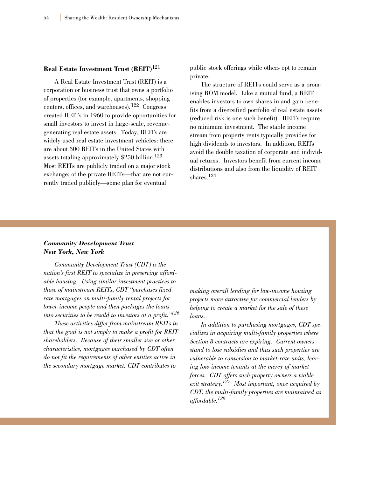#### **Real Estate Investment Trust (REIT)**<sup>121</sup>

A Real Estate Investment Trust (REIT) is a corporation or business trust that owns a portfolio of properties (for example, apartments, shopping centers, offices, and warehouses).<sup>122</sup> Congress created REITs in 1960 to provide opportunities for small investors to invest in large-scale, revenuegenerating real estate assets. Today, REITs are widely used real estate investment vehicles: there are about 300 REITs in the United States with assets totaling approximately \$250 billion.<sup>123</sup> Most REITs are publicly traded on a major stock exchange; of the private REITs—that are not currently traded publicly—some plan for eventual

public stock offerings while others opt to remain private.

The structure of REITs could serve as a promising ROM model. Like a mutual fund, a REIT enables investors to own shares in and gain benefits from a diversified portfolio of real estate assets (reduced risk is one such benefit). REITs require no minimum investment. The stable income stream from property rents typically provides for high dividends to investors. In addition, REITs avoid the double taxation of corporate and individual returns. Investors benefit from current income distributions and also from the liquidity of REIT shares<sup>124</sup>

#### *Community Development Trust New York, New York*

*Community Development Trust (CDT) is the nation's first REIT to specialize in preserving affordable housing. Using similar investment practices to those of mainstream REITs, CDT "purchases fixedrate mortgages on multi-family rental projects for lower-income people and then packages the loans into securities to be resold to investors at a profit."126*

*These activities differ from mainstream REITs in that the goal is not simply to make a profit for REIT shareholders. Because of their smaller size or other characteristics, mortgages purchased by CDT often do not fit the requirements of other entities active in the secondary mortgage market. CDT contributes to*

*making overall lending for low-income housing projects more attractive for commercial lenders by helping to create a market for the sale of these loans.*

*In addition to purchasing mortgages, CDT specializes in acquiring multi-family properties where Section 8 contracts are expiring. Current owners stand to lose subsidies and thus such properties are vulnerable to conversion to market-rate units, leaving low-income tenants at the mercy of market forces. CDT offers such property owners a viable exit strategy.127 Most important, once acquired by CDT, the multi-family properties are maintained as affordable.128*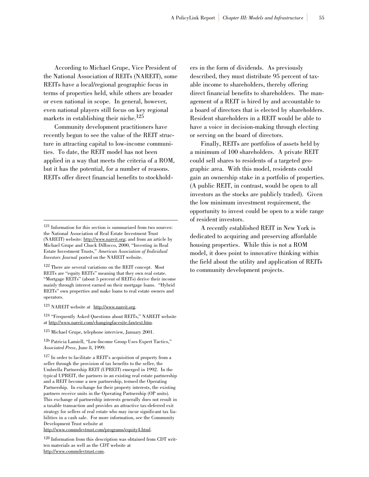According to Michael Grupe, Vice President of the National Association of REITs (NAREIT), some REITs have a local/regional geographic focus in terms of properties held, while others are broader or even national in scope. In general, however, even national players still focus on key regional markets in establishing their niche. $125$ 

Community development practitioners have recently begun to see the value of the REIT structure in attracting capital to low-income communities. To date, the REIT model has not been applied in a way that meets the criteria of a ROM, but it has the potential, for a number of reasons. REITs offer direct financial benefits to stockhold-

<sup>123</sup> NAREIT website at http://www.nareit.org.

<sup>124</sup> "Frequently Asked Questions about REITs," NAREIT website at http://www.nareit.com/changingfacesite.fawtext.htm.

<sup>126</sup> Patricia Lamiell, "Low-Income Group Uses Expert Tactics," *Associated Press*, June 8, 1999.

<sup>127</sup> In order to facilitate a REIT's acquisition of property from a seller through the provision of tax benefits to the seller, the Umbrella Partnership REIT (UPREIT) emerged in 1992. In the typical UPREIT, the partners in an existing real estate partnership and a REIT become a new partnership, termed the Operating Partnership. In exchange for their property interests, the existing partners receive units in the Operating Partnership (OP units). This exchange of partnership interests generally does not result in a taxable transaction and provides an attractive tax-deferred exit strategy for sellers of real estate who may incur significant tax liabilities in a cash sale. For more information, see the Community Development Trust website at

http://www.commdevtrust.com/programs/equity4.html.

<sup>128</sup> Information from this description was obtained from CDT written materials as well as the CDT website at http://www.commdevtrust.com.

ers in the form of dividends. As previously described, they must distribute 95 percent of taxable income to shareholders, thereby offering direct financial benefits to shareholders. The management of a REIT is hired by and accountable to a board of directors that is elected by shareholders. Resident shareholders in a REIT would be able to have a voice in decision-making through electing or serving on the board of directors.

Finally, REITs are portfolios of assets held by a minimum of 100 shareholders. A private REIT could sell shares to residents of a targeted geographic area. With this model, residents could gain an ownership stake in a portfolio of properties. (A public REIT, in contrast, would be open to all investors as the stocks are publicly traded). Given the low minimum investment requirement, the opportunity to invest could be open to a wide range of resident investors.

A recently established REIT in New York is dedicated to acquiring and preserving affordable housing properties. While this is not a ROM model, it does point to innovative thinking within the field about the utility and application of REITs to community development projects.

<sup>121</sup> Information for this section is summarized from two sources: the National Association of Real Estate Investment Trust (NAREIT) website: http://www.nareit.org; and from an article by Michael Grupe and Chuck DiRocco, 2000, "Investing in Real Estate Investment Trusts," *American Association of Individual Investors Journal* posted on the NAREIT website.

<sup>122</sup> There are several variations on the REIT concept. Most REITs are "equity REITs" meaning that they own real estate. "Mortgage REITs" (about 5 percent of REITs) derive their income mainly through interest earned on their mortgage loans. "Hybrid REITs" own properties and make loans to real estate owners and operators.

<sup>125</sup> Michael Grupe, telephone interview, January 2001.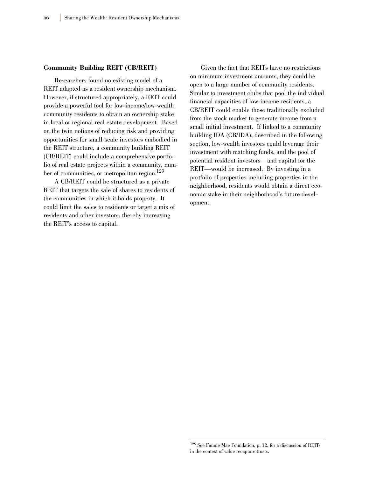#### **Community Building REIT (CB/REIT)**

Researchers found no existing model of a REIT adapted as a resident ownership mechanism. However, if structured appropriately, a REIT could provide a powerful tool for low-income/low-wealth community residents to obtain an ownership stake in local or regional real estate development. Based on the twin notions of reducing risk and providing opportunities for small-scale investors embodied in the REIT structure, a community building REIT (CB/REIT) could include a comprehensive portfolio of real estate projects within a community, number of communities, or metropolitan region.129

A CB/REIT could be structured as a private REIT that targets the sale of shares to residents of the communities in which it holds property. It could limit the sales to residents or target a mix of residents and other investors, thereby increasing the REIT's access to capital.

Given the fact that REITs have no restrictions on minimum investment amounts, they could be open to a large number of community residents. Similar to investment clubs that pool the individual financial capacities of low-income residents, a CB/REIT could enable those traditionally excluded from the stock market to generate income from a small initial investment. If linked to a community building IDA (CB/IDA), described in the following section, low-wealth investors could leverage their investment with matching funds, and the pool of potential resident investors—and capital for the REIT—would be increased. By investing in a portfolio of properties including properties in the neighborhood, residents would obtain a direct economic stake in their neighborhood's future development.

<sup>129</sup> See Fannie Mae Foundation, p. 12, for a discussion of REITs in the context of value recapture trusts.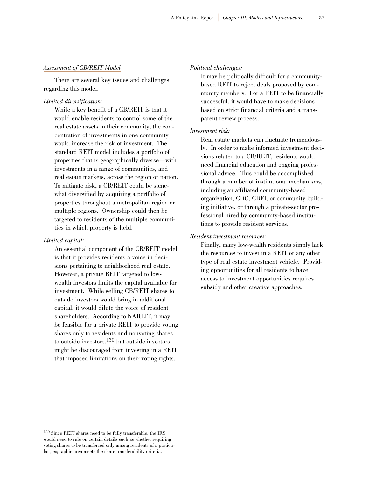#### *Assessment of CB/REIT Model*

There are several key issues and challenges regarding this model.

#### *Limited diversification:*

While a key benefit of a CB/REIT is that it would enable residents to control some of the real estate assets in their community, the concentration of investments in one community would increase the risk of investment. The standard REIT model includes a portfolio of properties that is geographically diverse—with investments in a range of communities, and real estate markets, across the region or nation. To mitigate risk, a CB/REIT could be somewhat diversified by acquiring a portfolio of properties throughout a metropolitan region or multiple regions. Ownership could then be targeted to residents of the multiple communities in which property is held.

#### *Limited capital:*

An essential component of the CB/REIT model is that it provides residents a voice in decisions pertaining to neighborhood real estate. However, a private REIT targeted to lowwealth investors limits the capital available for investment. While selling CB/REIT shares to outside investors would bring in additional capital, it would dilute the voice of resident shareholders. According to NAREIT, it may be feasible for a private REIT to provide voting shares only to residents and nonvoting shares to outside investors,<sup>130</sup> but outside investors might be discouraged from investing in a REIT that imposed limitations on their voting rights.

#### *Political challenges:*

It may be politically difficult for a communitybased REIT to reject deals proposed by community members. For a REIT to be financially successful, it would have to make decisions based on strict financial criteria and a transparent review process.

#### *Investment risk:*

Real estate markets can fluctuate tremendously. In order to make informed investment decisions related to a CB/REIT, residents would need financial education and ongoing professional advice. This could be accomplished through a number of institutional mechanisms, including an affiliated community-based organization, CDC, CDFI, or community building initiative, or through a private-sector professional hired by community-based institutions to provide resident services.

#### *Resident investment resources:*

Finally, many low-wealth residents simply lack the resources to invest in a REIT or any other type of real estate investment vehicle. Providing opportunities for all residents to have access to investment opportunities requires subsidy and other creative approaches.

<sup>130</sup> Since REIT shares need to be fully transferable, the IRS would need to rule on certain details such as whether requiring voting shares to be transferred only among residents of a particular geographic area meets the share transferability criteria.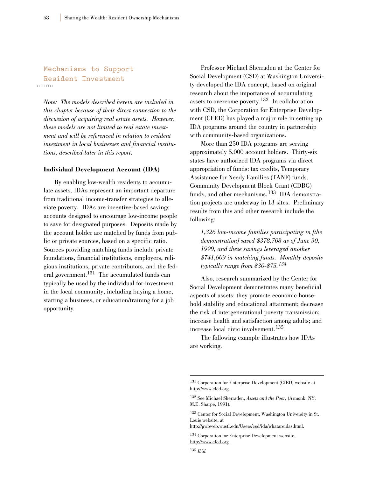# **Mechanisms to Support Resident Investment**

*Note: The models described herein are included in this chapter because of their direct connection to the discussion of acquiring real estate assets. However, these models are not limited to real estate investment and will be referenced in relation to resident investment in local businesses and financial institutions, described later in this report.*

#### **Individual Development Account (IDA)**

By enabling low-wealth residents to accumulate assets, IDAs represent an important departure from traditional income-transfer strategies to alleviate poverty. IDAs are incentive-based savings accounts designed to encourage low-income people to save for designated purposes. Deposits made by the account holder are matched by funds from public or private sources, based on a specific ratio. Sources providing matching funds include private foundations, financial institutions, employers, religious institutions, private contributors, and the federal government.<sup>131</sup> The accumulated funds can typically be used by the individual for investment in the local community, including buying a home, starting a business, or education/training for a job opportunity.

Professor Michael Sherraden at the Center for Social Development (CSD) at Washington University developed the IDA concept, based on original research about the importance of accumulating assets to overcome poverty.<sup>132</sup> In collaboration with CSD, the Corporation for Enterprise Development (CFED) has played a major role in setting up IDA programs around the country in partnership with community-based organizations.

More than 250 IDA programs are serving approximately 5,000 account holders. Thirty-six states have authorized IDA programs via direct appropriation of funds: tax credits, Temporary Assistance for Needy Families (TANF) funds, Community Development Block Grant (CDBG) funds, and other mechanisms.<sup>133</sup> IDA demonstration projects are underway in 13 sites. Preliminary results from this and other research include the following:

*1,326 low-income families participating in [the demonstration] saved \$378,708 as of June 30, 1999, and these savings leveraged another \$741,609 in matching funds. Monthly deposits typically range from \$30-\$75.<sup>134</sup>*

Also, research summarized by the Center for Social Development demonstrates many beneficial aspects of assets: they promote economic household stability and educational attainment; decrease the risk of intergenerational poverty transmission; increase health and satisfaction among adults; and increase local civic involvement.<sup>135</sup>

The following example illustrates how IDAs are working.

http://gwbweb.wustl.edu/Users/csd/ida/whatareidas.html.

<sup>131</sup> Corporation for Enterprise Development (CfED) website at http://www.cfed.org.

<sup>132</sup> See Michael Sherraden, *Assets and the Poor,* (Armonk, NY: M.E. Sharpe, 1991).

<sup>133</sup> Center for Social Development, Washington University in St. Louis website, at

<sup>134</sup> Corporation for Enterprise Development website, http://www.cfed.org.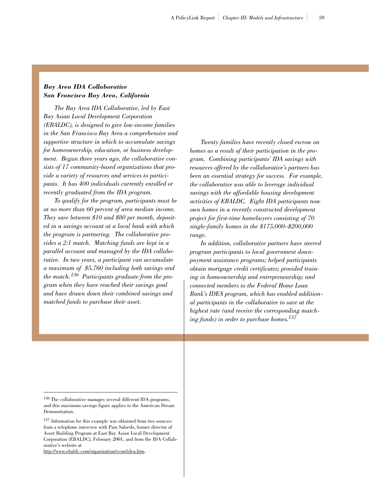## *Bay Area IDA Collaborative San Francisco Bay Area, California*

*The Bay Area IDA Collaborative, led by East Bay Asian Local Development Corporation (EBALDC), is designed to give low-income families in the San Francisco Bay Area a comprehensive and supportive structure in which to accumulate savings for homeownership, education, or business development. Begun three years ago, the collaborative consists of 17 community-based organizations that provide a variety of resources and services to participants. It has 400 individuals currently enrolled or recently graduated from the IDA program.*

*To qualify for the program, participants must be at no more than 60 percent of area median income. They save between \$10 and \$80 per month, deposited in a savings account at a local bank with which the program is partnering. The collaborative provides a 2:1 match. Matching funds are kept in a parallel account and managed by the IDA collaborative. In two years, a participant can accumulate a maximum of \$5,760 including both savings and the match.<sup>136</sup> Participants graduate from the program when they have reached their savings goal and have drawn down their combined savings and matched funds to purchase their asset.*

*Twenty families have recently closed escrow on homes as a result of their participation in the program. Combining participants' IDA savings with resources offered by the collaborative's partners has been an essential strategy for success. For example, the collaborative was able to leverage individual savings with the affordable housing development activities of EBALDC. Eight IDA participants now own homes in a recently constructed development project for first-time homebuyers consisting of 70 single-family homes in the \$175,000–\$200,000 range.*

*In addition, collaborative partners have steered program participants to local government downpayment assistance programs; helped participants obtain mortgage credit certificates; provided training in homeownership and entrepreneurship; and connected members to the Federal Home Loan Bank's IDEA program, which has enabled additional participants in the collaborative to save at the highest rate (and receive the corresponding matching funds) in order to purchase homes.137*

http://www.ebaldc.com/organization/econ/idea.htm.

<sup>136</sup> The collaborative manages several different IDA programs, and this maximum savings figure applies to the American Dream Demonstration.

<sup>137</sup> Information for this example was obtained from two sources: from a telephone interview with Pam Salsedo, former director of Asset Building Program at East Bay Asian Local Development Corporation (EBALDC), February 2001, and from the IDA Collaborative's website at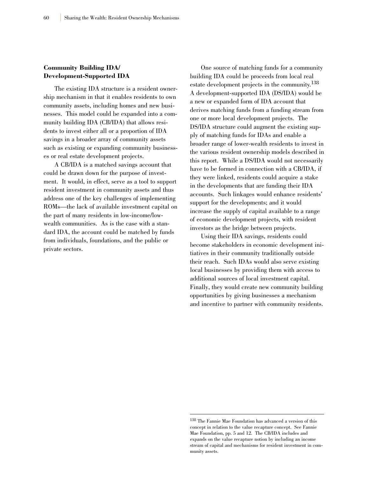## **Community Building IDA/ Development-Supported IDA**

The existing IDA structure is a resident ownership mechanism in that it enables residents to own community assets, including homes and new businesses. This model could be expanded into a community building IDA (CB/IDA) that allows residents to invest either all or a proportion of IDA savings in a broader array of community assets such as existing or expanding community businesses or real estate development projects.

A CB/IDA is a matched savings account that could be drawn down for the purpose of investment. It would, in effect, serve as a tool to support resident investment in community assets and thus address one of the key challenges of implementing ROMs—the lack of available investment capital on the part of many residents in low-income/lowwealth communities. As is the case with a standard IDA, the account could be matched by funds from individuals, foundations, and the public or private sectors.

One source of matching funds for a community building IDA could be proceeds from local real estate development projects in the community.<sup>138</sup> A development-supported IDA (DS/IDA) would be a new or expanded form of IDA account that derives matching funds from a funding stream from one or more local development projects. The DS/IDA structure could augment the existing supply of matching funds for IDAs and enable a broader range of lower-wealth residents to invest in the various resident ownership models described in this report. While a DS/IDA would not necessarily have to be formed in connection with a CB/IDA, if they were linked, residents could acquire a stake in the developments that are funding their IDA accounts. Such linkages would enhance residents' support for the developments; and it would increase the supply of capital available to a range of economic development projects, with resident investors as the bridge between projects.

Using their IDA savings, residents could become stakeholders in economic development initiatives in their community traditionally outside their reach. Such IDAs would also serve existing local businesses by providing them with access to additional sources of local investment capital. Finally, they would create new community building opportunities by giving businesses a mechanism and incentive to partner with community residents.

<sup>138</sup> The Fannie Mae Foundation has advanced a version of this concept in relation to the value recapture concept. See Fannie Mae Foundation, pp. 5 and 12. The CB/IDA includes and expands on the value recapture notion by including an income stream of capital and mechanisms for resident investment in community assets.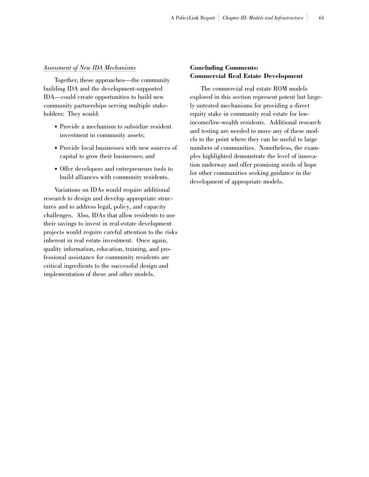#### *Assessment of New IDA Mechanisms*

Together, these approaches—the community building IDA and the development-supported IDA—could create opportunities to build new community partnerships serving multiple stakeholders: They would:

- Provide a mechanism to subsidize resident investment in community assets;
- Provide local businesses with new sources of capital to grow their businesses; and
- Offer developers and entrepreneurs tools to build alliances with community residents.

Variations on IDAs would require additional research to design and develop appropriate structures and to address legal, policy, and capacity challenges. Also, IDAs that allow residents to use their savings to invest in real-estate development projects would require careful attention to the risks inherent in real estate investment. Once again, quality information, education, training, and professional assistance for community residents are critical ingredients to the successful design and implementation of these and other models.

## **Concluding Comments: Commercial Real Estate Development**

The commercial real estate ROM models explored in this section represent potent but largely untested mechanisms for providing a direct equity stake in community real estate for lowincome/low-wealth residents. Additional research and testing are needed to move any of these models to the point where they can be useful to large numbers of communities. Nonetheless, the examples highlighted demonstrate the level of innovation underway and offer promising seeds of hope for other communities seeking guidance in the development of appropriate models.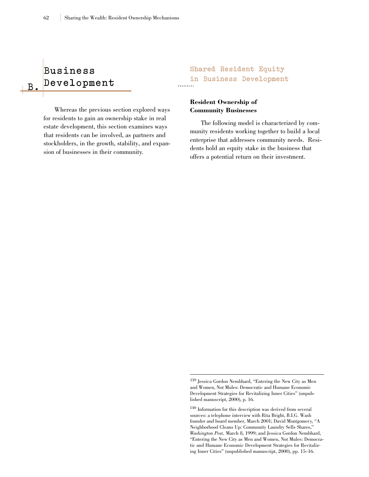# **Business D e v e l o p m e n t**

**B .**

Whereas the previous section explored ways for residents to gain an ownership stake in real estate development, this section examines ways that residents can be involved, as partners and stockholders, in the growth, stability, and expansion of businesses in their community.

# **Shared Resident Equity in Business Development**

## **Resident Ownership of Community Businesses**

The following model is characterized by community residents working together to build a local enterprise that addresses community needs. Residents hold an equity stake in the business that offers a potential return on their investment.

<sup>139</sup> Jessica Gordon Nembhard, "Entering the New City as Men and Women, Not Mules: Democratic and Humane Economic Development Strategies for Revitalizing Inner Cities" (unpublished manuscript, 2000), p. 16.

<sup>140</sup> Information for this description was derived from several sources: a telephone interview with Rita Bright, B.I.G. Wash founder and board member, March 2001; David Montgomery, "A Neighborhood Cleans Up: Community Laundry Sells Shares," *Washington Post,* March 8, 1999; and Jessica Gordon Nembhard, "Entering the New City as Men and Women, Not Mules: Democratic and Humane Economic Development Strategies for Revitalizing Inner Cities" (unpublished manuscript, 2000), pp. 15–16.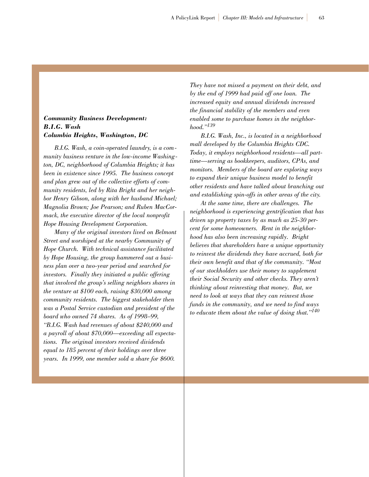## *Community Business Development: B.I.G. Wash Columbia Heights, Washington, DC*

*B.I.G. Wash, a coin-operated laundry, is a community business venture in the low-income Washington, DC, neighborhood of Columbia Heights; it has been in existence since 1995. The business concept and plan grew out of the collective efforts of community residents, led by Rita Bright and her neighbor Henry Gibson, along with her husband Michael; Magnolia Brown; Joe Pearson; and Ruben MacCormack, the executive director of the local nonprofit Hope Housing Development Corporation.* 

*Many of the original investors lived on Belmont Street and worshiped at the nearby Community of Hope Church. With technical assistance facilitated by Hope Housing, the group hammered out a business plan over a two-year period and searched for investors. Finally they initiated a public offering that involved the group's selling neighbors shares in the venture at \$100 each, raising \$30,000 among community residents. The biggest stakeholder then was a Postal Service custodian and president of the board who owned 74 shares. As of 1998–99, "B.I.G. Wash had revenues of about \$240,000 and a payroll of about \$70,000—exceeding all expectations. The original investors received dividends equal to 185 percent of their holdings over three years. In 1999, one member sold a share for \$600.*

*They have not missed a payment on their debt, and by the end of 1999 had paid off one loan. The increased equity and annual dividends increased the financial stability of the members and even enabled some to purchase homes in the neighborhood."<sup>139</sup>*

*B.I.G. Wash, Inc., is located in a neighborhood mall developed by the Columbia Heights CDC. Today, it employs neighborhood residents—all parttime—serving as bookkeepers, auditors, CPAs, and monitors. Members of the board are exploring ways to expand their unique business model to benefit other residents and have talked about branching out and establishing spin-offs in other areas of the city.*

*At the same time, there are challenges. The neighborhood is experiencing gentrification that has driven up property taxes by as much as 25-30 percent for some homeowners. Rent in the neighborhood has also been increasing rapidly. Bright believes that shareholders have a unique opportunity to reinvest the dividends they have accrued, both for their own benefit and that of the community. "Most of our stockholders use their money to supplement their Social Security and other checks. They aren't thinking about reinvesting that money. But, we need to look at ways that they can reinvest those funds in the community, and we need to find ways to educate them about the value of doing that."<sup>140</sup>*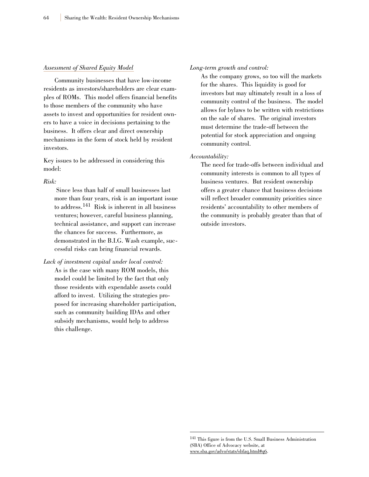#### *Assessment of Shared Equity Model*

Community businesses that have low-income residents as investors/shareholders are clear examples of ROMs. This model offers financial benefits to those members of the community who have assets to invest and opportunities for resident owners to have a voice in decisions pertaining to the business. It offers clear and direct ownership mechanisms in the form of stock held by resident investors.

Key issues to be addressed in considering this model:

#### *Risk:*

Since less than half of small businesses last more than four years, risk is an important issue to address.<sup>141</sup> Risk is inherent in all business ventures; however, careful business planning, technical assistance, and support can increase the chances for success. Furthermore, as demonstrated in the B.I.G. Wash example, successful risks can bring financial rewards.

## *Lack of investment capital under local control:* As is the case with many ROM models, this model could be limited by the fact that only those residents with expendable assets could afford to invest. Utilizing the strategies proposed for increasing shareholder participation, such as community building IDAs and other subsidy mechanisms, would help to address this challenge.

#### *Long-term growth and control:*

As the company grows, so too will the markets for the shares. This liquidity is good for investors but may ultimately result in a loss of community control of the business. The model allows for bylaws to be written with restrictions on the sale of shares. The original investors must determine the trade-off between the potential for stock appreciation and ongoing community control.

#### *Accountability:*

The need for trade-offs between individual and community interests is common to all types of business ventures. But resident ownership offers a greater chance that business decisions will reflect broader community priorities since residents' accountability to other members of the community is probably greater than that of outside investors.

<sup>141</sup> This figure is from the U.S. Small Business Administration (SBA) Office of Advocacy website, at www.sba.gov/advo/stats/sbfaq.html#q6.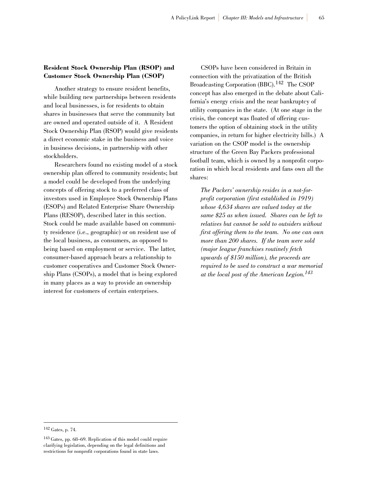## **Resident Stock Ownership Plan (RSOP) and Customer Stock Ownership Plan (CSOP)**

Another strategy to ensure resident benefits, while building new partnerships between residents and local businesses, is for residents to obtain shares in businesses that serve the community but are owned and operated outside of it. A Resident Stock Ownership Plan (RSOP) would give residents a direct economic stake in the business and voice in business decisions, in partnership with other stockholders.

Researchers found no existing model of a stock ownership plan offered to community residents; but a model could be developed from the underlying concepts of offering stock to a preferred class of investors used in Employee Stock Ownership Plans (ESOPs) and Related Enterprise Share Ownership Plans (RESOP), described later in this section. Stock could be made available based on community residence (i.e., geographic) or on resident use of the local business, as consumers, as opposed to being based on employment or service. The latter, consumer-based approach bears a relationship to customer cooperatives and Customer Stock Ownership Plans (CSOPs), a model that is being explored in many places as a way to provide an ownership interest for customers of certain enterprises.

CSOPs have been considered in Britain in connection with the privatization of the British Broadcasting Corporation (BBC).<sup>142</sup> The CSOP concept has also emerged in the debate about California's energy crisis and the near bankruptcy of utility companies in the state. (At one stage in the crisis, the concept was floated of offering customers the option of obtaining stock in the utility companies, in return for higher electricity bills.) A variation on the CSOP model is the ownership structure of the Green Bay Packers professional football team, which is owned by a nonprofit corporation in which local residents and fans own all the shares:

*The Packers' ownership resides in a not-forprofit corporation (first established in 1919) whose 4,634 shares are valued today at the same \$25 as when issued. Shares can be left to relatives but cannot be sold to outsiders without first offering them to the team. No one can own more than 200 shares. If the team were sold (major league franchises routinely fetch upwards of \$150 million), the proceeds are required to be used to construct a war memorial at the local post of the American Legion.<sup>143</sup>*

<sup>142</sup> Gates, p. 74.

<sup>143</sup> Gates, pp. 68–69. Replication of this model could require clarifying legislation, depending on the legal definitions and restrictions for nonprofit corporations found in state laws.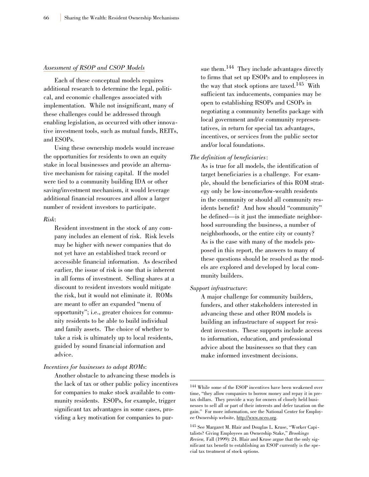#### *Assessment of RSOP and CSOP Models*

Each of these conceptual models requires additional research to determine the legal, political, and economic challenges associated with implementation. While not insignificant, many of these challenges could be addressed through enabling legislation, as occurred with other innovative investment tools, such as mutual funds, REITs, and ESOPs.

Using these ownership models would increase the opportunities for residents to own an equity stake in local businesses and provide an alternative mechanism for raising capital. If the model were tied to a community building IDA or other saving/investment mechanism, it would leverage additional financial resources and allow a larger number of resident investors to participate.

#### *Risk*:

Resident investment in the stock of any company includes an element of risk. Risk levels may be higher with newer companies that do not yet have an established track record or accessible financial information. As described earlier, the issue of risk is one that is inherent in all forms of investment. Selling shares at a discount to resident investors would mitigate the risk, but it would not eliminate it. ROMs are meant to offer an expanded "menu of opportunity"; i.e., greater choices for community residents to be able to build individual and family assets. The choice of whether to take a risk is ultimately up to local residents, guided by sound financial information and advice.

#### *Incentives for businesses to adopt ROMs*:

Another obstacle to advancing these models is the lack of tax or other public policy incentives for companies to make stock available to community residents. ESOPs, for example, trigger significant tax advantages in some cases, providing a key motivation for companies to pur-

sue them.<sup>144</sup> They include advantages directly to firms that set up ESOPs and to employees in the way that stock options are taxed.<sup>145</sup> With sufficient tax inducements, companies may be open to establishing RSOPs and CSOPs in negotiating a community benefits package with local government and/or community representatives, in return for special tax advantages, incentives, or services from the public sector and/or local foundations.

#### *The definition of beneficiaries*:

As is true for all models, the identification of target beneficiaries is a challenge. For example, should the beneficiaries of this ROM strategy only be low-income/low-wealth residents in the community or should all community residents benefit? And how should "community" be defined—is it just the immediate neighborhood surrounding the business, a number of neighborhoods, or the entire city or county? As is the case with many of the models proposed in this report, the answers to many of these questions should be resolved as the models are explored and developed by local community builders.

#### *Support infrastructure*:

A major challenge for community builders, funders, and other stakeholders interested in advancing these and other ROM models is building an infrastructure of support for resident investors. These supports include access to information, education, and professional advice about the businesses so that they can make informed investment decisions.

<sup>144</sup> While some of the ESOP incentives have been weakened over time, "they allow companies to borrow money and repay it in pretax dollars. They provide a way for owners of closely held businesses to sell all or part of their interests and defer taxation on the gain." For more information, see the National Center for Employee Ownership website, http://www.nceo.org.

<sup>145</sup> See Margaret M. Blair and Douglas L. Kruse, "Worker Capitalists? Giving Employees an Ownership Stake," *Brookings Review,* Fall (1999): 24. Blair and Kruse argue that the only significant tax benefit to establishing an ESOP currently is the special tax treatment of stock options.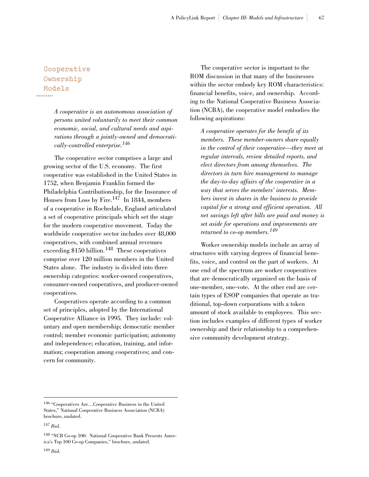## **Cooperative Ownership Models**

*A cooperative is an autonomous association of persons united voluntarily to meet their common economic, social, and cultural needs and aspirations through a jointly-owned and democratically-controlled enterprise.<sup>146</sup>*

The cooperative sector comprises a large and growing sector of the U.S. economy. The first cooperative was established in the United States in 1752, when Benjamin Franklin formed the Philadelphia Contributionship, for the Insurance of Houses from Loss by Fire.147 In 1844, members of a cooperative in Rochedale, England articulated a set of cooperative principals which set the stage for the modern cooperative movement. Today the worldwide cooperative sector includes over 48,000 cooperatives, with combined annual revenues exceeding  $$150$  billion.<sup>148</sup> These cooperatives comprise over 120 million members in the United States alone. The industry is divided into three ownership categories: worker-owned cooperatives, consumer-owned cooperatives, and producer-owned cooperatives.

Cooperatives operate according to a common set of principles, adopted by the International Cooperative Alliance in 1995. They include: voluntary and open membership; democratic member control; member economic participation; autonomy and independence; education, training, and information; cooperation among cooperatives; and concern for community.

The cooperative sector is important to the ROM discussion in that many of the businesses within the sector embody key ROM characteristics: financial benefits, voice, and ownership. According to the National Cooperative Business Association (NCBA), the cooperative model embodies the following aspirations:

*A cooperative operates for the benefit of its members. These member-owners share equally in the control of their cooperative—they meet at regular intervals, review detailed reports, and elect directors from among themselves. The directors in turn hire management to manage the day-to-day affairs of the cooperative in a way that serves the members' interests. Members invest in shares in the business to provide capital for a strong and efficient operation. All net savings left after bills are paid and money is set aside for operations and improvements are returned to co-op members.<sup>149</sup>*

Worker ownership models include an array of structures with varying degrees of financial benefits, voice, and control on the part of workers. At one end of the spectrum are worker cooperatives that are democratically organized on the basis of one-member, one-vote. At the other end are certain types of ESOP companies that operate as traditional, top-down corporations with a token amount of stock available to employees. This section includes examples of different types of worker ownership and their relationship to a comprehensive community development strategy.

<sup>146</sup> "Cooperatives Are…Cooperative Business in the United States," National Cooperative Business Association (NCBA) brochure, undated.

<sup>147</sup> *Ibid*.

<sup>148</sup> "NCB Co-op 100: National Cooperative Bank Presents America's Top 100 Co-op Companies," brochure, undated.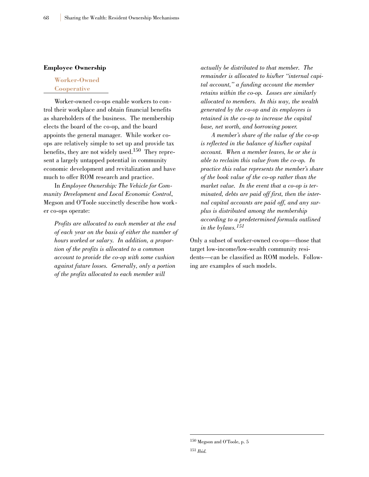#### **Employee Ownership**

### **Worker-Owned Cooperative**

Worker-owned co-ops enable workers to control their workplace and obtain financial benefits as shareholders of the business. The membership elects the board of the co-op, and the board appoints the general manager. While worker coops are relatively simple to set up and provide tax benefits, they are not widely used.<sup>150</sup> They represent a largely untapped potential in community economic development and revitalization and have much to offer ROM research and practice.

In *Employee Ownership: The Vehicle for Community Development and Local Economic Control*, Megson and O'Toole succinctly describe how worker co-ops operate:

*Profits are allocated to each member at the end of each year on the basis of either the number of hours worked or salary. In addition, a proportion of the profits is allocated to a common account to provide the co-op with some cushion against future losses. Generally, only a portion of the profits allocated to each member will*

*actually be distributed to that member. The remainder is allocated to his/her "internal capital account," a funding account the member retains within the co-op. Losses are similarly allocated to members. In this way, the wealth generated by the co-op and its employees is retained in the co-op to increase the capital base, net worth, and borrowing power.*

*A member's share of the value of the co-op is reflected in the balance of his/her capital account. When a member leaves, he or she is able to reclaim this value from the co-op. In practice this value represents the member's share of the book value of the co-op rather than the market value. In the event that a co-op is terminated, debts are paid off first, then the internal capital accounts are paid off, and any surplus is distributed among the membership according to a predetermined formula outlined in the bylaws.<sup>151</sup>*

Only a subset of worker-owned co-ops—those that target low-income/low-wealth community residents—can be classified as ROM models. Following are examples of such models.

 $^{150}\,$  Megson and O'Toole, p.  $5$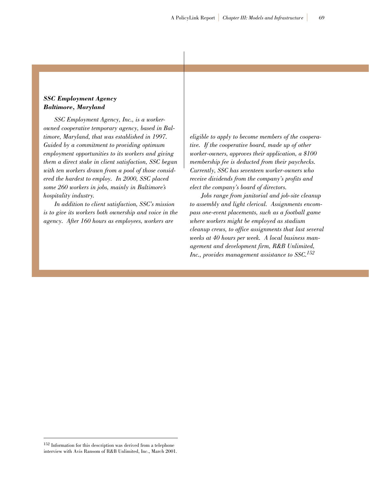## *SSC Employment Agency Baltimore, Maryland*

*SSC Employment Agency, Inc., is a workerowned cooperative temporary agency, based in Baltimore, Maryland, that was established in 1997. Guided by a commitment to providing optimum employment opportunities to its workers and giving them a direct stake in client satisfaction, SSC began with ten workers drawn from a pool of those considered the hardest to employ. In 2000, SSC placed some 260 workers in jobs, mainly in Baltimore's hospitality industry.*

*In addition to client satisfaction, SSC's mission is to give its workers both ownership and voice in the agency. After 160 hours as employees, workers are*

*eligible to apply to become members of the cooperative. If the cooperative board, made up of other worker-owners, approves their application, a \$100 membership fee is deducted from their paychecks. Currently, SSC has seventeen worker-owners who receive dividends from the company's profits and elect the company's board of directors.*

*Jobs range from janitorial and job-site cleanup to assembly and light clerical. Assignments encompass one-event placements, such as a football game where workers might be employed as stadium cleanup crews, to office assignments that last several weeks at 40 hours per week. A local business management and development firm, R&B Unlimited, Inc., provides management assistance to SSC.152*

<sup>152</sup> Information for this description was derived from a telephone interview with Avis Ransom of R&B Unlimited, Inc., March 2001.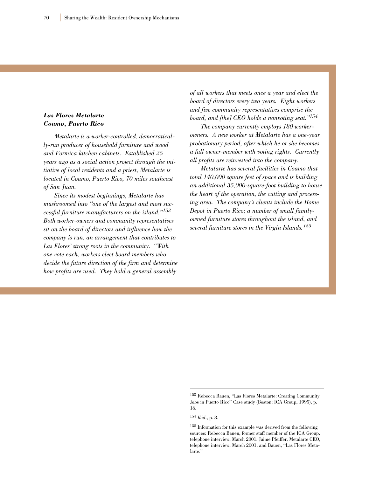## *Las Flores Metalarte Coamo, Puerto Rico*

*Metalarte is a worker-controlled, democratically-run producer of household furniture and wood and Formica kitchen cabinets. Established 25 years ago as a social action project through the initiative of local residents and a priest, Metalarte is located in Coamo, Puerto Rico, 70 miles southeast of San Juan.*

*Since its modest beginnings, Metalarte has mushroomed into "one of the largest and most successful furniture manufacturers on the island."<sup>153</sup> Both worker-owners and community representatives sit on the board of directors and influence how the company is run, an arrangement that contributes to Las Flores' strong roots in the community. "With one vote each, workers elect board members who decide the future direction of the firm and determine how profits are used. They hold a general assembly*

*of all workers that meets once a year and elect the board of directors every two years. Eight workers and five community representatives comprise the board, and [the] CEO holds a nonvoting seat."154*

*The company currently employs 180 workerowners. A new worker at Metalarte has a one-year probationary period, after which he or she becomes a full owner-member with voting rights. Currently all profits are reinvested into the company.*

*Metalarte has several facilities in Coamo that total 140,000 square feet of space and is building an additional 35,000-square-foot building to house the heart of the operation, the cutting and processing area. The company's clients include the Home Depot in Puerto Rico; a number of small familyowned furniture stores throughout the island, and several furniture stores in the Virgin Islands.<sup>155</sup>*

<sup>153</sup> Rebecca Bauen, "Las Flores Metalarte: Creating Community Jobs in Puerto Rico" Case study (Boston: ICA Group, 1995), p. 16.

<sup>154</sup> *Ibid*., p. 8.

<sup>155</sup> Information for this example was derived from the following sources: Rebecca Bauen, former staff member of the ICA Group, telephone interview, March 2001; Jaime Pfeiffer, Metalarte CEO, telephone interview, March 2001; and Bauen, "Las Flores Metalarte."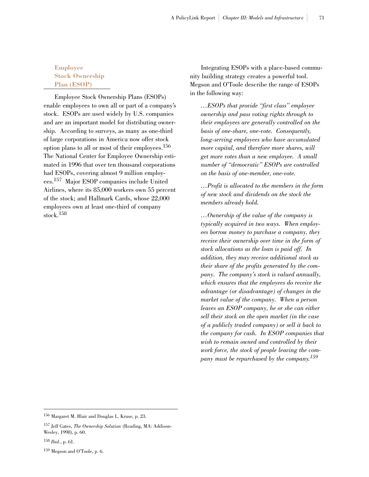## **Employee Stock Ownership Plan (ESOP)**

Employee Stock Ownership Plans (ESOPs) enable employees to own all or part of a company's stock. ESOPs are used widely by U.S. companies and are an important model for distributing ownership. According to surveys, as many as one-third of large corporations in America now offer stock option plans to all or most of their employees.156 The National Center for Employee Ownership estimated in 1996 that over ten thousand corporations had ESOPs, covering almost 9 million employees.157 Major ESOP companies include United Airlines, where its 85,000 workers own 55 percent of the stock; and Hallmark Cards, whose 22,000 employees own at least one-third of company stock.158

Integrating ESOPs with a place-based community building strategy creates a powerful tool. Megson and O'Toole describe the range of ESOPs in the following way:

*…ESOPs that provide "first class" employee ownership and pass voting rights through to their employees are generally controlled on the basis of one-share, one-vote. Consequently, long-serving employees who have accumulated more capital, and therefore more shares, will get more votes than a new employee. A small number of "democratic" ESOPs are controlled on the basis of one-member, one-vote.* 

*…Profit is allocated to the members in the form of new stock and dividends on the stock the members already hold.* 

*…Ownership of the value of the company is typically acquired in two ways. When employees borrow money to purchase a company, they receive their ownership over time in the form of stock allocations as the loan is paid off. In addition, they may receive additional stock as their share of the profits generated by the company. The company's stock is valued annually, which ensures that the employees do receive the advantage (or disadvantage) of changes in the market value of the company. When a person leaves an ESOP company, he or she can either sell their stock on the open market (in the case of a publicly traded company) or sell it back to the company for cash. In ESOP companies that wish to remain owned and controlled by their work force, the stock of people leaving the company must be repurchased by the company.159*

<sup>156</sup> Margaret M. Blair and Douglas L. Kruse, p. 23.

<sup>157</sup> Jeff Gates, *The Ownership Solution* (Reading, MA: Addison-Wesley, 1998), p. 60.

<sup>158</sup> *Ibid*., p. 61.

<sup>159</sup> Megson and O'Toole, p. 6.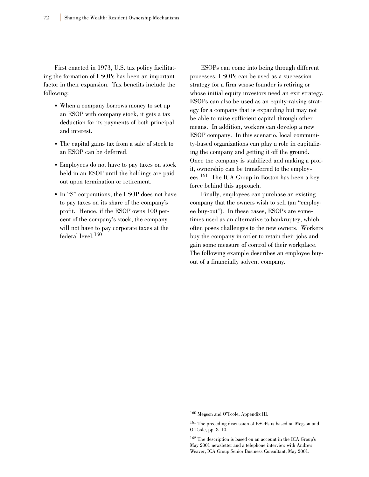First enacted in 1973, U.S. tax policy facilitating the formation of ESOPs has been an important factor in their expansion. Tax benefits include the following:

- When a company borrows money to set up an ESOP with company stock, it gets a tax deduction for its payments of both principal and interest.
- The capital gains tax from a sale of stock to an ESOP can be deferred.
- Employees do not have to pay taxes on stock held in an ESOP until the holdings are paid out upon termination or retirement.
- In "S" corporations, the ESOP does not have to pay taxes on its share of the company's profit. Hence, if the ESOP owns 100 percent of the company's stock, the company will not have to pay corporate taxes at the federal level.<sup>160</sup>

ESOPs can come into being through different processes: ESOPs can be used as a succession strategy for a firm whose founder is retiring or whose initial equity investors need an exit strategy. ESOPs can also be used as an equity-raising strategy for a company that is expanding but may not be able to raise sufficient capital through other means. In addition, workers can develop a new ESOP company. In this scenario, local community-based organizations can play a role in capitalizing the company and getting it off the ground. Once the company is stabilized and making a profit, ownership can be transferred to the employees.161 The ICA Group in Boston has been a key force behind this approach.

Finally, employees can purchase an existing company that the owners wish to sell (an "employee buy-out"). In these cases, ESOPs are sometimes used as an alternative to bankruptcy, which often poses challenges to the new owners. Workers buy the company in order to retain their jobs and gain some measure of control of their workplace. The following example describes an employee buyout of a financially solvent company.

<sup>160</sup> Megson and O'Toole, Appendix III.

<sup>161</sup> The preceding discussion of ESOPs is based on Megson and O'Toole, pp. 8–10.

<sup>162</sup> The description is based on an account in the ICA Group's May 2001 newsletter and a telephone interview with Andrew Weaver, ICA Group Senior Business Consultant, May 2001.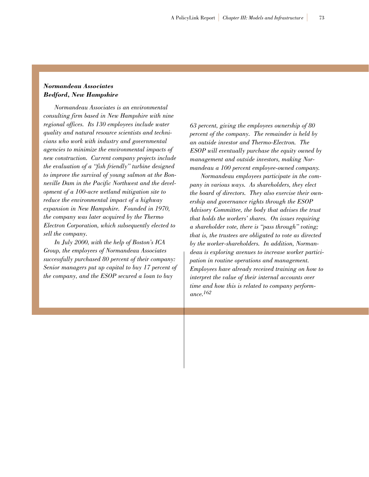### *Normandeau Associates Bedford, New Hampshire*

*Normandeau Associates is an environmental consulting firm based in New Hampshire with nine regional offices. Its 130 employees include water quality and natural resource scientists and technicians who work with industry and governmental agencies to minimize the environmental impacts of new construction. Current company projects include the evaluation of a "fish friendly" turbine designed to improve the survival of young salmon at the Bonneville Dam in the Pacific Northwest and the development of a 100-acre wetland mitigation site to reduce the environmental impact of a highway expansion in New Hampshire. Founded in 1970, the company was later acquired by the Thermo Electron Corporation, which subsequently elected to sell the company.*

*In July 2000, with the help of Boston's ICA Group, the employees of Normandeau Associates successfully purchased 80 percent of their company: Senior managers put up capital to buy 17 percent of the company, and the ESOP secured a loan to buy*

*63 percent, giving the employees ownership of 80 percent of the company. The remainder is held by an outside investor and Thermo-Electron. The ESOP will eventually purchase the equity owned by management and outside investors, making Normandeau a 100 percent employee-owned company.*

*Normandeau employees participate in the company in various ways. As shareholders, they elect the board of directors. They also exercise their ownership and governance rights through the ESOP Advisory Committee, the body that advises the trust that holds the workers' shares. On issues requiring a shareholder vote, there is "pass through" voting; that is, the trustees are obligated to vote as directed by the worker-shareholders. In addition, Normandeau is exploring avenues to increase worker participation in routine operations and management. Employees have already received training on how to interpret the value of their internal accounts over time and how this is related to company performance.162*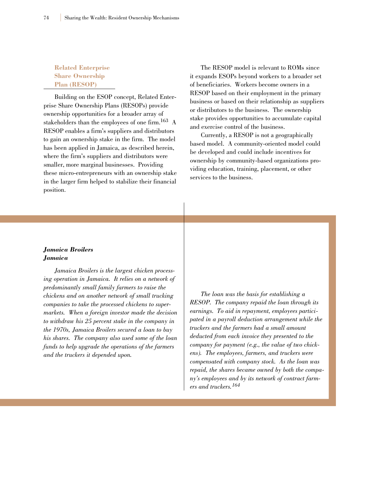## **Related Enterprise Share Ownership Plan (RESOP)**

Building on the ESOP concept, Related Enterprise Share Ownership Plans (RESOPs) provide ownership opportunities for a broader array of stakeholders than the employees of one firm.163 A RESOP enables a firm's suppliers and distributors to gain an ownership stake in the firm. The model has been applied in Jamaica, as described herein, where the firm's suppliers and distributors were smaller, more marginal businesses. Providing these micro-entrepreneurs with an ownership stake in the larger firm helped to stabilize their financial position.

The RESOP model is relevant to ROMs since it expands ESOPs beyond workers to a broader set of beneficiaries. Workers become owners in a RESOP based on their employment in the primary business or based on their relationship as suppliers or distributors to the business. The ownership stake provides opportunities to accumulate capital and exercise control of the business.

Currently, a RESOP is not a geographically based model. A community-oriented model could be developed and could include incentives for ownership by community-based organizations providing education, training, placement, or other services to the business.

### *Jamaica Broilers Jamaica*

*Jamaica Broilers is the largest chicken processing operation in Jamaica. It relies on a network of predominantly small family farmers to raise the chickens and on another network of small trucking companies to take the processed chickens to supermarkets. When a foreign investor made the decision to withdraw his 25 percent stake in the company in the 1970s, Jamaica Broilers secured a loan to buy his shares. The company also used some of the loan funds to help upgrade the operations of the farmers and the truckers it depended upon.*

*The loan was the basis for establishing a RESOP. The company repaid the loan through its earnings. To aid in repayment, employees participated in a payroll deduction arrangement while the truckers and the farmers had a small amount deducted from each invoice they presented to the company for payment (e.g., the value of two chickens). The employees, farmers, and truckers were compensated with company stock. As the loan was repaid, the shares became owned by both the company's employees and by its network of contract farmers and truckers.<sup>164</sup>*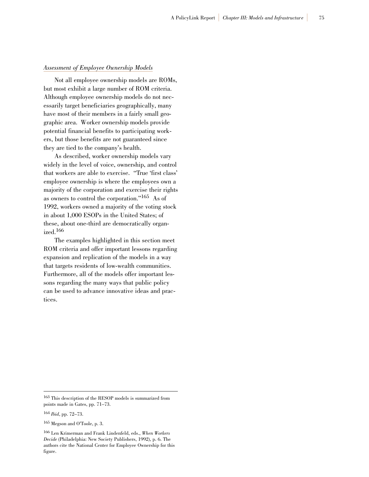#### *Assessment of Employee Ownership Models*

Not all employee ownership models are ROMs, but most exhibit a large number of ROM criteria. Although employee ownership models do not necessarily target beneficiaries geographically, many have most of their members in a fairly small geographic area. Worker ownership models provide potential financial benefits to participating workers, but those benefits are not guaranteed since they are tied to the company's health.

As described, worker ownership models vary widely in the level of voice, ownership, and control that workers are able to exercise. "True 'first class' employee ownership is where the employees own a majority of the corporation and exercise their rights as owners to control the corporation."165 As of 1992, workers owned a majority of the voting stock in about 1,000 ESOPs in the United States; of these, about one-third are democratically organized.166

The examples highlighted in this section meet ROM criteria and offer important lessons regarding expansion and replication of the models in a way that targets residents of low-wealth communities. Furthermore, all of the models offer important lessons regarding the many ways that public policy can be used to advance innovative ideas and practices.

<sup>165</sup> Megson and O'Toole, p. 3.

<sup>163</sup> This description of the RESOP models is summarized from points made in Gates, pp. 71–73.

<sup>164</sup> *Ibid*, pp. 72–73.

<sup>166</sup> Len Krimerman and Frank Lindenfeld, eds., *When Workers Decide* (Philadelphia: New Society Publishers, 1992), p. 6. The authors cite the National Center for Employee Ownership for this figure.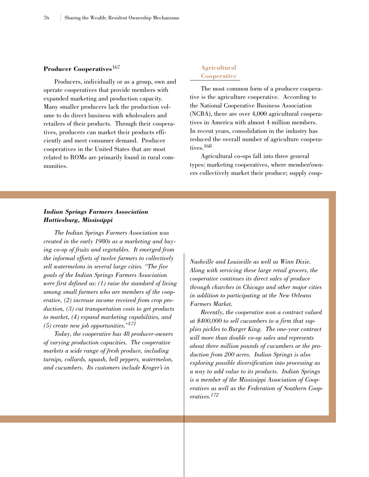#### **Producer Cooperatives**<sup>167</sup>

Producers, individually or as a group, own and operate cooperatives that provide members with expanded marketing and production capacity. Many smaller producers lack the production volume to do direct business with wholesalers and retailers of their products. Through their cooperatives, producers can market their products efficiently and meet consumer demand. Producer cooperatives in the United States that are most related to ROMs are primarily found in rural communities.

## **Agricultural Cooperative**

The most common form of a producer cooperative is the agriculture cooperative. According to the National Cooperative Business Association (NCBA), there are over 4,000 agricultural cooperatives in America with almost 4 million members. In recent years, consolidation in the industry has reduced the overall number of agriculture cooperatives.168

Agricultural co-ops fall into three general types: marketing cooperatives, where member/owners collectively market their produce; supply coop-

## *Indian Springs Farmers Association Hattiesburg, Mississippi*

*The Indian Springs Farmers Association was created in the early 1980s as a marketing and buying co-op of fruits and vegetables. It emerged from the informal efforts of twelve farmers to collectively sell watermelons in several large cities. "The five goals of the Indian Springs Farmers Association were first defined as: (1) raise the standard of living among small farmers who are members of the cooperative, (2) increase income received from crop production, (3) cut transportation costs to get products to market, (4) expand marketing capabilities, and (5) create new job opportunities."171*

*Today, the cooperative has 48 producer-owners of varying production capacities. The cooperative markets a wide range of fresh produce, including turnips, collards, squash, bell peppers, watermelon, and cucumbers. Its customers include Kroger's in*

*Nashville and Louisville as well as Winn Dixie. Along with servicing these large retail grocers, the cooperative continues its direct sales of produce through churches in Chicago and other major cities in addition to participating at the New Orleans Farmers Market.*

*Recently, the cooperative won a contract valued at \$400,000 to sell cucumbers to a firm that supplies pickles to Burger King. The one-year contract will more than double co-op sales and represents about three million pounds of cucumbers or the production from 200 acres. Indian Springs is also exploring possible diversification into processing as a way to add value to its products. Indian Springs is a member of the Mississippi Association of Cooperatives as well as the Federation of Southern Cooperatives.172*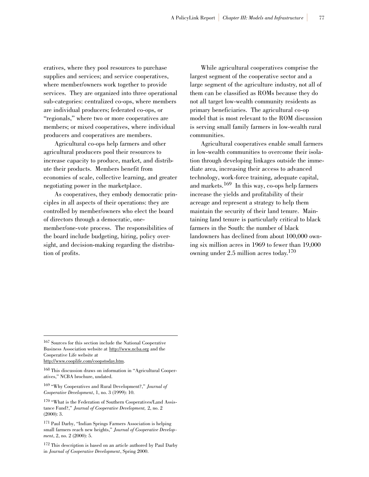eratives, where they pool resources to purchase supplies and services; and service cooperatives, where member/owners work together to provide services. They are organized into three operational sub-categories: centralized co-ops, where members are individual producers; federated co-ops, or "regionals," where two or more cooperatives are members; or mixed cooperatives, where individual producers and cooperatives are members.

Agricultural co-ops help farmers and other agricultural producers pool their resources to increase capacity to produce, market, and distribute their products. Members benefit from economies of scale, collective learning, and greater negotiating power in the marketplace.

As cooperatives, they embody democratic principles in all aspects of their operations: they are controlled by member/owners who elect the board of directors through a democratic, onemember/one-vote process. The responsibilities of the board include budgeting, hiring, policy oversight, and decision-making regarding the distribution of profits.

While agricultural cooperatives comprise the largest segment of the cooperative sector and a large segment of the agriculture industry, not all of them can be classified as ROMs because they do not all target low-wealth community residents as primary beneficiaries. The agricultural co-op model that is most relevant to the ROM discussion is serving small family farmers in low-wealth rural communities.

Agricultural cooperatives enable small farmers in low-wealth communities to overcome their isolation through developing linkages outside the immediate area, increasing their access to advanced technology, work-force training, adequate capital, and markets.<sup>169</sup> In this way, co-ops help farmers increase the yields and profitability of their acreage and represent a strategy to help them maintain the security of their land tenure. Maintaining land tenure is particularly critical to black farmers in the South: the number of black landowners has declined from about 100,000 owning six million acres in 1969 to fewer than 19,000 owning under  $2.5$  million acres today.<sup>170</sup>

<sup>169</sup> "Why Cooperatives and Rural Development?," *Journal of Cooperative Development*, 1, no. 3 (1999): 10.

<sup>167</sup> Sources for this section include the National Cooperative Business Association website at http://www.ncba.org and the Cooperative Life website at http://www.cooplife.com/coopstoday.htm.

<sup>168</sup> This discussion draws on information in "Agricultural Cooperatives," NCBA brochure, undated.

<sup>170</sup> "What is the Federation of Southern Cooperatives/Land Assistance Fund?," *Journal of Cooperative Development,* 2, no. 2 (2000): 3.

<sup>171</sup> Paul Darby, "Indian Springs Farmers Association is helping small farmers reach new heights," *Journal of Cooperative Development*, 2, no. 2 (2000): 5.

<sup>172</sup> This description is based on an article authored by Paul Darby in *Journal of Cooperative Development*, Spring 2000.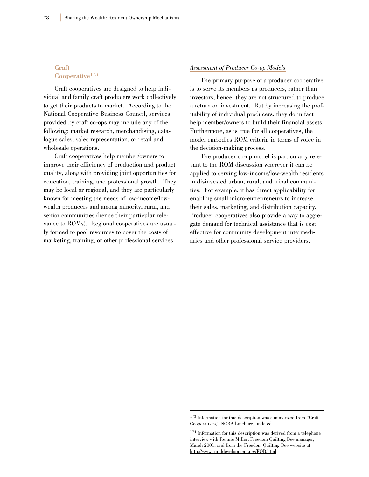## **Craft** Cooperative<sup>173</sup>

Craft cooperatives are designed to help individual and family craft producers work collectively to get their products to market. According to the National Cooperative Business Council, services provided by craft co-ops may include any of the following: market research, merchandising, catalogue sales, sales representation, or retail and wholesale operations.

Craft cooperatives help member/owners to improve their efficiency of production and product quality, along with providing joint opportunities for education, training, and professional growth. They may be local or regional, and they are particularly known for meeting the needs of low-income/lowwealth producers and among minority, rural, and senior communities (hence their particular relevance to ROMs). Regional cooperatives are usually formed to pool resources to cover the costs of marketing, training, or other professional services.

#### *Assessment of Producer Co-op Models*

The primary purpose of a producer cooperative is to serve its members as producers, rather than investors; hence, they are not structured to produce a return on investment. But by increasing the profitability of individual producers, they do in fact help member/owners to build their financial assets. Furthermore, as is true for all cooperatives, the model embodies ROM criteria in terms of voice in the decision-making process.

The producer co-op model is particularly relevant to the ROM discussion wherever it can be applied to serving low-income/low-wealth residents in disinvested urban, rural, and tribal communities. For example, it has direct applicability for enabling small micro-entrepreneurs to increase their sales, marketing, and distribution capacity. Producer cooperatives also provide a way to aggregate demand for technical assistance that is cost effective for community development intermediaries and other professional service providers.

<sup>173</sup> Information for this description was summarized from "Craft Cooperatives," NCBA brochure, undated.

<sup>174</sup> Information for this description was derived from a telephone interview with Rennie Miller, Freedom Quilting Bee manager, March 2001, and from the Freedom Quilting Bee website at http://www.ruraldevelopment.org/FQB.html.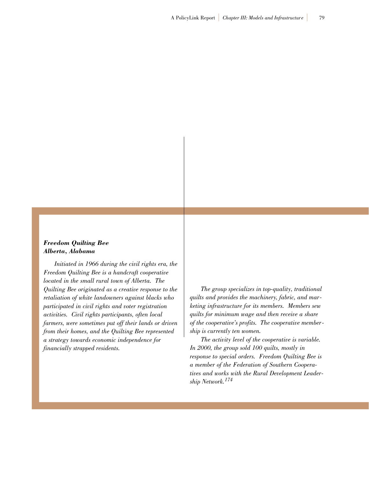## *Freedom Quilting Bee Alberta, Alabama*

*Initiated in 1966 during the civil rights era, the Freedom Quilting Bee is a handcraft cooperative located in the small rural town of Alberta. The Quilting Bee originated as a creative response to the retaliation of white landowners against blacks who participated in civil rights and voter registration activities. Civil rights participants, often local farmers, were sometimes put off their lands or driven from their homes, and the Quilting Bee represented a strategy towards economic independence for financially strapped residents.*

*The group specializes in top-quality, traditional quilts and provides the machinery, fabric, and marketing infrastructure for its members. Members sew quilts for minimum wage and then receive a share of the cooperative's profits. The cooperative membership is currently ten women.*

*The activity level of the cooperative is variable. In 2000, the group sold 100 quilts, mostly in response to special orders. Freedom Quilting Bee is a member of the Federation of Southern Cooperatives and works with the Rural Development Leadership Network.<sup>174</sup>*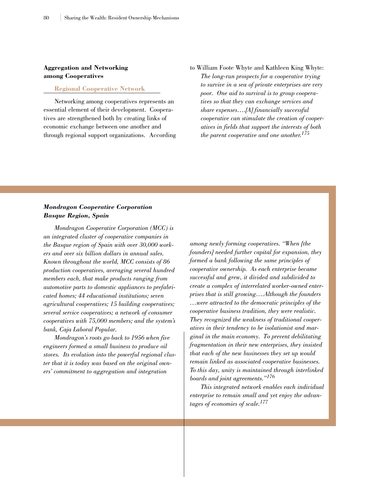## **Aggregation and Networking among Cooperatives**

#### **Regional Cooperative Network**

Networking among cooperatives represents an essential element of their development. Cooperatives are strengthened both by creating links of economic exchange between one another and through regional support organizations. According to William Foote Whyte and Kathleen King Whyte: *The long-run prospects for a cooperative trying to survive in a sea of private enterprises are very poor. One aid to survival is to group cooperatives so that they can exchange services and share expenses….[A] financially successful cooperative can stimulate the creation of cooperatives in fields that support the interests of both the parent cooperative and one another.175*

## *Mondragon Cooperative Corporation Basque Region, Spain*

*Mondragon Cooperative Corporation (MCC) is an integrated cluster of cooperative companies in the Basque region of Spain with over 30,000 workers and over six billion dollars in annual sales. Known throughout the world, MCC consists of 86 production cooperatives, averaging several hundred members each, that make products ranging from automotive parts to domestic appliances to prefabricated homes; 44 educational institutions; seven agricultural cooperatives; 15 building cooperatives; several service cooperatives; a network of consumer cooperatives with 75,000 members; and the system's bank, Caja Laboral Popular.*

*Mondragon's roots go back to 1956 when five engineers formed a small business to produce oil stoves. Its evolution into the powerful regional cluster that it is today was based on the original owners' commitment to aggregation and integration*

*among newly forming cooperatives. "When [the founders] needed further capital for expansion, they formed a bank following the same principles of cooperative ownership. As each enterprise became successful and grew, it divided and subdivided to create a complex of interrelated worker-owned enterprises that is still growing….Although the founders …were attracted to the democratic principles of the cooperative business tradition, they were realistic. They recognized the weakness of traditional cooperatives in their tendency to be isolationist and marginal in the main economy. To prevent debilitating fragmentation in their new enterprises, they insisted that each of the new businesses they set up would remain linked as associated cooperative businesses. To this day, unity is maintained through interlinked boards and joint agreements."<sup>176</sup>*

*This integrated network enables each individual enterprise to remain small and yet enjoy the advantages of economies of scale.177*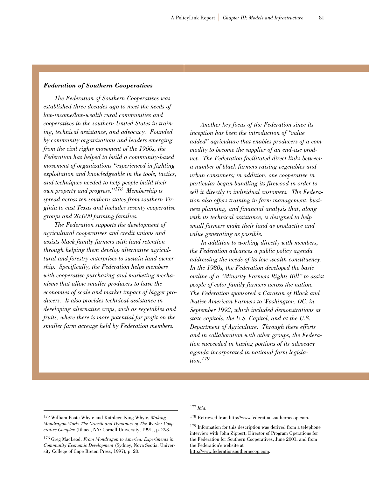#### *Federation of Southern Cooperatives*

*The Federation of Southern Cooperatives was established three decades ago to meet the needs of low-income/low-wealth rural communities and cooperatives in the southern United States in training, technical assistance, and advocacy. Founded by community organizations and leaders emerging from the civil rights movement of the 1960s, the Federation has helped to build a community-based movement of organizations "experienced in fighting exploitation and knowledgeable in the tools, tactics, and techniques needed to help people build their own property and progress."<sup>178</sup> Membership is spread across ten southern states from southern Virginia to east Texas and includes seventy cooperative groups and 20,000 farming families.*

*The Federation supports the development of agricultural cooperatives and credit unions and assists black family farmers with land retention through helping them develop alternative agricultural and forestry enterprises to sustain land ownership. Specifically, the Federation helps members with cooperative purchasing and marketing mechanisms that allow smaller producers to have the economies of scale and market impact of bigger producers. It also provides technical assistance in developing alternative crops, such as vegetables and fruits, where there is more potential for profit on the smaller farm acreage held by Federation members.* 

*Another key focus of the Federation since its inception has been the introduction of "value added" agriculture that enables producers of a commodity to become the supplier of an end-use product. The Federation facilitated direct links between a number of black farmers raising vegetables and urban consumers; in addition, one cooperative in particular began bundling its firewood in order to sell it directly to individual customers. The Federation also offers training in farm management, business planning, and financial analysis that, along with its technical assistance, is designed to help small farmers make their land as productive and value generating as possible.*

*In addition to working directly with members, the Federation advances a public policy agenda addressing the needs of its low-wealth constituency. In the 1980s, the Federation developed the basic outline of a "Minority Farmers Rights Bill" to assist people of color family farmers across the nation. The Federation sponsored a Caravan of Black and Native American Farmers to Washington, DC, in September 1992, which included demonstrations at state capitols, the U.S. Capitol, and at the U.S. Department of Agriculture. Through these efforts and in collaboration with other groups, the Federation succeeded in having portions of its advocacy agenda incorporated in national farm legislation.<sup>179</sup>*

### <sup>177</sup> *Ibid.*

http://www.federationsoutherncoop.com.

<sup>178</sup> Retrieved from http://www.federationsoutherncoop.com.

<sup>175</sup> William Foote Whyte and Kathleen King Whyte, *Making Mondragon Work: The Growth and Dynamics of The Worker Cooperative Complex* (Ithaca, NY: Cornell University, 1991), p. 293.

<sup>176</sup> Greg MacLeod, *From Mondragon to America: Experiments in Community Economic Development* (Sydney, Nova Scotia: University College of Cape Breton Press, 1997), p. 20.

<sup>179</sup> Information for this description was derived from a telephone

interview with John Zippert, Director of Program Operations for the Federation for Southern Cooperatives, June 2001, and from the Federation's website at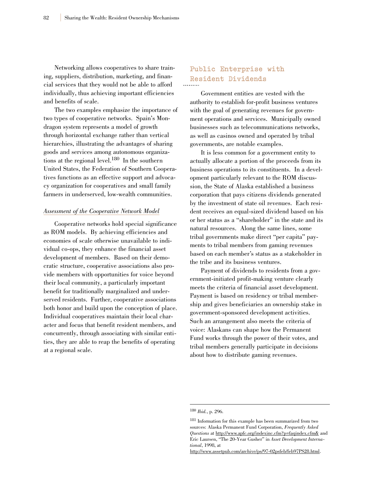Networking allows cooperatives to share training, suppliers, distribution, marketing, and financial services that they would not be able to afford individually, thus achieving important efficiencies and benefits of scale.

The two examples emphasize the importance of two types of cooperative networks. Spain's Mondragon system represents a model of growth through horizontal exchange rather than vertical hierarchies, illustrating the advantages of sharing goods and services among autonomous organizations at the regional level.180 In the southern United States, the Federation of Southern Cooperatives functions as an effective support and advocacy organization for cooperatives and small family farmers in underserved, low-wealth communities.

#### *Assessment of the Cooperative Network Model*

Cooperative networks hold special significance as ROM models. By achieving efficiencies and economies of scale otherwise unavailable to individual co-ops, they enhance the financial asset development of members. Based on their democratic structure, cooperative associations also provide members with opportunities for voice beyond their local community, a particularly important benefit for traditionally marginalized and underserved residents. Further, cooperative associations both honor and build upon the conception of place. Individual cooperatives maintain their local character and focus that benefit resident members, and concurrently, through associating with similar entities, they are able to reap the benefits of operating at a regional scale.

## **Public Enterprise with Resident Dividends**

Government entities are vested with the authority to establish for-profit business ventures with the goal of generating revenues for government operations and services. Municipally owned businesses such as telecommunications networks, as well as casinos owned and operated by tribal governments, are notable examples.

It is less common for a government entity to actually allocate a portion of the proceeds from its business operations to its constituents. In a development particularly relevant to the ROM discussion, the State of Alaska established a business corporation that pays citizens dividends generated by the investment of state oil revenues. Each resident receives an equal-sized dividend based on his or her status as a "shareholder" in the state and its natural resources. Along the same lines, some tribal governments make direct "per capita" payments to tribal members from gaming revenues based on each member's status as a stakeholder in the tribe and its business ventures.

Payment of dividends to residents from a government-initiated profit-making venture clearly meets the criteria of financial asset development. Payment is based on residency or tribal membership and gives beneficiaries an ownership stake in government-sponsored development activities. Such an arrangement also meets the criteria of voice: Alaskans can shape how the Permanent Fund works through the power of their votes, and tribal members generally participate in decisions about how to distribute gaming revenues.

<sup>180</sup> *Ibid.*, p. 296.

<sup>181</sup> Information for this example has been summarized from two sources: Alaska Permanent Fund Corporation, *Frequently Asked Questions* at http://www.apfc.org/indexinc.cfm?p=faqindex.cfm& and Eric Laursen, "The 20-Year Gusher" in *Asset Development International*, 1998, at

http://www.assetpub.com/archive/ps/97-02psfeb/feb97PS28.html.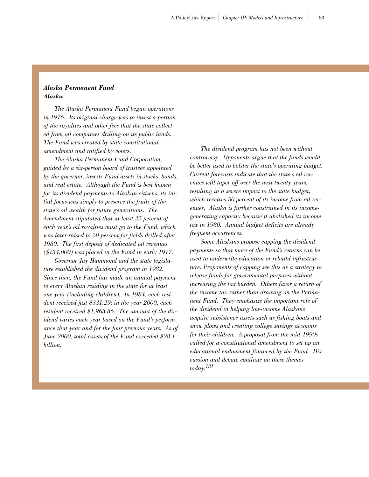## *Alaska Permanent Fund Alaska*

*The Alaska Permanent Fund began operations in 1976. Its original charge was to invest a portion of the royalties and other fees that the state collected from oil companies drilling on its public lands. The Fund was created by state constitutional amendment and ratified by voters.* 

*The Alaska Permanent Fund Corporation, guided by a six-person board of trustees appointed by the governor, invests Fund assets in stocks, bonds, and real estate. Although the Fund is best known for its dividend payments to Alaskan citizens, its initial focus was simply to preserve the fruits of the state's oil wealth for future generations. The Amendment stipulated that at least 25 percent of each year's oil royalties must go to the Fund, which was later raised to 50 percent for fields drilled after 1980. The first deposit of dedicated oil revenues (\$734,000) was placed in the Fund in early 1977.*

*Governor Jay Hammond and the state legislature established the dividend program in 1982. Since then, the Fund has made an annual payment to every Alaskan residing in the state for at least one year (including children). In 1984, each resident received just \$331.29; in the year 2000, each resident received \$1,963.86. The amount of the dividend varies each year based on the Fund's performance that year and for the four previous years. As of June 2000, total assets of the Fund exceeded \$28.1 billion.*

*The dividend program has not been without controversy. Opponents argue that the funds would be better used to bolster the state's operating budget. Current forecasts indicate that the state's oil revenues will taper off over the next twenty years, resulting in a severe impact to the state budget, which receives 50 percent of its income from oil revenues. Alaska is further constrained in its incomegenerating capacity because it abolished its income tax in 1980. Annual budget deficits are already frequent occurrences.*

*Some Alaskans propose capping the dividend payments so that more of the Fund's returns can be used to underwrite education or rebuild infrastructure. Proponents of capping see this as a strategy to release funds for governmental purposes without increasing the tax burden. Others favor a return of the income tax rather than drawing on the Permanent Fund. They emphasize the important role of the dividend in helping low-income Alaskans acquire subsistence assets such as fishing boats and snow plows and creating college savings accounts for their children. A proposal from the mid-1990s called for a constitutional amendment to set up an educational endowment financed by the Fund. Discussion and debate continue on these themes today.181*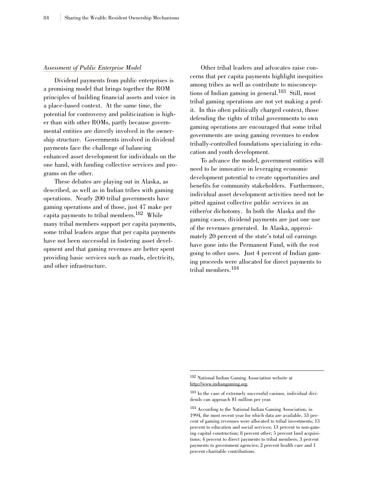#### *Assessment of Public Enterprise Model*

Dividend payments from public enterprises is a promising model that brings together the ROM principles of building financial assets and voice in a place-based context. At the same time, the potential for controversy and politicization is higher than with other ROMs, partly because governmental entities are directly involved in the ownership structure. Governments involved in dividend payments face the challenge of balancing enhanced asset development for individuals on the one hand, with funding collective services and programs on the other.

These debates are playing out in Alaska, as described, as well as in Indian tribes with gaming operations. Nearly 200 tribal governments have gaming operations and of those, just 47 make per capita payments to tribal members.182 While many tribal members support per capita payments, some tribal leaders argue that per capita payments have not been successful in fostering asset development and that gaming revenues are better spent providing basic services such as roads, electricity, and other infrastructure.

Other tribal leaders and advocates raise concerns that per capita payments highlight inequities among tribes as well as contribute to misconceptions of Indian gaming in general.<sup>183</sup> Still, most tribal gaming operations are not yet making a profit. In this often politically charged context, those defending the rights of tribal governments to own gaming operations are encouraged that some tribal governments are using gaming revenues to endow tribally-controlled foundations specializing in education and youth development.

To advance the model, government entities will need to be innovative in leveraging economic development potential to create opportunities and benefits for community stakeholders. Furthermore, individual asset development activities need not be pitted against collective public services in an either/or dichotomy. In both the Alaska and the gaming cases, dividend payments are just one use of the revenues generated. In Alaska, approximately 20 percent of the state's total oil earnings have gone into the Permanent Fund, with the rest going to other uses. Just 4 percent of Indian gaming proceeds were allocated for direct payments to tribal members.<sup>184</sup>

<sup>182</sup> National Indian Gaming Association website at http://www.indiangaming.org.

<sup>183</sup> In the case of extremely successful casinos, individual dividends can approach \$1 million per year.

<sup>184</sup> According to the National Indian Gaming Association, in 1994, the most recent year for which data are available, 53 percent of gaming revenues were allocated to tribal investments; 13 percent to education and social services; 13 percent to non-gaming capital construction; 8 percent other; 5 percent land acquisitions; 4 percent to direct payments to tribal members; 3 percent payments to government agencies; 2 percent health care and 1 percent charitable contributions.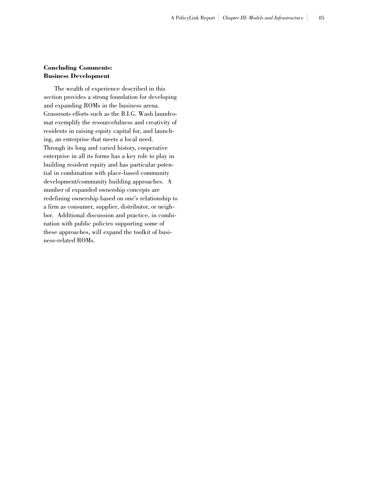## **Concluding Comments: Business Development**

The wealth of experience described in this section provides a strong foundation for developing and expanding ROMs in the business arena. Grassroots efforts such as the B.I.G. Wash laundromat exemplify the resourcefulness and creativity of residents in raising equity capital for, and launching, an enterprise that meets a local need. Through its long and varied history, cooperative enterprise in all its forms has a key role to play in building resident equity and has particular potential in combination with place-based community development/community building approaches. A number of expanded ownership concepts are redefining ownership based on one's relationship to a firm as consumer, supplier, distributor, or neighbor. Additional discussion and practice, in combination with public policies supporting some of these approaches, will expand the toolkit of business-related ROMs.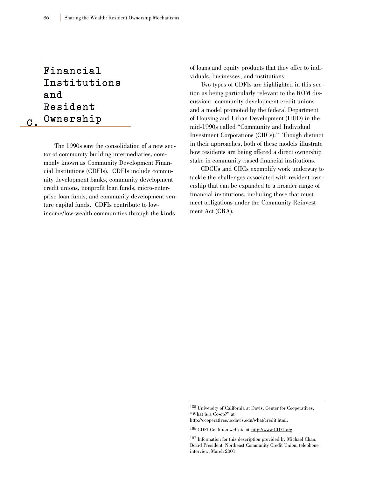**Financial I n s t i t u t i o n s a n d Resident Ownership** 

**C .**

The 1990s saw the consolidation of a new sector of community building intermediaries, commonly known as Community Development Financial Institutions (CDFIs). CDFIs include community development banks, community development credit unions, nonprofit loan funds, micro-enterprise loan funds, and community development venture capital funds. CDFIs contribute to lowincome/low-wealth communities through the kinds

of loans and equity products that they offer to individuals, businesses, and institutions.

Two types of CDFIs are highlighted in this section as being particularly relevant to the ROM discussion: community development credit unions and a model promoted by the federal Department of Housing and Urban Development (HUD) in the mid-1990s called "Community and Individual Investment Corporations (CIICs)." Though distinct in their approaches, both of these models illustrate how residents are being offered a direct ownership stake in community-based financial institutions.

CDCUs and CIICs exemplify work underway to tackle the challenges associated with resident ownership that can be expanded to a broader range of financial institutions, including those that must meet obligations under the Community Reinvestment Act (CRA).

http://cooperatives,ucdavis.edu/what/credit.html.

<sup>185</sup> University of California at Davis, Center for Cooperatives, "What is a Co-op?" at

<sup>186</sup> CDFI Coalition website at http://www.CDFI.org.

<sup>187</sup> Information for this description provided by Michael Chan, Board President, Northeast Community Credit Union, telephone interview, March 2001.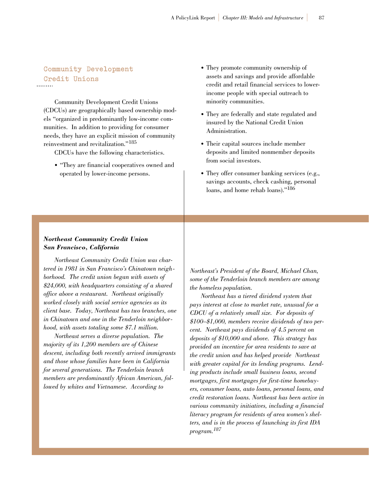# **Community Development Credit Unions**

Community Development Credit Unions (CDCUs) are geographically based ownership models "organized in predominantly low-income communities. In addition to providing for consumer needs, they have an explicit mission of community reinvestment and revitalization."<sup>185</sup>

CDCUs have the following characteristics.

• "They are financial cooperatives owned and operated by lower-income persons.

- They promote community ownership of assets and savings and provide affordable credit and retail financial services to lowerincome people with special outreach to minority communities.
- They are federally and state regulated and insured by the National Credit Union Administration.
- Their capital sources include member deposits and limited nonmember deposits from social investors.
- They offer consumer banking services (e.g., savings accounts, check cashing, personal loans, and home rehab loans)."186

## *Northeast Community Credit Union San Francisco, California*

*Northeast Community Credit Union was chartered in 1981 in San Francisco's Chinatown neighborhood. The credit union began with assets of \$24,000, with headquarters consisting of a shared office above a restaurant. Northeast originally worked closely with social service agencies as its client base. Today, Northeast has two branches, one in Chinatown and one in the Tenderloin neighborhood, with assets totaling some \$7.1 million.*

*Northeast serves a diverse population. The majority of its 1,200 members are of Chinese descent, including both recently arrived immigrants and those whose families have been in California for several generations. The Tenderloin branch members are predominantly African American, followed by whites and Vietnamese. According to*

*Northeast's President of the Board, Michael Chan, some of the Tenderloin branch members are among the homeless population.*

*Northeast has a tiered dividend system that pays interest at close to market rate, unusual for a CDCU of a relatively small size. For deposits of \$100–\$1,000, members receive dividends of two percent. Northeast pays dividends of 4.5 percent on deposits of \$10,000 and above. This strategy has provided an incentive for area residents to save at the credit union and has helped provide Northeast with greater capital for its lending programs. Lending products include small business loans, second mortgages, first mortgages for first-time homebuyers, consumer loans, auto loans, personal loans, and credit restoration loans. Northeast has been active in various community initiatives, including a financial literacy program for residents of area women's shelters, and is in the process of launching its first IDA program.187*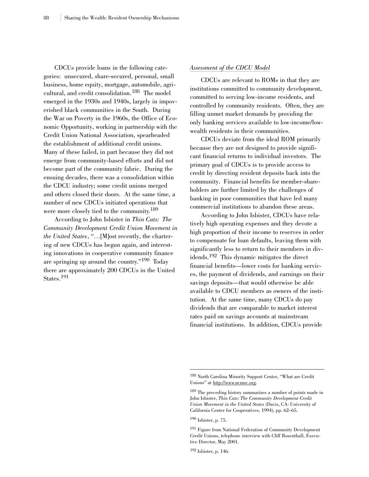CDCUs provide loans in the following categories: unsecured, share-secured, personal, small business, home equity, mortgage, automobile, agricultural, and credit consolidation.<sup>188</sup> The model emerged in the 1930s and 1940s, largely in impoverished black communities in the South. During the War on Poverty in the 1960s, the Office of Economic Opportunity, working in partnership with the Credit Union National Association, spearheaded the establishment of additional credit unions. Many of these failed, in part because they did not emerge from community-based efforts and did not become part of the community fabric. During the ensuing decades, there was a consolidation within the CDCU industry; some credit unions merged and others closed their doors. At the same time, a number of new CDCUs initiated operations that were more closely tied to the community.<sup>189</sup>

According to John Isbister in *Thin Cats: The Community Development Credit Union Movement in the United States*, "…[M]ost recently, the chartering of new CDCUs has begun again, and interesting innovations in cooperative community finance are springing up around the country."190 Today there are approximately 200 CDCUs in the United States.<sup>191</sup>

#### *Assessment of the CDCU Model*

CDCUs are relevant to ROMs in that they are institutions committed to community development, committed to serving low-income residents, and controlled by community residents. Often, they are filling unmet market demands by providing the only banking services available to low-income/lowwealth residents in their communities.

CDCUs deviate from the ideal ROM primarily because they are not designed to provide significant financial returns to individual investors. The primary goal of CDCUs is to provide access to credit by directing resident deposits back into the community. Financial benefits for member-shareholders are further limited by the challenges of banking in poor communities that have led many commercial institutions to abandon these areas.

According to John Isbister, CDCUs have relatively high operating expenses and they devote a high proportion of their income to reserves in order to compensate for loan defaults, leaving them with significantly less to return to their members in dividends.192 This dynamic mitigates the direct financial benefits—lower costs for banking services, the payment of dividends, and earnings on their savings deposits—that would otherwise be able available to CDCU members as owners of the institution. At the same time, many CDCUs do pay dividends that are comparable to market interest rates paid on savings accounts at mainstream financial institutions. In addition, CDCUs provide

<sup>190</sup> Isbister, p. 75.

<sup>188</sup> North Carolina Minority Support Center, "What are Credit Unions" at http://www.ncmsc.org.

<sup>189</sup> The preceding history summarizes a number of points made in John Isbister, *Thin Cats: The Community Development Credit Union Movement in the United States* (Davis, CA: University of California Center for Cooperatives, 1994), pp. 62–65.

<sup>191</sup> Figure from National Federation of Community Development Credit Unions, telephone interview with Cliff Rosenthall, Executive Director, May 2001.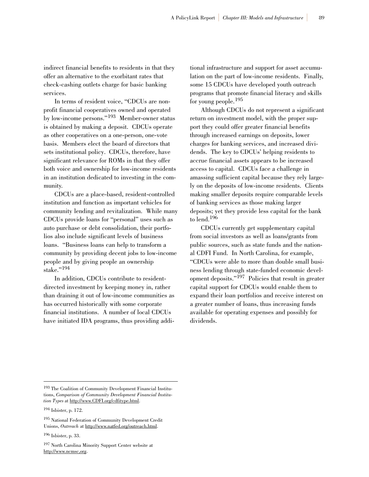indirect financial benefits to residents in that they offer an alternative to the exorbitant rates that check-cashing outlets charge for basic banking services.

In terms of resident voice, "CDCUs are nonprofit financial cooperatives owned and operated by low-income persons."<sup>193</sup> Member-owner status is obtained by making a deposit. CDCUs operate as other cooperatives on a one-person, one-vote basis. Members elect the board of directors that sets institutional policy. CDCUs, therefore, have significant relevance for ROMs in that they offer both voice and ownership for low-income residents in an institution dedicated to investing in the community.

CDCUs are a place-based, resident-controlled institution and function as important vehicles for community lending and revitalization. While many CDCUs provide loans for "personal" uses such as auto purchase or debt consolidation, their portfolios also include significant levels of business loans. "Business loans can help to transform a community by providing decent jobs to low-income people and by giving people an ownership stake."<sup>194</sup>

In addition, CDCUs contribute to residentdirected investment by keeping money in, rather than draining it out of low-income communities as has occurred historically with some corporate financial institutions. A number of local CDCUs have initiated IDA programs, thus providing additional infrastructure and support for asset accumulation on the part of low-income residents. Finally, some 15 CDCUs have developed youth outreach programs that promote financial literacy and skills for young people.<sup>195</sup>

Although CDCUs do not represent a significant return on investment model, with the proper support they could offer greater financial benefits through increased earnings on deposits, lower charges for banking services, and increased dividends. The key to CDCUs' helping residents to accrue financial assets appears to be increased access to capital. CDCUs face a challenge in amassing sufficient capital because they rely largely on the deposits of low-income residents. Clients making smaller deposits require comparable levels of banking services as those making larger deposits; yet they provide less capital for the bank to lend.<sup>196</sup>

CDCUs currently get supplementary capital from social investors as well as loans/grants from public sources, such as state funds and the national CDFI Fund. In North Carolina, for example, "CDCUs were able to more than double small business lending through state-funded economic development deposits." $197$  Policies that result in greater capital support for CDCUs would enable them to expand their loan portfolios and receive interest on a greater number of loans, thus increasing funds available for operating expenses and possibly for dividends.

<sup>196</sup> Isbister, p. 33.

<sup>193</sup> The Coalition of Community Development Financial Institutions, *Comparison of Community Development Financial Institution Types* at http://www.CDFI.org/cdfitype.html.

<sup>194</sup> Isbister, p. 172.

<sup>195</sup> National Federation of Community Development Credit Unions, *Outreach* at http://www.natfed.org/outreach.html.

<sup>197</sup> North Carolina Minority Support Center website at http://www.ncmsc,org.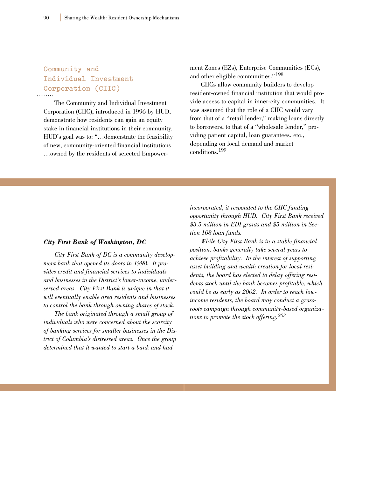## **Community and Individual Investment Corporation (CIIC)**

The Community and Individual Investment Corporation (CIIC), introduced in 1996 by HUD, demonstrate how residents can gain an equity stake in financial institutions in their community. HUD's goal was to: "…demonstrate the feasibility of new, community-oriented financial institutions …owned by the residents of selected Empowerment Zones (EZs), Enterprise Communities (ECs), and other eligible communities."<sup>198</sup>

CIICs allow community builders to develop resident-owned financial institution that would provide access to capital in inner-city communities. It was assumed that the role of a CIIC would vary from that of a "retail lender," making loans directly to borrowers, to that of a "wholesale lender," providing patient capital, loan guarantees, etc., depending on local demand and market conditions.199

#### *City First Bank of Washington, DC*

*City First Bank of DC is a community development bank that opened its doors in 1998. It provides credit and financial services to individuals and businesses in the District's lower-income, underserved areas. City First Bank is unique in that it will eventually enable area residents and businesses to control the bank through owning shares of stock.*

*The bank originated through a small group of individuals who were concerned about the scarcity of banking services for smaller businesses in the District of Columbia's distressed areas. Once the group determined that it wanted to start a bank and had*

*incorporated, it responded to the CIIC funding opportunity through HUD. City First Bank received \$3.5 million in EDI grants and \$5 million in Section 108 loan funds.*

*While City First Bank is in a stable financial position, banks generally take several years to achieve profitability. In the interest of supporting asset building and wealth creation for local residents, the board has elected to delay offering residents stock until the bank becomes profitable, which could be as early as 2002. In order to reach lowincome residents, the board may conduct a grassroots campaign through community-based organizations to promote the stock offering.<sup>203</sup>*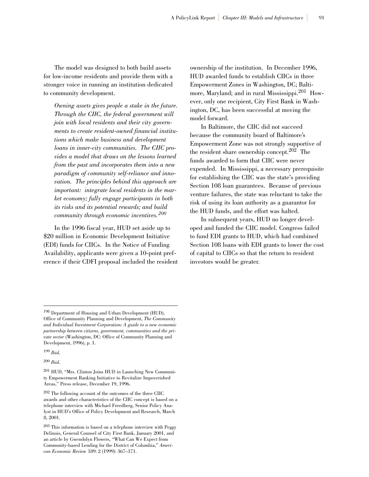The model was designed to both build assets for low-income residents and provide them with a stronger voice in running an institution dedicated to community development.

*Owning assets gives people a stake in the future. Through the CIIC, the federal government will join with local residents and their city governments to create resident-owned financial institutions which make business and development loans in inner-city communities. The CIIC provides a model that draws on the lessons learned from the past and incorporates them into a new paradigm of community self-reliance and innovation. The principles behind this approach are important: integrate local residents in the market economy; fully engage participants in both its risks and its potential rewards; and build community through economic incentives.<sup>200</sup>*

In the 1996 fiscal year, HUD set aside up to \$20 million in Economic Development Initiative (EDI) funds for CIICs. In the Notice of Funding Availability, applicants were given a 10-point preference if their CDFI proposal included the resident ownership of the institution. In December 1996, HUD awarded funds to establish CIICs in three Empowerment Zones in Washington, DC; Baltimore, Maryland; and in rural Mississippi.<sup>201</sup> However, only one recipient, City First Bank in Washington, DC, has been successful at moving the model forward.

In Baltimore, the CIIC did not succeed because the community board of Baltimore's Empowerment Zone was not strongly supportive of the resident share ownership concept.<sup>202</sup> The funds awarded to form that CIIC were never expended. In Mississippi, a necessary prerequisite for establishing the CIIC was the state's providing Section 108 loan guarantees. Because of previous venture failures, the state was reluctant to take the risk of using its loan authority as a guarantor for the HUD funds, and the effort was halted.

In subsequent years, HUD no longer developed and funded the CIIC model. Congress failed to fund EDI grants to HUD, which had combined Section 108 loans with EDI grants to lower the cost of capital to CIICs so that the return to resident investors would be greater.

<sup>200</sup> *Ibid*.

<sup>198</sup> Department of Housing and Urban Development (HUD), Office of Community Planning and Development, *The Community and Individual Investment Corporation: A guide to a new economic partnership between citizens, government, communities and the private sector* (Washington, DC: Office of Community Planning and Development, 1996), p. 1.

<sup>199</sup> *Ibid*.

<sup>201</sup> HUD, "Mrs. Clinton Joins HUD in Launching New Community Empowerment Banking Initiative to Revitalize Impoverished Areas," Press release, December 19, 1996.

<sup>202</sup> The following account of the outcomes of the three CIIC awards and other characteristics of the CIIC concept is based on a telephone interview with Michael Freedberg, Senior Policy Analyst in HUD's Office of Policy Development and Research, March 8, 2001.

<sup>203</sup> This information is based on a telephone interview with Peggy Delinois, General Counsel of City First Bank, January 2001, and an article by Gwendolyn Flowers, "What Can We Expect from Community-based Lending for the District of Columbia," *American Economic Review* 189: 2 (1999): 367–371.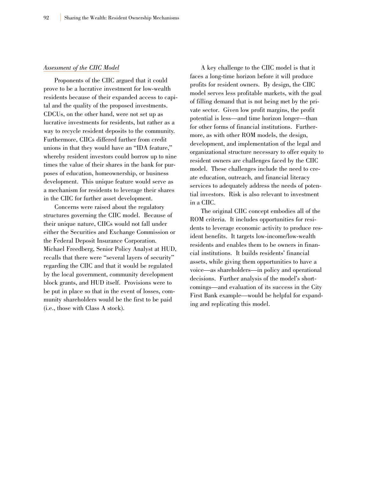#### *Assessment of the CIIC Model*

Proponents of the CIIC argued that it could prove to be a lucrative investment for low-wealth residents because of their expanded access to capital and the quality of the proposed investments. CDCUs, on the other hand, were not set up as lucrative investments for residents, but rather as a way to recycle resident deposits to the community. Furthermore, CIICs differed further from credit unions in that they would have an "IDA feature," whereby resident investors could borrow up to nine times the value of their shares in the bank for purposes of education, homeownership, or business development. This unique feature would serve as a mechanism for residents to leverage their shares in the CIIC for further asset development.

Concerns were raised about the regulatory structures governing the CIIC model. Because of their unique nature, CIICs would not fall under either the Securities and Exchange Commission or the Federal Deposit Insurance Corporation. Michael Freedberg, Senior Policy Analyst at HUD, recalls that there were "several layers of security" regarding the CIIC and that it would be regulated by the local government, community development block grants, and HUD itself. Provisions were to be put in place so that in the event of losses, community shareholders would be the first to be paid (i.e., those with Class A stock).

A key challenge to the CIIC model is that it faces a long-time horizon before it will produce profits for resident owners. By design, the CIIC model serves less profitable markets, with the goal of filling demand that is not being met by the private sector. Given low profit margins, the profit potential is less—and time horizon longer—than for other forms of financial institutions. Furthermore, as with other ROM models, the design, development, and implementation of the legal and organizational structure necessary to offer equity to resident owners are challenges faced by the CIIC model. These challenges include the need to create education, outreach, and financial literacy services to adequately address the needs of potential investors. Risk is also relevant to investment in a CIIC.

The original CIIC concept embodies all of the ROM criteria. It includes opportunities for residents to leverage economic activity to produce resident benefits. It targets low-income/low-wealth residents and enables them to be owners in financial institutions. It builds residents' financial assets, while giving them opportunities to have a voice—as shareholders—in policy and operational decisions. Further analysis of the model's shortcomings—and evaluation of its success in the City First Bank example—would be helpful for expanding and replicating this model.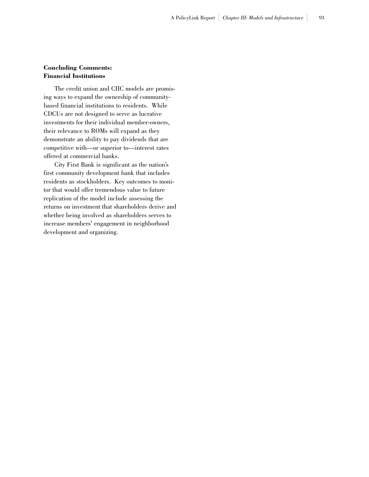## **Concluding Comments: Financial Institutions**

The credit union and CIIC models are promising ways to expand the ownership of communitybased financial institutions to residents. While CDCUs are not designed to serve as lucrative investments for their individual member-owners, their relevance to ROMs will expand as they demonstrate an ability to pay dividends that are competitive with—or superior to—interest rates offered at commercial banks.

City First Bank is significant as the nation's first community development bank that includes residents as stockholders. Key outcomes to monitor that would offer tremendous value to future replication of the model include assessing the returns on investment that shareholders derive and whether being involved as shareholders serves to increase members' engagement in neighborhood development and organizing.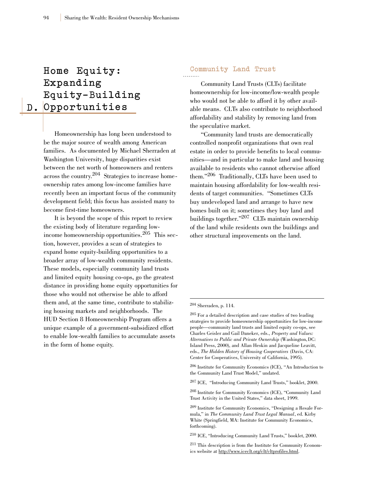# **D . O p p o r t u n i t i e s Home Equity: Expanding Equity-Building**

Homeownership has long been understood to be the major source of wealth among American families. As documented by Michael Sherraden at Washington University, huge disparities exist between the net worth of homeowners and renters across the country.204 Strategies to increase homeownership rates among low-income families have recently been an important focus of the community development field; this focus has assisted many to become first-time homeowners.

It is beyond the scope of this report to review the existing body of literature regarding lowincome homeownership opportunities.<sup>205</sup> This section, however, provides a scan of strategies to expand home equity-building opportunities to a broader array of low-wealth community residents. These models, especially community land trusts and limited equity housing co-ops, go the greatest distance in providing home equity opportunities for those who would not otherwise be able to afford them and, at the same time, contribute to stabilizing housing markets and neighborhoods. The HUD Section 8 Homeownership Program offers a unique example of a government-subsidized effort to enable low-wealth families to accumulate assets in the form of home equity.

## **Community Land Trust**

Community Land Trusts (CLTs) facilitate homeownership for low-income/low-wealth people who would not be able to afford it by other available means. CLTs also contribute to neighborhood affordability and stability by removing land from the speculative market.

"Community land trusts are democratically controlled nonprofit organizations that own real estate in order to provide benefits to local communities—and in particular to make land and housing available to residents who cannot otherwise afford them."206 Traditionally, CLTs have been used to maintain housing affordability for low-wealth residents of target communities. "Sometimes CLTs buy undeveloped land and arrange to have new homes built on it; sometimes they buy land and buildings together."207 CLTs maintain ownership of the land while residents own the buildings and other structural improvements on the land.

<sup>204</sup> Sherraden, p. 114.

<sup>205</sup> For a detailed description and case studies of two leading strategies to provide homeownership opportunities for low-income people—community land trusts and limited equity co-ops, see Charles Geisler and Gail Daneker, eds., *Property and Values: Alternatives to Public and Private Ownership* (Washington, DC: Island Press, 2000), and Allan Heskin and Jacqueline Leavitt, eds., *The Hidden History of Housing Cooperatives* (Davis, CA: Center for Cooperatives, University of California, 1995).

<sup>206</sup> Institute for Community Economics (ICE), "An Introduction to the Community Land Trust Model," undated.

<sup>207</sup> ICE, "Introducing Community Land Trusts," booklet, 2000.

<sup>208</sup> Institute for Community Economics (ICE), "Community Land Trust Activity in the United States," data sheet, 1999.

<sup>209</sup> Institute for Community Economics, "Designing a Resale Formula," in *The Community Land Trust Legal Manual*, ed. Kirby White (Springfield, MA: Institute for Community Economics, forthcoming).

<sup>210</sup> ICE, "Introducing Community Land Trusts," booklet, 2000.

<sup>211</sup> This description is from the Institute for Community Economics website at http://www.iceclt.org/clt/cltprofiles.html.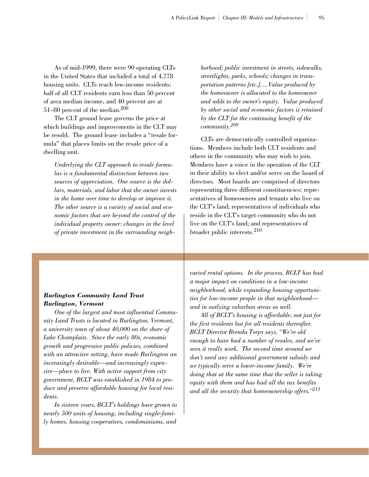As of mid-1999, there were 90 operating CLTs in the United States that included a total of 4,778 housing units. CLTs reach low-income residents: half of all CLT residents earn less than 50 percent of area median income, and 40 percent are at 51–80 percent of the median.<sup>208</sup>

The CLT ground lease governs the price at which buildings and improvements in the CLT may be resold. The ground lease includes a "resale formula" that places limits on the resale price of a dwelling unit.

*Underlying the CLT approach to resale formulas is a fundamental distinction between two sources of appreciation. One source is the dollars, materials, and labor that the owner invests in the home over time to develop or improve it. The other source is a variety of social and economic factors that are beyond the control of the individual property owner: changes in the level of private investment in the surrounding neigh-* *borhood; public investment in streets, sidewalks, streetlights, parks, schools; changes in transportation patterns [etc.]….Value produced by the homeowner is allocated to the homeowner and adds to the owner's equity. Value produced by other social and economic factors is retained by the CLT for the continuing benefit of the community.209*

CLTs are democratically controlled organizations. Members include both CLT residents and others in the community who may wish to join. Members have a voice in the operation of the CLT in their ability to elect and/or serve on the board of directors. Most boards are comprised of directors representing three different constituencies: representatives of homeowners and tenants who live on the CLT's land; representatives of individuals who reside in the CLT's target community who do not live on the CLT's land; and representatives of broader public interests.<sup>210</sup>

#### *Burlington Community Land Trust Burlington, Vermont*

*One of the largest and most influential Community Land Trusts is located in Burlington, Vermont, a university town of about 40,000 on the shore of Lake Champlain. Since the early 80s, economic growth and progressive public policies, combined with an attractive setting, have made Burlington an increasingly desirable—and increasingly expensive—place to live. With active support from city government, BCLT was established in 1984 to produce and preserve affordable housing for local residents.*

*In sixteen years, BCLT's holdings have grown to nearly 500 units of housing, including single-family homes, housing cooperatives, condominiums, and*

*varied rental options. In the process, BCLT has had a major impact on conditions in a low-income neighborhood, while expanding housing opportunities for low-income people in that neighborhood and in outlying suburban areas as well.*

*All of BCLT's housing is affordable, not just for the first residents but for all residents thereafter. BCLT Director Brenda Torpy says, "We're old enough to have had a number of resales, and we've seen it really work. The second time around we don't need any additional government subsidy and we typically serve a lower-income family. We're doing that at the same time that the seller is taking equity with them and has had all the tax benefits and all the security that homeownership offers."211*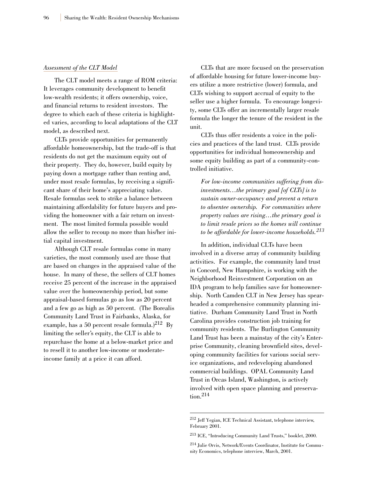#### *Assessment of the CLT Model*

The CLT model meets a range of ROM criteria: It leverages community development to benefit low-wealth residents; it offers ownership, voice, and financial returns to resident investors. The degree to which each of these criteria is highlighted varies, according to local adaptations of the CLT model, as described next.

CLTs provide opportunities for permanently affordable homeownership, but the trade-off is that residents do not get the maximum equity out of their property. They do, however, build equity by paying down a mortgage rather than renting and, under most resale formulas, by receiving a significant share of their home's appreciating value. Resale formulas seek to strike a balance between maintaining affordability for future buyers and providing the homeowner with a fair return on investment. The most limited formula possible would allow the seller to recoup no more than his/her initial capital investment.

Although CLT resale formulas come in many varieties, the most commonly used are those that are based on changes in the appraised value of the house. In many of these, the sellers of CLT homes receive 25 percent of the increase in the appraised value over the homeownership period, but some appraisal-based formulas go as low as 20 percent and a few go as high as 50 percent. (The Borealis Community Land Trust in Fairbanks, Alaska, for example, has a 50 percent resale formula.) $^{212}$  By limiting the seller's equity, the CLT is able to repurchase the home at a below-market price and to resell it to another low-income or moderateincome family at a price it can afford.

CLTs that are more focused on the preservation of affordable housing for future lower-income buyers utilize a more restrictive (lower) formula, and CLTs wishing to support accrual of equity to the seller use a higher formula. To encourage longevity, some CLTs offer an incrementally larger resale formula the longer the tenure of the resident in the unit.

CLTs thus offer residents a voice in the policies and practices of the land trust. CLTs provide opportunities for individual homeownership and some equity building as part of a community-controlled initiative.

*For low-income communities suffering from disinvestments…the primary goal [of CLTs] is to sustain owner-occupancy and prevent a return to absentee ownership. For communities where property values are rising…the primary goal is to limit resale prices so the homes will continue to be affordable for lower-income households.<sup>213</sup>*

In addition, individual CLTs have been involved in a diverse array of community building activities. For example, the community land trust in Concord, New Hampshire, is working with the Neighborhood Reinvestment Corporation on an IDA program to help families save for homeownership. North Camden CLT in New Jersey has spearheaded a comprehensive community planning initiative. Durham Community Land Trust in North Carolina provides construction job training for community residents. The Burlington Community Land Trust has been a mainstay of the city's Enterprise Community, cleaning brownfield sites, developing community facilities for various social service organizations, and redeveloping abandoned commercial buildings. OPAL Community Land Trust in Orcas Island, Washington, is actively involved with open space planning and preservation.214

<sup>212</sup> Jeff Yegian, ICE Technical Assistant, telephone interview, February 2001.

<sup>213</sup> ICE, "Introducing Community Land Trusts," booklet, 2000.

<sup>214</sup> Julie Orvis, Network/Events Coordinator, Institute for Community Economics, telephone interview, March, 2001.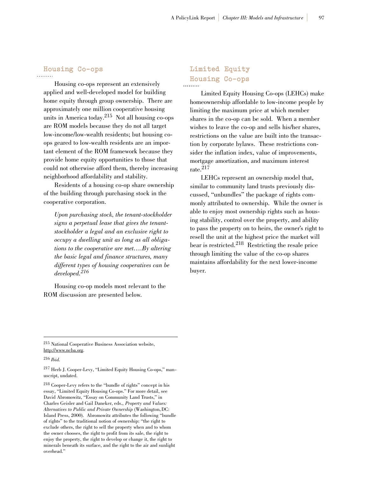### **Housing Co-ops**

Housing co-ops represent an extensively applied and well-developed model for building home equity through group ownership. There are approximately one million cooperative housing units in America today.<sup>215</sup> Not all housing co-ops are ROM models because they do not all target low-income/low-wealth residents; but housing coops geared to low-wealth residents are an important element of the ROM framework because they provide home equity opportunities to those that could not otherwise afford them, thereby increasing neighborhood affordability and stability.

Residents of a housing co-op share ownership of the building through purchasing stock in the cooperative corporation.

*Upon purchasing stock, the tenant-stockholder signs a perpetual lease that gives the tenantstockholder a legal and an exclusive right to occupy a dwelling unit as long as all obligations to the cooperative are met….By altering the basic legal and finance structures, many different types of housing cooperatives can be developed.<sup>216</sup>*

Housing co-op models most relevant to the ROM discussion are presented below.

### **Limited Equity Housing Co-ops**

Limited Equity Housing Co-ops (LEHCs) make homeownership affordable to low-income people by limiting the maximum price at which member shares in the co-op can be sold. When a member wishes to leave the co-op and sells his/her shares, restrictions on the value are built into the transaction by corporate bylaws. These restrictions consider the inflation index, value of improvements, mortgage amortization, and maximum interest rate.217

LEHCs represent an ownership model that, similar to community land trusts previously discussed, "unbundles" the package of rights commonly attributed to ownership. While the owner is able to enjoy most ownership rights such as housing stability, control over the property, and ability to pass the property on to heirs, the owner's right to resell the unit at the highest price the market will bear is restricted.<sup>218</sup> Restricting the resale price through limiting the value of the co-op shares maintains affordability for the next lower-income buyer.

<sup>217</sup> Herb J. Cooper-Levy, "Limited Equity Housing Co-ops," manuscript, undated.

<sup>215</sup> National Cooperative Business Association website, http://www.ncba.org.

<sup>216</sup> *Ibid.*

<sup>218</sup> Cooper-Levy refers to the "bundle of rights" concept in his essay, "Limited Equity Housing Co-ops." For more detail, see David Abromowitz, "Essay on Community Land Trusts," in Charles Geisler and Gail Daneker, eds., *Property and Values: Alternatives to Public and Private Ownership* (Washington, DC: Island Press, 2000). Abromowitz attributes the following "bundle of rights" to the traditional notion of ownership: "the right to exclude others, the right to sell the property when and to whom the owner chooses, the right to profit from its sale, the right to enjoy the property, the right to develop or change it, the right to minerals beneath its surface, and the right to the air and sunlight overhead."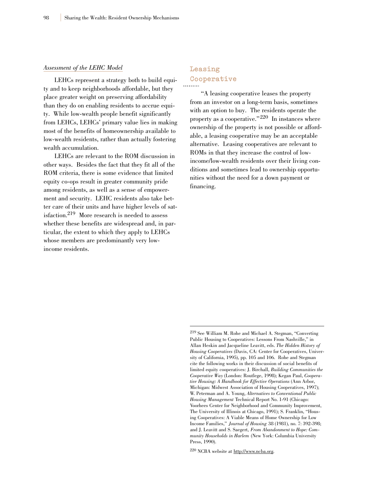#### *Assessment of the LEHC Model*

LEHCs represent a strategy both to build equity and to keep neighborhoods affordable, but they place greater weight on preserving affordability than they do on enabling residents to accrue equity. While low-wealth people benefit significantly from LEHCs, LEHCs' primary value lies in making most of the benefits of homeownership available to low-wealth residents, rather than actually fostering wealth accumulation.

LEHCs are relevant to the ROM discussion in other ways. Besides the fact that they fit all of the ROM criteria, there is some evidence that limited equity co-ops result in greater community pride among residents, as well as a sense of empowerment and security. LEHC residents also take better care of their units and have higher levels of satisfaction.219 More research is needed to assess whether these benefits are widespread and, in particular, the extent to which they apply to LEHCs whose members are predominantly very lowincome residents.

### **Leasing Cooperative**

"A leasing cooperative leases the property from an investor on a long-term basis, sometimes with an option to buy. The residents operate the property as a cooperative." $220$  In instances where ownership of the property is not possible or affordable, a leasing cooperative may be an acceptable alternative. Leasing cooperatives are relevant to ROMs in that they increase the control of lowincome/low-wealth residents over their living conditions and sometimes lead to ownership opportunities without the need for a down payment or financing.

<sup>219</sup> See William M. Rohe and Michael A. Stegman, "Converting Public Housing to Cooperatives: Lessons From Nashville," in Allan Heskin and Jacqueline Leavitt, eds. *The Hidden History of Housing Cooperatives* (Davis, CA: Center for Cooperatives, University of California, 1995), pp. 105 and 106. Rohe and Stegman cite the following works in their discussion of social benefits of limited equity cooperatives: J. Birchall, *Building Communities the Cooperative Way* (London: Routlege, 1998); Kegan Paul, *Cooperative Housing: A Handbook for Effective Operations* (Ann Arbor, Michigan: Midwest Association of Housing Cooperatives, 1997); W. Peterman and A. Young, *Alternatives to Conventional Public Housing Management* Technical Report No. 1-91 (Chicago: Voorhees Center for Neighborhood and Community Improvement, The University of Illinois at Chicago, 1991); S. Franklin, "Housing Cooperatives: A Viable Means of Home Ownership for Low Income Families," *Journal of Housing* 38 (1981), no. 7: 392-398; and J. Leavitt and S. Saegert, *From Abandonment to Hope: Community Households in Harlem* (New York: Columbia University Press, 1990).

<sup>220</sup> NCBA website at http://www.ncba.org.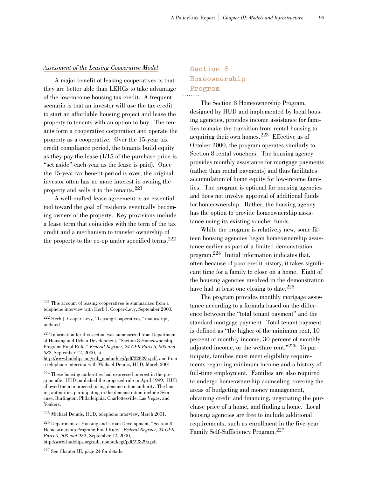#### *Assessment of the Leasing Cooperative Model*

A major benefit of leasing cooperatives is that they are better able than LEHCs to take advantage of the low-income housing tax credit. A frequent scenario is that an investor will use the tax credit to start an affordable housing project and lease the property to tenants with an option to buy. The tenants form a cooperative corporation and operate the property as a cooperative. Over the 15-year tax credit compliance period, the tenants build equity as they pay the lease (1/15 of the purchase price is "set aside" each year as the lease is paid). Once the 15-year tax benefit period is over, the original investor often has no more interest in owning the property and sells it to the tenants.<sup>221</sup>

A well-crafted lease agreement is an essential tool toward the goal of residents eventually becoming owners of the property. Key provisions include a lease term that coincides with the term of the tax credit and a mechanism to transfer ownership of the property to the co-op under specified terms.<sup>222</sup>

#### **Section 8 Homeownership Program**

The Section 8 Homeownership Program, designed by HUD and implemented by local housing agencies, provides income assistance for families to make the transition from rental housing to acquiring their own homes.<sup>223</sup> Effective as of October 2000, the program operates similarly to Section 8 rental vouchers. The housing agency provides monthly assistance for mortgage payments (rather than rental payments) and thus facilitates accumulation of home equity for low-income families. The program is optional for housing agencies and does not involve approval of additional funds for homeownership. Rather, the housing agency has the option to provide homeownership assistance using its existing voucher funds.

While the program is relatively new, some fifteen housing agencies began homeownership assistance earlier as part of a limited demonstration program.224 Initial information indicates that, often because of poor credit history, it takes significant time for a family to close on a home. Eight of the housing agencies involved in the demonstration have had at least one closing to date.<sup>225</sup>

The program provides monthly mortgage assistance according to a formula based on the difference between the "total tenant payment" and the standard mortgage payment. Total tenant payment is defined as "the higher of the minimum rent, 10 percent of monthly income, 30 percent of monthly adjusted income, or the welfare rent."226 To participate, families must meet eligibility requirements regarding minimum income and a history of full-time employment. Families are also required to undergo homeownership counseling covering the areas of budgeting and money management, obtaining credit and financing, negotiating the purchase price of a home, and finding a home. Local housing agencies are free to include additional requirements, such as enrollment in the five-year Family Self-Sufficiency Program.<sup>227</sup>

<sup>121</sup> This account of leasing cooperatives is summarized from a <sup>221</sup> This account of leasing cooperatives is summarized from a telephone interview with Herb J. Cooper Levy, September 2000. telephone interview with Herb J. Cooper-Levy, September 2000.

<sup>222</sup> Herb J. Cooper-Levy, "Leasing Cooperatives," manuscript, undated. undated.

<sup>123</sup> Information for this section was summarized from Department <sup>223</sup> Information for this section was summarized from Department of Housing and Urban Development, "Section 8 Homeownership of Housing and Urban Development, "Section 8 Homeownership Program; Final Rule," *Federal Register, 24 CFR Parts 5, 903 and* Program; Final Rule," *Federal Register, 24 CFR Parts 5, 903 and 982*, September 12, 2000, at *982*, September 12, 2000, at

http://www.hudclips.org/sub\_nonhud/cgi/pdf/22829a.pdf, and from http://www.hudclips.org/sub\_nonhud/cgi/pdf/22829a.pdf, and from a telephone interview with Michael Dennis, HUD, March 2001. a telephone interview with Michael Dennis, HUD, March 2001.

<sup>124</sup> These housing authorities had expressed interest in the pro-<sup>224</sup> These housing authorities had expressed interest in the program after HUD published the proposed rule in April 1999. HUD gram after HUD published the proposed rule in April 1999. HUD allowed them to proceed, using demonstration authority. The hous - allowed them to proceed, using demonstration authority. The hous ing authorities participating in the demonstration include Syra-ing authorities participating in the demonstration include Syracuse, Burlington, Philadelphia, Charlottesville, Las Vegas, and cuse, Burlington, Philadelphia, Charlottesville, Las Vegas, and Yonkers. Yonkers.

<sup>125</sup> Michael Dennis, HUD, telephone interview, March 2001. <sup>225</sup> Michael Dennis, HUD, telephone interview, March 2001.

<sup>126</sup> Department of Housing and Urban Development, "Section 8 <sup>226</sup> Department of Housing and Urban Development, "Section 8 Homeownership Program; Final Rule," *Federal Register, 24 CFR* Homeownership Program; Final Rule," *Federal Register, 24 CFR Parts 5, 903 and 982*, September 12, 2000, *Parts 5, 903 and 982*, September 12, 2000, http://www.hudclips.org/sub\_nonhud/cgi/pdf/22829a.pdf. http://www.hudclips.org/sub\_nonhud/cgi/pdf/22829a.pdf.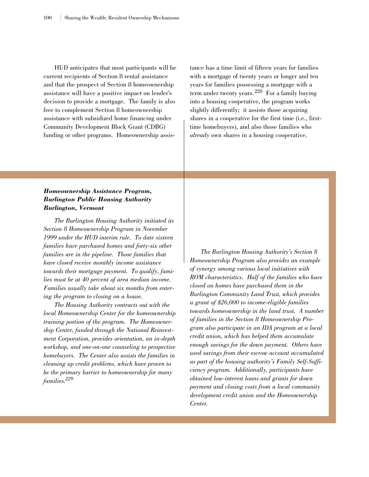HUD anticipates that most participants will be current recipients of Section 8 rental assistance and that the prospect of Section 8 homeownership assistance will have a positive impact on lender's decision to provide a mortgage. The family is also free to complement Section 8 homeownership assistance with subsidized home financing under Community Development Block Grant (CDBG) funding or other programs. Homeownership assistance has a time limit of fifteen years for families with a mortgage of twenty years or longer and ten years for families possessing a mortgage with a term under twenty years.<sup>228</sup> For a family buying into a housing cooperative, the program works slightly differently; it assists those acquiring shares in a cooperative for the first time (i.e., firsttime homebuyers), and also those families who *already* own shares in a housing cooperative.

#### *Homeownership Assistance Program, Burlington Public Housing Authority Burlington, Vermont*

*The Burlington Housing Authority initiated its Section 8 Homeownership Program in November 1999 under the HUD interim rule. To date sixteen families have purchased homes and forty-six other families are in the pipeline. Those families that have closed receive monthly income assistance towards their mortgage payment. To qualify, families must be at 40 percent of area median income. Families usually take about six months from entering the program to closing on a house.*

*The Housing Authority contracts out with the local Homeownership Center for the homeownership training portion of the program. The Homeownership Center, funded through the National Reinvestment Corporation, provides orientation, an in-depth workshop, and one-on-one counseling to prospective homebuyers. The Center also assists the families in cleaning up credit problems, which have proven to be the primary barrier to homeownership for many families.229*

*The Burlington Housing Authority's Section 8 Homeownership Program also provides an example of synergy among various local initiatives with ROM characteristics. Half of the families who have closed on homes have purchased them in the Burlington Community Land Trust, which provides a grant of \$26,000 to income-eligible families towards homeownership in the land trust. A number of families in the Section 8 Homeownership Program also participate in an IDA program at a local credit union, which has helped them accumulate enough savings for the down payment. Others have used savings from their escrow account accumulated as part of the housing authority's Family Self-Sufficiency program. Additionally, participants have obtained low-interest loans and grants for down payment and closing costs from a local community development credit union and the Homeownership Center.*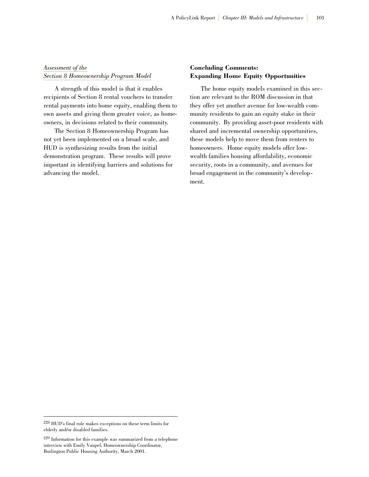#### *Assessment of the Section 8 Homeownership Program Model*

A strength of this model is that it enables recipients of Section 8 rental vouchers to transfer rental payments into home equity, enabling them to own assets and giving them greater voice, as homeowners, in decisions related to their community.

The Section 8 Homeownership Program has not yet been implemented on a broad scale, and HUD is synthesizing results from the initial demonstration program. These results will prove important in identifying barriers and solutions for advancing the model.

#### **Concluding Comments: Expanding Home Equity Opportunities**

The home equity models examined in this section are relevant to the ROM discussion in that they offer yet another avenue for low-wealth community residents to gain an equity stake in their community. By providing asset-poor residents with shared and incremental ownership opportunities, these models help to move them from renters to homeowners. Home equity models offer lowwealth families housing affordability, economic security, roots in a community, and avenues for broad engagement in the community's development.

<sup>228</sup> HUD's final rule makes exceptions on these term limits for elderly and/or disabled families.

<sup>229</sup> Information for this example was summarized from a telephone interview with Emily Vaupel, Homeownership Coordinator, Burlington Public Housing Authority, March 2001.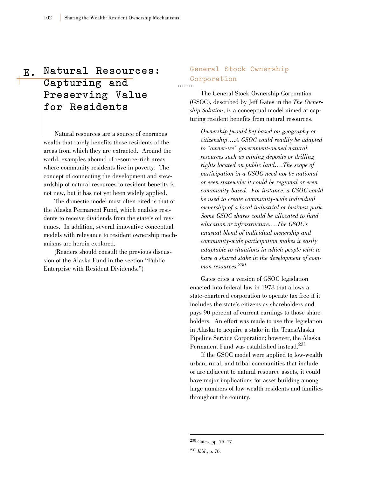## **E . Natural Resources: Capturing and Preserving Value for Residents**

Natural resources are a source of enormous wealth that rarely benefits those residents of the areas from which they are extracted. Around the world, examples abound of resource-rich areas where community residents live in poverty. The concept of connecting the development and stewardship of natural resources to resident benefits is not new, but it has not yet been widely applied.

The domestic model most often cited is that of the Alaska Permanent Fund, which enables residents to receive dividends from the state's oil revenues. In addition, several innovative conceptual models with relevance to resident ownership mechanisms are herein explored.

(Readers should consult the previous discussion of the Alaska Fund in the section "Public Enterprise with Resident Dividends.")

### **General Stock Ownership Corporation**

The General Stock Ownership Corporation (GSOC), described by Jeff Gates in the *The Ownership Solution*, is a conceptual model aimed at capturing resident benefits from natural resources.

*Ownership [would be] based on geography or citizenship….A GSOC could readily be adapted to "owner-ize" government-owned natural resources such as mining deposits or drilling rights located on public land….The scope of participation in a GSOC need not be national or even statewide; it could be regional or even community-based. For instance, a GSOC could be used to create community-wide individual ownership of a local industrial or business park. Some GSOC shares could be allocated to fund education or infrastructure….The GSOC's unusual blend of individual ownership and community-wide participation makes it easily adaptable to situations in which people wish to have a shared stake in the development of common resources.230*

Gates cites a version of GSOC legislation enacted into federal law in 1978 that allows a state-chartered corporation to operate tax free if it includes the state's citizens as shareholders and pays 90 percent of current earnings to those shareholders. An effort was made to use this legislation in Alaska to acquire a stake in the TransAlaska Pipeline Service Corporation; however, the Alaska Permanent Fund was established instead.<sup>231</sup>

If the GSOC model were applied to low-wealth urban, rural, and tribal communities that include or are adjacent to natural resource assets, it could have major implications for asset building among large numbers of low-wealth residents and families throughout the country.

<sup>230</sup> Gates, pp. 75–77.

<sup>231</sup> *Ibid*., p. 76.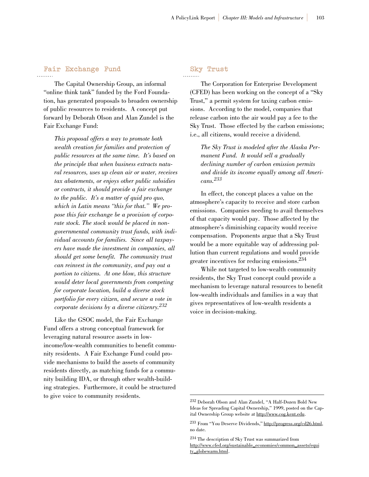#### **Fair Exchange Fund**

The Capital Ownership Group, an informal "online think tank" funded by the Ford Foundation, has generated proposals to broaden ownership of public resources to residents. A concept put forward by Deborah Olson and Alan Zundel is the Fair Exchange Fund:

*This proposal offers a way to promote both wealth creation for families and protection of public resources at the same time. It's based on the principle that when business extracts natural resources, uses up clean air or water, receives tax abatements, or enjoys other public subsidies or contracts, it should provide a fair exchange to the public. It's a matter of quid pro quo, which in Latin means "this for that." We propose this fair exchange be a provision of corporate stock. The stock would be placed in nongovernmental community trust funds, with individual accounts for families. Since all taxpayers have made the investment in companies, all should get some benefit. The community trust can reinvest in the community, and pay out a portion to citizens. At one blow, this structure would deter local governments from competing for corporate location, build a diverse stock portfolio for every citizen, and secure a vote in corporate decisions by a diverse citizenry.232*

Like the GSOC model, the Fair Exchange Fund offers a strong conceptual framework for leveraging natural resource assets in lowincome/low-wealth communities to benefit community residents. A Fair Exchange Fund could provide mechanisms to build the assets of community residents directly, as matching funds for a community building IDA, or through other wealth-building strategies. Furthermore, it could be structured to give voice to community residents.

#### **Sky Trust**

The Corporation for Enterprise Development (CFED) has been working on the concept of a "Sky Trust," a permit system for taxing carbon emissions. According to the model, companies that release carbon into the air would pay a fee to the Sky Trust. Those effected by the carbon emissions; i.e., all citizens, would receive a dividend.

*The Sky Trust is modeled after the Alaska Permanent Fund. It would sell a gradually declining number of carbon emission permits and divide its income equally among all Americans.233*

In effect, the concept places a value on the atmosphere's capacity to receive and store carbon emissions. Companies needing to avail themselves of that capacity would pay. Those affected by the atmosphere's diminishing capacity would receive compensation. Proponents argue that a Sky Trust would be a more equitable way of addressing pollution than current regulations and would provide greater incentives for reducing emissions.234

While not targeted to low-wealth community residents, the Sky Trust concept could provide a mechanism to leverage natural resources to benefit low-wealth individuals and families in a way that gives representatives of low-wealth residents a voice in decision-making.

<sup>232</sup> Deborah Olson and Alan Zundel, "A Half-Dozen Bold New Ideas for Spreading Capital Ownership," 1999, posted on the Capital Ownership Group website at http://www.cog.kent.edu.

<sup>233</sup> From "You Deserve Dividends," http://progress.org/cd26.html, no date.

http://www.cfed.org/sustainable\_economies/common\_assets/equi http://www.cfed.org/sustainable\_economies/common\_assets/equi ty\_globewarm.html. ty\_globewarm.html.<sup>234</sup> The description of Sky Trust was summarized from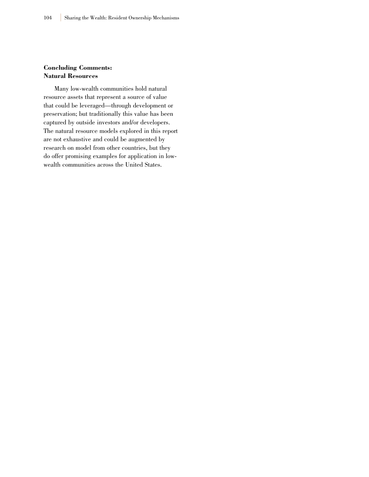#### **Concluding Comments: Natural Resources**

Many low-wealth communities hold natural resource assets that represent a source of value that could be leveraged—through development or preservation; but traditionally this value has been captured by outside investors and/or developers. The natural resource models explored in this report are not exhaustive and could be augmented by research on model from other countries, but they do offer promising examples for application in lowwealth communities across the United States.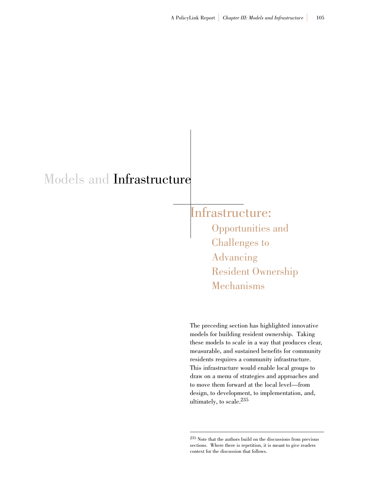# Models and Infrastructure

Infrastructure: Opportunities and Challenges to Advancing Resident Ownership Mechanisms

The preceding section has highlighted innovative models for building resident ownership. Taking these models to scale in a way that produces clear, measurable, and sustained benefits for community residents requires a community infrastructure. This infrastructure would enable local groups to draw on a menu of strategies and approaches and to move them forward at the local level—from design, to development, to implementation, and, ultimately, to scale.235

<sup>235</sup> Note that the authors build on the discussions from previous sections. Where there is repetition, it is meant to give readers context for the discussion that follows.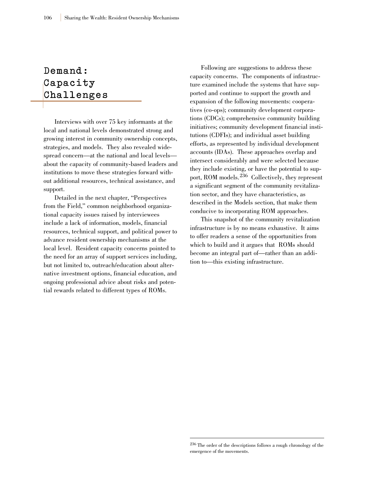## **Demand: Capacity Challenges**

Interviews with over 75 key informants at the local and national levels demonstrated strong and growing interest in community ownership concepts, strategies, and models. They also revealed widespread concern—at the national and local levels about the capacity of community-based leaders and institutions to move these strategies forward without additional resources, technical assistance, and support.

Detailed in the next chapter, "Perspectives from the Field," common neighborhood organizational capacity issues raised by interviewees include a lack of information, models, financial resources, technical support, and political power to advance resident ownership mechanisms at the local level. Resident capacity concerns pointed to the need for an array of support services including, but not limited to, outreach/education about alternative investment options, financial education, and ongoing professional advice about risks and potential rewards related to different types of ROMs.

Following are suggestions to address these capacity concerns. The components of infrastructure examined include the systems that have supported and continue to support the growth and expansion of the following movements: cooperatives (co-ops); community development corporations (CDCs); comprehensive community building initiatives; community development financial institutions (CDFIs); and individual asset building efforts, as represented by individual development accounts (IDAs). These approaches overlap and intersect considerably and were selected because they include existing, or have the potential to support, ROM models.<sup>236</sup> Collectively, they represent a significant segment of the community revitalization sector, and they have characteristics, as described in the Models section, that make them conducive to incorporating ROM approaches.

This snapshot of the community revitalization infrastructure is by no means exhaustive. It aims to offer readers a sense of the opportunities from which to build and it argues that ROMs should become an integral part of—rather than an addition to—this existing infrastructure.

<sup>236</sup> The order of the descriptions follows a rough chronology of the emergence of the movements.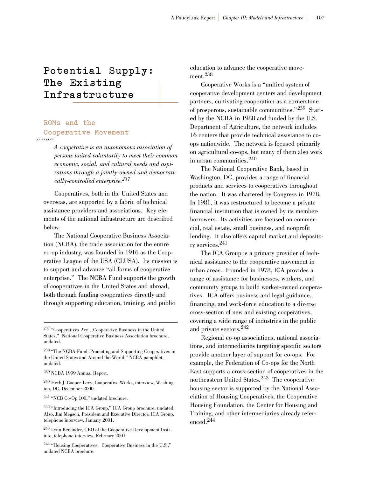### **Potential Supply: The Existing I n f r a s t r u c t u r e**

### **ROMs and the Cooperative Movement**

*A cooperative is an autonomous association of persons united voluntarily to meet their common economic, social, and cultural needs and aspirations through a jointly-owned and democratically-controlled enterprise.237*

Cooperatives, both in the United States and overseas, are supported by a fabric of technical assistance providers and associations. Key elements of the national infrastructure are described below.

The National Cooperative Business Association (NCBA), the trade association for the entire co-op industry, was founded in 1916 as the Cooperative League of the USA (CLUSA). Its mission is to support and advance "all forms of cooperative enterprise." The NCBA Fund supports the growth of cooperatives in the United States and abroad, both through funding cooperatives directly and through supporting education, training, and public

<sup>239</sup> NCBA 1999 Annual Report.

<sup>240</sup> Herb J. Cooper-Levy, Cooperative Works, interview, Washington, DC, December 2000.

<sup>241</sup> "NCB Co-Op 100," undated brochure.

education to advance the cooperative movement.<sup>238</sup>

Cooperative Works is a "unified system of cooperative development centers and development partners, cultivating cooperation as a cornerstone of prosperous, sustainable communities."<sup>239</sup> Started by the NCBA in 1988 and funded by the U.S. Department of Agriculture, the network includes 16 centers that provide technical assistance to coops nationwide. The network is focused primarily on agricultural co-ops, but many of them also work in urban communities.<sup>240</sup>

The National Cooperative Bank, based in Washington, DC, provides a range of financial products and services to cooperatives throughout the nation. It was chartered by Congress in 1978. In 1981, it was restructured to become a private financial institution that is owned by its memberborrowers. Its activities are focused on commercial, real estate, small business, and nonprofit lending. It also offers capital market and depository services.241

The ICA Group is a primary provider of technical assistance to the cooperative movement in urban areas. Founded in 1978, ICA provides a range of assistance for businesses, workers, and community groups to build worker-owned cooperatives. ICA offers business and legal guidance, financing, and work-force education to a diverse cross-section of new and existing cooperatives, covering a wide range of industries in the public and private sectors.<sup>242</sup>

Regional co-op associations, national associations, and intermediaries targeting specific sectors provide another layer of support for co-ops. For example, the Federation of Co-ops for the North East supports a cross-section of cooperatives in the northeastern United States.<sup>243</sup> The cooperative housing sector is supported by the National Association of Housing Cooperatives, the Cooperative Housing Foundation, the Center for Housing and Training, and other intermediaries already referenced.<sup>244</sup>

<sup>237</sup> "Cooperatives Are…Cooperative Business in the United States," National Cooperative Business Association brochure, undated.

<sup>238</sup> "The NCBA Fund: Promoting and Supporting Cooperatives in the United States and Around the World," NCBA pamphlet, undated.

<sup>242</sup> "Introducing the ICA Group," ICA Group brochure, undated. Also, Jim Megson, President and Executive Director, ICA Group, telephone interview, January 2001.

<sup>243</sup> Lynn Benander, CEO of the Cooperative Development Institute, telephone interview, February 2001.

<sup>244</sup> "Housing Cooperatives: Cooperative Business in the U.S.," undated NCBA brochure.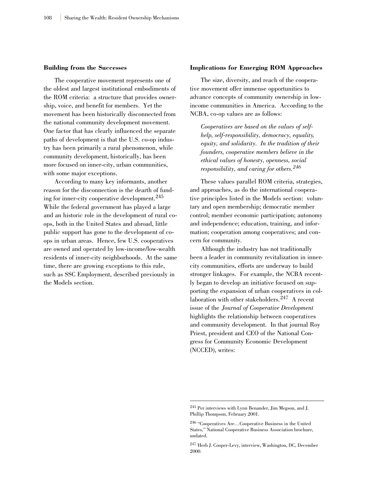#### **Building from the Successes**

The cooperative movement represents one of the oldest and largest institutional embodiments of the ROM criteria: a structure that provides ownership, voice, and benefit for members. Yet the movement has been historically disconnected from the national community development movement. One factor that has clearly influenced the separate paths of development is that the U.S. co-op industry has been primarily a rural phenomenon, while community development, historically, has been more focused on inner-city, urban communities, with some major exceptions.

According to many key informants, another reason for the disconnection is the dearth of funding for inner-city cooperative development.<sup>245</sup> While the federal government has played a large and an historic role in the development of rural coops, both in the United States and abroad, little public support has gone to the development of coops in urban areas. Hence, few U.S. cooperatives are owned and operated by low-income/low-wealth residents of inner-city neighborhoods. At the same time, there are growing exceptions to this rule, such as SSC Employment, described previously in the Models section.

#### **Implications for Emerging ROM Approaches**

The size, diversity, and reach of the cooperative movement offer immense opportunities to advance concepts of community ownership in lowincome communities in America. According to the NCBA, co-op values are as follows:

*Cooperatives are based on the values of selfhelp, self-responsibility, democracy, equality, equity, and solidarity. In the tradition of their founders, cooperative members believe in the ethical values of honesty, openness, social responsibility, and caring for others.<sup>246</sup>*

These values parallel ROM criteria, strategies, and approaches, as do the international cooperative principles listed in the Models section: voluntary and open membership; democratic member control; member economic participation; autonomy and independence; education, training, and information; cooperation among cooperatives; and concern for community.

Although the industry has not traditionally been a leader in community revitalization in innercity communities, efforts are underway to build stronger linkages. For example, the NCBA recently began to develop an initiative focused on supporting the expansion of urban cooperatives in collaboration with other stakeholders.<sup>247</sup> A recent issue of the *Journal of Cooperative Development* highlights the relationship between cooperatives and community development. In that journal Roy Priest, president and CEO of the National Congress for Community Economic Development (NCCED), writes:

<sup>245</sup> Per interviews with Lynn Benander, Jim Megson, and J. Phillip Thompson, February 2001.

<sup>246</sup> "Cooperatives Are…Cooperative Business in the United States," National Cooperative Business Association brochure, undated.

<sup>247</sup> Herb J. Cooper-Levy, interview, Washington, DC, December 2000.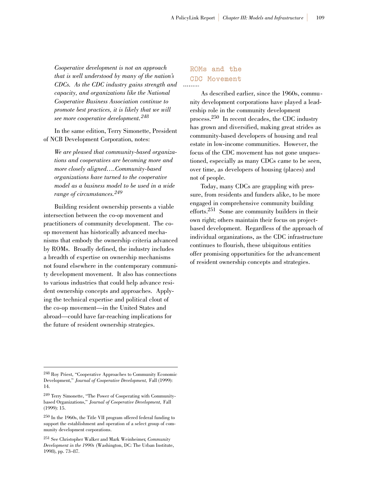*Cooperative development is not an approach that is well understood by many of the nation's CDCs. As the CDC industry gains strength and capacity, and organizations like the National Cooperative Business Association continue to promote best practices, it is likely that we will see more cooperative development.<sup>248</sup>*

In the same edition, Terry Simonette, President of NCB Development Corporation, notes:

*We are pleased that community-based organizations and cooperatives are becoming more and more closely aligned….Community-based organizations have turned to the cooperative model as a business model to be used in a wide range of circumstances.<sup>249</sup>*

Building resident ownership presents a viable intersection between the co-op movement and practitioners of community development. The coop movement has historically advanced mechanisms that embody the ownership criteria advanced by ROMs. Broadly defined, the industry includes a breadth of expertise on ownership mechanisms not found elsewhere in the contemporary community development movement. It also has connections to various industries that could help advance resident ownership concepts and approaches. Applying the technical expertise and political clout of the co-op movement—in the United States and abroad—could have far-reaching implications for the future of resident ownership strategies.

### **ROMs and the CDC Movement**

As described earlier, since the 1960s, community development corporations have played a leadership role in the community development process.250 In recent decades, the CDC industry has grown and diversified, making great strides as community-based developers of housing and real estate in low-income communities. However, the focus of the CDC movement has not gone unquestioned, especially as many CDCs came to be seen, over time, as developers of housing (places) and not of people.

Today, many CDCs are grappling with pressure, from residents and funders alike, to be more engaged in comprehensive community building efforts.251 Some are community builders in their own right; others maintain their focus on projectbased development. Regardless of the approach of individual organizations, as the CDC infrastructure continues to flourish, these ubiquitous entities offer promising opportunities for the advancement of resident ownership concepts and strategies.

<sup>248</sup> Roy Priest, "Cooperative Approaches to Community Economic Development," *Journal of Cooperative Development,* Fall (1999): 14.

<sup>249</sup> Terry Simonette, "The Power of Cooperating with Communitybased Organizations," *Journal of Cooperative Development,* Fall (1999): 15.

<sup>250</sup> In the 1960s, the Title VII program offered federal funding to support the establishment and operation of a select group of community development corporations.

<sup>251</sup> See Christopher Walker and Mark Weinheimer, *Community Development in the 1990s* (Washington, DC: The Urban Institute, 1998), pp. 73–87.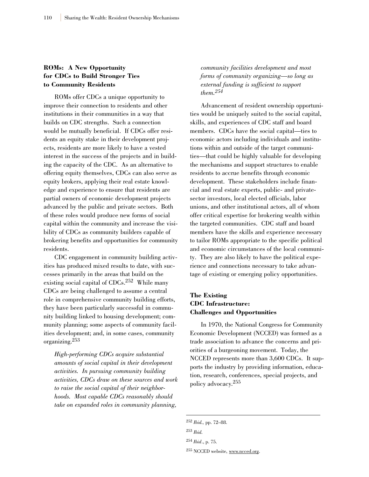#### **ROMs: A New Opportunity for CDCs to Build Stronger Ties to Community Residents**

ROMs offer CDCs a unique opportunity to improve their connection to residents and other institutions in their communities in a way that builds on CDC strengths. Such a connection would be mutually beneficial. If CDCs offer residents an equity stake in their development projects, residents are more likely to have a vested interest in the success of the projects and in building the capacity of the CDC. As an alternative to offering equity themselves, CDCs can also serve as equity brokers, applying their real estate knowledge and experience to ensure that residents are partial owners of economic development projects advanced by the public and private sectors. Both of these roles would produce new forms of social capital within the community and increase the visibility of CDCs as community builders capable of brokering benefits and opportunities for community residents.

CDC engagement in community building activities has produced mixed results to date, with successes primarily in the areas that build on the existing social capital of CDCs.252 While many CDCs are being challenged to assume a central role in comprehensive community building efforts, they have been particularly successful in community building linked to housing development; community planning; some aspects of community facilities development; and, in some cases, community organizing.253

*High-performing CDCs acquire substantial amounts of social capital in their development activities. In pursuing community building activities, CDCs draw on these sources and work to raise the social capital of their neighborhoods. Most capable CDCs reasonably should take on expanded roles in community planning,*

*community facilities development and most forms of community organizing—so long as external funding is sufficient to support them.254*

Advancement of resident ownership opportunities would be uniquely suited to the social capital, skills, and experiences of CDC staff and board members. CDCs have the social capital—ties to economic actors including individuals and institutions within and outside of the target communities—that could be highly valuable for developing the mechanisms and support structures to enable residents to accrue benefits through economic development. These stakeholders include financial and real estate experts, public- and privatesector investors, local elected officials, labor unions, and other institutional actors, all of whom offer critical expertise for brokering wealth within the targeted communities. CDC staff and board members have the skills and experience necessary to tailor ROMs appropriate to the specific political and economic circumstances of the local community. They are also likely to have the political experience and connections necessary to take advantage of existing or emerging policy opportunities.

#### **The Existing CDC Infrastructure: Challenges and Opportunities**

In 1970, the National Congress for Community Economic Development (NCCED) was formed as a trade association to advance the concerns and priorities of a burgeoning movement. Today, the NCCED represents more than 3,600 CDCs. It supports the industry by providing information, education, research, conferences, special projects, and policy advocacy.255

<sup>252</sup> *Ibid.,* pp. 72–88.

<sup>253</sup> *Ibid.*

<sup>254</sup> *Ibid*., p. 75.

<sup>255</sup> NCCED website, www.ncced.org.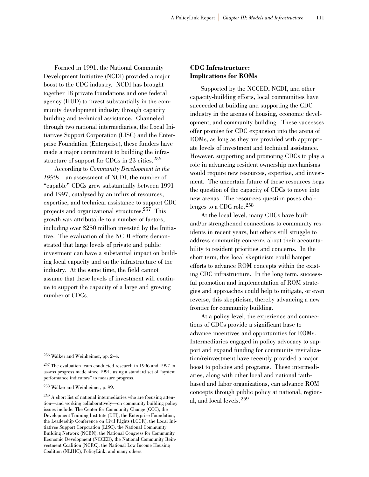Formed in 1991, the National Community Development Initiative (NCDI) provided a major boost to the CDC industry. NCDI has brought together 18 private foundations and one federal agency (HUD) to invest substantially in the community development industry through capacity building and technical assistance. Channeled through two national intermediaries, the Local Initiatives Support Corporation (LISC) and the Enterprise Foundation (Enterprise), these funders have made a major commitment to building the infrastructure of support for CDCs in 23 cities.<sup>256</sup>

According to *Community Development in the 1990s*—an assessment of NCDI, the number of "capable" CDCs grew substantially between 1991 and 1997, catalyzed by an influx of resources, expertise, and technical assistance to support CDC projects and organizational structures.257 This growth was attributable to a number of factors, including over \$250 million invested by the Initiative. The evaluation of the NCDI efforts demonstrated that large levels of private and public investment can have a substantial impact on building local capacity and on the infrastructure of the industry. At the same time, the field cannot assume that these levels of investment will continue to support the capacity of a large and growing number of CDCs.

<sup>258</sup> Walker and Weinheimer, p. 99.

#### **CDC Infrastructure: Implications for ROMs**

Supported by the NCCED, NCDI, and other capacity-building efforts, local communities have succeeded at building and supporting the CDC industry in the arenas of housing, economic development, and community building. These successes offer promise for CDC expansion into the arena of ROMs, as long as they are provided with appropriate levels of investment and technical assistance. However, supporting and promoting CDCs to play a role in advancing resident ownership mechanisms would require new resources, expertise, and investment. The uncertain future of these resources begs the question of the capacity of CDCs to move into new arenas. The resources question poses challenges to a CDC role.<sup>258</sup>

At the local level, many CDCs have built and/or strengthened connections to community residents in recent years, but others still struggle to address community concerns about their accountability to resident priorities and concerns. In the short term, this local skepticism could hamper efforts to advance ROM concepts within the existing CDC infrastructure. In the long term, successful promotion and implementation of ROM strategies and approaches could help to mitigate, or even reverse, this skepticism, thereby advancing a new frontier for community building.

At a policy level, the experience and connections of CDCs provide a significant base to advance incentives and opportunities for ROMs. Intermediaries engaged in policy advocacy to support and expand funding for community revitalization/reinvestment have recently provided a major boost to policies and programs. These intermediaries, along with other local and national faithbased and labor organizations, can advance ROM concepts through public policy at national, regional, and local levels.<sup>259</sup>

<sup>256</sup> Walker and Weinheimer, pp. 2–4.

<sup>257</sup> The evaluation team conducted research in 1996 and 1997 to assess progress made since 1991, using a standard set of "system performance indicators" to measure progress.

<sup>259</sup> A short list of national intermediaries who are focusing attention—and working collaboratively—on community building policy issues include: The Center for Community Change (CCC), the Development Training Institute (DTI), the Enterprise Foundation, the Leadership Conference on Civil Rights (LCCR), the Local Initiatives Support Corporation (LISC), the National Community Building Network (NCBN), the National Congress for Community Economic Development (NCCED), the National Community Reinvestment Coalition (NCRC), the National Low Income Housing Coalition (NLIHC), PolicyLink, and many others.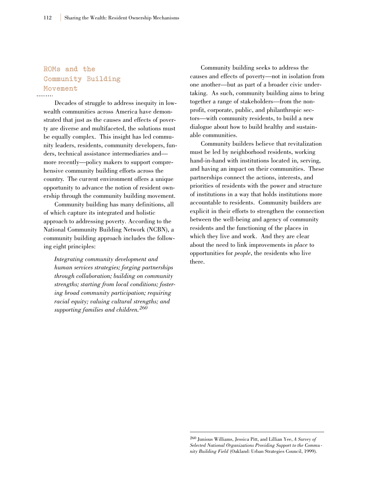### **ROMs and the Community Building Movement**

Decades of struggle to address inequity in lowwealth communities across America have demonstrated that just as the causes and effects of poverty are diverse and multifaceted, the solutions must be equally complex. This insight has led community leaders, residents, community developers, funders, technical assistance intermediaries and more recently—policy makers to support comprehensive community building efforts across the country. The current environment offers a unique opportunity to advance the notion of resident ownership through the community building movement.

Community building has many definitions, all of which capture its integrated and holistic approach to addressing poverty. According to the National Community Building Network (NCBN), a community building approach includes the following eight principles:

*Integrating community development and human services strategies; forging partnerships through collaboration; building on community strengths; starting from local conditions; fostering broad community participation; requiring racial equity; valuing cultural strengths; and supporting families and children.<sup>260</sup>*

Community building seeks to address the causes and effects of poverty—not in isolation from one another—but as part of a broader civic undertaking. As such, community building aims to bring together a range of stakeholders—from the nonprofit, corporate, public, and philanthropic sectors—with community residents, to build a new dialogue about how to build healthy and sustainable communities.

Community builders believe that revitalization must be led by neighborhood residents, working hand-in-hand with institutions located in, serving, and having an impact on their communities. These partnerships connect the actions, interests, and priorities of residents with the power and structure of institutions in a way that holds institutions more accountable to residents. Community builders are explicit in their efforts to strengthen the connection between the well-being and agency of community residents and the functioning of the places in which they live and work. And they are clear about the need to link improvements in *place* to opportunities for *people*, the residents who live there.

<sup>260</sup> Junious Williams, Jessica Pitt, and Lillian Yee, *A Survey of Selected National Organizations Providing Support to the Commu nity Building Field* (Oakland: Urban Strategies Council, 1999).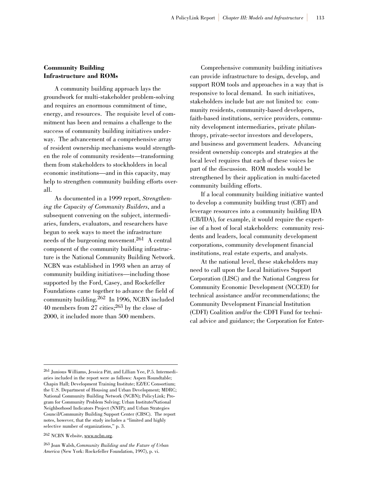#### **Community Building Infrastructure and ROMs**

A community building approach lays the groundwork for multi-stakeholder problem-solving and requires an enormous commitment of time, energy, and resources. The requisite level of commitment has been and remains a challenge to the success of community building initiatives underway. The advancement of a comprehensive array of resident ownership mechanisms would strengthen the role of community residents—transforming them from stakeholders to stockholders in local economic institutions—and in this capacity, may help to strengthen community building efforts overall.

As documented in a 1999 report, *Strengthening the Capacity of Community Builders*, and a subsequent convening on the subject, intermediaries, funders, evaluators, and researchers have begun to seek ways to meet the infrastructure needs of the burgeoning movement.261 A central component of the community building infrastructure is the National Community Building Network. NCBN was established in 1993 when an array of community building initiatives—including those supported by the Ford, Casey, and Rockefeller Foundations came together to advance the field of community building.<sup>262</sup> In 1996, NCBN included 40 members from 27 cities;263 by the close of 2000, it included more than 500 members.

Comprehensive community building initiatives can provide infrastructure to design, develop, and support ROM tools and approaches in a way that is responsive to local demand. In such initiatives, stakeholders include but are not limited to: community residents, community-based developers, faith-based institutions, service providers, community development intermediaries, private philanthropy, private-sector investors and developers, and business and government leaders. Advancing resident ownership concepts and strategies at the local level requires that each of these voices be part of the discussion. ROM models would be strengthened by their application in multi-faceted community building efforts.

If a local community building initiative wanted to develop a community building trust (CBT) and leverage resources into a community building IDA (CB/IDA), for example, it would require the expertise of a host of local stakeholders: community residents and leaders, local community development corporations, community development financial institutions, real estate experts, and analysts.

At the national level, these stakeholders may need to call upon the Local Initiatives Support Corporation (LISC) and the National Congress for Community Economic Development (NCCED) for technical assistance and/or recommendations; the Community Development Financial Institution (CDFI) Coalition and/or the CDFI Fund for technical advice and guidance; the Corporation for Enter-

<sup>262</sup> NCBN Website, www.ncbn.org.

<sup>261</sup> Junious Williams, Jessica Pitt, and Lillian Yee, P.5. Intermediaries included in the report were as follows: Aspen Roundtable; Chapin Hall; Development Training Institute; EZ/EC Consortium; the U.S. Department of Housing and Urban Development; MDRC; National Community Building Network (NCBN); PolicyLink; Program for Community Problem Solving; Urban Institute/National Neighborhood Indicators Project (NNIP); and Urban Strategies Council/Community Building Support Center (CBSC). The report notes, however, that the study includes a "limited and highly selective number of organizations," p. 3.

<sup>263</sup> Joan Walsh, *Community Building and the Future of Urban America* (New York: Rockefeller Foundation, 1997), p. vi.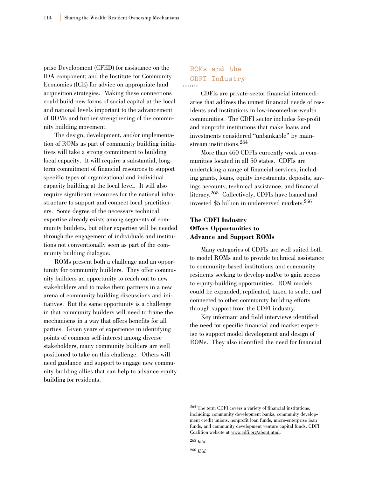prise Development (CFED) for assistance on the IDA component; and the Institute for Community Economics (ICE) for advice on appropriate land acquisition strategies. Making these connections could build new forms of social capital at the local and national levels important to the advancement of ROMs and further strengthening of the community building movement.

The design, development, and/or implementation of ROMs as part of community building initiatives will take a strong commitment to building local capacity. It will require a substantial, longterm commitment of financial resources to support specific types of organizational and individual capacity building at the local level. It will also require significant resources for the national infrastructure to support and connect local practitioners. Some degree of the necessary technical expertise already exists among segments of community builders, but other expertise will be needed through the engagement of individuals and institutions not conventionally seen as part of the community building dialogue.

ROMs present both a challenge and an opportunity for community builders. They offer community builders an opportunity to reach out to new stakeholders and to make them partners in a new arena of community building discussions and initiatives. But the same opportunity is a challenge in that community builders will need to frame the mechanisms in a way that offers benefits for all parties. Given years of experience in identifying points of common self-interest among diverse stakeholders, many community builders are well positioned to take on this challenge. Others will need guidance and support to engage new community building allies that can help to advance equity building for residents.

### **ROMs and the CDFI Industry**

CDFIs are private-sector financial intermediaries that address the unmet financial needs of residents and institutions in low-income/low-wealth communities. The CDFI sector includes for-profit and nonprofit institutions that make loans and investments considered "unbankable" by mainstream institutions.<sup>264</sup>

More than 460 CDFIs currently work in communities located in all 50 states. CDFIs are undertaking a range of financial services, including grants, loans, equity investments, deposits, savings accounts, technical assistance, and financial literacy.265 Collectively, CDFIs have loaned and invested \$5 billion in underserved markets.266

#### **The CDFI Industry Offers Opportunities to Advance and Support ROMs**

Many categories of CDFIs are well suited both to model ROMs and to provide technical assistance to community-based institutions and community residents seeking to develop and/or to gain access to equity-building opportunities. ROM models could be expanded, replicated, taken to scale, and connected to other community building efforts through support from the CDFI industry.

Key informant and field interviews identified the need for specific financial and market expertise to support model development and design of ROMs. They also identified the need for financial

<sup>266</sup> *Ibid.*

<sup>264</sup> The term CDFI covers a variety of financial institutions, including: community development banks, community development credit unions, nonprofit loan funds, micro-enterprise loan funds, and community development venture capital funds. CDFI Coalition website at www.cdfi.org/about.html.

<sup>265</sup> *Ibid.*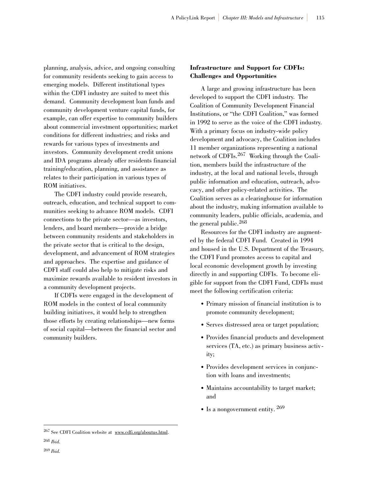planning, analysis, advice, and ongoing consulting for community residents seeking to gain access to emerging models. Different institutional types within the CDFI industry are suited to meet this demand. Community development loan funds and community development venture capital funds, for example, can offer expertise to community builders about commercial investment opportunities; market conditions for different industries; and risks and rewards for various types of investments and investors. Community development credit unions and IDA programs already offer residents financial training/education, planning, and assistance as relates to their participation in various types of ROM initiatives.

The CDFI industry could provide research, outreach, education, and technical support to communities seeking to advance ROM models. CDFI connections to the private sector—as investors, lenders, and board members—provide a bridge between community residents and stakeholders in the private sector that is critical to the design, development, and advancement of ROM strategies and approaches. The expertise and guidance of CDFI staff could also help to mitigate risks and maximize rewards available to resident investors in a community development projects.

If CDFIs were engaged in the development of ROM models in the context of local community building initiatives, it would help to strengthen those efforts by creating relationships—new forms of social capital—between the financial sector and community builders.

#### **Infrastructure and Support for CDFIs: Challenges and Opportunities**

A large and growing infrastructure has been developed to support the CDFI industry. The Coalition of Community Development Financial Institutions, or "the CDFI Coalition," was formed in 1992 to serve as the voice of the CDFI industry. With a primary focus on industry-wide policy development and advocacy, the Coalition includes 11 member organizations representing a national network of CDFIs.<sup>267</sup> Working through the Coalition, members build the infrastructure of the industry, at the local and national levels, through public information and education, outreach, advocacy, and other policy-related activities. The Coalition serves as a clearinghouse for information about the industry, making information available to community leaders, public officials, academia, and the general public.<sup>268</sup>

Resources for the CDFI industry are augmented by the federal CDFI Fund. Created in 1994 and housed in the U.S. Department of the Treasury, the CDFI Fund promotes access to capital and local economic development growth by investing directly in and supporting CDFIs. To become eligible for support from the CDFI Fund, CDFIs must meet the following certification criteria:

- Primary mission of financial institution is to promote community development;
- Serves distressed area or target population;
- Provides financial products and development services (TA, etc.) as primary business activity;
- Provides development services in conjunction with loans and investments;
- Maintains accountability to target market; and
- Is a nongovernment entity,  $^{269}$

<sup>267</sup> See CDFI Coalition website at www.cdfi.org/aboutus.html.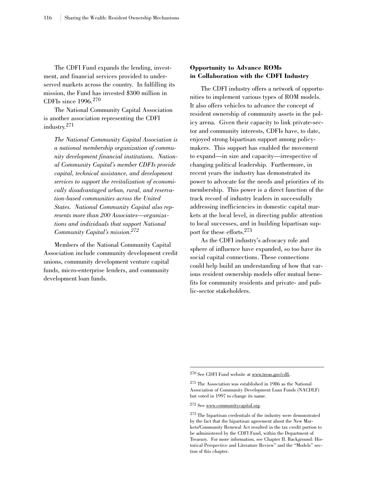The CDFI Fund expands the lending, investment, and financial services provided to underserved markets across the country. In fulfilling its mission, the Fund has invested \$300 million in CDFIs since 1996.<sup>270</sup>

The National Community Capital Association is another association representing the CDFI industry.271

*The National Community Capital Association is a national membership organization of community development financial institutions. National Community Capital's member CDFIs provide capital, technical assistance, and development services to support the revitalization of economically disadvantaged urban, rural, and reservation-based communities across the United States. National Community Capital also represents more than 200 Associates—organizations and individuals that support National Community Capital's mission.272*

Members of the National Community Capital Association include community development credit unions, community development venture capital funds, micro-enterprise lenders, and community development loan funds.

#### **Opportunity to Advance ROMs in Collaboration with the CDFI Industry**

The CDFI industry offers a network of opportunities to implement various types of ROM models. It also offers vehicles to advance the concept of resident ownership of community assets in the policy arena. Given their capacity to link private-sector and community interests, CDFIs have, to date, enjoyed strong bipartisan support among policymakers. This support has enabled the movement to expand—in size and capacity—irrespective of changing political leadership. Furthermore, in recent years the industry has demonstrated its power to advocate for the needs and priorities of its membership. This power is a direct function of the track record of industry leaders in successfully addressing inefficiencies in domestic capital markets at the local level, in directing public attention to local successes, and in building bipartisan support for these efforts.273

As the CDFI industry's advocacy role and sphere of influence have expanded, so too have its social capital connections. These connections could help build an understanding of how that various resident ownership models offer mutual benefits for community residents and private- and public-sector stakeholders.

<sup>270</sup> See CDFI Fund website at www.treas.gov/cdfi.

<sup>271</sup> The Association was established in 1986 as the National Association of Community Development Loan Funds (NACDLF) but voted in 1997 to change its name.

<sup>272</sup> See www.communitycapital.org.

<sup>273</sup> The bipartisan credentials of the industry were demonstrated by the fact that the bipartisan agreement about the New Markets/Community Renewal Act resulted in the tax credit portion to be administered by the CDFI Fund, within the Department of Treasury. For more information, see Chapter II. Background: Historical Perspective and Literature Review" and the "Models" section of this chapter.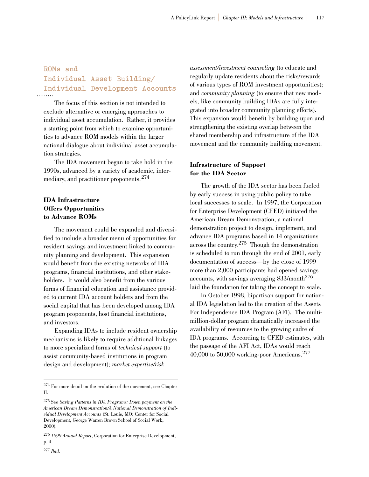### **ROMs and Individual Asset Building/ Individual Development Accounts**

The focus of this section is not intended to exclude alternative or emerging approaches to individual asset accumulation. Rather, it provides a starting point from which to examine opportunities to advance ROM models within the larger national dialogue about individual asset accumulation strategies.

The IDA movement began to take hold in the 1990s, advanced by a variety of academic, intermediary, and practitioner proponents.<sup>274</sup>

#### **IDA Infrastructure Offers Opportunities to Advance ROMs**

The movement could be expanded and diversified to include a broader menu of opportunities for resident savings and investment linked to community planning and development. This expansion would benefit from the existing networks of IDA programs, financial institutions, and other stakeholders. It would also benefit from the various forms of financial education and assistance provided to current IDA account holders and from the social capital that has been developed among IDA program proponents, host financial institutions, and investors.

Expanding IDAs to include resident ownership mechanisms is likely to require additional linkages to more specialized forms of *technical support* (to assist community-based institutions in program design and development); *market expertise/risk*

*assessment/investment counseling* (to educate and regularly update residents about the risks/rewards of various types of ROM investment opportunities); and *community planning* (to ensure that new models, like community building IDAs are fully integrated into broader community planning efforts). This expansion would benefit by building upon and strengthening the existing overlap between the shared membership and infrastructure of the IDA movement and the community building movement.

#### **Infrastructure of Support for the IDA Sector**

The growth of the IDA sector has been fueled by early success in using public policy to take local successes to scale. In 1997, the Corporation for Enterprise Development (CFED) initiated the American Dream Demonstration, a national demonstration project to design, implement, and advance IDA programs based in 14 organizations across the country.275 Though the demonstration is scheduled to run through the end of 2001, early documentation of success—by the close of 1999 more than 2,000 participants had opened savings accounts, with savings averaging  $$33/month<sup>276</sup>$  laid the foundation for taking the concept to scale.

In October 1998, bipartisan support for national IDA legislation led to the creation of the Assets For Independence IDA Program (AFI). The multimillion-dollar program dramatically increased the availability of resources to the growing cadre of IDA programs. According to CFED estimates, with the passage of the AFI Act, IDAs would reach 40,000 to 50,000 working-poor Americans.<sup>277</sup>

<sup>274</sup> For more detail on the evolution of the movement, see Chapter II.

<sup>275</sup> See *Saving Patterns in IDA Programs: Down payment on the American Dream Demonstration/A National Demonstration of Individual Development Accounts* (St. Louis, MO: Center for Social Development, George Warren Brown School of Social Work, 2000).

<sup>276</sup> *1999 Annual Report*, Corporation for Enterprise Development, p. 4.

<sup>277</sup> *Ibid.*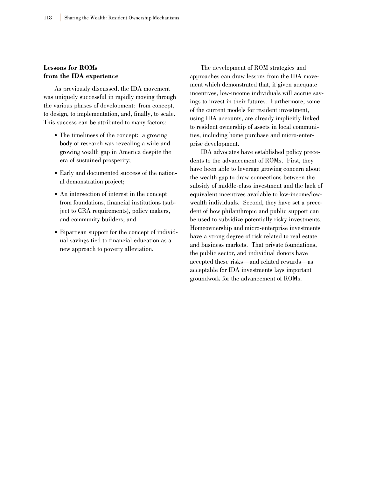#### **Lessons for ROMs from the IDA experience**

As previously discussed, the IDA movement was uniquely successful in rapidly moving through the various phases of development: from concept, to design, to implementation, and, finally, to scale. This success can be attributed to many factors:

- The timeliness of the concept: a growing body of research was revealing a wide and growing wealth gap in America despite the era of sustained prosperity;
- Early and documented success of the national demonstration project;
- An intersection of interest in the concept from foundations, financial institutions (subject to CRA requirements), policy makers, and community builders; and
- Bipartisan support for the concept of individual savings tied to financial education as a new approach to poverty alleviation.

The development of ROM strategies and approaches can draw lessons from the IDA movement which demonstrated that, if given adequate incentives, low-income individuals will accrue savings to invest in their futures. Furthermore, some of the current models for resident investment, using IDA accounts, are already implicitly linked to resident ownership of assets in local communities, including home purchase and micro-enterprise development.

IDA advocates have established policy precedents to the advancement of ROMs. First, they have been able to leverage growing concern about the wealth gap to draw connections between the subsidy of middle-class investment and the lack of equivalent incentives available to low-income/lowwealth individuals. Second, they have set a precedent of how philanthropic and public support can be used to subsidize potentially risky investments. Homeownership and micro-enterprise investments have a strong degree of risk related to real estate and business markets. That private foundations, the public sector, and individual donors have accepted these risks—and related rewards—as acceptable for IDA investments lays important groundwork for the advancement of ROMs.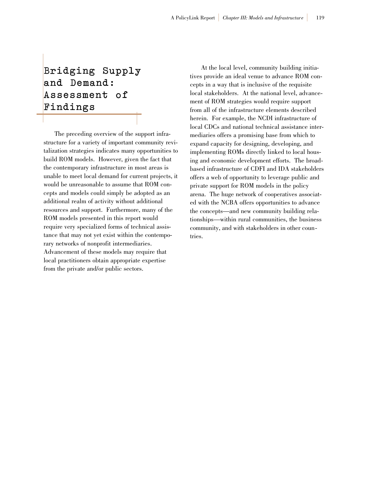# **Bridging Supply and Demand: Assessment of F i n d i n g s**

The preceding overview of the support infrastructure for a variety of important community revitalization strategies indicates many opportunities to build ROM models. However, given the fact that the contemporary infrastructure in most areas is unable to meet local demand for current projects, it would be unreasonable to assume that ROM concepts and models could simply be adopted as an additional realm of activity without additional resources and support. Furthermore, many of the ROM models presented in this report would require very specialized forms of technical assistance that may not yet exist within the contemporary networks of nonprofit intermediaries. Advancement of these models may require that local practitioners obtain appropriate expertise from the private and/or public sectors.

At the local level, community building initiatives provide an ideal venue to advance ROM concepts in a way that is inclusive of the requisite local stakeholders. At the national level, advancement of ROM strategies would require support from all of the infrastructure elements described herein. For example, the NCDI infrastructure of local CDCs and national technical assistance intermediaries offers a promising base from which to expand capacity for designing, developing, and implementing ROMs directly linked to local housing and economic development efforts. The broadbased infrastructure of CDFI and IDA stakeholders offers a web of opportunity to leverage public and private support for ROM models in the policy arena. The huge network of cooperatives associated with the NCBA offers opportunities to advance the concepts—and new community building relationships—within rural communities, the business community, and with stakeholders in other countries.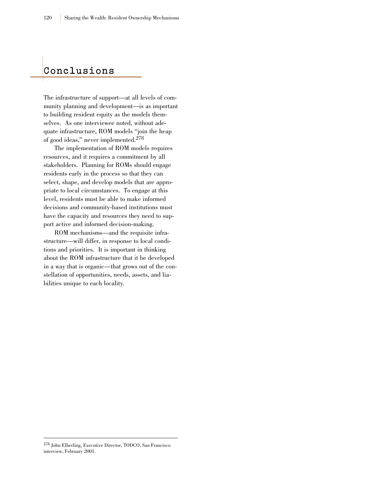### **C o n c l u s i o n s**

The infrastructure of support—at all levels of community planning and development—is as important to building resident equity as the models themselves. As one interviewee noted, without adequate infrastructure, ROM models "join the heap of good ideas," never implemented.<sup>278</sup>

The implementation of ROM models requires resources, and it requires a commitment by all stakeholders. Planning for ROMs should engage residents early in the process so that they can select, shape, and develop models that are appropriate to local circumstances. To engage at this level, residents must be able to make informed decisions and community-based institutions must have the capacity and resources they need to support active and informed decision-making.

ROM mechanisms—and the requisite infrastructure—will differ, in response to local conditions and priorities. It is important in thinking about the ROM infrastructure that it be developed in a way that is organic—that grows out of the constellation of opportunities, needs, assets, and liabilities unique to each locality.

<sup>278</sup> John Elberling, Executive Director, TODCO, San Francisco interview, February 2001.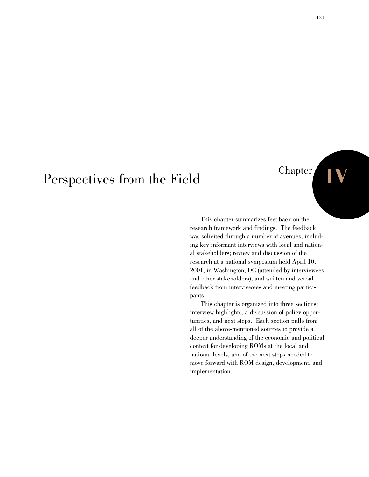# Perspectives from the Field

This chapter summarizes feedback on the research framework and findings. The feedback was solicited through a number of avenues, including key informant interviews with local and national stakeholders; review and discussion of the research at a national symposium held April 10, 2001, in Washington, DC (attended by interviewees and other stakeholders), and written and verbal feedback from interviewees and meeting participants.

This chapter is organized into three sections: interview highlights, a discussion of policy opportunities, and next steps. Each section pulls from all of the above-mentioned sources to provide a deeper understanding of the economic and political context for developing ROMs at the local and national levels, and of the next steps needed to move forward with ROM design, development, and implementation.

Chapter **IV**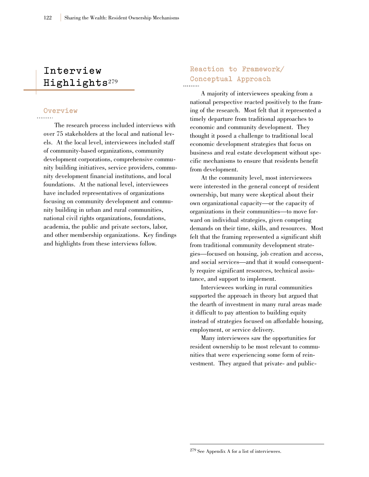### **Interview**  Highlights<sup>279</sup>

### **Overview**

The research process included interviews with over 75 stakeholders at the local and national levels. At the local level, interviewees included staff of community-based organizations, community development corporations, comprehensive community building initiatives, service providers, community development financial institutions, and local foundations. At the national level, interviewees have included representatives of organizations focusing on community development and community building in urban and rural communities, national civil rights organizations, foundations, academia, the public and private sectors, labor, and other membership organizations. Key findings and highlights from these interviews follow.

### **Reaction to Framework/ Conceptual Approach**

A majority of interviewees speaking from a national perspective reacted positively to the framing of the research. Most felt that it represented a timely departure from traditional approaches to economic and community development. They thought it posed a challenge to traditional local economic development strategies that focus on business and real estate development without specific mechanisms to ensure that residents benefit from development.

At the community level, most interviewees were interested in the general concept of resident ownership, but many were skeptical about their own organizational capacity—or the capacity of organizations in their communities—to move forward on individual strategies, given competing demands on their time, skills, and resources. Most felt that the framing represented a significant shift from traditional community development strategies—focused on housing, job creation and access, and social services—and that it would consequently require significant resources, technical assistance, and support to implement.

Interviewees working in rural communities supported the approach in theory but argued that the dearth of investment in many rural areas made it difficult to pay attention to building equity instead of strategies focused on affordable housing, employment, or service delivery.

Many interviewees saw the opportunities for resident ownership to be most relevant to communities that were experiencing some form of reinvestment. They argued that private- and public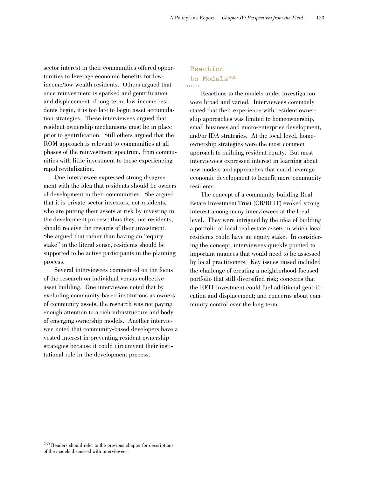sector interest in their communities offered opportunities to leverage economic benefits for lowincome/low-wealth residents. Others argued that once reinvestment is sparked and gentrification and displacement of long-term, low-income residents begin, it is too late to begin asset accumulation strategies. These interviewees argued that resident ownership mechanisms must be in place prior to gentrification. Still others argued that the ROM approach is relevant to communities at all phases of the reinvestment spectrum, from communities with little investment to those experiencing rapid revitalization.

One interviewee expressed strong disagreement with the idea that residents should be owners of development in their communities. She argued that it is private-sector investors, not residents, who are putting their assets at risk by investing in the development process; thus they, not residents, should receive the rewards of their investment. She argued that rather than having an "equity stake" in the literal sense, residents should be supported to be active participants in the planning process.

Several interviewees commented on the focus of the research on individual versus collective asset building. One interviewee noted that by excluding community-based institutions as owners of community assets, the research was not paying enough attention to a rich infrastructure and body of emerging ownership models. Another interviewee noted that community-based developers have a vested interest in preventing resident ownership strategies because it could circumvent their institutional role in the development process.

### **Reaction**  to Models<sup>280</sup>

Reactions to the models under investigation were broad and varied. Interviewees commonly stated that their experience with resident ownership approaches was limited to homeownership, small business and micro-enterprise development, and/or IDA strategies. At the local level, homeownership strategies were the most common approach to building resident equity. But most interviewees expressed interest in learning about new models and approaches that could leverage economic development to benefit more community residents.

The concept of a community building Real Estate Investment Trust (CB/REIT) evoked strong interest among many interviewees at the local level. They were intrigued by the idea of building a portfolio of local real estate assets in which local residents could have an equity stake. In considering the concept, interviewees quickly pointed to important nuances that would need to be assessed by local practitioners. Key issues raised included the challenge of creating a neighborhood-focused portfolio that still diversified risk; concerns that the REIT investment could fuel additional gentrification and displacement; and concerns about community control over the long term.

<sup>280</sup> Readers should refer to the previous chapter for descriptions of the models discussed with interviewees.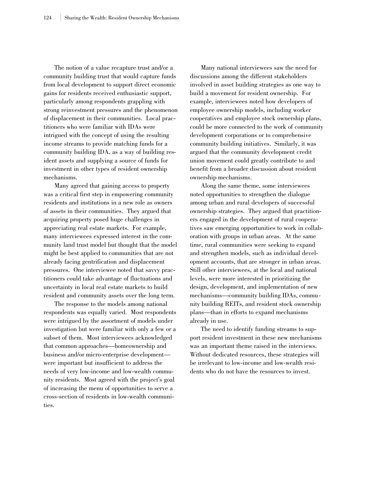The notion of a value recapture trust and/or a community building trust that would capture funds from local development to support direct economic gains for residents received enthusiastic support, particularly among respondents grappling with strong reinvestment pressures and the phenomenon of displacement in their communities. Local practitioners who were familiar with IDAs were intrigued with the concept of using the resulting income streams to provide matching funds for a community building IDA, as a way of building resident assets and supplying a source of funds for investment in other types of resident ownership mechanisms.

Many agreed that gaining access to property was a critical first step in empowering community residents and institutions in a new role as owners of assets in their communities. They argued that acquiring property posed huge challenges in appreciating real estate markets. For example, many interviewees expressed interest in the community land trust model but thought that the model might be best applied to communities that are not already facing gentrification and displacement pressures. One interviewee noted that savvy practitioners could take advantage of fluctuations and uncertainty in local real estate markets to build resident and community assets over the long term.

The response to the models among national respondents was equally varied. Most respondents were intrigued by the assortment of models under investigation but were familiar with only a few or a subset of them. Most interviewees acknowledged that common approaches—homeownership and business and/or micro-enterprise development were important but insufficient to address the needs of very low-income and low-wealth community residents. Most agreed with the project's goal of increasing the menu of opportunities to serve a cross-section of residents in low-wealth communities.

Many national interviewees saw the need for discussions among the different stakeholders involved in asset building strategies as one way to build a movement for resident ownership. For example, interviewees noted how developers of employee ownership models, including worker cooperatives and employee stock ownership plans, could be more connected to the work of community development corporations or to comprehensive community building initiatives. Similarly, it was argued that the community development credit union movement could greatly contribute to and benefit from a broader discussion about resident ownership mechanisms.

Along the same theme, some interviewees noted opportunities to strengthen the dialogue among urban and rural developers of successful ownership strategies. They argued that practitioners engaged in the development of rural cooperatives saw emerging opportunities to work in collaboration with groups in urban areas. At the same time, rural communities were seeking to expand and strengthen models, such as individual development accounts, that are stronger in urban areas. Still other interviewees, at the local and national levels, were more interested in prioritizing the design, development, and implementation of new mechanisms—community building IDAs, community building REITs, and resident stock ownership plans—than in efforts to expand mechanisms already in use.

The need to identify funding streams to support resident investment in these new mechanisms was an important theme raised in the interviews. Without dedicated resources, these strategies will be irrelevant to low-income and low-wealth residents who do not have the resources to invest.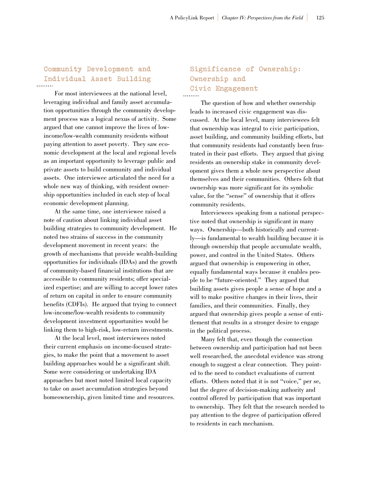### **Community Development and Individual Asset Building**

For most interviewees at the national level, leveraging individual and family asset accumulation opportunities through the community development process was a logical nexus of activity. Some argued that one cannot improve the lives of lowincome/low-wealth community residents without paying attention to asset poverty. They saw economic development at the local and regional levels as an important opportunity to leverage public and private assets to build community and individual assets. One interviewee articulated the need for a whole new way of thinking, with resident ownership opportunities included in each step of local economic development planning.

At the same time, one interviewee raised a note of caution about linking individual asset building strategies to community development. He noted two strains of success in the community development movement in recent years: the growth of mechanisms that provide wealth-building opportunities for individuals (IDAs) and the growth of community-based financial institutions that are accessible to community residents; offer specialized expertise; and are willing to accept lower rates of return on capital in order to ensure community benefits (CDFIs). He argued that trying to connect low-income/low-wealth residents to community development investment opportunities would be linking them to high-risk, low-return investments.

At the local level, most interviewees noted their current emphasis on income-focused strategies, to make the point that a movement to asset building approaches would be a significant shift. Some were considering or undertaking IDA approaches but most noted limited local capacity to take on asset accumulation strategies beyond homeownership, given limited time and resources.

### **Significance of Ownership: Ownership and Civic Engagement**

The question of how and whether ownership leads to increased civic engagement was discussed. At the local level, many interviewees felt that ownership was integral to civic participation, asset building, and community building efforts, but that community residents had constantly been frustrated in their past efforts. They argued that giving residents an ownership stake in community development gives them a whole new perspective about themselves and their communities. Others felt that ownership was more significant for its symbolic value, for the "sense" of ownership that it offers community residents.

Interviewees speaking from a national perspective noted that ownership is significant in many ways. Ownership—both historically and currently—is fundamental to wealth building because it is through ownership that people accumulate wealth, power, and control in the United States. Others argued that ownership is empowering in other, equally fundamental ways because it enables people to be "future-oriented." They argued that building assets gives people a sense of hope and a will to make positive changes in their lives, their families, and their communities. Finally, they argued that ownership gives people a sense of entitlement that results in a stronger desire to engage in the political process.

Many felt that, even though the connection between ownership and participation had not been well researched, the anecdotal evidence was strong enough to suggest a clear connection. They pointed to the need to conduct evaluations of current efforts. Others noted that it is not "voice," per se, but the degree of decision-making authority and control offered by participation that was important to ownership. They felt that the research needed to pay attention to the degree of participation offered to residents in each mechanism.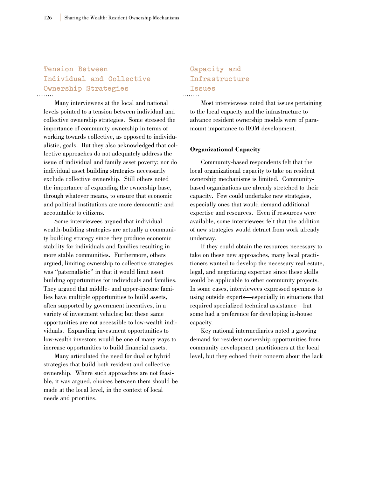### **Tension Between Individual and Collective Ownership Strategies**

Many interviewees at the local and national levels pointed to a tension between individual and collective ownership strategies. Some stressed the importance of community ownership in terms of working towards collective, as opposed to individualistic, goals. But they also acknowledged that collective approaches do not adequately address the issue of individual and family asset poverty; nor do individual asset building strategies necessarily exclude collective ownership. Still others noted the importance of expanding the ownership base, through whatever means, to ensure that economic and political institutions are more democratic and accountable to citizens.

Some interviewees argued that individual wealth-building strategies are actually a community building strategy since they produce economic stability for individuals and families resulting in more stable communities. Furthermore, others argued, limiting ownership to collective strategies was "paternalistic" in that it would limit asset building opportunities for individuals and families. They argued that middle- and upper-income families have multiple opportunities to build assets, often supported by government incentives, in a variety of investment vehicles; but these same opportunities are not accessible to low-wealth individuals. Expanding investment opportunities to low-wealth investors would be one of many ways to increase opportunities to build financial assets.

Many articulated the need for dual or hybrid strategies that build both resident and collective ownership. Where such approaches are not feasible, it was argued, choices between them should be made at the local level, in the context of local needs and priorities.

### **Capacity and Infrastructure Issues**

Most interviewees noted that issues pertaining to the local capacity and the infrastructure to advance resident ownership models were of paramount importance to ROM development.

#### **Organizational Capacity**

Community-based respondents felt that the local organizational capacity to take on resident ownership mechanisms is limited. Communitybased organizations are already stretched to their capacity. Few could undertake new strategies, especially ones that would demand additional expertise and resources. Even if resources were available, some interviewees felt that the addition of new strategies would detract from work already underway.

If they could obtain the resources necessary to take on these new approaches, many local practitioners wanted to develop the necessary real estate, legal, and negotiating expertise since these skills would be applicable to other community projects. In some cases, interviewees expressed openness to using outside experts—especially in situations that required specialized technical assistance—but some had a preference for developing in-house capacity.

Key national intermediaries noted a growing demand for resident ownership opportunities from community development practitioners at the local level, but they echoed their concern about the lack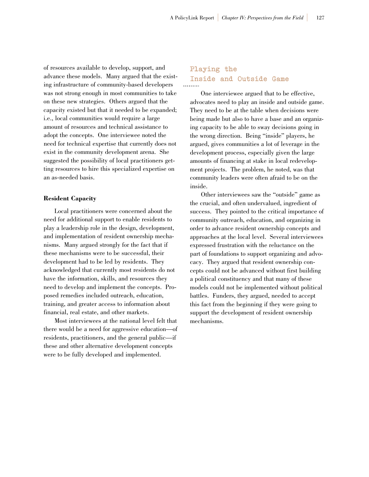of resources available to develop, support, and advance these models. Many argued that the existing infrastructure of community-based developers was not strong enough in most communities to take on these new strategies. Others argued that the capacity existed but that it needed to be expanded; i.e., local communities would require a large amount of resources and technical assistance to adopt the concepts. One interviewee noted the need for technical expertise that currently does not exist in the community development arena. She suggested the possibility of local practitioners getting resources to hire this specialized expertise on an as-needed basis.

#### **Resident Capacity**

Local practitioners were concerned about the need for additional support to enable residents to play a leadership role in the design, development, and implementation of resident ownership mechanisms. Many argued strongly for the fact that if these mechanisms were to be successful, their development had to be led by residents. They acknowledged that currently most residents do not have the information, skills, and resources they need to develop and implement the concepts. Proposed remedies included outreach, education, training, and greater access to information about financial, real estate, and other markets.

Most interviewees at the national level felt that there would be a need for aggressive education—of residents, practitioners, and the general public—if these and other alternative development concepts were to be fully developed and implemented.

### **Playing the Inside and Outside Game**

One interviewee argued that to be effective, advocates need to play an inside and outside game. They need to be at the table when decisions were being made but also to have a base and an organizing capacity to be able to sway decisions going in the wrong direction. Being "inside" players, he argued, gives communities a lot of leverage in the development process, especially given the large amounts of financing at stake in local redevelopment projects. The problem, he noted, was that community leaders were often afraid to be on the inside.

Other interviewees saw the "outside" game as the crucial, and often undervalued, ingredient of success. They pointed to the critical importance of community outreach, education, and organizing in order to advance resident ownership concepts and approaches at the local level. Several interviewees expressed frustration with the reluctance on the part of foundations to support organizing and advocacy. They argued that resident ownership concepts could not be advanced without first building a political constituency and that many of these models could not be implemented without political battles. Funders, they argued, needed to accept this fact from the beginning if they were going to support the development of resident ownership mechanisms.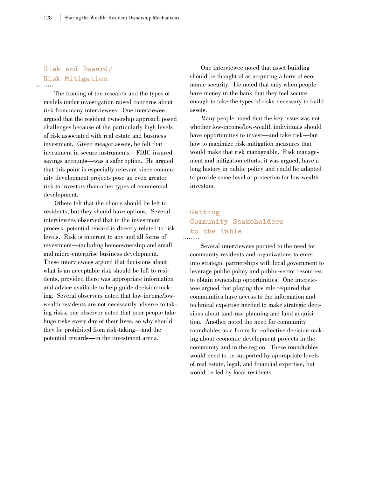### **Risk and Reward/ Risk Mitigation**

The framing of the research and the types of models under investigation raised concerns about risk from many interviewees. One interviewee argued that the resident ownership approach posed challenges because of the particularly high levels of risk associated with real estate and business investment. Given meager assets, he felt that investment in secure instruments—FDIC-insured savings accounts—was a safer option. He argued that this point is especially relevant since community development projects pose an even greater risk to investors than other types of commercial development.

Others felt that the choice should be left to residents, but they should have options. Several interviewees observed that in the investment process, potential reward is directly related to risk levels. Risk is inherent to any and all forms of investment—including homeownership and small and micro-enterprise business development. These interviewees argued that decisions about what is an acceptable risk should be left to residents, provided there was appropriate information and advice available to help guide decision-making. Several observers noted that low-income/lowwealth residents are not necessarily adverse to taking risks; one observer noted that poor people take huge risks every day of their lives, so why should they be prohibited from risk-taking—and the potential rewards—in the investment arena.

One interviewee noted that asset building should be thought of as acquiring a form of economic security. He noted that only when people have money in the bank that they feel secure enough to take the types of risks necessary to build assets.

Many people noted that the key issue was not whether low-income/low-wealth individuals should have opportunities to invest—and take risk—but how to maximize risk-mitigation measures that would make that risk manageable. Risk management and mitigation efforts, it was argued, have a long history in public policy and could be adapted to provide some level of protection for low-wealth investors.

### **Getting Community Stakeholders to the Table**

Several interviewees pointed to the need for community residents and organizations to enter into strategic partnerships with local government to leverage public policy and public-sector resources to obtain ownership opportunities. One interviewee argued that playing this role required that communities have access to the information and technical expertise needed to make strategic decisions about land-use planning and land acquisition. Another noted the need for community roundtables as a forum for collective decision-making about economic development projects in the community and in the region. These roundtables would need to be supported by appropriate levels of real estate, legal, and financial expertise, but would be led by local residents.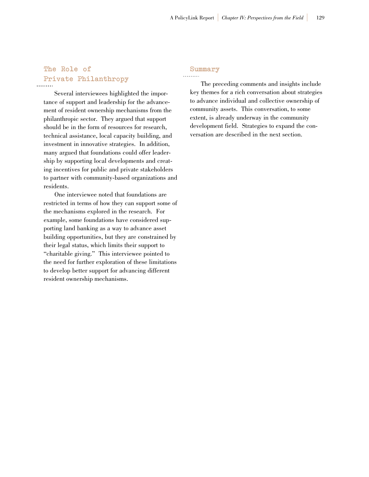### **The Role of Private Philanthropy**

Several interviewees highlighted the importance of support and leadership for the advancement of resident ownership mechanisms from the philanthropic sector. They argued that support should be in the form of resources for research, technical assistance, local capacity building, and investment in innovative strategies. In addition, many argued that foundations could offer leadership by supporting local developments and creating incentives for public and private stakeholders to partner with community-based organizations and residents.

One interviewee noted that foundations are restricted in terms of how they can support some of the mechanisms explored in the research. For example, some foundations have considered supporting land banking as a way to advance asset building opportunities, but they are constrained by their legal status, which limits their support to "charitable giving." This interviewee pointed to the need for further exploration of these limitations to develop better support for advancing different resident ownership mechanisms.

### **Summary**

The preceding comments and insights include key themes for a rich conversation about strategies to advance individual and collective ownership of community assets. This conversation, to some extent, is already underway in the community development field. Strategies to expand the conversation are described in the next section.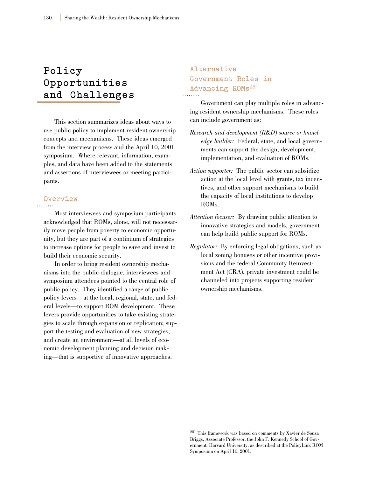# **Policy Opportunities and Challenges**

This section summarizes ideas about ways to use public policy to implement resident ownership concepts and mechanisms. These ideas emerged from the interview process and the April 10, 2001 symposium. Where relevant, information, examples, and data have been added to the statements and assertions of interviewees or meeting participants.

### **Overview**

Most interviewees and symposium participants acknowledged that ROMs, alone, will not necessarily move people from poverty to economic opportunity, but they are part of a continuum of strategies to increase options for people to save and invest to build their economic security.

In order to bring resident ownership mechanisms into the public dialogue, interviewees and symposium attendees pointed to the central role of public policy. They identified a range of public policy levers—at the local, regional, state, and federal levels—to support ROM development. These levers provide opportunities to take existing strategies to scale through expansion or replication; support the testing and evaluation of new strategies; and create an environment—at all levels of economic development planning and decision making—that is supportive of innovative approaches.

### **Alternative Government Roles in Advancing ROMs281**

Government can play multiple roles in advancing resident ownership mechanisms. These roles can include government as:

- *Research and development (R&D) source or knowledge builder:* Federal, state, and local governments can support the design, development, implementation, and evaluation of ROMs.
- *Action supporter:* The public sector can subsidize action at the local level with grants, tax incentives, and other support mechanisms to build the capacity of local institutions to develop ROMs.
- *Attention focuser:* By drawing public attention to innovative strategies and models, government can help build public support for ROMs.
- *Regulator:* By enforcing legal obligations, such as local zoning bonuses or other incentive provisions and the federal Community Reinvestment Act (CRA), private investment could be channeled into projects supporting resident ownership mechanisms.

<sup>281</sup> This framework was based on comments by Xavier de Souza Briggs, Associate Professor, the John F. Kennedy School of Government, Harvard University, as described at the PolicyLink ROM Symposium on April 10, 2001.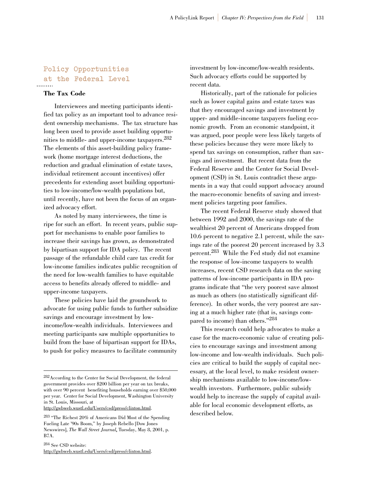### **Policy Opportunities at the Federal Level** . . . . . . . . .

### **The Tax Code**

Interviewees and meeting participants identified tax policy as an important tool to advance resident ownership mechanisms. The tax structure has long been used to provide asset building opportunities to middle- and upper-income taxpayers.282 The elements of this asset-building policy framework (home mortgage interest deductions, the reduction and gradual elimination of estate taxes, individual retirement account incentives) offer precedents for extending asset building opportunities to low-income/low-wealth populations but, until recently, have not been the focus of an organized advocacy effort.

As noted by many interviewees, the time is ripe for such an effort. In recent years, public support for mechanisms to enable poor families to increase their savings has grown, as demonstrated by bipartisan support for IDA policy. The recent passage of the refundable child care tax credit for low-income families indicates public recognition of the need for low-wealth families to have equitable access to benefits already offered to middle- and upper-income taxpayers.

These policies have laid the groundwork to advocate for using public funds to further subsidize savings and encourage investment by lowincome/low-wealth individuals. Interviewees and meeting participants saw multiple opportunities to build from the base of bipartisan support for IDAs, to push for policy measures to facilitate community

http://gwbweb.wustl.edu/Users/csd/press/clinton.html.

investment by low-income/low-wealth residents. Such advocacy efforts could be supported by recent data.

Historically, part of the rationale for policies such as lower capital gains and estate taxes was that they encouraged savings and investment by upper- and middle-income taxpayers fueling economic growth. From an economic standpoint, it was argued, poor people were less likely targets of these policies because they were more likely to spend tax savings on consumption, rather than savings and investment. But recent data from the Federal Reserve and the Center for Social Development (CSD) in St. Louis contradict these arguments in a way that could support advocacy around the macro-economic benefits of saving and investment policies targeting poor families.

The recent Federal Reserve study showed that between 1992 and 2000, the savings rate of the wealthiest 20 percent of Americans dropped from 10.6 percent to negative 2.1 percent, while the savings rate of the poorest 20 percent increased by 3.3 percent.283 While the Fed study did not examine the response of low-income taxpayers to wealth increases, recent CSD research data on the saving patterns of low-income participants in IDA programs indicate that "the very poorest save almost as much as others (no statistically significant difference). In other words, the very poorest are saving at a much higher rate (that is, savings compared to income) than others."284

This research could help advocates to make a case for the macro-economic value of creating policies to encourage savings and investment among low-income and low-wealth individuals. Such policies are critical to build the supply of capital necessary, at the local level, to make resident ownership mechanisms available to low-income/lowwealth investors. Furthermore, public subsidy would help to increase the supply of capital available for local economic development efforts, as described below.

<sup>282</sup>According to the Center for Social Development, the federal government provides over \$200 billion per year on tax breaks, with over 90 percent benefiting households earning over \$50,000 per year. Center for Social Development, Washington University in St. Louis, Missouri, at

<sup>283</sup> "The Richest 20% of Americans Did Most of the Spending Fueling Late '90s Boom," by Joseph Rebello [Dow Jones Newswires], *The Wall Street Journal*, Tuesday, May 8, 2001, p. B7A.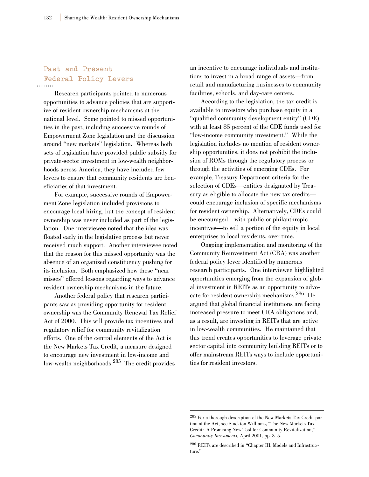## **Past and Present Federal Policy Levers**

Research participants pointed to numerous opportunities to advance policies that are supportive of resident ownership mechanisms at the national level. Some pointed to missed opportunities in the past, including successive rounds of Empowerment Zone legislation and the discussion around "new markets" legislation. Whereas both sets of legislation have provided public subsidy for private-sector investment in low-wealth neighborhoods across America, they have included few levers to ensure that community residents are beneficiaries of that investment.

For example, successive rounds of Empowerment Zone legislation included provisions to encourage local hiring, but the concept of resident ownership was never included as part of the legislation. One interviewee noted that the idea was floated early in the legislative process but never received much support. Another interviewee noted that the reason for this missed opportunity was the absence of an organized constituency pushing for its inclusion. Both emphasized how these "near misses" offered lessons regarding ways to advance resident ownership mechanisms in the future.

Another federal policy that research participants saw as providing opportunity for resident ownership was the Community Renewal Tax Relief Act of 2000. This will provide tax incentives and regulatory relief for community revitalization efforts. One of the central elements of the Act is the New Markets Tax Credit, a measure designed to encourage new investment in low-income and low-wealth neighborhoods.<sup>285</sup> The credit provides

an incentive to encourage individuals and institutions to invest in a broad range of assets—from retail and manufacturing businesses to community facilities, schools, and day-care centers.

According to the legislation, the tax credit is available to investors who purchase equity in a "qualified community development entity" (CDE) with at least 85 percent of the CDE funds used for "low-income community investment." While the legislation includes no mention of resident ownership opportunities, it does not prohibit the inclusion of ROMs through the regulatory process or through the activities of emerging CDEs. For example, Treasury Department criteria for the selection of CDEs—entities designated by Treasury as eligible to allocate the new tax credits could encourage inclusion of specific mechanisms for resident ownership. Alternatively, CDEs could be encouraged—with public or philanthropic incentives—to sell a portion of the equity in local enterprises to local residents, over time.

Ongoing implementation and monitoring of the Community Reinvestment Act (CRA) was another federal policy lever identified by numerous research participants. One interviewee highlighted opportunities emerging from the expansion of global investment in REITs as an opportunity to advocate for resident ownership mechanisms.286 He argued that global financial institutions are facing increased pressure to meet CRA obligations and, as a result, are investing in REITs that are active in low-wealth communities. He maintained that this trend creates opportunities to leverage private sector capital into community building REITs or to offer mainstream REITs ways to include opportunities for resident investors.

<sup>285</sup> For a thorough description of the New Markets Tax Credit portion of the Act, see Stockton Williams, "The New Markets Tax Credit: A Promising New Tool for Community Revitalization," *Community Investments,* April 2001, pp. 3–5.

<sup>286</sup> REITs are described in "Chapter III. Models and Infrastructure."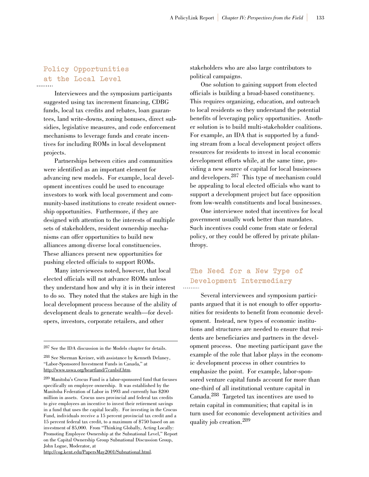## **Policy Opportunities at the Local Level**

Interviewees and the symposium participants suggested using tax increment financing, CDBG funds, local tax credits and rebates, loan guarantees, land write-downs, zoning bonuses, direct subsidies, legislative measures, and code enforcement mechanisms to leverage funds and create incentives for including ROMs in local development projects.

Partnerships between cities and communities were identified as an important element for advancing new models. For example, local development incentives could be used to encourage investors to work with local government and community-based institutions to create resident ownership opportunities. Furthermore, if they are designed with attention to the interests of multiple sets of stakeholders, resident ownership mechanisms can offer opportunities to build new alliances among diverse local constituencies. These alliances present new opportunities for pushing elected officials to support ROMs.

Many interviewees noted, however, that local elected officials will not advance ROMs unless they understand how and why it is in their interest to do so. They noted that the stakes are high in the local development process because of the ability of development deals to generate wealth—for developers, investors, corporate retailers, and other

stakeholders who are also large contributors to political campaigns.

One solution to gaining support from elected officials is building a broad-based constituency. This requires organizing, education, and outreach to local residents so they understand the potential benefits of leveraging policy opportunities. Another solution is to build multi-stakeholder coalitions. For example, an IDA that is supported by a funding stream from a local development project offers resources for residents to invest in local economic development efforts while, at the same time, providing a new source of capital for local businesses and developers.<sup>287</sup> This type of mechanism could be appealing to local elected officials who want to support a development project but face opposition from low-wealth constituents and local businesses.

One interviewee noted that incentives for local government usually work better than mandates. Such incentives could come from state or federal policy, or they could be offered by private philanthropy.

### **The Need for a New Type of Development Intermediary**

Several interviewees and symposium participants argued that it is not enough to offer opportunities for residents to benefit from economic development. Instead, new types of economic institutions and structures are needed to ensure that residents are beneficiaries and partners in the development process. One meeting participant gave the example of the role that labor plays in the economic development process in other countries to emphasize the point. For example, labor-sponsored venture capital funds account for more than one-third of all institutional venture capital in Canada.288 Targeted tax incentives are used to retain capital in communities; that capital is in turn used for economic development activities and quality job creation.<sup>289</sup>

http://cog.kent.edu/PapersMay2001/Subnational.html.

<sup>287</sup> See the IDA discussion in the Models chapter for details.

<sup>288</sup> See Sherman Kreiner, with assistance by Kenneth Delaney, "Labor-Sponsored Investment Funds in Canada," at http://www.uswa.org/heartland/7canlsif.htm.

<sup>289</sup> Manitoba's Crocus Fund is a labor-sponsored fund that focuses specifically on employee ownership. It was established by the Manitoba Federation of Labor in 1993 and currently has \$200 million in assets. Crocus uses provincial and federal tax credits to give employees an incentive to invest their retirement savings in a fund that uses the capital locally. For investing in the Crocus Fund, individuals receive a 15 percent provincial tax credit and a 15 percent federal tax credit, to a maximum of \$750 based on an investment of \$5,000. From "Thinking Globally, Acting Locally: Promoting Employee Ownership at the Subnational Level," Report on the Capital Ownership Group Subnational Discussion Group, John Logue, Moderator, at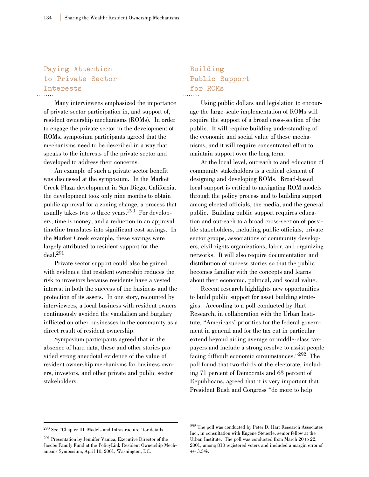## **Paying Attention to Private Sector Interests**

Many interviewees emphasized the importance of private sector participation in, and support of, resident ownership mechanisms (ROMs). In order to engage the private sector in the development of ROMs, symposium participants agreed that the mechanisms need to be described in a way that speaks to the interests of the private sector and developed to address their concerns.

An example of such a private sector benefit was discussed at the symposium. In the Market Creek Plaza development in San Diego, California, the development took only nine months to obtain public approval for a zoning change, a process that usually takes two to three years.290 For developers, time is money, and a reduction in an approval timeline translates into significant cost savings. In the Market Creek example, these savings were largely attributed to resident support for the deal.291

Private sector support could also be gained with evidence that resident ownership reduces the risk to investors because residents have a vested interest in both the success of the business and the protection of its assets. In one story, recounted by interviewees, a local business with resident owners continuously avoided the vandalism and burglary inflicted on other businesses in the community as a direct result of resident ownership.

Symposium participants agreed that in the absence of hard data, these and other stories provided strong anecdotal evidence of the value of resident ownership mechanisms for business owners, investors, and other private and public sector stakeholders.

### **Building Public Support for ROMs**

Using public dollars and legislation to encourage the large-scale implementation of ROMs will require the support of a broad cross-section of the public. It will require building understanding of the economic and social value of these mechanisms, and it will require concentrated effort to maintain support over the long term.

At the local level, outreach to and education of community stakeholders is a critical element of designing and developing ROMs. Broad-based local support is critical to navigating ROM models through the policy process and to building support among elected officials, the media, and the general public. Building public support requires education and outreach to a broad cross-section of possible stakeholders, including public officials, private sector groups, associations of community developers, civil rights organizations, labor, and organizing networks. It will also require documentation and distribution of success stories so that the public becomes familiar with the concepts and learns about their economic, political, and social value.

Recent research highlights new opportunities to build public support for asset building strategies. According to a poll conducted by Hart Research, in collaboration with the Urban Institute, "Americans' priorities for the federal government in general and for the tax cut in particular extend beyond aiding average or middle-class taxpayers and include a strong resolve to assist people facing difficult economic circumstances."<sup>292</sup> The poll found that two-thirds of the electorate, including 71 percent of Democrats and 63 percent of Republicans, agreed that it is very important that President Bush and Congress "do more to help

<sup>290</sup> See "Chapter III. Models and Infrastructure" for details.

<sup>291</sup> Presentation by Jennifer Vanica, Executive Director of the Jacobs Family Fund at the PolicyLink Resident Ownership Mechanisms Symposium, April 10, 2001, Washington, DC.

<sup>292</sup> The poll was conducted by Peter D. Hart Research Associates Inc., in consultation with Eugene Steuerle, senior fellow at the Urban Institute. The poll was conducted from March 20 to 22, 2001, among 810 registered voters and included a margin error of +/- 3.5%.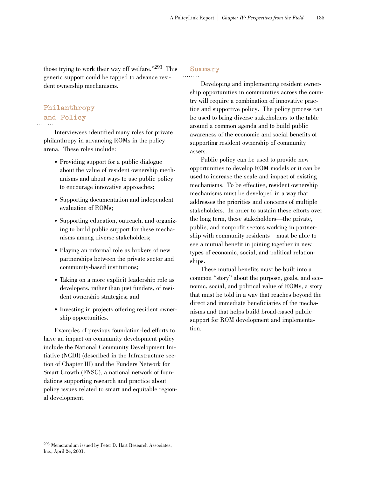those trying to work their way off welfare."293 This generic support could be tapped to advance resident ownership mechanisms.

### **Summary**

## **Philanthropy and Policy**

Interviewees identified many roles for private philanthropy in advancing ROMs in the policy arena. These roles include:

- Providing support for a public dialogue about the value of resident ownership mechanisms and about ways to use public policy to encourage innovative approaches;
- Supporting documentation and independent evaluation of ROMs;
- Supporting education, outreach, and organizing to build public support for these mechanisms among diverse stakeholders;
- Playing an informal role as brokers of new partnerships between the private sector and community-based institutions;
- Taking on a more explicit leadership role as developers, rather than just funders, of resident ownership strategies; and
- Investing in projects offering resident ownership opportunities.

Examples of previous foundation-led efforts to have an impact on community development policy include the National Community Development Initiative (NCDI) (described in the Infrastructure section of Chapter III) and the Funders Network for Smart Growth (FNSG), a national network of foundations supporting research and practice about policy issues related to smart and equitable regional development.

Developing and implementing resident ownership opportunities in communities across the country will require a combination of innovative practice and supportive policy. The policy process can be used to bring diverse stakeholders to the table around a common agenda and to build public awareness of the economic and social benefits of supporting resident ownership of community assets.

Public policy can be used to provide new opportunities to develop ROM models or it can be used to increase the scale and impact of existing mechanisms. To be effective, resident ownership mechanisms must be developed in a way that addresses the priorities and concerns of multiple stakeholders. In order to sustain these efforts over the long term, these stakeholders—the private, public, and nonprofit sectors working in partnership with community residents—must be able to see a mutual benefit in joining together in new types of economic, social, and political relationships.

These mutual benefits must be built into a common "story" about the purpose, goals, and economic, social, and political value of ROMs, a story that must be told in a way that reaches beyond the direct and immediate beneficiaries of the mechanisms and that helps build broad-based public support for ROM development and implementation.

<sup>293</sup> Memorandum issued by Peter D. Hart Research Associates, Inc., April 24, 2001.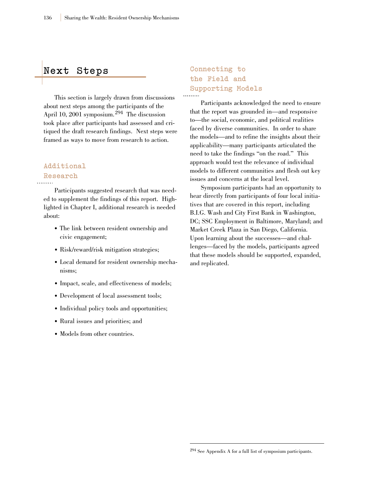### **Next Steps**

This section is largely drawn from discussions about next steps among the participants of the April 10, 2001 symposium.<sup>294</sup> The discussion took place after participants had assessed and critiqued the draft research findings. Next steps were framed as ways to move from research to action.

## **Additional Research**

Participants suggested research that was needed to supplement the findings of this report. Highlighted in Chapter I, additional research is needed about:

- The link between resident ownership and civic engagement;
- Risk/reward/risk mitigation strategies;
- Local demand for resident ownership mechanisms;
- Impact, scale, and effectiveness of models;
- Development of local assessment tools;
- Individual policy tools and opportunities;
- Rural issues and priorities; and
- Models from other countries.

## **Connecting to the Field and Supporting Models**

Participants acknowledged the need to ensure that the report was grounded in—and responsive to—the social, economic, and political realities faced by diverse communities. In order to share the models—and to refine the insights about their applicability—many participants articulated the need to take the findings "on the road." This approach would test the relevance of individual models to different communities and flesh out key issues and concerns at the local level.

Symposium participants had an opportunity to hear directly from participants of four local initiatives that are covered in this report, including B.I.G. Wash and City First Bank in Washington, DC; SSC Employment in Baltimore, Maryland; and Market Creek Plaza in San Diego, California. Upon learning about the successes—and challenges—faced by the models, participants agreed that these models should be supported, expanded, and replicated.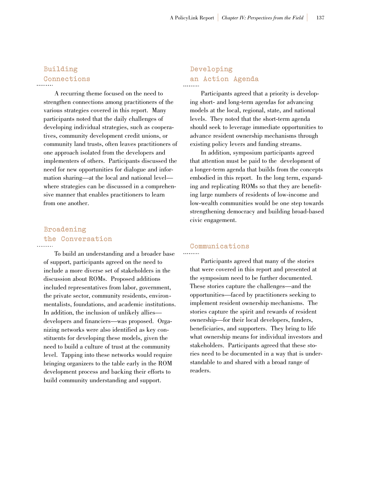### **Building Connections**

A recurring theme focused on the need to strengthen connections among practitioners of the various strategies covered in this report. Many participants noted that the daily challenges of developing individual strategies, such as cooperatives, community development credit unions, or community land trusts, often leaves practitioners of one approach isolated from the developers and implementers of others. Participants discussed the need for new opportunities for dialogue and information sharing—at the local and national level where strategies can be discussed in a comprehensive manner that enables practitioners to learn from one another.

### **Broadening the Conversation**  . . . . . . . . .

To build an understanding and a broader base of support, participants agreed on the need to include a more diverse set of stakeholders in the discussion about ROMs. Proposed additions included representatives from labor, government, the private sector, community residents, environmentalists, foundations, and academic institutions. In addition, the inclusion of unlikely allies developers and financiers—was proposed. Organizing networks were also identified as key constituents for developing these models, given the need to build a culture of trust at the community level. Tapping into these networks would require bringing organizers to the table early in the ROM development process and backing their efforts to

build community understanding and support.

## **Developing an Action Agenda**

Participants agreed that a priority is developing short- and long-term agendas for advancing models at the local, regional, state, and national levels. They noted that the short-term agenda should seek to leverage immediate opportunities to advance resident ownership mechanisms through existing policy levers and funding streams.

In addition, symposium participants agreed that attention must be paid to the development of a longer-term agenda that builds from the concepts embodied in this report. In the long term, expanding and replicating ROMs so that they are benefiting large numbers of residents of low-income and low-wealth communities would be one step towards strengthening democracy and building broad-based civic engagement.

### **Communications**

Participants agreed that many of the stories that were covered in this report and presented at the symposium need to be further documented. These stories capture the challenges—and the opportunities—faced by practitioners seeking to implement resident ownership mechanisms. The stories capture the spirit and rewards of resident ownership—for their local developers, funders, beneficiaries, and supporters. They bring to life what ownership means for individual investors and stakeholders. Participants agreed that these stories need to be documented in a way that is understandable to and shared with a broad range of readers.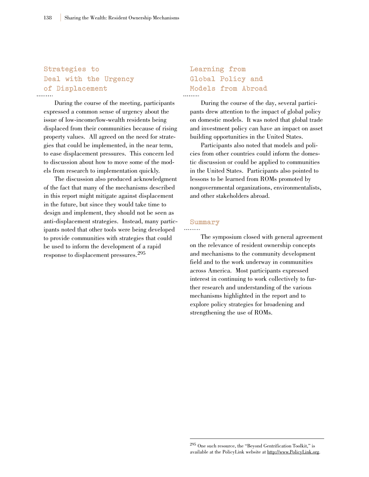## **Strategies to Deal with the Urgency of Displacement**

During the course of the meeting, participants expressed a common sense of urgency about the issue of low-income/low-wealth residents being displaced from their communities because of rising property values. All agreed on the need for strategies that could be implemented, in the near term, to ease displacement pressures. This concern led to discussion about how to move some of the models from research to implementation quickly.

The discussion also produced acknowledgment of the fact that many of the mechanisms described in this report might mitigate against displacement in the future, but since they would take time to design and implement, they should not be seen as anti-displacement strategies. Instead, many participants noted that other tools were being developed to provide communities with strategies that could be used to inform the development of a rapid response to displacement pressures.<sup>295</sup>

## **Learning from Global Policy and Models from Abroad**

During the course of the day, several participants drew attention to the impact of global policy on domestic models. It was noted that global trade and investment policy can have an impact on asset building opportunities in the United States.

Participants also noted that models and policies from other countries could inform the domestic discussion or could be applied to communities in the United States. Participants also pointed to lessons to be learned from ROMs promoted by nongovernmental organizations, environmentalists, and other stakeholders abroad.

### **Summary**

The symposium closed with general agreement on the relevance of resident ownership concepts and mechanisms to the community development field and to the work underway in communities across America. Most participants expressed interest in continuing to work collectively to further research and understanding of the various mechanisms highlighted in the report and to explore policy strategies for broadening and strengthening the use of ROMs.

<sup>295</sup> One such resource, the "Beyond Gentrification Toolkit," is available at the PolicyLink website at http://www.PolicyLink.org.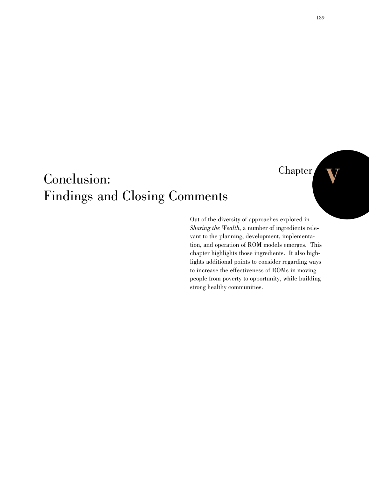## Chapter

## Conclusion: Findings and Closing Comments

Out of the diversity of approaches explored in *Sharing the Wealth*, a number of ingredients relevant to the planning, development, implementation, and operation of ROM models emerges. This chapter highlights those ingredients. It also highlights additional points to consider regarding ways to increase the effectiveness of ROMs in moving people from poverty to opportunity, while building strong healthy communities.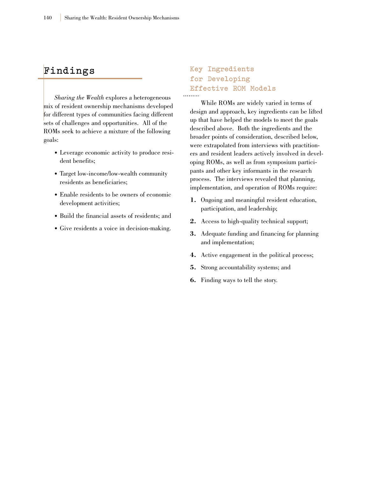### **F i n d i n g s**

*Sharing the Wealth* explores a heterogeneous mix of resident ownership mechanisms developed for different types of communities facing different sets of challenges and opportunities. All of the ROMs seek to achieve a mixture of the following goals:

- Leverage economic activity to produce resident benefits;
- Target low-income/low-wealth community residents as beneficiaries;
- Enable residents to be owners of economic development activities;
- Build the financial assets of residents; and
- Give residents a voice in decision-making.

### **Key Ingredients for Developing Effective ROM Models**

While ROMs are widely varied in terms of design and approach, key ingredients can be lifted up that have helped the models to meet the goals described above. Both the ingredients and the broader points of consideration, described below, were extrapolated from interviews with practitioners and resident leaders actively involved in developing ROMs, as well as from symposium participants and other key informants in the research process. The interviews revealed that planning, implementation, and operation of ROMs require:

- **1.** Ongoing and meaningful resident education, participation, and leadership;
- **2.** Access to high-quality technical support;
- **3.** Adequate funding and financing for planning and implementation;
- **4.** Active engagement in the political process;
- **5.** Strong accountability systems; and
- **6.** Finding ways to tell the story.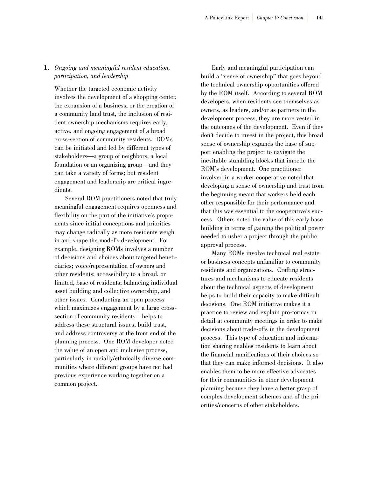### **1.** *Ongoing and meaningful resident education, participation, and leadership*

Whether the targeted economic activity involves the development of a shopping center, the expansion of a business, or the creation of a community land trust, the inclusion of resident ownership mechanisms requires early, active, and ongoing engagement of a broad cross-section of community residents. ROMs can be initiated and led by different types of stakeholders—a group of neighbors, a local foundation or an organizing group—and they can take a variety of forms; but resident engagement and leadership are critical ingredients.

Several ROM practitioners noted that truly meaningful engagement requires openness and flexibility on the part of the initiative's proponents since initial conceptions and priorities may change radically as more residents weigh in and shape the model's development. For example, designing ROMs involves a number of decisions and choices about targeted beneficiaries; voice/representation of owners and other residents; accessibility to a broad, or limited, base of residents; balancing individual asset building and collective ownership, and other issues. Conducting an open process which maximizes engagement by a large crosssection of community residents—helps to address these structural issues, build trust, and address controversy at the front end of the planning process. One ROM developer noted the value of an open and inclusive process, particularly in racially/ethnically diverse communities where different groups have not had previous experience working together on a common project.

Early and meaningful participation can build a "sense of ownership" that goes beyond the technical ownership opportunities offered by the ROM itself. According to several ROM developers, when residents see themselves as owners, as leaders, and/or as partners in the development process, they are more vested in the outcomes of the development. Even if they don't decide to invest in the project, this broad sense of ownership expands the base of support enabling the project to navigate the inevitable stumbling blocks that impede the ROM's development. One practitioner involved in a worker cooperative noted that developing a sense of ownership and trust from the beginning meant that workers held each other responsible for their performance and that this was essential to the cooperative's success. Others noted the value of this early base building in terms of gaining the political power needed to usher a project through the public approval process.

Many ROMs involve technical real estate or business concepts unfamiliar to community residents and organizations. Crafting structures and mechanisms to educate residents about the technical aspects of development helps to build their capacity to make difficult decisions. One ROM initiative makes it a practice to review and explain pro-formas in detail at community meetings in order to make decisions about trade-offs in the development process. This type of education and information sharing enables residents to learn about the financial ramifications of their choices so that they can make informed decisions. It also enables them to be more effective advocates for their communities in other development planning because they have a better grasp of complex development schemes and of the priorities/concerns of other stakeholders.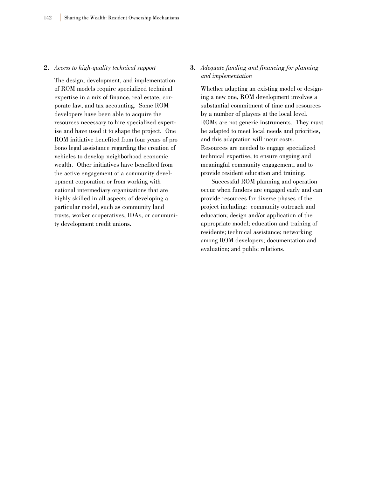#### **2.** *Access to high-quality technical support*

The design, development, and implementation of ROM models require specialized technical expertise in a mix of finance, real estate, corporate law, and tax accounting. Some ROM developers have been able to acquire the resources necessary to hire specialized expertise and have used it to shape the project. One ROM initiative benefited from four years of pro bono legal assistance regarding the creation of vehicles to develop neighborhood economic wealth. Other initiatives have benefited from the active engagement of a community development corporation or from working with national intermediary organizations that are highly skilled in all aspects of developing a particular model, such as community land trusts, worker cooperatives, IDAs, or community development credit unions.

### **3***. Adequate funding and financing for planning and implementation*

Whether adapting an existing model or designing a new one, ROM development involves a substantial commitment of time and resources by a number of players at the local level. ROMs are not generic instruments. They must be adapted to meet local needs and priorities, and this adaptation will incur costs. Resources are needed to engage specialized technical expertise, to ensure ongoing and meaningful community engagement, and to provide resident education and training.

Successful ROM planning and operation occur when funders are engaged early and can provide resources for diverse phases of the project including: community outreach and education; design and/or application of the appropriate model; education and training of residents; technical assistance; networking among ROM developers; documentation and evaluation; and public relations.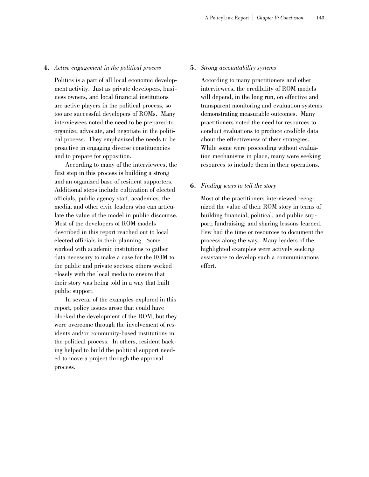### **4.** *Active engagement in the political process*

Politics is a part of all local economic development activity. Just as private developers, business owners, and local financial institutions are active players in the political process, so too are successful developers of ROMs. Many interviewees noted the need to be prepared to organize, advocate, and negotiate in the political process. They emphasized the needs to be proactive in engaging diverse constituencies and to prepare for opposition.

According to many of the interviewees, the first step in this process is building a strong and an organized base of resident supporters. Additional steps include cultivation of elected officials, public agency staff, academics, the media, and other civic leaders who can articulate the value of the model in public discourse. Most of the developers of ROM models described in this report reached out to local elected officials in their planning. Some worked with academic institutions to gather data necessary to make a case for the ROM to the public and private sectors; others worked closely with the local media to ensure that their story was being told in a way that built public support.

In several of the examples explored in this report, policy issues arose that could have blocked the development of the ROM, but they were overcome through the involvement of residents and/or community-based institutions in the political process. In others, resident backing helped to build the political support needed to move a project through the approval process.

#### **5.** *Strong accountability systems*

According to many practitioners and other interviewees, the credibility of ROM models will depend, in the long run, on effective and transparent monitoring and evaluation systems demonstrating measurable outcomes. Many practitioners noted the need for resources to conduct evaluations to produce credible data about the effectiveness of their strategies. While some were proceeding without evaluation mechanisms in place, many were seeking resources to include them in their operations.

#### **6.** *Finding ways to tell the story*

Most of the practitioners interviewed recognized the value of their ROM story in terms of building financial, political, and public support; fundraising; and sharing lessons learned. Few had the time or resources to document the process along the way. Many leaders of the highlighted examples were actively seeking assistance to develop such a communications effort.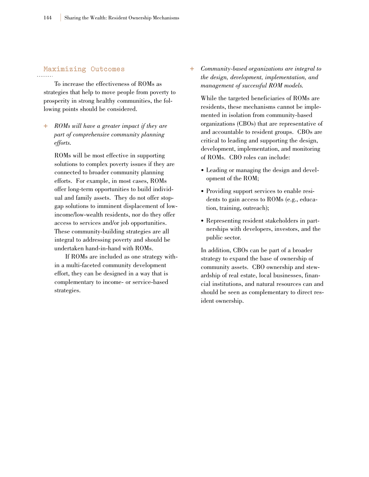## **Maximizing Outcomes**

To increase the effectiveness of ROMs as strategies that help to move people from poverty to prosperity in strong healthy communities, the following points should be considered.

**+** *ROMs will have a greater impact if they are part of comprehensive community planning efforts.*

ROMs will be most effective in supporting solutions to complex poverty issues if they are connected to broader community planning efforts. For example, in most cases, ROMs offer long-term opportunities to build individual and family assets. They do not offer stopgap solutions to imminent displacement of lowincome/low-wealth residents, nor do they offer access to services and/or job opportunities. These community-building strategies are all integral to addressing poverty and should be undertaken hand-in-hand with ROMs.

If ROMs are included as one strategy within a multi-faceted community development effort, they can be designed in a way that is complementary to income- or service-based strategies.

**+** *Community-based organizations are integral to the design, development, implementation, and management of successful ROM models.*

While the targeted beneficiaries of ROMs are residents, these mechanisms cannot be implemented in isolation from community-based organizations (CBOs) that are representative of and accountable to resident groups. CBOs are critical to leading and supporting the design, development, implementation, and monitoring of ROMs. CBO roles can include:

- Leading or managing the design and development of the ROM;
- Providing support services to enable residents to gain access to ROMs (e.g., education, training, outreach);
- Representing resident stakeholders in partnerships with developers, investors, and the public sector.

In addition, CBOs can be part of a broader strategy to expand the base of ownership of community assets. CBO ownership and stewardship of real estate, local businesses, financial institutions, and natural resources can and should be seen as complementary to direct resident ownership.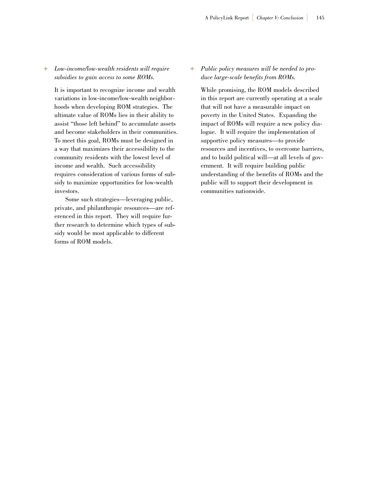### **+** *Low-income/low-wealth residents will require subsidies to gain access to some ROMs.*

It is important to recognize income and wealth variations in low-income/low-wealth neighborhoods when developing ROM strategies. The ultimate value of ROMs lies in their ability to assist "those left behind" to accumulate assets and become stakeholders in their communities. To meet this goal, ROMs must be designed in a way that maximizes their accessibility to the community residents with the lowest level of income and wealth. Such accessibility requires consideration of various forms of subsidy to maximize opportunities for low-wealth investors.

Some such strategies—leveraging public, private, and philanthropic resources—are referenced in this report. They will require further research to determine which types of subsidy would be most applicable to different forms of ROM models.

### **+** *Public policy measures will be needed to produce large-scale benefits from ROMs.*

While promising, the ROM models described in this report are currently operating at a scale that will not have a measurable impact on poverty in the United States. Expanding the impact of ROMs will require a new policy dialogue. It will require the implementation of supportive policy measures—to provide resources and incentives, to overcome barriers, and to build political will—at all levels of government. It will require building public understanding of the benefits of ROMs and the public will to support their development in communities nationwide.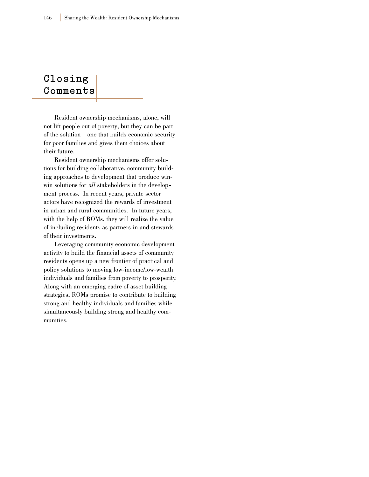## **Closing C o m m e n t s**

Resident ownership mechanisms, alone, will not lift people out of poverty, but they can be part of the solution—one that builds economic security for poor families and gives them choices about their future.

Resident ownership mechanisms offer solutions for building collaborative, community building approaches to development that produce winwin solutions for *all* stakeholders in the development process. In recent years, private sector actors have recognized the rewards of investment in urban and rural communities. In future years, with the help of ROMs, they will realize the value of including residents as partners in and stewards of their investments.

Leveraging community economic development activity to build the financial assets of community residents opens up a new frontier of practical and policy solutions to moving low-income/low-wealth individuals and families from poverty to prosperity. Along with an emerging cadre of asset building strategies, ROMs promise to contribute to building strong and healthy individuals and families while simultaneously building strong and healthy communities.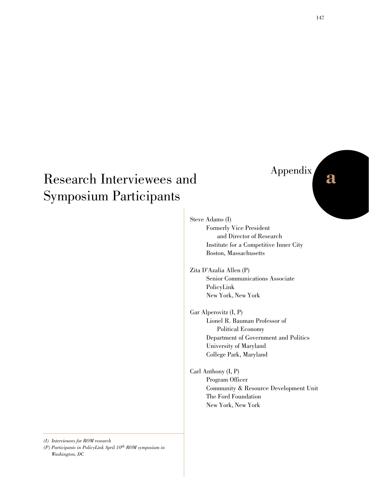## Research Interviewees and Symposium Participants

# Appendix **a**

Steve Adams (I) Formerly Vice President and Director of Research Institute for a Competitive Inner City Boston, Massachusetts

Zita D'Azalia Allen (P) Senior Communications Associate PolicyLink New York, New York

Gar Alperovitz (I, P) Lionel R. Bauman Professor of Political Economy Department of Government and Politics University of Maryland College Park, Maryland

Carl Anthony (I, P) Program Officer Community & Resource Development Unit The Ford Foundation New York, New York

*(I) Interviewees for ROM research (P) Participants in PolicyLink April 10th ROM symposium in Washington, DC*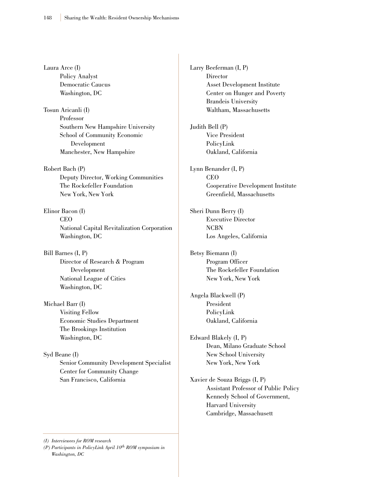Laura Arce (I) Policy Analyst Democratic Caucus Washington, DC

Tosun Aricanli (I) Professor Southern New Hampshire University School of Community Economic Development Manchester, New Hampshire

Robert Bach (P) Deputy Director, Working Communities The Rockefeller Foundation New York, New York

Elinor Bacon (I) CEO National Capital Revitalization Corporation Washington, DC

Bill Barnes (I, P) Director of Research & Program Development National League of Cities Washington, DC

Michael Barr (I) Visiting Fellow Economic Studies Department The Brookings Institution Washington, DC

Syd Beane (I) Senior Community Development Specialist Center for Community Change San Francisco, California

*(I) Interviewees for ROM research*

*(P) Participants in PolicyLink April 10th ROM symposium in Washington, DC*

Larry Beeferman (I, P) **Director** Asset Development Institute Center on Hunger and Poverty Brandeis University Waltham, Massachusetts Judith Bell (P) Vice President PolicyLink Oakland, California Lynn Benander (I, P) CEO Cooperative Development Institute Greenfield, Massachusetts Sheri Dunn Berry (I) Executive Director NCBN Los Angeles, California Betsy Biemann (I) Program Officer The Rockefeller Foundation New York, New York Angela Blackwell (P) President PolicyLink Oakland, California Edward Blakely (I, P) Dean, Milano Graduate School New School University New York, New York Xavier de Souza Briggs (I, P) Assistant Professor of Public Policy Kennedy School of Government,

> Harvard University Cambridge, Massachusett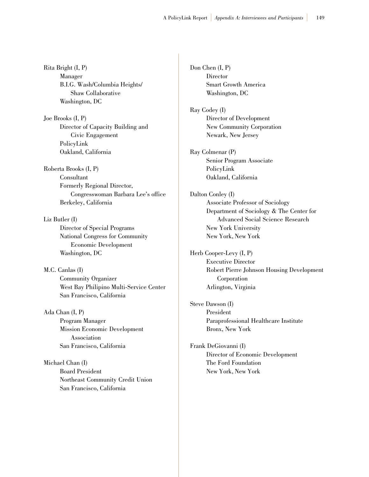Rita Bright (I, P) Manager B.I.G. Wash/Columbia Heights/ Shaw Collaborative Washington, DC

Joe Brooks (I, P) Director of Capacity Building and Civic Engagement PolicyLink Oakland, California

Roberta Brooks (I, P) Consultant Formerly Regional Director, Congresswoman Barbara Lee's office Berkeley, California

Liz Butler (I) Director of Special Programs National Congress for Community Economic Development Washington, DC

M.C. Canlas (I) Community Organizer West Bay Philipino Multi-Service Center San Francisco, California

Ada Chan (I, P) Program Manager Mission Economic Development Association San Francisco, California

Michael Chan (I) Board President Northeast Community Credit Union San Francisco, California

Don Chen (I, P) **Director** Smart Growth America Washington, DC

Ray Codey (I) Director of Development New Community Corporation Newark, New Jersey

Ray Colmenar (P) Senior Program Associate PolicyLink Oakland, California

Dalton Conley (I) Associate Professor of Sociology Department of Sociology & The Center for Advanced Social Science Research New York University New York, New York

Herb Cooper-Levy (I, P) Executive Director Robert Pierre Johnson Housing Development Corporation Arlington, Virginia

Steve Dawson (I) President Paraprofessional Healthcare Institute Bronx, New York

Frank DeGiovanni (I) Director of Economic Development The Ford Foundation New York, New York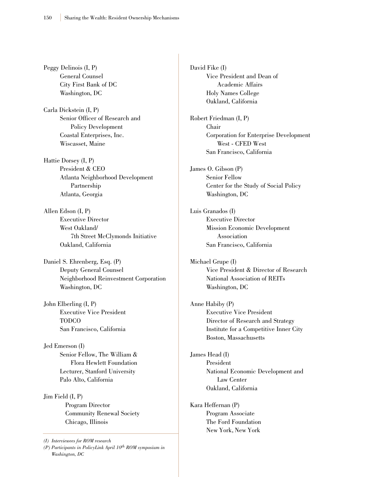Peggy Delinois (I, P) General Counsel City First Bank of DC Washington, DC

Carla Dickstein (I, P) Senior Officer of Research and Policy Development Coastal Enterprises, Inc. Wiscasset, Maine

Hattie Dorsey (I, P) President & CEO Atlanta Neighborhood Development Partnership Atlanta, Georgia

Allen Edson (I, P) Executive Director West Oakland/ 7th Street McClymonds Initiative Oakland, California

Daniel S. Ehrenberg, Esq. (P) Deputy General Counsel Neighborhood Reinvestment Corporation Washington, DC

John Elberling (I, P) Executive Vice President TODCO San Francisco, California

Jed Emerson (I) Senior Fellow, The William & Flora Hewlett Foundation Lecturer, Stanford University Palo Alto, California

Jim Field (I, P) Program Director Community Renewal Society Chicago, Illinois

*(I) Interviewees for ROM research*

*(P) Participants in PolicyLink April 10th ROM symposium in Washington, DC*

David Fike (I) Vice President and Dean of Academic Affairs Holy Names College Oakland, California

Robert Friedman (I, P) Chair Corporation for Enterprise Development West - CFED West San Francisco, California

James O. Gibson (P) Senior Fellow Center for the Study of Social Policy Washington, DC

Luis Granados (I) Executive Director Mission Economic Development Association San Francisco, California

Michael Grupe (I) Vice President & Director of Research National Association of REITs Washington, DC

Anne Habiby (P) Executive Vice President Director of Research and Strategy Institute for a Competitive Inner City Boston, Massachusetts

James Head (I) President National Economic Development and Law Center Oakland, California

Kara Heffernan (P) Program Associate The Ford Foundation New York, New York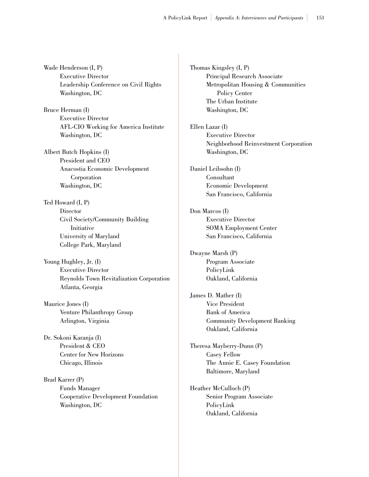Wade Henderson (I, P) Executive Director Leadership Conference on Civil Rights Washington, DC

Bruce Herman (I) Executive Director AFL-CIO Working for America Institute Washington, DC

Albert Butch Hopkins (I) President and CEO Anacostia Economic Development Corporation Washington, DC

Ted Howard (I, P) Director Civil Society/Community Building Initiative University of Maryland College Park, Maryland

Young Hughley, Jr. (I) Executive Director Reynolds Town Revitalization Corporation Atlanta, Georgia

Maurice Jones (I) Venture Philanthropy Group Arlington, Virginia

Dr. Sokoni Karanja (I) President & CEO Center for New Horizons Chicago, Illinois

Brad Karrer (P) Funds Manager Cooperative Development Foundation Washington, DC

Thomas Kingsley (I, P) Principal Research Associate Metropolitan Housing & Communities Policy Center The Urban Institute Washington, DC

Ellen Lazar (I) Executive Director Neighborhood Reinvestment Corporation Washington, DC

Daniel Leibsohn (I) Consultant Economic Development San Francisco, California

Don Marcos (I) Executive Director SOMA Employment Center San Francisco, California

Dwayne Marsh (P) Program Associate PolicyLink Oakland, California

James D. Mather (I) Vice President Bank of America Community Development Banking Oakland, California

Theresa Mayberry-Dunn (P) Casey Fellow The Annie E. Casey Foundation Baltimore, Maryland

Heather McCulloch (P) Senior Program Associate PolicyLink Oakland, California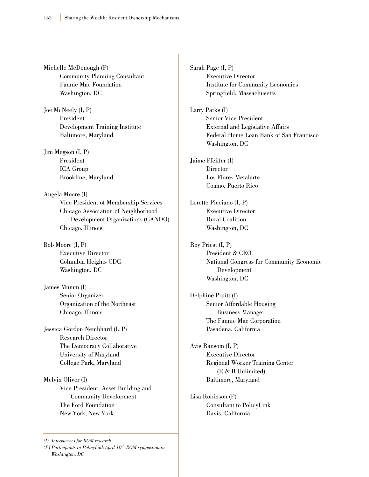Michelle McDonough (P) Community Planning Consultant Fannie Mae Foundation Washington, DC

Joe McNeely (I, P) President Development Training Institute Baltimore, Maryland

Jim Megson (I, P) President ICA Group Brookline, Maryland

Angela Moore (I) Vice President of Membership Services Chicago Association of Neighborhood Development Organizations (CANDO) Chicago, Illinois

Bob Moore (I, P) Executive Director Columbia Heights CDC Washington, DC

James Mumm (I) Senior Organizer Organization of the Northeast Chicago, Illinois

Jessica Gordon Nembhard (I, P) Research Director The Democracy Collaborative University of Maryland College Park, Maryland

Melvin Oliver (I) Vice President, Asset Building and Community Development The Ford Foundation New York, New York

*(P) Participants in PolicyLink April 10th ROM symposium in Washington, DC*

Sarah Page (I, P) Executive Director Institute for Community Economics Springfield, Massachusetts

Larry Parks (I) Senior Vice President External and Legislative Affairs Federal Home Loan Bank of San Francisco Washington, DC

Jaime Pfeiffer (I) Director Los Flores Metalarte Coamo, Puerto Rico

Lorette Picciano (I, P) Executive Director Rural Coalition Washington, DC

Roy Priest (I, P) President & CEO National Congress for Community Economic Development Washington, DC

Delphine Pruitt (I) Senior Affordable Housing Business Manager The Fannie Mae Corporation Pasadena, California

Avis Ransom (I, P) Executive Director Regional Worker Training Center (R & B Unlimited) Baltimore, Maryland

Lisa Robinson (P) Consultant to PolicyLink Davis, California

*<sup>(</sup>I) Interviewees for ROM research*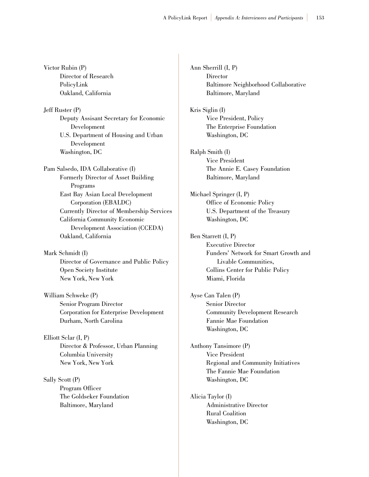Victor Rubin (P) Director of Research PolicyLink Oakland, California

Jeff Ruster (P) Deputy Assisant Secretary for Economic Development U.S. Department of Housing and Urban Development Washington, DC

Pam Salsedo, IDA Collaborative (I) Formerly Director of Asset Building Programs East Bay Asian Local Development Corporation (EBALDC) Currently Director of Membership Services California Community Economic Development Association (CCEDA) Oakland, California

Mark Schmidt (I) Director of Governance and Public Policy Open Society Institute New York, New York

William Schweke (P) Senior Program Director Corporation for Enterprise Development Durham, North Carolina

Elliott Sclar (I, P) Director & Professor, Urban Planning Columbia University New York, New York

Sally Scott (P) Program Officer The Goldseker Foundation Baltimore, Maryland

Ann Sherrill (I, P) **Director** Baltimore Neighborhood Collaborative Baltimore, Maryland

Kris Siglin (I) Vice President, Policy The Enterprise Foundation Washington, DC

Ralph Smith (I) Vice President The Annie E. Casey Foundation Baltimore, Maryland

Michael Springer (I, P) Office of Economic Policy U.S. Department of the Treasury Washington, DC

Ben Starrett (I, P) Executive Director Funders' Network for Smart Growth and Livable Communities, Collins Center for Public Policy Miami, Florida

Ayse Can Talen (P) Senior Director Community Development Research Fannie Mae Foundation Washington, DC

Anthony Tansimore (P) Vice President Regional and Community Initiatives The Fannie Mae Foundation Washington, DC

Alicia Taylor (I) Administrative Director Rural Coalition Washington, DC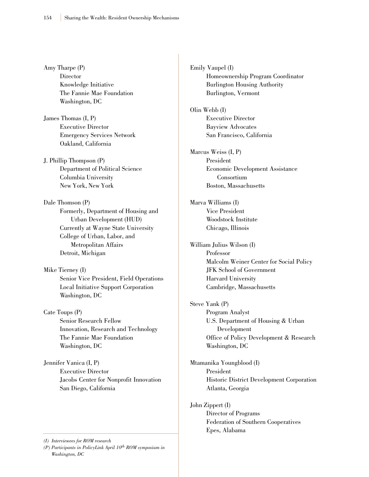Amy Tharpe (P) **Director** Knowledge Initiative The Fannie Mae Foundation Washington, DC

James Thomas (I, P) Executive Director Emergency Services Network Oakland, California

J. Phillip Thompson (P) Department of Political Science Columbia University New York, New York

Dale Thomson (P) Formerly, Department of Housing and Urban Development (HUD) Currently at Wayne State University College of Urban, Labor, and Metropolitan Affairs Detroit, Michigan

Mike Tierney (I) Senior Vice President, Field Operations Local Initiative Support Corporation Washington, DC

Cate Toups (P) Senior Research Fellow Innovation, Research and Technology The Fannie Mae Foundation Washington, DC

Jennifer Vanica (I, P) Executive Director Jacobs Center for Nonprofit Innovation San Diego, California

*(I) Interviewees for ROM research*

*(P) Participants in PolicyLink April 10th ROM symposium in Washington, DC*

Emily Vaupel (I) Homeownership Program Coordinator Burlington Housing Authority Burlington, Vermont

Olin Webb (I) Executive Director Bayview Advocates San Francisco, California

Marcus Weiss (I, P) President Economic Development Assistance Consortium Boston, Massachusetts

Marva Williams (I) Vice President Woodstock Institute Chicago, Illinois

William Julius Wilson (I) Professor Malcolm Weiner Center for Social Policy JFK School of Government Harvard University Cambridge, Massachusetts

Steve Yank (P) Program Analyst U.S. Department of Housing & Urban Development Office of Policy Development & Research Washington, DC

Mtamanika Youngblood (I) President Historic District Development Corporation Atlanta, Georgia

John Zippert (I) Director of Programs Federation of Southern Cooperatives Epes, Alabama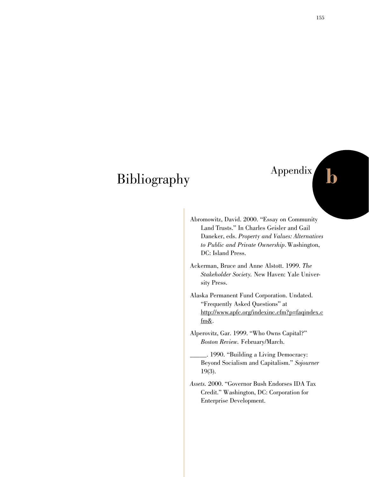## Bibliography

# Appendix **b**

- 
- Abromowitz, David. 2000. "Essay on Community Land Trusts." In Charles Geisler and Gail Daneker, eds. *Property and Values: Alternatives to Public and Private Ownership*. Washington, DC: Island Press.
- Ackerman, Bruce and Anne Alstott. 1999. *The Stakeholder Society.* New Haven: Yale University Press.
- Alaska Permanent Fund Corporation. Undated. "Frequently Asked Questions" at http://www.apfc.org/indexinc.cfm?p=faqindex.c fm&.
- Alperovitz, Gar. 1999. "Who Owns Capital?" *Boston Review.* February/March.
	- \_\_\_\_\_. 1990. "Building a Living Democracy: Beyond Socialism and Capitalism." *Sojourner* 19(3).
- *Assets.* 2000. "Governor Bush Endorses IDA Tax Credit." Washington, DC: Corporation for Enterprise Development.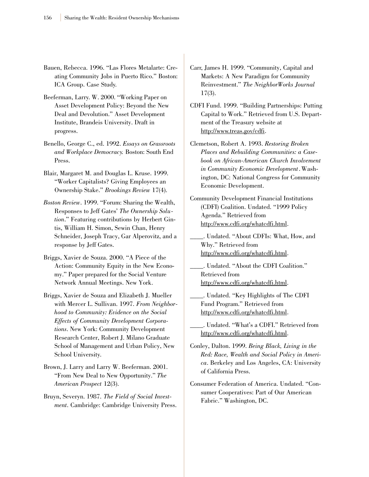- Bauen, Rebecca. 1996. "Las Flores Metalarte: Creating Community Jobs in Puerto Rico." Boston: ICA Group. Case Study.
- Beeferman, Larry. W. 2000. "Working Paper on Asset Development Policy: Beyond the New Deal and Devolution." Asset Development Institute, Brandeis University. Draft in progress.
- Benello, George C., ed. 1992. *Essays on Grassroots and Workplace Democracy.* Boston: South End Press.
- Blair, Margaret M. and Douglas L. Kruse. 1999. "Worker Capitalists? Giving Employees an Ownership Stake." *Brookings Review* 17(4).
- *Boston Review*. 1999. "Forum: Sharing the Wealth, Responses to Jeff Gates' *The Ownership Solution*." Featuring contributions by Herbert Gintis, William H. Simon, Sewin Chan, Henry Schneider, Joseph Tracy, Gar Alperovitz, and a response by Jeff Gates.
- Briggs, Xavier de Souza. 2000. "A Piece of the Action: Community Equity in the New Economy." Paper prepared for the Social Venture Network Annual Meetings. New York.
- Briggs, Xavier de Souza and Elizabeth J. Mueller with Mercer L. Sullivan. 1997. *From Neighborhood to Community: Evidence on the Social Effects of Community Development Corporations*. New York: Community Development Research Center, Robert J. Milano Graduate School of Management and Urban Policy, New School University.
- Brown, J. Larry and Larry W. Beeferman. 2001. "From New Deal to New Opportunity." *The American Prospect* 12(3).
- Bruyn, Severyn. 1987. *The Field of Social Investment*. Cambridge: Cambridge University Press.
- Carr, James H. 1999. "Community, Capital and Markets: A New Paradigm for Community Reinvestment." *The NeighborWorks Journal* 17(3).
- CDFI Fund. 1999. "Building Partnerships: Putting Capital to Work." Retrieved from U.S. Department of the Treasury website at http://www.treas.gov/cdfi.
- Clemetson, Robert A. 1993. *Restoring Broken Places and Rebuilding Communities: a Casebook on African-American Church Involvement in Community Economic Development*. Washington, DC: National Congress for Community Economic Development.
- Community Development Financial Institutions (CDFI) Coalition. Undated. "1999 Policy Agenda." Retrieved from http://www.cdfi.org/whatcdfi.html.

\_\_\_\_. Undated. "About CDFIs: What, How, and Why." Retrieved from http://www.cdfi.org/whatcdfi.html.

\_\_\_\_. Undated. "About the CDFI Coalition." Retrieved from http://www.cdfi.org/whatcdfi.html.

\_\_\_\_. Undated. "Key Highlights of The CDFI Fund Program." Retrieved from http://www.cdfi.org/whatcdfi.html.

- \_\_\_\_. Undated. "What's a CDFI." Retrieved from http://www.cdfi.org/whatcdfi.html.
- Conley, Dalton. 1999. *Being Black, Living in the Red: Race, Wealth and Social Policy in America*. Berkeley and Los Angeles, CA: University of California Press.
- Consumer Federation of America. Undated. "Consumer Cooperatives: Part of Our American Fabric." Washington, DC.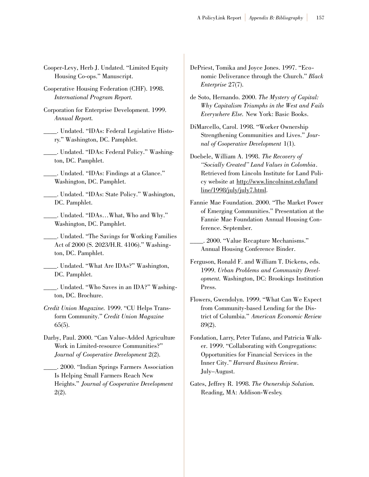- Cooper-Levy, Herb J. Undated. "Limited Equity Housing Co-ops." Manuscript.
- Cooperative Housing Federation (CHF). 1998. *International Program Report.*
- Corporation for Enterprise Development. 1999. *Annual Report.*
- \_\_\_\_. Undated. "IDAs: Federal Legislative History." Washington, DC. Pamphlet.
- \_\_\_\_. Undated. "IDAs: Federal Policy." Washington, DC. Pamphlet.
- \_\_\_\_. Undated. "IDAs: Findings at a Glance." Washington, DC. Pamphlet.
- \_\_\_\_. Undated. "IDAs: State Policy." Washington, DC. Pamphlet.
- \_\_\_\_. Undated. "IDAs…What, Who and Why." Washington, DC. Pamphlet.
- \_\_\_\_. Undated. "The Savings for Working Families Act of 2000 (S. 2023/H.R. 4106)." Washington, DC. Pamphlet.
	- \_\_\_\_. Undated. "What Are IDAs?" Washington, DC. Pamphlet.
- \_\_\_\_. Undated. "Who Saves in an IDA?" Washington, DC. Brochure.
- *Credit Union Magazine.* 1999. "CU Helps Transform Community." *Credit Union Magazine* 65(5).
- Darby, Paul. 2000. "Can Value-Added Agriculture Work in Limited-resource Communities?" *Journal of Cooperative Development* 2(2).

\_\_\_\_. 2000. "Indian Springs Farmers Association Is Helping Small Farmers Reach New Heights." *Journal of Cooperative Development* 2(2).

- DePriest, Tomika and Joyce Jones. 1997. "Economic Deliverance through the Church." *Black Enterprise* 27(7).
- de Soto, Hernando. 2000. *The Mystery of Capital: Why Capitalism Triumphs in the West and Fails Everywhere Else.* New York: Basic Books.
- DiMarcello, Carol. 1998. "Worker Ownership Strengthening Communities and Lives." *Journal of Cooperative Development* 1(1).
- Doebele, William A. 1998. *The Recovery of "Socially Created" Land Values in Colombia*. Retrieved from Lincoln Institute for Land Policy website at http://www.lincolninst.edu/land line/1998/july/july7.html.
- Fannie Mae Foundation. 2000. "The Market Power of Emerging Communities." Presentation at the Fannie Mae Foundation Annual Housing Conference. September.
- \_\_\_\_. 2000. "Value Recapture Mechanisms." Annual Housing Conference Binder.
- Ferguson, Ronald F. and William T. Dickens, eds. 1999. *Urban Problems and Community Development.* Washington, DC: Brookings Institution Press.
- Flowers, Gwendolyn. 1999. "What Can We Expect from Community-based Lending for the District of Columbia." *American Economic Review* 89(2).
- Fondation, Larry, Peter Tufano, and Patricia Walker. 1999. "Collaborating with Congregations: Opportunities for Financial Services in the Inner City." *Harvard Business Review.* July–August.
- Gates, Jeffrey R. 1998. *The Ownership Solution.* Reading, MA: Addison-Wesley.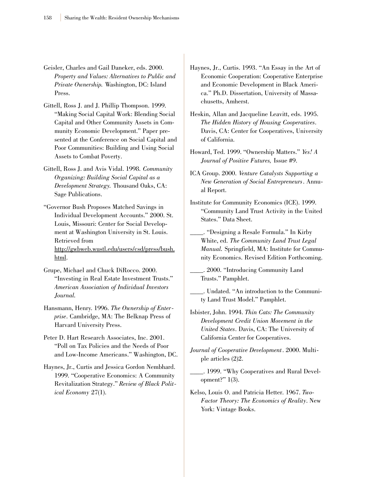- Geisler, Charles and Gail Daneker, eds. 2000. *Property and Values: Alternatives to Public and Private Ownership.* Washington, DC: Island Press.
- Gittell, Ross J. and J. Phillip Thompson. 1999. "Making Social Capital Work: Blending Social Capital and Other Community Assets in Community Economic Development." Paper presented at the Conference on Social Capital and Poor Communities: Building and Using Social Assets to Combat Poverty.
- Gittell, Ross J. and Avis Vidal. 1998. *Community Organizing: Building Social Capital as a Development Strategy.* Thousand Oaks, CA: Sage Publications.
- "Governor Bush Proposes Matched Savings in Individual Development Accounts." 2000. St. Louis, Missouri: Center for Social Development at Washington University in St. Louis. Retrieved from http://gwbweb.wustl.edu/users/csd/press/bush. html.
- Grupe, Michael and Chuck DiRocco. 2000. "Investing in Real Estate Investment Trusts." *American Association of Individual Investors Journal.*
- Hansmann, Henry. 1996. *The Ownership of Enterprise*. Cambridge, MA: The Belknap Press of Harvard University Press.
- Peter D. Hart Research Associates, Inc. 2001. "Poll on Tax Policies and the Needs of Poor and Low-Income Americans." Washington, DC.
- Haynes, Jr., Curtis and Jessica Gordon Nembhard. 1999. "Cooperative Economics: A Community Revitalization Strategy." *Review of Black Political Economy* 27(1).
- Haynes, Jr., Curtis. 1993. "An Essay in the Art of Economic Cooperation: Cooperative Enterprise and Economic Development in Black America." Ph.D. Dissertation, University of Massachusetts, Amherst.
- Heskin, Allan and Jacqueline Leavitt, eds. 1995. *The Hidden History of Housing Cooperatives*. Davis, CA: Center for Cooperatives, University of California.
- Howard, Ted. 1999. "Ownership Matters." *Yes! A Journal of Positive Futures,* Issue #9.
- ICA Group. 2000. *Venture Catalysts Supporting a New Generation of Social Entrepreneurs*. Annual Report.
- Institute for Community Economics (ICE). 1999. "Community Land Trust Activity in the United States." Data Sheet.
- \_\_\_\_. "Designing a Resale Formula." In Kirby White, ed. *The Community Land Trust Legal Manual.* Springfield, MA: Institute for Community Economics. Revised Edition Forthcoming.
- \_\_\_\_. 2000. "Introducing Community Land Trusts." Pamphlet.
- \_\_\_\_. Undated. "An introduction to the Community Land Trust Model." Pamphlet.
- Isbister, John. 1994. *Thin Cats: The Community Development Credit Union Movement in the United States*. Davis, CA: The University of California Center for Cooperatives.
- *Journal of Cooperative Development*. 2000. Multiple articles (2)2.
	- \_\_\_\_. 1999. "Why Cooperatives and Rural Development?" 1(3).
- Kelso, Louis O. and Patricia Hetter. 1967. *Two-Factor Theory: The Economics of Reality*. New York: Vintage Books.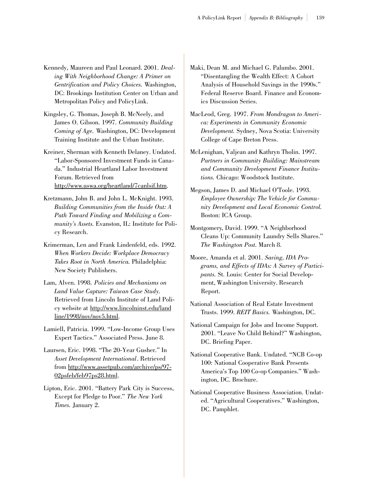- Kennedy, Maureen and Paul Leonard. 2001. *Dealing With Neighborhood Change: A Primer on Gentrification and Policy Choices.* Washington, DC: Brookings Institution Center on Urban and Metropolitan Policy and PolicyLink.
- Kingsley, G. Thomas, Joseph B. McNeely, and James O. Gibson. 1997. *Community Building Coming of Age.* Washington, DC: Development Training Institute and the Urban Institute.
- Kreiner, Sherman with Kenneth Delaney. Undated. "Labor-Sponsored Investment Funds in Canada." Industrial Heartland Labor Investment Forum. Retrieved from http://www.uswa.org/heartland/7canlsif.htm.
- Kretzmann, John B. and John L. McKnight. 1993. *Building Communities from the Inside Out: A Path Toward Finding and Mobilizing a Community's Assets*. Evanston, IL: Institute for Policy Research.
- Krimerman, Len and Frank Lindenfeld, eds. 1992. *When Workers Decide: Workplace Democracy Takes Root in North America.* Philadelphia: New Society Publishers.
- Lam, Alven. 1998. *Policies and Mechanisms on Land Value Capture: Taiwan Case Study*. Retrieved from Lincoln Institute of Land Policy website at http://www.lincolninst.edu/land line/1998/nov/nov5.html.
- Lamiell, Patricia. 1999. "Low-Income Group Uses Expert Tactics." Associated Press. June 8.
- Laursen, Eric. 1998. "The 20-Year Gusher." In *Asset Development International*. Retrieved from http://www.assetpub.com/archive/ps/97- 02psfeb/feb97ps28.html.
- Lipton, Eric. 2001. "Battery Park City is Success, Except for Pledge to Poor." *The New York Times.* January 2.
- Maki, Dean M. and Michael G. Palumbo. 2001. "Disentangling the Wealth Effect: A Cohort Analysis of Household Savings in the 1990s." Federal Reserve Board. Finance and Economics Discussion Series.
- MacLeod, Greg. 1997. *From Mondragon to America: Experiments in Community Economic Development.* Sydney, Nova Scotia: University College of Cape Breton Press.
- McLenighan, Valjean and Kathryn Tholin. 1997. *Partners in Community Building: Mainstream and Community Development Finance Institutions.* Chicago: Woodstock Institute.
- Megson, James D. and Michael O'Toole. 1993. *Employee Ownership: The Vehicle for Community Development and Local Economic Control.* Boston: ICA Group.
- Montgomery, David. 1999. "A Neighborhood Cleans Up: Community Laundry Sells Shares." *The Washington Post.* March 8.
- Moore, Amanda et al. 2001. *Saving, IDA Programs, and Effects of IDAs: A Survey of Participants.* St. Louis: Center for Social Development, Washington University. Research Report.
- National Association of Real Estate Investment Trusts. 1999. *REIT Basics.* Washington, DC.
- National Campaign for Jobs and Income Support. 2001. "Leave No Child Behind?" Washington, DC. Briefing Paper.
- National Cooperative Bank. Undated. "NCB Co-op 100: National Cooperative Bank Presents America's Top 100 Co-op Companies." Washington, DC. Brochure.
- National Cooperative Business Association. Undated. "Agricultural Cooperatives." Washington, DC. Pamphlet.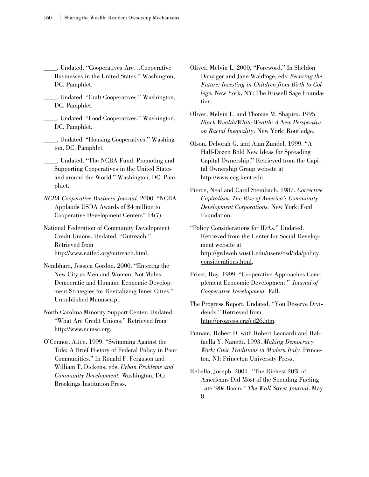\_\_\_\_. Undated. "Cooperatives Are…Cooperative Businesses in the United States." Washington, DC. Pamphlet.

- \_\_\_\_. Undated. "Craft Cooperatives." Washington, DC. Pamphlet.
- \_\_\_\_. Undated. "Food Cooperatives." Washington, DC. Pamphlet.
- \_\_\_\_. Undated. "Housing Cooperatives." Washington, DC. Pamphlet.

\_\_\_\_. Undated. "The NCBA Fund: Promoting and Supporting Cooperatives in the United States and around the World." Washington, DC. Pamphlet.

- *NCBA Cooperative Business Journal*. 2000. "NCBA Applauds USDA Awards of \$4 million to Cooperative Development Centers" 14(7).
- National Federation of Community Development Credit Unions. Undated. "Outreach." Retrieved from http://www.natfed.org/outreach.html.
- Nembhard, Jessica Gordon. 2000. "Entering the New City as Men and Women, Not Mules: Democratic and Humane Economic Development Strategies for Revitalizing Inner Cities." Unpublished Manuscript.
- North Carolina Minority Support Center. Undated. "What Are Credit Unions." Retrieved from http://www.ncmsc.org.
- O'Connor, Alice. 1999. "Swimming Against the Tide: A Brief History of Federal Policy in Poor Communities." In Ronald F. Ferguson and William T. Dickens, eds. *Urban Problems and Community Development.* Washington, DC: Brookings Institution Press.
- Oliver, Melvin L. 2000. "Foreword." In Sheldon Danziger and Jane Waldfoge, eds. *Securing the Future: Investing in Children from Birth to College.* New York, NY: The Russell Sage Foundation.
- Oliver, Melvin L. and Thomas M. Shapiro. 1995. *Black Wealth/White Wealth: A New Perspective on Racial Inequality*. New York: Routledge.
- Olson, Deborah G. and Alan Zundel. 1999. "A Half-Dozen Bold New Ideas for Spreading Capital Ownership." Retrieved from the Capital Ownership Group website at http://www.cog.kent.edu.
- Pierce, Neal and Carol Steinbach. 1987. *Corrective Capitalism: The Rise of America's Community Development Corporations.* New York: Ford Foundation.
- "Policy Considerations for IDAs." Undated. Retrieved from the Center for Social Development website at http://gwbweb.wust1.edu/users/csd/ida/policy considerations.html.
- Priest, Roy. 1999. "Cooperative Approaches Complement Economic Development." *Journal of Cooperative Development.* Fall.
- The Progress Report. Undated. "You Deserve Dividends." Retrieved from http://progress.org/cd26.htm.
- Putnam, Robert D. with Robert Leonardi and Raffaella Y. Nanetti. 1993. *Making Democracy Work: Civic Traditions in Modern Italy.* Princeton, NJ: Princeton University Press.
- Rebello, Joseph. 2001. *"*The Richest 20% of Americans Did Most of the Spending Fueling Late '90s Boom*." The Wall Street Journal*. May 8.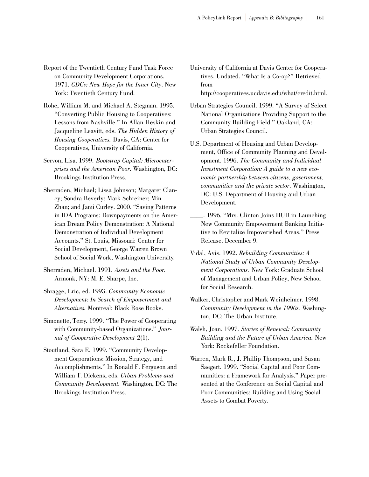- Report of the Twentieth Century Fund Task Force on Community Development Corporations. 1971. *CDCs: New Hope for the Inner City*. New York: Twentieth Century Fund.
- Rohe, William M. and Michael A. Stegman. 1995. "Converting Public Housing to Cooperatives: Lessons from Nashville." In Allan Heskin and Jacqueline Leavitt, eds. *The Hidden History of Housing Cooperatives.* Davis, CA: Center for Cooperatives, University of California.
- Servon, Lisa. 1999. *Bootstrap Capital: Microenterprises and the American Poor*. Washington, DC: Brookings Institution Press.
- Sherraden, Michael; Lissa Johnson; Margaret Clancy; Sondra Beverly; Mark Schreiner; Min Zhan; and Jami Curley. 2000. "Saving Patterns in IDA Programs: Downpayments on the American Dream Policy Demonstration: A National Demonstration of Individual Development Accounts." St. Louis, Missouri: Center for Social Development, George Warren Brown School of Social Work, Washington University.
- Sherraden, Michael. 1991. *Assets and the Poor.* Armonk, NY: M. E. Sharpe, Inc.
- Shragge, Eric, ed. 1993. *Community Economic Development: In Search of Empowerment and Alternatives.* Montreal: Black Rose Books.
- Simonette, Terry. 1999. "The Power of Cooperating with Community-based Organizations." *Journal of Cooperative Development* 2(1).
- Stoutland, Sara E. 1999. "Community Development Corporations: Mission, Strategy, and Accomplishments." In Ronald F. Ferguson and William T. Dickens, eds. *Urban Problems and Community Development.* Washington, DC: The Brookings Institution Press.
- University of California at Davis Center for Cooperatives. Undated. "What Is a Co-op?" Retrieved from http://cooperatives.ucdavis.edu/what/credit.html.
- Urban Strategies Council. 1999. "A Survey of Select National Organizations Providing Support to the Community Building Field." Oakland, CA: Urban Strategies Council.
- U.S. Department of Housing and Urban Development, Office of Community Planning and Development. 1996. *The Community and Individual Investment Corporation: A guide to a new economic partnership between citizens, government, communities and the private sector*. Washington, DC: U.S. Department of Housing and Urban Development.
- \_\_\_\_. 1996. "Mrs. Clinton Joins HUD in Launching New Community Empowerment Banking Initiative to Revitalize Impoverished Areas." Press Release. December 9.
- Vidal, Avis. 1992. *Rebuilding Communities: A National Study of Urban Community Development Corporations.* New York: Graduate School of Management and Urban Policy, New School for Social Research.
- Walker, Christopher and Mark Weinheimer. 1998. *Community Development in the 1990s.* Washington, DC: The Urban Institute.
- Walsh, Joan. 1997. *Stories of Renewal: Community Building and the Future of Urban America.* New York: Rockefeller Foundation.
- Warren, Mark R., J. Phillip Thompson, and Susan Saegert. 1999. "Social Capital and Poor Communities: a Framework for Analysis." Paper presented at the Conference on Social Capital and Poor Communities: Building and Using Social Assets to Combat Poverty.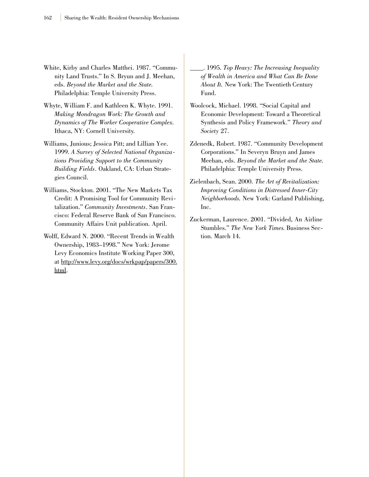- White, Kirby and Charles Matthei. 1987. "Community Land Trusts." In S. Bryun and J. Meehan, eds. *Beyond the Market and the State.* Philadelphia: Temple University Press.
- Whyte, William F. and Kathleen K. Whyte. 1991. *Making Mondragon Work: The Growth and Dynamics of The Worker Cooperative Complex.* Ithaca, NY: Cornell University.
- Williams, Junious; Jessica Pitt; and Lillian Yee. 1999. *A Survey of Selected National Organizations Providing Support to the Community Building Fields*. Oakland, CA: Urban Strategies Council.
- Williams, Stockton. 2001. "The New Markets Tax Credit: A Promising Tool for Community Revitalization." *Community Investments*. San Francisco: Federal Reserve Bank of San Francisco. Community Affairs Unit publication. April.
- Wolff, Edward N. 2000. "Recent Trends in Wealth Ownership, 1983–1998." New York: Jerome Levy Economics Institute Working Paper 300, at http://www.levy.org/docs/wrkpap/papers/300. html.

\_\_\_\_. 1995*. Top Heavy: The Increasing Inequality of Wealth in America and What Can Be Done About It.* New York: The Twentieth Century Fund.

- Woolcock, Michael. 1998. "Social Capital and Economic Development: Toward a Theoretical Synthesis and Policy Framework." *Theory and Society* 27.
- Zdenedk, Robert. 1987. "Community Development Corporations." In Severyn Bruyn and James Meehan, eds. *Beyond the Market and the State.* Philadelphia: Temple University Press.
- Zielenbach, Sean. 2000. *The Art of Revitalization: Improving Conditions in Distressed Inner-City Neighborhoods.* New York: Garland Publishing, Inc.
- Zuckerman, Laurence. 2001. "Divided, An Airline Stumbles." *The New York Times*. Business Section. March 14.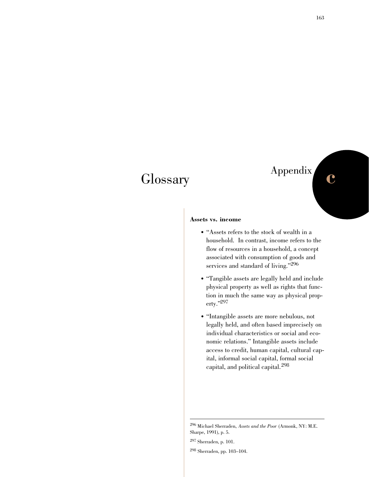## **Glossary**

## Appendix **c**

### **Assets vs. income**

- "Assets refers to the stock of wealth in a household. In contrast, income refers to the flow of resources in a household, a concept associated with consumption of goods and services and standard of living."<sup>296</sup>
- "Tangible assets are legally held and include physical property as well as rights that function in much the same way as physical property."297
- "Intangible assets are more nebulous, not legally held, and often based imprecisely on individual characteristics or social and economic relations." Intangible assets include access to credit, human capital, cultural capital, informal social capital, formal social capital, and political capital.<sup>298</sup>

<sup>296</sup> Michael Sherraden, *Assets and the Poor* (Armonk, NY: M.E. Sharpe, 1991), p. 5.

<sup>297</sup> Sherraden, p. 101.

<sup>298</sup> Sherraden, pp. 103–104.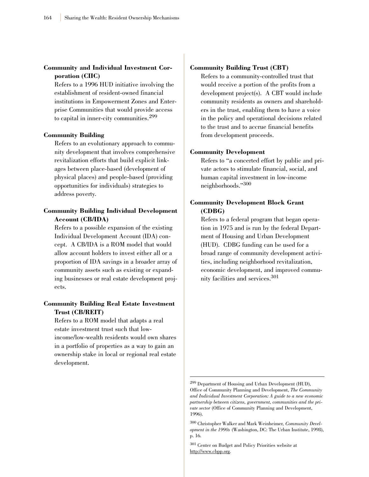### **Community and Individual Investment Corporation (CIIC)**

Refers to a 1996 HUD initiative involving the establishment of resident-owned financial institutions in Empowerment Zones and Enterprise Communities that would provide access to capital in inner-city communities.<sup>299</sup>

### **Community Building**

Refers to an evolutionary approach to community development that involves comprehensive revitalization efforts that build explicit linkages between place-based (development of physical places) and people-based (providing opportunities for individuals) strategies to address poverty.

### **Community Building Individual Development Account (CB/IDA)**

Refers to a possible expansion of the existing Individual Development Account (IDA) concept. A CB/IDA is a ROM model that would allow account holders to invest either all or a proportion of IDA savings in a broader array of community assets such as existing or expanding businesses or real estate development projects.

### **Community Building Real Estate Investment Trust (CB/REIT)**

Refers to a ROM model that adapts a real estate investment trust such that lowincome/low-wealth residents would own shares in a portfolio of properties as a way to gain an ownership stake in local or regional real estate development.

### **Community Building Trust (CBT)**

Refers to a community-controlled trust that would receive a portion of the profits from a development project(s). A CBT would include community residents as owners and shareholders in the trust, enabling them to have a voice in the policy and operational decisions related to the trust and to accrue financial benefits from development proceeds.

#### **Community Development**

Refers to "a concerted effort by public and private actors to stimulate financial, social, and human capital investment in low-income neighborhoods."300

### **Community Development Block Grant (CDBG)**

Refers to a federal program that began operation in 1975 and is run by the federal Department of Housing and Urban Development (HUD). CDBG funding can be used for a broad range of community development activities, including neighborhood revitalization, economic development, and improved community facilities and services.301

<sup>299</sup> Department of Housing and Urban Development (HUD), Office of Community Planning and Development, *The Community and Individual Investment Corporation: A guide to a new economic partnership between citizens, government, communities and the private sector* (Office of Community Planning and Development, 1996).

<sup>300</sup> Christopher Walker and Mark Weinheimer, *Community Development in the 1990s* (Washington, DC: The Urban Institute, 1998), p. 16.

<sup>301</sup> Center on Budget and Policy Priorities website at http://www.cbpp.org.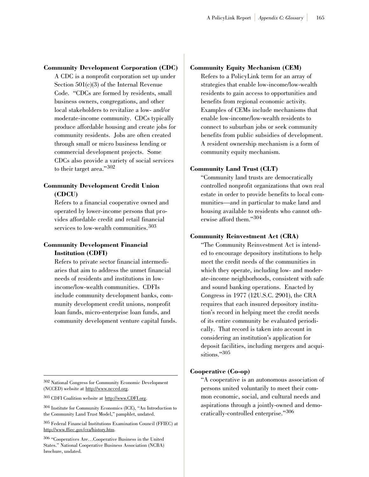### **Community Development Corporation (CDC)**

A CDC is a nonprofit corporation set up under Section 501(c)(3) of the Internal Revenue Code. "CDCs are formed by residents, small business owners, congregations, and other local stakeholders to revitalize a low- and/or moderate-income community. CDCs typically produce affordable housing and create jobs for community residents. Jobs are often created through small or micro business lending or commercial development projects. Some CDCs also provide a variety of social services to their target area."302

### **Community Development Credit Union (CDCU)**

Refers to a financial cooperative owned and operated by lower-income persons that provides affordable credit and retail financial services to low-wealth communities.<sup>303</sup>

### **Community Development Financial Institution (CDFI)**

Refers to private sector financial intermediaries that aim to address the unmet financial needs of residents and institutions in lowincome/low-wealth communities. CDFIs include community development banks, community development credit unions, nonprofit loan funds, micro-enterprise loan funds, and community development venture capital funds.

<sup>302</sup> National Congress for Community Economic Development (NCCED) website at http://www.ncced.org.

<sup>303</sup> CDFI Coalition website at http://www.CDFI.org.

<sup>304</sup> Institute for Community Economics (ICE), "An Introduction to the Community Land Trust Model," pamphlet, undated.

<sup>305</sup> Federal Financial Institutions Examination Council (FFIEC) at http://www.ffiec.gov/cra/history.htm.

<sup>306</sup> "Cooperatives Are…Cooperative Business in the United States." National Cooperative Business Association (NCBA) brochure, undated.

### **Community Equity Mechanism (CEM)**

Refers to a PolicyLink term for an array of strategies that enable low-income/low-wealth residents to gain access to opportunities and benefits from regional economic activity. Examples of CEMs include mechanisms that enable low-income/low-wealth residents to connect to suburban jobs or seek community benefits from public subsidies of development. A resident ownership mechanism is a form of community equity mechanism.

### **Community Land Trust (CLT)**

"Community land trusts are democratically controlled nonprofit organizations that own real estate in order to provide benefits to local communities—and in particular to make land and housing available to residents who cannot otherwise afford them."<sup>304</sup>

### **Community Reinvestment Act (CRA)**

"The Community Reinvestment Act is intended to encourage depository institutions to help meet the credit needs of the communities in which they operate, including low- and moderate-income neighborhoods, consistent with safe and sound banking operations. Enacted by Congress in 1977 (12U.S.C. 2901), the CRA requires that each insured depository institution's record in helping meet the credit needs of its entire community be evaluated periodically. That record is taken into account in considering an institution's application for deposit facilities, including mergers and acquisitions."305

### **Cooperative (Co-op)**

"A cooperative is an autonomous association of persons united voluntarily to meet their common economic, social, and cultural needs and aspirations through a jointly-owned and democratically-controlled enterprise."<sup>306</sup>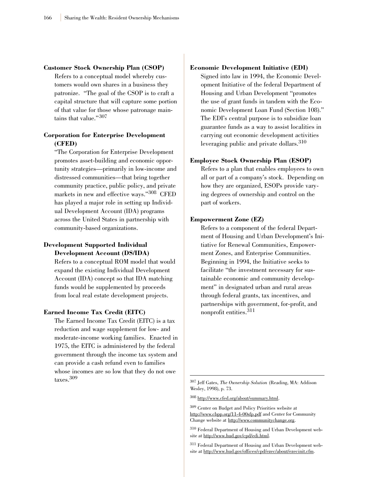### **Customer Stock Ownership Plan (CSOP)**

Refers to a conceptual model whereby customers would own shares in a business they patronize. "The goal of the CSOP is to craft a capital structure that will capture some portion of that value for those whose patronage maintains that value."<sup>307</sup>

### **Corporation for Enterprise Development (CFED)**

"The Corporation for Enterprise Development promotes asset-building and economic opportunity strategies—primarily in low-income and distressed communities—that bring together community practice, public policy, and private markets in new and effective ways."<sup>308</sup> CFED has played a major role in setting up Individual Development Account (IDA) programs across the United States in partnership with community-based organizations.

### **Development Supported Individual Development Account (DS/IDA)**

Refers to a conceptual ROM model that would expand the existing Individual Development Account (IDA) concept so that IDA matching funds would be supplemented by proceeds from local real estate development projects.

### **Earned Income Tax Credit (EITC)**

The Earned Income Tax Credit (EITC) is a tax reduction and wage supplement for low- and moderate-income working families. Enacted in 1975, the EITC is administered by the federal government through the income tax system and can provide a cash refund even to families whose incomes are so low that they do not owe taxes.309

### **Economic Development Initiative (EDI)**

Signed into law in 1994, the Economic Development Initiative of the federal Department of Housing and Urban Development "promotes the use of grant funds in tandem with the Economic Development Loan Fund (Section 108)." The EDI's central purpose is to subsidize loan guarantee funds as a way to assist localities in carrying out economic development activities leveraging public and private dollars.<sup>310</sup>

### **Employee Stock Ownership Plan (ESOP)**

Refers to a plan that enables employees to own all or part of a company's stock. Depending on how they are organized, ESOPs provide varying degrees of ownership and control on the part of workers.

### **Empowerment Zone (EZ)**

Refers to a component of the federal Department of Housing and Urban Development's Initiative for Renewal Communities, Empowerment Zones, and Enterprise Communities. Beginning in 1994, the Initiative seeks to facilitate "the investment necessary for sustainable economic and community development" in designated urban and rural areas through federal grants, tax incentives, and partnerships with government, for-profit, and nonprofit entities.<sup>311</sup>

<sup>308</sup> http://www.cfed.org/about/summary.html.

<sup>310</sup> Federal Department of Housing and Urban Development website at http://www.hud.gov/cpd/edi.html.

<sup>307</sup> Jeff Gates, *The Ownership Solution* (Reading, MA: Addison Wesley, 1998), p. 73.

<sup>309</sup> Center on Budget and Policy Priorities website at http://www.cbpp.org/11-4-00sfp.pdf and Center for Community Change website at http://www.communitychange.org.

<sup>311</sup> Federal Department of Housing and Urban Development website at http://www.hud.gov/offices/cpd/ezec/about/ezecinit.cfm.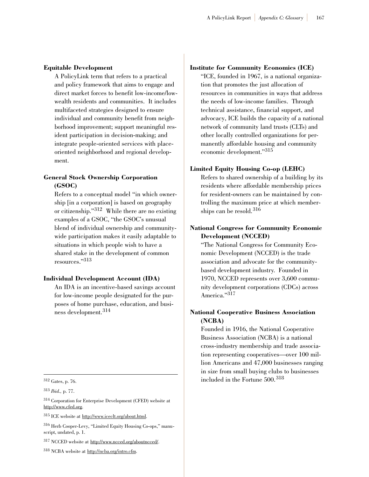#### **Equitable Development**

A PolicyLink term that refers to a practical and policy framework that aims to engage and direct market forces to benefit low-income/lowwealth residents and communities. It includes multifaceted strategies designed to ensure individual and community benefit from neighborhood improvement; support meaningful resident participation in decision-making; and integrate people-oriented services with placeoriented neighborhood and regional development.

# **General Stock Ownership Corporation (GSOC)**

Refers to a conceptual model "in which ownership [in a corporation] is based on geography or citizenship."<sup>312</sup> While there are no existing examples of a GSOC, "the GSOC's unusual blend of individual ownership and communitywide participation makes it easily adaptable to situations in which people wish to have a shared stake in the development of common resources."313

# **Individual Development Account (IDA)**

An IDA is an incentive-based savings account for low-income people designated for the purposes of home purchase, education, and business development.<sup>314</sup>

<sup>317</sup> NCCED website at http://www.ncced.org/aboutncced/.

<sup>318</sup> NCBA website at http://ncba.org/intro.cfm.

## **Institute for Community Economics (ICE)**

"ICE, founded in 1967, is a national organization that promotes the just allocation of resources in communities in ways that address the needs of low-income families. Through technical assistance, financial support, and advocacy, ICE builds the capacity of a national network of community land trusts (CLTs) and other locally controlled organizations for permanently affordable housing and community economic development."<sup>315</sup>

## **Limited Equity Housing Co-op (LEHC)**

Refers to shared ownership of a building by its residents where affordable membership prices for resident-owners can be maintained by controlling the maximum price at which memberships can be resold.<sup>316</sup>

# **National Congress for Community Economic Development (NCCED)**

"The National Congress for Community Economic Development (NCCED) is the trade association and advocate for the communitybased development industry. Founded in 1970, NCCED represents over 3,600 community development corporations (CDCs) across America."317

# **National Cooperative Business Association (NCBA)**

Founded in 1916, the National Cooperative Business Association (NCBA) is a national cross-industry membership and trade association representing cooperatives—over 100 million Americans and 47,000 businesses ranging in size from small buying clubs to businesses included in the Fortune 500.<sup>318</sup>

<sup>312</sup> Gates, p. 76.

<sup>313</sup> *Ibid.,* p. 77.

<sup>314</sup> Corporation for Enterprise Development (CFED) website at http://www.cfed.org.

<sup>315</sup> ICE website at http://www.iceclt.org/about.html.

<sup>316</sup> Herb Cooper-Levy, "Limited Equity Housing Co-ops," manuscript, undated, p. 1.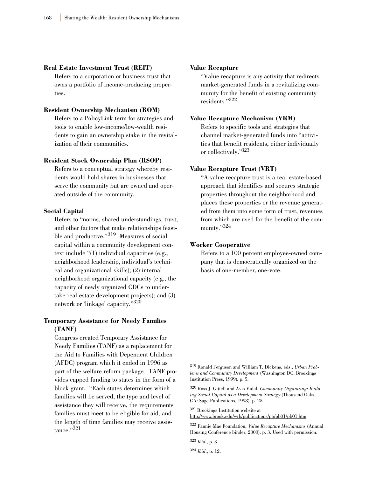#### **Real Estate Investment Trust (REIT)**

Refers to a corporation or business trust that owns a portfolio of income-producing properties.

## **Resident Ownership Mechanism (ROM)**

Refers to a PolicyLink term for strategies and tools to enable low-income/low-wealth residents to gain an ownership stake in the revitalization of their communities.

#### **Resident Stock Ownership Plan (RSOP)**

Refers to a conceptual strategy whereby residents would hold shares in businesses that serve the community but are owned and operated outside of the community.

#### **Social Capital**

Refers to "norms, shared understandings, trust, and other factors that make relationships feasible and productive."<sup>319</sup> Measures of social capital within a community development context include "(1) individual capacities (e.g., neighborhood leadership, individual's technical and organizational skills); (2) internal neighborhood organizational capacity (e.g., the capacity of newly organized CDCs to undertake real estate development projects); and (3) network or 'linkage' capacity."320

# **Temporary Assistance for Needy Families (TANF)**

Congress created Temporary Assistance for Needy Families (TANF) as a replacement for the Aid to Families with Dependent Children (AFDC) program which it ended in 1996 as part of the welfare reform package. TANF provides capped funding to states in the form of a block grant. "Each states determines which families will be served, the type and level of assistance they will receive, the requirements families must meet to be eligible for aid, and the length of time families may receive assistance."321

#### **Value Recapture**

"Value recapture is any activity that redirects market-generated funds in a revitalizing community for the benefit of existing community residents."322

## **Value Recapture Mechanism (VRM)**

Refers to specific tools and strategies that channel market-generated funds into "activities that benefit residents, either individually or collectively."323

## **Value Recapture Trust (VRT)**

"A value recapture trust is a real estate-based approach that identifies and secures strategic properties throughout the neighborhood and places these properties or the revenue generated from them into some form of trust, revenues from which are used for the benefit of the community."324

## **Worker Cooperative**

Refers to a 100 percent employee-owned company that is democratically organized on the basis of one-member, one-vote.

<sup>319</sup> Ronald Ferguson and William T. Dickens, eds., *Urban Problems and Community Development* (Washington DC: Brookings Institution Press, 1999), p. 5.

<sup>320</sup> Ross J. Gittell and Avis Vidal, *Community Organizing: Building Social Capital as a Development Strategy* (Thousand Oaks, CA: Sage Publications, 1998), p. 25.

<sup>321</sup> Brookings Institution website at http://www.brook.edu/wrb/publications/pb/pb01/pb01.htm.

<sup>322</sup> Fannie Mae Foundation, *Value Recapture Mechanisms* (Annual Housing Conference binder, 2000), p. 3. Used with permission.

<sup>323</sup> *Ibid*., p. 3.

<sup>324</sup> *Ibid*., p. 12.